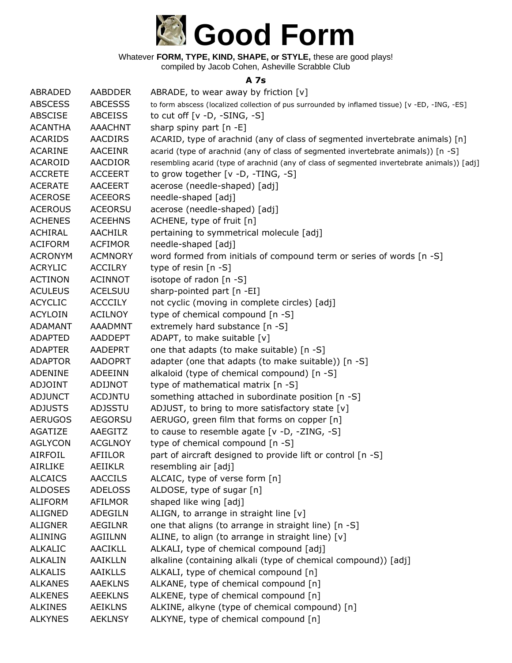

compiled by Jacob Cohen, Asheville Scrabble Club

#### **A 7s**

| ABRADED        | AABDDER        | ABRADE, to wear away by friction $[v]$                                                         |
|----------------|----------------|------------------------------------------------------------------------------------------------|
| <b>ABSCESS</b> | <b>ABCESSS</b> | to form abscess (localized collection of pus surrounded by inflamed tissue) [v -ED, -ING, -ES] |
| <b>ABSCISE</b> | <b>ABCEISS</b> | to cut off $[v -D, -SING, -S]$                                                                 |
| <b>ACANTHA</b> | <b>AAACHNT</b> | sharp spiny part [n -E]                                                                        |
| <b>ACARIDS</b> | <b>AACDIRS</b> | ACARID, type of arachnid (any of class of segmented invertebrate animals) [n]                  |
| <b>ACARINE</b> | <b>AACEINR</b> | acarid (type of arachnid (any of class of segmented invertebrate animals)) [n -S]              |
| <b>ACAROID</b> | <b>AACDIOR</b> | resembling acarid (type of arachnid (any of class of segmented invertebrate animals)) [adj]    |
| <b>ACCRETE</b> | <b>ACCEERT</b> | to grow together $[v -D, -TING, -S]$                                                           |
| <b>ACERATE</b> | <b>AACEERT</b> | acerose (needle-shaped) [adj]                                                                  |
| <b>ACEROSE</b> | <b>ACEEORS</b> | needle-shaped [adj]                                                                            |
| <b>ACEROUS</b> | <b>ACEORSU</b> | acerose (needle-shaped) [adj]                                                                  |
| <b>ACHENES</b> | <b>ACEEHNS</b> | ACHENE, type of fruit [n]                                                                      |
| ACHIRAL        | <b>AACHILR</b> | pertaining to symmetrical molecule [adj]                                                       |
| <b>ACIFORM</b> | <b>ACFIMOR</b> | needle-shaped [adj]                                                                            |
| <b>ACRONYM</b> | <b>ACMNORY</b> | word formed from initials of compound term or series of words [n -S]                           |
| <b>ACRYLIC</b> | <b>ACCILRY</b> | type of resin [n -S]                                                                           |
| <b>ACTINON</b> | <b>ACINNOT</b> | isotope of radon [n -S]                                                                        |
| <b>ACULEUS</b> | <b>ACELSUU</b> | sharp-pointed part [n -EI]                                                                     |
| <b>ACYCLIC</b> | <b>ACCCILY</b> | not cyclic (moving in complete circles) [adj]                                                  |
| <b>ACYLOIN</b> | <b>ACILNOY</b> | type of chemical compound [n -S]                                                               |
| <b>ADAMANT</b> | <b>AAADMNT</b> | extremely hard substance [n -S]                                                                |
| <b>ADAPTED</b> | <b>AADDEPT</b> | ADAPT, to make suitable [v]                                                                    |
| <b>ADAPTER</b> | <b>AADEPRT</b> | one that adapts (to make suitable) [n -S]                                                      |
| <b>ADAPTOR</b> | <b>AADOPRT</b> | adapter (one that adapts (to make suitable)) [n -S]                                            |
| ADENINE        | <b>ADEEINN</b> | alkaloid (type of chemical compound) [n -S]                                                    |
| <b>ADJOINT</b> | ADIJNOT        | type of mathematical matrix [n -S]                                                             |
| <b>ADJUNCT</b> | <b>ACDJNTU</b> | something attached in subordinate position [n -S]                                              |
| <b>ADJUSTS</b> | <b>ADJSSTU</b> | ADJUST, to bring to more satisfactory state [v]                                                |
| <b>AERUGOS</b> | <b>AEGORSU</b> | AERUGO, green film that forms on copper [n]                                                    |
| AGATIZE        | AAEGITZ        | to cause to resemble agate $[v -D, -ZING, -S]$                                                 |
| <b>AGLYCON</b> | <b>ACGLNOY</b> | type of chemical compound $[n -S]$                                                             |
| <b>AIRFOIL</b> | AFIILOR        | part of aircraft designed to provide lift or control [n -S]                                    |
| <b>AIRLIKE</b> | <b>AEIIKLR</b> | resembling air [adj]                                                                           |
| <b>ALCAICS</b> | <b>AACCILS</b> | ALCAIC, type of verse form [n]                                                                 |
| <b>ALDOSES</b> | <b>ADELOSS</b> | ALDOSE, type of sugar [n]                                                                      |
| <b>ALIFORM</b> | <b>AFILMOR</b> | shaped like wing [adj]                                                                         |
| <b>ALIGNED</b> | <b>ADEGILN</b> | ALIGN, to arrange in straight line [v]                                                         |
| <b>ALIGNER</b> | <b>AEGILNR</b> | one that aligns (to arrange in straight line) [n -S]                                           |
| <b>ALINING</b> | <b>AGIILNN</b> | ALINE, to align (to arrange in straight line) [v]                                              |
| <b>ALKALIC</b> | AACIKLL        | ALKALI, type of chemical compound [adj]                                                        |
| <b>ALKALIN</b> | <b>AAIKLLN</b> | alkaline (containing alkali (type of chemical compound)) [adj]                                 |
| <b>ALKALIS</b> | <b>AAIKLLS</b> | ALKALI, type of chemical compound [n]                                                          |
| <b>ALKANES</b> | <b>AAEKLNS</b> |                                                                                                |
| <b>ALKENES</b> | <b>AEEKLNS</b> | ALKANE, type of chemical compound [n]                                                          |
|                |                | ALKENE, type of chemical compound [n]                                                          |
| <b>ALKINES</b> | <b>AEIKLNS</b> | ALKINE, alkyne (type of chemical compound) [n]                                                 |
| <b>ALKYNES</b> | <b>AEKLNSY</b> | ALKYNE, type of chemical compound [n]                                                          |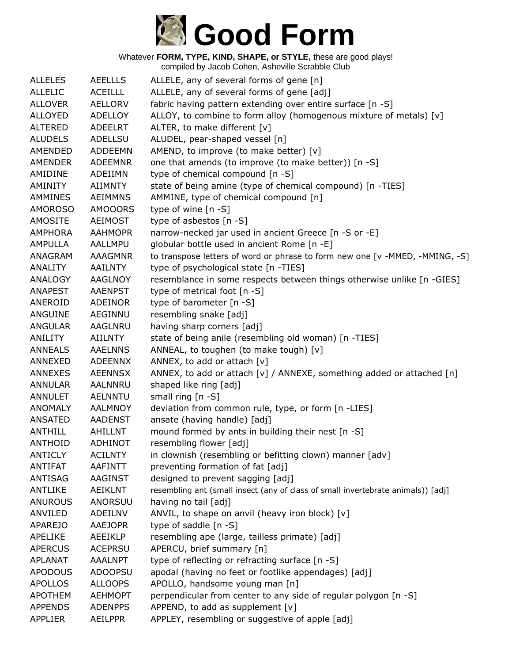

| <b>ALLELES</b> | <b>AEELLLS</b> | ALLELE, any of several forms of gene [n]                                         |
|----------------|----------------|----------------------------------------------------------------------------------|
| <b>ALLELIC</b> | <b>ACEILLL</b> | ALLELE, any of several forms of gene [adj]                                       |
| <b>ALLOVER</b> | <b>AELLORV</b> | fabric having pattern extending over entire surface [n -S]                       |
| <b>ALLOYED</b> | <b>ADELLOY</b> | ALLOY, to combine to form alloy (homogenous mixture of metals) [v]               |
| <b>ALTERED</b> | <b>ADEELRT</b> | ALTER, to make different [v]                                                     |
| <b>ALUDELS</b> | <b>ADELLSU</b> | ALUDEL, pear-shaped vessel [n]                                                   |
| AMENDED        | <b>ADDEEMN</b> | AMEND, to improve (to make better) [v]                                           |
| <b>AMENDER</b> | <b>ADEEMNR</b> | one that amends (to improve (to make better)) [n -S]                             |
| AMIDINE        | ADEIIMN        | type of chemical compound [n -S]                                                 |
| AMINITY        | <b>AIIMNTY</b> | state of being amine (type of chemical compound) [n -TIES]                       |
| <b>AMMINES</b> | <b>AEIMMNS</b> | AMMINE, type of chemical compound [n]                                            |
| <b>AMOROSO</b> | <b>AMOOORS</b> | type of wine [n -S]                                                              |
| <b>AMOSITE</b> | <b>AEIMOST</b> | type of asbestos [n -S]                                                          |
| <b>AMPHORA</b> | <b>AAHMOPR</b> | narrow-necked jar used in ancient Greece [n -S or -E]                            |
| <b>AMPULLA</b> | AALLMPU        | globular bottle used in ancient Rome [n -E]                                      |
| ANAGRAM        | <b>AAAGMNR</b> | to transpose letters of word or phrase to form new one [v -MMED, -MMING, -S]     |
| <b>ANALITY</b> | <b>AAILNTY</b> | type of psychological state [n -TIES]                                            |
| ANALOGY        | <b>AAGLNOY</b> | resemblance in some respects between things otherwise unlike [n -GIES]           |
| <b>ANAPEST</b> | <b>AAENPST</b> | type of metrical foot [n -S]                                                     |
| ANEROID        | <b>ADEINOR</b> | type of barometer [n -S]                                                         |
| ANGUINE        | <b>AEGINNU</b> | resembling snake [adj]                                                           |
| <b>ANGULAR</b> | AAGLNRU        | having sharp corners [adj]                                                       |
| <b>ANILITY</b> | <b>AIILNTY</b> | state of being anile (resembling old woman) [n -TIES]                            |
| <b>ANNEALS</b> | <b>AAELNNS</b> | ANNEAL, to toughen (to make tough) [v]                                           |
| ANNEXED        | <b>ADEENNX</b> | ANNEX, to add or attach [v]                                                      |
| <b>ANNEXES</b> | <b>AEENNSX</b> | ANNEX, to add or attach [v] / ANNEXE, something added or attached [n]            |
| <b>ANNULAR</b> | <b>AALNNRU</b> | shaped like ring [adj]                                                           |
| <b>ANNULET</b> | <b>AELNNTU</b> | small ring $[n - S]$                                                             |
| <b>ANOMALY</b> | <b>AALMNOY</b> | deviation from common rule, type, or form [n -LIES]                              |
| <b>ANSATED</b> | <b>AADENST</b> | ansate (having handle) [adj]                                                     |
| <b>ANTHILL</b> | AHILLNT        | mound formed by ants in building their nest [n -S]                               |
| <b>ANTHOID</b> | <b>ADHINOT</b> | resembling flower [adj]                                                          |
| <b>ANTICLY</b> | <b>ACILNTY</b> | in clownish (resembling or befitting clown) manner [adv]                         |
| <b>ANTIFAT</b> | <b>AAFINTT</b> | preventing formation of fat [adj]                                                |
| <b>ANTISAG</b> | <b>AAGINST</b> | designed to prevent sagging [adj]                                                |
| <b>ANTLIKE</b> | <b>AEIKLNT</b> | resembling ant (small insect (any of class of small invertebrate animals)) [adj] |
| <b>ANUROUS</b> | ANORSUU        | having no tail [adj]                                                             |
| ANVILED        | ADEILNV        | ANVIL, to shape on anvil (heavy iron block) [v]                                  |
| <b>APAREJO</b> | <b>AAEJOPR</b> | type of saddle [n -S]                                                            |
| <b>APELIKE</b> | AEEIKLP        | resembling ape (large, tailless primate) [adj]                                   |
| <b>APERCUS</b> | <b>ACEPRSU</b> | APERCU, brief summary [n]                                                        |
| <b>APLANAT</b> | <b>AAALNPT</b> | type of reflecting or refracting surface [n -S]                                  |
| <b>APODOUS</b> | <b>ADOOPSU</b> | apodal (having no feet or footlike appendages) [adj]                             |
| <b>APOLLOS</b> | <b>ALLOOPS</b> | APOLLO, handsome young man [n]                                                   |
| <b>APOTHEM</b> | <b>AEHMOPT</b> | perpendicular from center to any side of regular polygon [n -S]                  |
| <b>APPENDS</b> | <b>ADENPPS</b> | APPEND, to add as supplement [v]                                                 |
| <b>APPLIER</b> | <b>AEILPPR</b> | APPLEY, resembling or suggestive of apple [adj]                                  |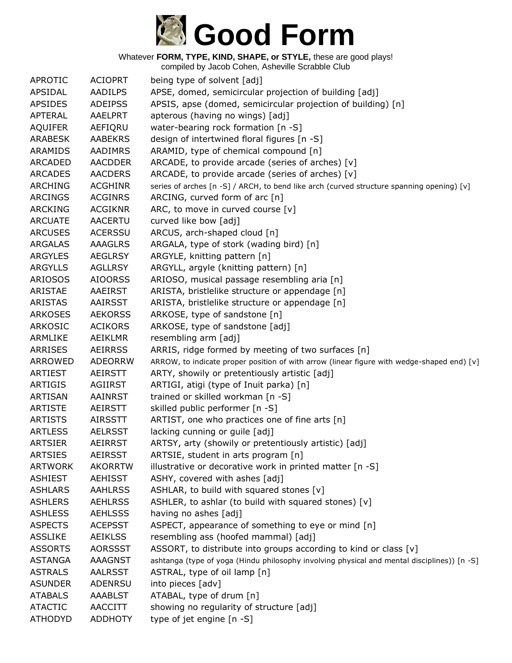

| <b>APROTIC</b> | <b>ACIOPRT</b> | being type of solvent [adj]                                                                 |
|----------------|----------------|---------------------------------------------------------------------------------------------|
| APSIDAL        | AADILPS        | APSE, domed, semicircular projection of building [adj]                                      |
| <b>APSIDES</b> | <b>ADEIPSS</b> | APSIS, apse (domed, semicircular projection of building) [n]                                |
| <b>APTERAL</b> | AAELPRT        | apterous (having no wings) [adj]                                                            |
| <b>AQUIFER</b> | AEFIQRU        | water-bearing rock formation [n -S]                                                         |
| <b>ARABESK</b> | <b>AABEKRS</b> | design of intertwined floral figures [n -S]                                                 |
| <b>ARAMIDS</b> | AADIMRS        | ARAMID, type of chemical compound [n]                                                       |
| <b>ARCADED</b> | <b>AACDDER</b> | ARCADE, to provide arcade (series of arches) [v]                                            |
| <b>ARCADES</b> | <b>AACDERS</b> | ARCADE, to provide arcade (series of arches) [v]                                            |
| <b>ARCHING</b> | <b>ACGHINR</b> | series of arches [n -S] / ARCH, to bend like arch (curved structure spanning opening) [v]   |
| <b>ARCINGS</b> | <b>ACGINRS</b> | ARCING, curved form of arc [n]                                                              |
| <b>ARCKING</b> | <b>ACGIKNR</b> | ARC, to move in curved course [v]                                                           |
| <b>ARCUATE</b> | <b>AACERTU</b> | curved like bow [adj]                                                                       |
| <b>ARCUSES</b> | <b>ACERSSU</b> | ARCUS, arch-shaped cloud [n]                                                                |
| <b>ARGALAS</b> | <b>AAAGLRS</b> | ARGALA, type of stork (wading bird) [n]                                                     |
| <b>ARGYLES</b> | <b>AEGLRSY</b> | ARGYLE, knitting pattern [n]                                                                |
| <b>ARGYLLS</b> | <b>AGLLRSY</b> | ARGYLL, argyle (knitting pattern) [n]                                                       |
| <b>ARIOSOS</b> | <b>AIOORSS</b> | ARIOSO, musical passage resembling aria [n]                                                 |
| ARISTAE        | AAEIRST        | ARISTA, bristlelike structure or appendage [n]                                              |
| <b>ARISTAS</b> | AAIRSST        | ARISTA, bristlelike structure or appendage [n]                                              |
| <b>ARKOSES</b> | <b>AEKORSS</b> | ARKOSE, type of sandstone [n]                                                               |
| <b>ARKOSIC</b> | <b>ACIKORS</b> | ARKOSE, type of sandstone [adj]                                                             |
| ARMLIKE        | AEIKLMR        | resembling arm [adj]                                                                        |
| <b>ARRISES</b> | <b>AEIRRSS</b> | ARRIS, ridge formed by meeting of two surfaces [n]                                          |
| <b>ARROWED</b> | <b>ADEORRW</b> | ARROW, to indicate proper position of with arrow (linear figure with wedge-shaped end) [v]  |
| <b>ARTIEST</b> | AEIRSTT        | ARTY, showily or pretentiously artistic [adj]                                               |
| <b>ARTIGIS</b> | <b>AGIIRST</b> | ARTIGI, atigi (type of Inuit parka) [n]                                                     |
| <b>ARTISAN</b> | <b>AAINRST</b> | trained or skilled workman [n -S]                                                           |
| <b>ARTISTE</b> | AEIRSTT        | skilled public performer [n -S]                                                             |
| <b>ARTISTS</b> | AIRSSTT        | ARTIST, one who practices one of fine arts [n]                                              |
| <b>ARTLESS</b> | <b>AELRSST</b> | lacking cunning or guile [adj]                                                              |
| <b>ARTSIER</b> | <b>AEIRRST</b> | ARTSY, arty (showily or pretentiously artistic) [adj]                                       |
| <b>ARTSIES</b> | <b>AEIRSST</b> | ARTSIE, student in arts program [n]                                                         |
| <b>ARTWORK</b> | <b>AKORRTW</b> | illustrative or decorative work in printed matter [n -S]                                    |
| <b>ASHIEST</b> | <b>AEHISST</b> | ASHY, covered with ashes [adj]                                                              |
| <b>ASHLARS</b> | <b>AAHLRSS</b> | ASHLAR, to build with squared stones [v]                                                    |
| <b>ASHLERS</b> | <b>AEHLRSS</b> | ASHLER, to ashlar (to build with squared stones) [v]                                        |
| <b>ASHLESS</b> | <b>AEHLSSS</b> | having no ashes [adj]                                                                       |
| <b>ASPECTS</b> | <b>ACEPSST</b> | ASPECT, appearance of something to eye or mind [n]                                          |
| <b>ASSLIKE</b> | <b>AEIKLSS</b> | resembling ass (hoofed mammal) [adj]                                                        |
| <b>ASSORTS</b> | <b>AORSSST</b> | ASSORT, to distribute into groups according to kind or class [v]                            |
| <b>ASTANGA</b> | <b>AAAGNST</b> | ashtanga (type of yoga (Hindu philosophy involving physical and mental disciplines)) [n -S] |
| <b>ASTRALS</b> | <b>AALRSST</b> | ASTRAL, type of oil lamp [n]                                                                |
| <b>ASUNDER</b> | ADENRSU        | into pieces [adv]                                                                           |
| <b>ATABALS</b> | <b>AAABLST</b> | ATABAL, type of drum [n]                                                                    |
| <b>ATACTIC</b> | AACCITT        | showing no regularity of structure [adj]                                                    |
| <b>ATHODYD</b> | <b>ADDHOTY</b> | type of jet engine [n -S]                                                                   |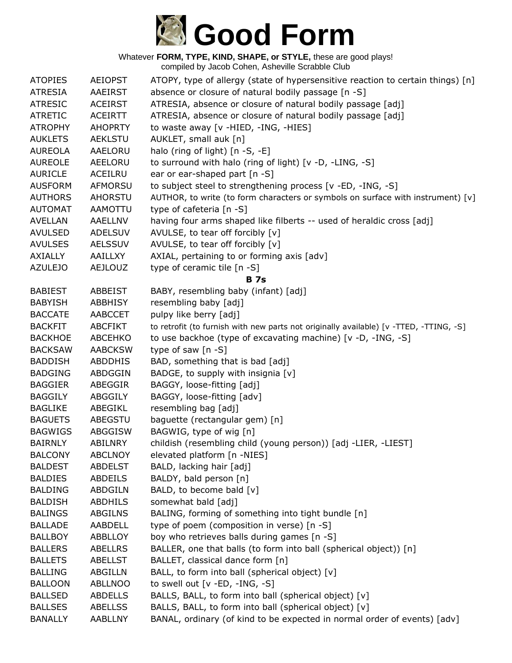

| <b>ATOPIES</b> | <b>AEIOPST</b> | ATOPY, type of allergy (state of hypersensitive reaction to certain things) [n]        |
|----------------|----------------|----------------------------------------------------------------------------------------|
| <b>ATRESIA</b> | AAEIRST        | absence or closure of natural bodily passage [n -S]                                    |
| <b>ATRESIC</b> | <b>ACEIRST</b> | ATRESIA, absence or closure of natural bodily passage [adj]                            |
| <b>ATRETIC</b> | <b>ACEIRTT</b> | ATRESIA, absence or closure of natural bodily passage [adj]                            |
| <b>ATROPHY</b> | <b>AHOPRTY</b> | to waste away [v -HIED, -ING, -HIES]                                                   |
| <b>AUKLETS</b> | <b>AEKLSTU</b> | AUKLET, small auk [n]                                                                  |
| <b>AUREOLA</b> | AAELORU        | halo (ring of light) $[n - S, -E]$                                                     |
| <b>AUREOLE</b> | AEELORU        | to surround with halo (ring of light) [v -D, -LING, -S]                                |
| <b>AURICLE</b> | ACEILRU        | ear or ear-shaped part [n -S]                                                          |
| <b>AUSFORM</b> | <b>AFMORSU</b> | to subject steel to strengthening process [v -ED, -ING, -S]                            |
| <b>AUTHORS</b> | AHORSTU        | AUTHOR, to write (to form characters or symbols on surface with instrument) [v]        |
| <b>AUTOMAT</b> | AAMOTTU        | type of cafeteria [n -S]                                                               |
| <b>AVELLAN</b> | AAELLNV        | having four arms shaped like filberts -- used of heraldic cross [adj]                  |
| <b>AVULSED</b> | <b>ADELSUV</b> | AVULSE, to tear off forcibly [v]                                                       |
| <b>AVULSES</b> | <b>AELSSUV</b> | AVULSE, to tear off forcibly [v]                                                       |
| <b>AXIALLY</b> | AAILLXY        | AXIAL, pertaining to or forming axis [adv]                                             |
| <b>AZULEJO</b> | <b>AEJLOUZ</b> | type of ceramic tile [n -S]                                                            |
|                |                | <b>B</b> 7s                                                                            |
| <b>BABIEST</b> | <b>ABBEIST</b> | BABY, resembling baby (infant) [adj]                                                   |
| <b>BABYISH</b> | <b>ABBHISY</b> | resembling baby [adj]                                                                  |
| <b>BACCATE</b> | <b>AABCCET</b> | pulpy like berry [adj]                                                                 |
| <b>BACKFIT</b> | <b>ABCFIKT</b> | to retrofit (to furnish with new parts not originally available) [v -TTED, -TTING, -S] |
| <b>BACKHOE</b> | <b>ABCEHKO</b> | to use backhoe (type of excavating machine) [v -D, -ING, -S]                           |
| <b>BACKSAW</b> | <b>AABCKSW</b> | type of saw $[n - S]$                                                                  |
| <b>BADDISH</b> | ABDDHIS        | BAD, something that is bad [adj]                                                       |
| <b>BADGING</b> | ABDGGIN        | BADGE, to supply with insignia [v]                                                     |
| <b>BAGGIER</b> | ABEGGIR        | BAGGY, loose-fitting [adj]                                                             |
| <b>BAGGILY</b> | ABGGILY        | BAGGY, loose-fitting [adv]                                                             |
| <b>BAGLIKE</b> | ABEGIKL        | resembling bag [adj]                                                                   |
| <b>BAGUETS</b> | ABEGSTU        | baguette (rectangular gem) [n]                                                         |
| <b>BAGWIGS</b> | ABGGISW        | BAGWIG, type of wig [n]                                                                |
| <b>BAIRNLY</b> | <b>ABILNRY</b> | childish (resembling child (young person)) [adj -LIER, -LIEST]                         |
| <b>BALCONY</b> | <b>ABCLNOY</b> | elevated platform [n -NIES]                                                            |
| <b>BALDEST</b> | <b>ABDELST</b> | BALD, lacking hair [adj]                                                               |
| <b>BALDIES</b> | ABDEILS        | BALDY, bald person [n]                                                                 |
| <b>BALDING</b> | <b>ABDGILN</b> | BALD, to become bald [v]                                                               |
| <b>BALDISH</b> | <b>ABDHILS</b> | somewhat bald [adj]                                                                    |
| <b>BALINGS</b> | <b>ABGILNS</b> | BALING, forming of something into tight bundle [n]                                     |
| <b>BALLADE</b> | AABDELL        | type of poem (composition in verse) [n -S]                                             |
| <b>BALLBOY</b> | <b>ABBLLOY</b> | boy who retrieves balls during games [n -S]                                            |
| <b>BALLERS</b> | <b>ABELLRS</b> | BALLER, one that balls (to form into ball (spherical object)) [n]                      |
| <b>BALLETS</b> | <b>ABELLST</b> | BALLET, classical dance form [n]                                                       |
| <b>BALLING</b> | ABGILLN        | BALL, to form into ball (spherical object) [v]                                         |
| <b>BALLOON</b> | <b>ABLLNOO</b> | to swell out $[v - ED, -ING, -S]$                                                      |
| <b>BALLSED</b> | <b>ABDELLS</b> | BALLS, BALL, to form into ball (spherical object) [v]                                  |
| <b>BALLSES</b> | <b>ABELLSS</b> | BALLS, BALL, to form into ball (spherical object) [v]                                  |
| <b>BANALLY</b> | <b>AABLLNY</b> | BANAL, ordinary (of kind to be expected in normal order of events) [adv]               |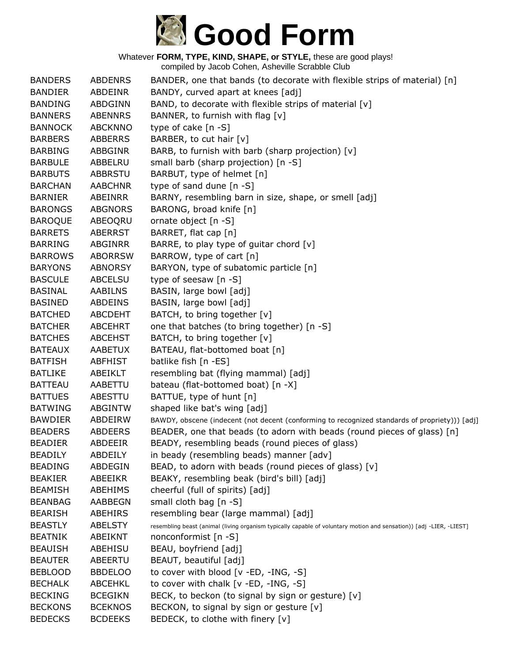

| <b>BANDERS</b> | <b>ABDENRS</b> | BANDER, one that bands (to decorate with flexible strips of material) [n]                                           |
|----------------|----------------|---------------------------------------------------------------------------------------------------------------------|
| <b>BANDIER</b> | ABDEINR        | BANDY, curved apart at knees [adj]                                                                                  |
| <b>BANDING</b> | ABDGINN        | BAND, to decorate with flexible strips of material [v]                                                              |
| <b>BANNERS</b> | <b>ABENNRS</b> | BANNER, to furnish with flag [v]                                                                                    |
| <b>BANNOCK</b> | <b>ABCKNNO</b> | type of cake [n -S]                                                                                                 |
| <b>BARBERS</b> | <b>ABBERRS</b> | BARBER, to cut hair [v]                                                                                             |
| <b>BARBING</b> | ABBGINR        | BARB, to furnish with barb (sharp projection) [v]                                                                   |
| <b>BARBULE</b> | ABBELRU        | small barb (sharp projection) [n -S]                                                                                |
| <b>BARBUTS</b> | ABBRSTU        | BARBUT, type of helmet [n]                                                                                          |
| <b>BARCHAN</b> | <b>AABCHNR</b> | type of sand dune [n -S]                                                                                            |
| <b>BARNIER</b> | ABEINRR        | BARNY, resembling barn in size, shape, or smell [adj]                                                               |
| <b>BARONGS</b> | <b>ABGNORS</b> | BARONG, broad knife [n]                                                                                             |
| <b>BAROQUE</b> | ABEOQRU        | ornate object [n -S]                                                                                                |
| <b>BARRETS</b> | <b>ABERRST</b> | BARRET, flat cap [n]                                                                                                |
| <b>BARRING</b> | <b>ABGINRR</b> | BARRE, to play type of guitar chord $[v]$                                                                           |
| <b>BARROWS</b> | <b>ABORRSW</b> | BARROW, type of cart [n]                                                                                            |
| <b>BARYONS</b> | <b>ABNORSY</b> | BARYON, type of subatomic particle [n]                                                                              |
| <b>BASCULE</b> | ABCELSU        | type of seesaw [n -S]                                                                                               |
| <b>BASINAL</b> | AABILNS        | BASIN, large bowl [adj]                                                                                             |
| <b>BASINED</b> | ABDEINS        | BASIN, large bowl [adj]                                                                                             |
| <b>BATCHED</b> | <b>ABCDEHT</b> | BATCH, to bring together [v]                                                                                        |
| <b>BATCHER</b> | <b>ABCEHRT</b> | one that batches (to bring together) [n -S]                                                                         |
| <b>BATCHES</b> | <b>ABCEHST</b> | BATCH, to bring together [v]                                                                                        |
| <b>BATEAUX</b> | <b>AABETUX</b> | BATEAU, flat-bottomed boat [n]                                                                                      |
| <b>BATFISH</b> | ABFHIST        | batlike fish [n -ES]                                                                                                |
| <b>BATLIKE</b> | ABEIKLT        | resembling bat (flying mammal) [adj]                                                                                |
| <b>BATTEAU</b> | AABETTU        | bateau (flat-bottomed boat) [n -X]                                                                                  |
| <b>BATTUES</b> | ABESTTU        | BATTUE, type of hunt [n]                                                                                            |
| <b>BATWING</b> | <b>ABGINTW</b> | shaped like bat's wing [adj]                                                                                        |
| <b>BAWDIER</b> | ABDEIRW        | BAWDY, obscene (indecent (not decent (conforming to recognized standards of propriety))) [adj]                      |
| <b>BEADERS</b> | ABDEERS        | BEADER, one that beads (to adorn with beads (round pieces of glass) [n]                                             |
| <b>BEADIER</b> | ABDEEIR        | BEADY, resembling beads (round pieces of glass)                                                                     |
| <b>BEADILY</b> | ABDEILY        | in beady (resembling beads) manner [adv]                                                                            |
| <b>BEADING</b> | ABDEGIN        | BEAD, to adorn with beads (round pieces of glass) [v]                                                               |
| <b>BEAKIER</b> | ABEEIKR        | BEAKY, resembling beak (bird's bill) [adj]                                                                          |
| <b>BEAMISH</b> | <b>ABEHIMS</b> | cheerful (full of spirits) [adj]                                                                                    |
| <b>BEANBAG</b> | AABBEGN        | small cloth bag [n -S]                                                                                              |
| <b>BEARISH</b> | ABEHIRS        | resembling bear (large mammal) [adj]                                                                                |
| <b>BEASTLY</b> | <b>ABELSTY</b> | resembling beast (animal (living organism typically capable of voluntary motion and sensation)) [adj -LIER, -LIEST] |
| <b>BEATNIK</b> | ABEIKNT        | nonconformist [n -S]                                                                                                |
| <b>BEAUISH</b> | ABEHISU        | BEAU, boyfriend [adj]                                                                                               |
| <b>BEAUTER</b> | ABEERTU        | BEAUT, beautiful [adj]                                                                                              |
| <b>BEBLOOD</b> | <b>BBDELOO</b> | to cover with blood [v -ED, -ING, -S]                                                                               |
| <b>BECHALK</b> | <b>ABCEHKL</b> | to cover with chalk [v -ED, -ING, -S]                                                                               |
| <b>BECKING</b> | <b>BCEGIKN</b> | BECK, to beckon (to signal by sign or gesture) [v]                                                                  |
| <b>BECKONS</b> | <b>BCEKNOS</b> | BECKON, to signal by sign or gesture [v]                                                                            |
| <b>BEDECKS</b> | <b>BCDEEKS</b> | BEDECK, to clothe with finery [v]                                                                                   |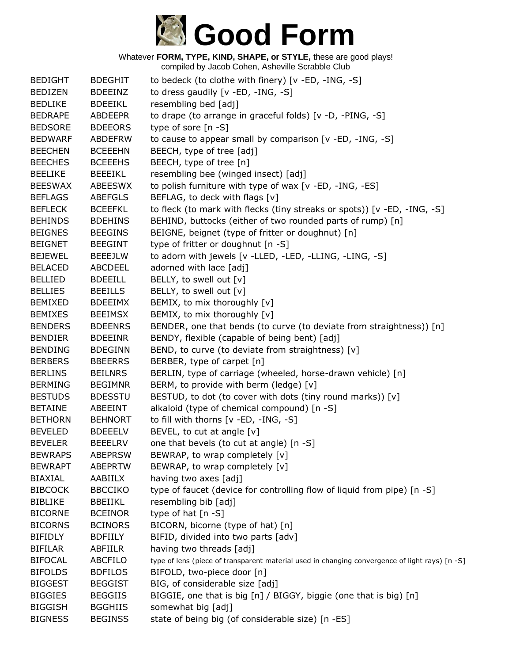

Whatever **FORM, TYPE, KIND, SHAPE, or STYLE,** these are good plays! compiled by Jacob Cohen, Asheville Scrabble Club

| <b>BEDIGHT</b> | <b>BDEGHIT</b> | to bedeck (to clothe with finery) [v -ED, -ING, -S]                                            |
|----------------|----------------|------------------------------------------------------------------------------------------------|
| <b>BEDIZEN</b> | <b>BDEEINZ</b> | to dress gaudily [v -ED, -ING, -S]                                                             |
| <b>BEDLIKE</b> | <b>BDEEIKL</b> | resembling bed [adj]                                                                           |
| <b>BEDRAPE</b> | <b>ABDEEPR</b> | to drape (to arrange in graceful folds) [v -D, -PING, -S]                                      |
| <b>BEDSORE</b> | <b>BDEEORS</b> | type of sore [n -S]                                                                            |
| <b>BEDWARF</b> | <b>ABDEFRW</b> | to cause to appear small by comparison [v -ED, -ING, -S]                                       |
| <b>BEECHEN</b> | <b>BCEEEHN</b> | BEECH, type of tree [adj]                                                                      |
| <b>BEECHES</b> | <b>BCEEEHS</b> | BEECH, type of tree [n]                                                                        |
| <b>BEELIKE</b> | <b>BEEEIKL</b> | resembling bee (winged insect) [adj]                                                           |
| <b>BEESWAX</b> | <b>ABEESWX</b> | to polish furniture with type of wax [v -ED, -ING, -ES]                                        |
| <b>BEFLAGS</b> | <b>ABEFGLS</b> | BEFLAG, to deck with flags [v]                                                                 |
| <b>BEFLECK</b> | <b>BCEEFKL</b> | to fleck (to mark with flecks (tiny streaks or spots)) [v -ED, -ING, -S]                       |
| <b>BEHINDS</b> | <b>BDEHINS</b> | BEHIND, buttocks (either of two rounded parts of rump) [n]                                     |
| <b>BEIGNES</b> | <b>BEEGINS</b> | BEIGNE, beignet (type of fritter or doughnut) [n]                                              |
| <b>BEIGNET</b> | <b>BEEGINT</b> | type of fritter or doughnut [n -S]                                                             |
| <b>BEJEWEL</b> | <b>BEEEJLW</b> | to adorn with jewels [v -LLED, -LED, -LLING, -LING, -S]                                        |
| <b>BELACED</b> | <b>ABCDEEL</b> | adorned with lace [adj]                                                                        |
| <b>BELLIED</b> | <b>BDEEILL</b> | BELLY, to swell out [v]                                                                        |
| <b>BELLIES</b> | <b>BEEILLS</b> | BELLY, to swell out [v]                                                                        |
| <b>BEMIXED</b> | <b>BDEEIMX</b> | BEMIX, to mix thoroughly [v]                                                                   |
| <b>BEMIXES</b> | <b>BEEIMSX</b> | BEMIX, to mix thoroughly [v]                                                                   |
| <b>BENDERS</b> | <b>BDEENRS</b> | BENDER, one that bends (to curve (to deviate from straightness)) [n]                           |
| <b>BENDIER</b> | <b>BDEEINR</b> | BENDY, flexible (capable of being bent) [adj]                                                  |
| <b>BENDING</b> | <b>BDEGINN</b> | BEND, to curve (to deviate from straightness) [v]                                              |
| <b>BERBERS</b> | <b>BBEERRS</b> | BERBER, type of carpet [n]                                                                     |
| <b>BERLINS</b> | <b>BEILNRS</b> | BERLIN, type of carriage (wheeled, horse-drawn vehicle) [n]                                    |
| <b>BERMING</b> | <b>BEGIMNR</b> | BERM, to provide with berm (ledge) [v]                                                         |
| <b>BESTUDS</b> | <b>BDESSTU</b> | BESTUD, to dot (to cover with dots (tiny round marks)) [v]                                     |
| <b>BETAINE</b> | ABEEINT        | alkaloid (type of chemical compound) [n -S]                                                    |
| <b>BETHORN</b> | <b>BEHNORT</b> | to fill with thorns [v -ED, -ING, -S]                                                          |
| <b>BEVELED</b> | <b>BDEEELV</b> | BEVEL, to cut at angle [v]                                                                     |
| <b>BEVELER</b> | <b>BEEELRV</b> | one that bevels (to cut at angle) [n -S]                                                       |
| <b>BEWRAPS</b> | <b>ABEPRSW</b> | BEWRAP, to wrap completely [v]                                                                 |
| <b>BEWRAPT</b> | <b>ABEPRTW</b> | BEWRAP, to wrap completely [v]                                                                 |
| <b>BIAXIAL</b> | AABIILX        | having two axes [adj]                                                                          |
| <b>BIBCOCK</b> | <b>BBCCIKO</b> | type of faucet (device for controlling flow of liquid from pipe) [n -S]                        |
| <b>BIBLIKE</b> | <b>BBEIIKL</b> | resembling bib [adj]                                                                           |
| <b>BICORNE</b> | <b>BCEINOR</b> | type of hat [n -S]                                                                             |
| <b>BICORNS</b> | <b>BCINORS</b> | BICORN, bicorne (type of hat) [n]                                                              |
| <b>BIFIDLY</b> | <b>BDFIILY</b> | BIFID, divided into two parts [adv]                                                            |
| <b>BIFILAR</b> | ABFIILR        | having two threads [adj]                                                                       |
| <b>BIFOCAL</b> | <b>ABCFILO</b> | type of lens (piece of transparent material used in changing convergence of light rays) [n -S] |
| <b>BIFOLDS</b> | <b>BDFILOS</b> | BIFOLD, two-piece door [n]                                                                     |
| <b>BIGGEST</b> | <b>BEGGIST</b> | BIG, of considerable size [adj]                                                                |
| <b>BIGGIES</b> | <b>BEGGIIS</b> | BIGGIE, one that is big [n] / BIGGY, biggie (one that is big) [n]                              |
| <b>BIGGISH</b> | <b>BGGHIIS</b> | somewhat big [adj]                                                                             |
| <b>BIGNESS</b> | <b>BEGINSS</b> | state of being big (of considerable size) [n -ES]                                              |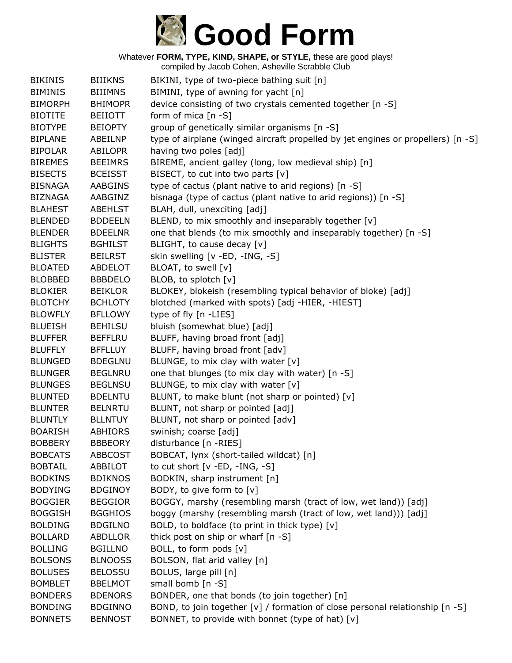

| <b>BIKINIS</b> | <b>BIIIKNS</b> | BIKINI, type of two-piece bathing suit [n]                                       |
|----------------|----------------|----------------------------------------------------------------------------------|
| <b>BIMINIS</b> | <b>BIIIMNS</b> | BIMINI, type of awning for yacht [n]                                             |
| <b>BIMORPH</b> | <b>BHIMOPR</b> | device consisting of two crystals cemented together [n -S]                       |
| <b>BIOTITE</b> | <b>BEIIOTT</b> | form of mica $[n - S]$                                                           |
| <b>BIOTYPE</b> | <b>BEIOPTY</b> | group of genetically similar organisms [n -S]                                    |
| <b>BIPLANE</b> | ABEILNP        | type of airplane (winged aircraft propelled by jet engines or propellers) [n -S] |
| <b>BIPOLAR</b> | <b>ABILOPR</b> | having two poles [adj]                                                           |
| <b>BIREMES</b> | <b>BEEIMRS</b> | BIREME, ancient galley (long, low medieval ship) [n]                             |
| <b>BISECTS</b> | <b>BCEISST</b> | BISECT, to cut into two parts [v]                                                |
| <b>BISNAGA</b> | <b>AABGINS</b> | type of cactus (plant native to arid regions) [n -S]                             |
| <b>BIZNAGA</b> | AABGINZ        | bisnaga (type of cactus (plant native to arid regions)) [n -S]                   |
| <b>BLAHEST</b> | <b>ABEHLST</b> | BLAH, dull, unexciting [adj]                                                     |
| <b>BLENDED</b> | <b>BDDEELN</b> | BLEND, to mix smoothly and inseparably together [v]                              |
| <b>BLENDER</b> | <b>BDEELNR</b> | one that blends (to mix smoothly and inseparably together) [n -S]                |
| <b>BLIGHTS</b> | <b>BGHILST</b> | BLIGHT, to cause decay [v]                                                       |
| <b>BLISTER</b> | <b>BEILRST</b> | skin swelling [v -ED, -ING, -S]                                                  |
| <b>BLOATED</b> | <b>ABDELOT</b> | BLOAT, to swell [v]                                                              |
| <b>BLOBBED</b> | <b>BBBDELO</b> | BLOB, to splotch [v]                                                             |
| <b>BLOKIER</b> | <b>BEIKLOR</b> | BLOKEY, blokeish (resembling typical behavior of bloke) [adj]                    |
| <b>BLOTCHY</b> | <b>BCHLOTY</b> | blotched (marked with spots) [adj -HIER, -HIEST]                                 |
| <b>BLOWFLY</b> | <b>BFLLOWY</b> | type of fly [n -LIES]                                                            |
| <b>BLUEISH</b> | <b>BEHILSU</b> | bluish (somewhat blue) [adj]                                                     |
| <b>BLUFFER</b> | <b>BEFFLRU</b> | BLUFF, having broad front [adj]                                                  |
| <b>BLUFFLY</b> | <b>BFFLLUY</b> | BLUFF, having broad front [adv]                                                  |
| <b>BLUNGED</b> | <b>BDEGLNU</b> | BLUNGE, to mix clay with water [v]                                               |
| <b>BLUNGER</b> | <b>BEGLNRU</b> | one that blunges (to mix clay with water) [n -S]                                 |
| <b>BLUNGES</b> | <b>BEGLNSU</b> | BLUNGE, to mix clay with water [v]                                               |
| <b>BLUNTED</b> | <b>BDELNTU</b> | BLUNT, to make blunt (not sharp or pointed) [v]                                  |
| <b>BLUNTER</b> | <b>BELNRTU</b> | BLUNT, not sharp or pointed [adj]                                                |
| <b>BLUNTLY</b> | <b>BLLNTUY</b> | BLUNT, not sharp or pointed [adv]                                                |
| <b>BOARISH</b> | ABHIORS        | swinish; coarse [adj]                                                            |
| <b>BOBBERY</b> | <b>BBBEORY</b> | disturbance [n -RIES]                                                            |
| <b>BOBCATS</b> | <b>ABBCOST</b> | BOBCAT, lynx (short-tailed wildcat) [n]                                          |
| <b>BOBTAIL</b> | <b>ABBILOT</b> | to cut short [v -ED, -ING, -S]                                                   |
| <b>BODKINS</b> | <b>BDIKNOS</b> | BODKIN, sharp instrument [n]                                                     |
| <b>BODYING</b> | <b>BDGINOY</b> | BODY, to give form to [v]                                                        |
| <b>BOGGIER</b> | <b>BEGGIOR</b> | BOGGY, marshy (resembling marsh (tract of low, wet land)) [adj]                  |
| <b>BOGGISH</b> | <b>BGGHIOS</b> | boggy (marshy (resembling marsh (tract of low, wet land))) [adj]                 |
| <b>BOLDING</b> | <b>BDGILNO</b> | BOLD, to boldface (to print in thick type) [v]                                   |
| <b>BOLLARD</b> | <b>ABDLLOR</b> | thick post on ship or wharf [n -S]                                               |
| <b>BOLLING</b> | <b>BGILLNO</b> | BOLL, to form pods [v]                                                           |
| <b>BOLSONS</b> | <b>BLNOOSS</b> | BOLSON, flat arid valley [n]                                                     |
| <b>BOLUSES</b> | <b>BELOSSU</b> | BOLUS, large pill [n]                                                            |
| <b>BOMBLET</b> | <b>BBELMOT</b> | small bomb [n -S]                                                                |
| <b>BONDERS</b> | <b>BDENORS</b> | BONDER, one that bonds (to join together) [n]                                    |
| <b>BONDING</b> | <b>BDGINNO</b> | BOND, to join together [v] / formation of close personal relationship [n -S]     |
| <b>BONNETS</b> | <b>BENNOST</b> | BONNET, to provide with bonnet (type of hat) [v]                                 |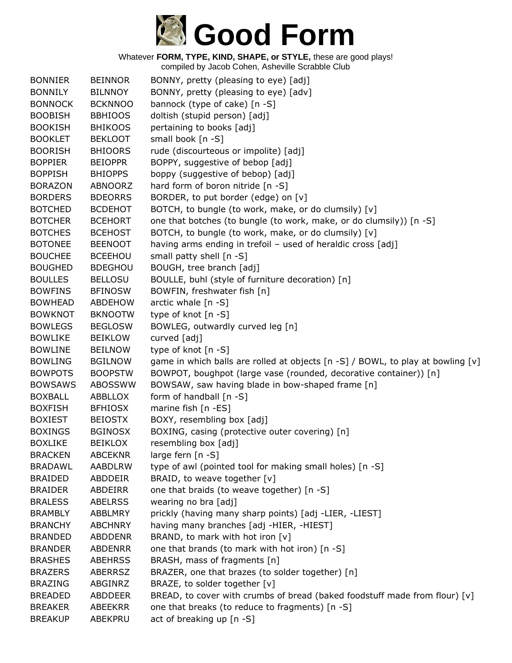

| <b>BONNIER</b> | <b>BEINNOR</b> | BONNY, pretty (pleasing to eye) [adj]                                               |
|----------------|----------------|-------------------------------------------------------------------------------------|
| <b>BONNILY</b> | <b>BILNNOY</b> | BONNY, pretty (pleasing to eye) [adv]                                               |
| <b>BONNOCK</b> | <b>BCKNNOO</b> | bannock (type of cake) [n -S]                                                       |
| <b>BOOBISH</b> | <b>BBHIOOS</b> | doltish (stupid person) [adj]                                                       |
| <b>BOOKISH</b> | <b>BHIKOOS</b> | pertaining to books [adj]                                                           |
| <b>BOOKLET</b> | <b>BEKLOOT</b> | small book [n -S]                                                                   |
| <b>BOORISH</b> | <b>BHIOORS</b> | rude (discourteous or impolite) [adj]                                               |
| <b>BOPPIER</b> | <b>BEIOPPR</b> | BOPPY, suggestive of bebop [adj]                                                    |
| <b>BOPPISH</b> | <b>BHIOPPS</b> | boppy (suggestive of bebop) [adj]                                                   |
| <b>BORAZON</b> | ABNOORZ        | hard form of boron nitride [n -S]                                                   |
| <b>BORDERS</b> | <b>BDEORRS</b> | BORDER, to put border (edge) on [v]                                                 |
| <b>BOTCHED</b> | <b>BCDEHOT</b> | BOTCH, to bungle (to work, make, or do clumsily) [v]                                |
| <b>BOTCHER</b> | <b>BCEHORT</b> | one that botches (to bungle (to work, make, or do clumsily)) [n -S]                 |
| <b>BOTCHES</b> | <b>BCEHOST</b> | BOTCH, to bungle (to work, make, or do clumsily) [v]                                |
| <b>BOTONEE</b> | <b>BEENOOT</b> | having arms ending in trefoil - used of heraldic cross [adj]                        |
| <b>BOUCHEE</b> | <b>BCEEHOU</b> | small patty shell [n -S]                                                            |
| <b>BOUGHED</b> | <b>BDEGHOU</b> | BOUGH, tree branch [adj]                                                            |
| <b>BOULLES</b> | <b>BELLOSU</b> | BOULLE, buhl (style of furniture decoration) [n]                                    |
| <b>BOWFINS</b> | <b>BFINOSW</b> | BOWFIN, freshwater fish [n]                                                         |
| <b>BOWHEAD</b> | <b>ABDEHOW</b> | arctic whale [n -S]                                                                 |
| <b>BOWKNOT</b> | <b>BKNOOTW</b> | type of knot [n -S]                                                                 |
| <b>BOWLEGS</b> | <b>BEGLOSW</b> | BOWLEG, outwardly curved leg [n]                                                    |
| <b>BOWLIKE</b> | <b>BEIKLOW</b> | curved [adj]                                                                        |
| <b>BOWLINE</b> | <b>BEILNOW</b> | type of knot [n -S]                                                                 |
| <b>BOWLING</b> | <b>BGILNOW</b> | game in which balls are rolled at objects $[n -S]$ / BOWL, to play at bowling $[v]$ |
| <b>BOWPOTS</b> | <b>BOOPSTW</b> | BOWPOT, boughpot (large vase (rounded, decorative container)) [n]                   |
| <b>BOWSAWS</b> | <b>ABOSSWW</b> | BOWSAW, saw having blade in bow-shaped frame [n]                                    |
| <b>BOXBALL</b> | ABBLLOX        | form of handball [n -S]                                                             |
| <b>BOXFISH</b> | <b>BFHIOSX</b> | marine fish [n -ES]                                                                 |
| <b>BOXIEST</b> | <b>BEIOSTX</b> | BOXY, resembling box [adj]                                                          |
| <b>BOXINGS</b> | <b>BGINOSX</b> | BOXING, casing (protective outer covering) [n]                                      |
| <b>BOXLIKE</b> | <b>BEIKLOX</b> | resembling box [adj]                                                                |
| <b>BRACKEN</b> | <b>ABCEKNR</b> | large fern $[n -S]$                                                                 |
| <b>BRADAWL</b> | AABDLRW        | type of awl (pointed tool for making small holes) [n -S]                            |
| <b>BRAIDED</b> | ABDDEIR        | BRAID, to weave together [v]                                                        |
| <b>BRAIDER</b> | ABDEIRR        | one that braids (to weave together) [n -S]                                          |
| <b>BRALESS</b> | <b>ABELRSS</b> | wearing no bra [adj]                                                                |
| <b>BRAMBLY</b> | <b>ABBLMRY</b> | prickly (having many sharp points) [adj -LIER, -LIEST]                              |
| <b>BRANCHY</b> | <b>ABCHNRY</b> | having many branches [adj -HIER, -HIEST]                                            |
| <b>BRANDED</b> | <b>ABDDENR</b> | BRAND, to mark with hot iron [v]                                                    |
| <b>BRANDER</b> | <b>ABDENRR</b> | one that brands (to mark with hot iron) [n -S]                                      |
| <b>BRASHES</b> | <b>ABEHRSS</b> | BRASH, mass of fragments [n]                                                        |
| <b>BRAZERS</b> | <b>ABERRSZ</b> | BRAZER, one that brazes (to solder together) [n]                                    |
| <b>BRAZING</b> | ABGINRZ        | BRAZE, to solder together [v]                                                       |
| <b>BREADED</b> | <b>ABDDEER</b> | BREAD, to cover with crumbs of bread (baked foodstuff made from flour) [v]          |
| <b>BREAKER</b> | ABEEKRR        | one that breaks (to reduce to fragments) [n -S]                                     |
| <b>BREAKUP</b> | ABEKPRU        | act of breaking up [n -S]                                                           |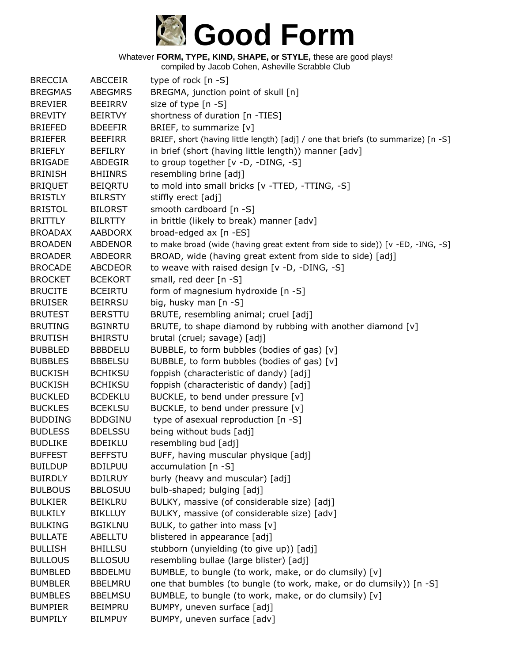

| <b>BRECCIA</b><br><b>ABCCEIR</b><br>type of rock $[n - S]$<br>BREGMA, junction point of skull [n]<br><b>BREGMAS</b><br><b>ABEGMRS</b><br>size of type [n -S]<br><b>BREVIER</b><br><b>BEEIRRV</b><br>shortness of duration [n -TIES]<br><b>BREVITY</b><br><b>BEIRTVY</b><br>BRIEF, to summarize [v]<br><b>BRIEFED</b><br><b>BDEEFIR</b><br><b>BRIEFER</b><br>BRIEF, short (having little length) [adj] / one that briefs (to summarize) [n -S]<br><b>BEEFIRR</b><br>in brief (short (having little length)) manner [adv]<br><b>BRIEFLY</b><br><b>BEFILRY</b><br>to group together [v -D, -DING, -S]<br><b>BRIGADE</b><br>ABDEGIR<br><b>BRINISH</b><br>resembling brine [adj]<br><b>BHIINRS</b><br>to mold into small bricks [v -TTED, -TTING, -S]<br><b>BRIQUET</b><br><b>BEIQRTU</b><br><b>BRISTLY</b><br><b>BILRSTY</b><br>stiffly erect [adj]<br>smooth cardboard [n -S]<br><b>BRISTOL</b><br><b>BILORST</b><br>in brittle (likely to break) manner [adv]<br><b>BRITTLY</b><br><b>BILRTTY</b><br>broad-edged ax [n -ES]<br><b>BROADAX</b><br><b>AABDORX</b><br><b>BROADEN</b><br><b>ABDENOR</b><br>to make broad (wide (having great extent from side to side)) [v -ED, -ING, -S]<br>BROAD, wide (having great extent from side to side) [adj]<br><b>BROADER</b><br><b>ABDEORR</b><br><b>BROCADE</b><br><b>ABCDEOR</b><br>to weave with raised design [v -D, -DING, -S]<br><b>BROCKET</b><br>small, red deer [n -S]<br><b>BCEKORT</b><br>form of magnesium hydroxide [n -S]<br><b>BRUCITE</b><br><b>BCEIRTU</b><br>big, husky man [n -S]<br><b>BRUISER</b><br><b>BEIRRSU</b><br><b>BRUTEST</b><br>BRUTE, resembling animal; cruel [adj]<br><b>BERSTTU</b><br>BRUTE, to shape diamond by rubbing with another diamond [v]<br><b>BRUTING</b><br><b>BGINRTU</b><br>brutal (cruel; savage) [adj]<br><b>BRUTISH</b><br><b>BHIRSTU</b><br><b>BUBBLED</b><br>BUBBLE, to form bubbles (bodies of gas) [v]<br><b>BBBDELU</b><br>BUBBLE, to form bubbles (bodies of gas) [v]<br><b>BUBBLES</b><br><b>BBBELSU</b><br>foppish (characteristic of dandy) [adj]<br><b>BUCKISH</b><br><b>BCHIKSU</b><br><b>BUCKISH</b><br><b>BCHIKSU</b><br>foppish (characteristic of dandy) [adj]<br>BUCKLE, to bend under pressure [v]<br><b>BUCKLED</b><br><b>BCDEKLU</b><br><b>BUCKLES</b><br>BUCKLE, to bend under pressure [v]<br><b>BCEKLSU</b><br>type of asexual reproduction [n -S]<br><b>BUDDING</b><br><b>BDDGINU</b><br>being without buds [adj]<br><b>BUDLESS</b><br><b>BDELSSU</b><br><b>BUDLIKE</b><br><b>BDEIKLU</b><br>resembling bud [adj]<br><b>BEFFSTU</b><br><b>BUFFEST</b><br>BUFF, having muscular physique [adj]<br><b>BUILDUP</b><br><b>BDILPUU</b><br>accumulation [n -S]<br>burly (heavy and muscular) [adj]<br><b>BUIRDLY</b><br><b>BDILRUY</b><br><b>BULBOUS</b><br>bulb-shaped; bulging [adj]<br><b>BBLOSUU</b><br>BULKY, massive (of considerable size) [adj]<br><b>BULKIER</b><br><b>BEIKLRU</b><br><b>BULKILY</b><br><b>BIKLLUY</b><br>BULKY, massive (of considerable size) [adv]<br>BULK, to gather into mass [v]<br><b>BULKING</b><br><b>BGIKLNU</b><br>blistered in appearance [adj]<br><b>BULLATE</b><br><b>ABELLTU</b><br><b>BULLISH</b><br>stubborn (unyielding (to give up)) [adj]<br><b>BHILLSU</b> |                |                |                                         |
|--------------------------------------------------------------------------------------------------------------------------------------------------------------------------------------------------------------------------------------------------------------------------------------------------------------------------------------------------------------------------------------------------------------------------------------------------------------------------------------------------------------------------------------------------------------------------------------------------------------------------------------------------------------------------------------------------------------------------------------------------------------------------------------------------------------------------------------------------------------------------------------------------------------------------------------------------------------------------------------------------------------------------------------------------------------------------------------------------------------------------------------------------------------------------------------------------------------------------------------------------------------------------------------------------------------------------------------------------------------------------------------------------------------------------------------------------------------------------------------------------------------------------------------------------------------------------------------------------------------------------------------------------------------------------------------------------------------------------------------------------------------------------------------------------------------------------------------------------------------------------------------------------------------------------------------------------------------------------------------------------------------------------------------------------------------------------------------------------------------------------------------------------------------------------------------------------------------------------------------------------------------------------------------------------------------------------------------------------------------------------------------------------------------------------------------------------------------------------------------------------------------------------------------------------------------------------------------------------------------------------------------------------------------------------------------------------------------------------------------------------------------------------------------------------------------------------------------------------------------------------------------------------------------------------------------------------------------------------------------------------------------------------------------------------------------------------------------------------------------------------------------------------------------------------------------------------------------------|----------------|----------------|-----------------------------------------|
|                                                                                                                                                                                                                                                                                                                                                                                                                                                                                                                                                                                                                                                                                                                                                                                                                                                                                                                                                                                                                                                                                                                                                                                                                                                                                                                                                                                                                                                                                                                                                                                                                                                                                                                                                                                                                                                                                                                                                                                                                                                                                                                                                                                                                                                                                                                                                                                                                                                                                                                                                                                                                                                                                                                                                                                                                                                                                                                                                                                                                                                                                                                                                                                                                    |                |                |                                         |
|                                                                                                                                                                                                                                                                                                                                                                                                                                                                                                                                                                                                                                                                                                                                                                                                                                                                                                                                                                                                                                                                                                                                                                                                                                                                                                                                                                                                                                                                                                                                                                                                                                                                                                                                                                                                                                                                                                                                                                                                                                                                                                                                                                                                                                                                                                                                                                                                                                                                                                                                                                                                                                                                                                                                                                                                                                                                                                                                                                                                                                                                                                                                                                                                                    |                |                |                                         |
|                                                                                                                                                                                                                                                                                                                                                                                                                                                                                                                                                                                                                                                                                                                                                                                                                                                                                                                                                                                                                                                                                                                                                                                                                                                                                                                                                                                                                                                                                                                                                                                                                                                                                                                                                                                                                                                                                                                                                                                                                                                                                                                                                                                                                                                                                                                                                                                                                                                                                                                                                                                                                                                                                                                                                                                                                                                                                                                                                                                                                                                                                                                                                                                                                    |                |                |                                         |
|                                                                                                                                                                                                                                                                                                                                                                                                                                                                                                                                                                                                                                                                                                                                                                                                                                                                                                                                                                                                                                                                                                                                                                                                                                                                                                                                                                                                                                                                                                                                                                                                                                                                                                                                                                                                                                                                                                                                                                                                                                                                                                                                                                                                                                                                                                                                                                                                                                                                                                                                                                                                                                                                                                                                                                                                                                                                                                                                                                                                                                                                                                                                                                                                                    |                |                |                                         |
|                                                                                                                                                                                                                                                                                                                                                                                                                                                                                                                                                                                                                                                                                                                                                                                                                                                                                                                                                                                                                                                                                                                                                                                                                                                                                                                                                                                                                                                                                                                                                                                                                                                                                                                                                                                                                                                                                                                                                                                                                                                                                                                                                                                                                                                                                                                                                                                                                                                                                                                                                                                                                                                                                                                                                                                                                                                                                                                                                                                                                                                                                                                                                                                                                    |                |                |                                         |
|                                                                                                                                                                                                                                                                                                                                                                                                                                                                                                                                                                                                                                                                                                                                                                                                                                                                                                                                                                                                                                                                                                                                                                                                                                                                                                                                                                                                                                                                                                                                                                                                                                                                                                                                                                                                                                                                                                                                                                                                                                                                                                                                                                                                                                                                                                                                                                                                                                                                                                                                                                                                                                                                                                                                                                                                                                                                                                                                                                                                                                                                                                                                                                                                                    |                |                |                                         |
|                                                                                                                                                                                                                                                                                                                                                                                                                                                                                                                                                                                                                                                                                                                                                                                                                                                                                                                                                                                                                                                                                                                                                                                                                                                                                                                                                                                                                                                                                                                                                                                                                                                                                                                                                                                                                                                                                                                                                                                                                                                                                                                                                                                                                                                                                                                                                                                                                                                                                                                                                                                                                                                                                                                                                                                                                                                                                                                                                                                                                                                                                                                                                                                                                    |                |                |                                         |
|                                                                                                                                                                                                                                                                                                                                                                                                                                                                                                                                                                                                                                                                                                                                                                                                                                                                                                                                                                                                                                                                                                                                                                                                                                                                                                                                                                                                                                                                                                                                                                                                                                                                                                                                                                                                                                                                                                                                                                                                                                                                                                                                                                                                                                                                                                                                                                                                                                                                                                                                                                                                                                                                                                                                                                                                                                                                                                                                                                                                                                                                                                                                                                                                                    |                |                |                                         |
|                                                                                                                                                                                                                                                                                                                                                                                                                                                                                                                                                                                                                                                                                                                                                                                                                                                                                                                                                                                                                                                                                                                                                                                                                                                                                                                                                                                                                                                                                                                                                                                                                                                                                                                                                                                                                                                                                                                                                                                                                                                                                                                                                                                                                                                                                                                                                                                                                                                                                                                                                                                                                                                                                                                                                                                                                                                                                                                                                                                                                                                                                                                                                                                                                    |                |                |                                         |
|                                                                                                                                                                                                                                                                                                                                                                                                                                                                                                                                                                                                                                                                                                                                                                                                                                                                                                                                                                                                                                                                                                                                                                                                                                                                                                                                                                                                                                                                                                                                                                                                                                                                                                                                                                                                                                                                                                                                                                                                                                                                                                                                                                                                                                                                                                                                                                                                                                                                                                                                                                                                                                                                                                                                                                                                                                                                                                                                                                                                                                                                                                                                                                                                                    |                |                |                                         |
|                                                                                                                                                                                                                                                                                                                                                                                                                                                                                                                                                                                                                                                                                                                                                                                                                                                                                                                                                                                                                                                                                                                                                                                                                                                                                                                                                                                                                                                                                                                                                                                                                                                                                                                                                                                                                                                                                                                                                                                                                                                                                                                                                                                                                                                                                                                                                                                                                                                                                                                                                                                                                                                                                                                                                                                                                                                                                                                                                                                                                                                                                                                                                                                                                    |                |                |                                         |
|                                                                                                                                                                                                                                                                                                                                                                                                                                                                                                                                                                                                                                                                                                                                                                                                                                                                                                                                                                                                                                                                                                                                                                                                                                                                                                                                                                                                                                                                                                                                                                                                                                                                                                                                                                                                                                                                                                                                                                                                                                                                                                                                                                                                                                                                                                                                                                                                                                                                                                                                                                                                                                                                                                                                                                                                                                                                                                                                                                                                                                                                                                                                                                                                                    |                |                |                                         |
|                                                                                                                                                                                                                                                                                                                                                                                                                                                                                                                                                                                                                                                                                                                                                                                                                                                                                                                                                                                                                                                                                                                                                                                                                                                                                                                                                                                                                                                                                                                                                                                                                                                                                                                                                                                                                                                                                                                                                                                                                                                                                                                                                                                                                                                                                                                                                                                                                                                                                                                                                                                                                                                                                                                                                                                                                                                                                                                                                                                                                                                                                                                                                                                                                    |                |                |                                         |
|                                                                                                                                                                                                                                                                                                                                                                                                                                                                                                                                                                                                                                                                                                                                                                                                                                                                                                                                                                                                                                                                                                                                                                                                                                                                                                                                                                                                                                                                                                                                                                                                                                                                                                                                                                                                                                                                                                                                                                                                                                                                                                                                                                                                                                                                                                                                                                                                                                                                                                                                                                                                                                                                                                                                                                                                                                                                                                                                                                                                                                                                                                                                                                                                                    |                |                |                                         |
|                                                                                                                                                                                                                                                                                                                                                                                                                                                                                                                                                                                                                                                                                                                                                                                                                                                                                                                                                                                                                                                                                                                                                                                                                                                                                                                                                                                                                                                                                                                                                                                                                                                                                                                                                                                                                                                                                                                                                                                                                                                                                                                                                                                                                                                                                                                                                                                                                                                                                                                                                                                                                                                                                                                                                                                                                                                                                                                                                                                                                                                                                                                                                                                                                    |                |                |                                         |
|                                                                                                                                                                                                                                                                                                                                                                                                                                                                                                                                                                                                                                                                                                                                                                                                                                                                                                                                                                                                                                                                                                                                                                                                                                                                                                                                                                                                                                                                                                                                                                                                                                                                                                                                                                                                                                                                                                                                                                                                                                                                                                                                                                                                                                                                                                                                                                                                                                                                                                                                                                                                                                                                                                                                                                                                                                                                                                                                                                                                                                                                                                                                                                                                                    |                |                |                                         |
|                                                                                                                                                                                                                                                                                                                                                                                                                                                                                                                                                                                                                                                                                                                                                                                                                                                                                                                                                                                                                                                                                                                                                                                                                                                                                                                                                                                                                                                                                                                                                                                                                                                                                                                                                                                                                                                                                                                                                                                                                                                                                                                                                                                                                                                                                                                                                                                                                                                                                                                                                                                                                                                                                                                                                                                                                                                                                                                                                                                                                                                                                                                                                                                                                    |                |                |                                         |
|                                                                                                                                                                                                                                                                                                                                                                                                                                                                                                                                                                                                                                                                                                                                                                                                                                                                                                                                                                                                                                                                                                                                                                                                                                                                                                                                                                                                                                                                                                                                                                                                                                                                                                                                                                                                                                                                                                                                                                                                                                                                                                                                                                                                                                                                                                                                                                                                                                                                                                                                                                                                                                                                                                                                                                                                                                                                                                                                                                                                                                                                                                                                                                                                                    |                |                |                                         |
|                                                                                                                                                                                                                                                                                                                                                                                                                                                                                                                                                                                                                                                                                                                                                                                                                                                                                                                                                                                                                                                                                                                                                                                                                                                                                                                                                                                                                                                                                                                                                                                                                                                                                                                                                                                                                                                                                                                                                                                                                                                                                                                                                                                                                                                                                                                                                                                                                                                                                                                                                                                                                                                                                                                                                                                                                                                                                                                                                                                                                                                                                                                                                                                                                    |                |                |                                         |
|                                                                                                                                                                                                                                                                                                                                                                                                                                                                                                                                                                                                                                                                                                                                                                                                                                                                                                                                                                                                                                                                                                                                                                                                                                                                                                                                                                                                                                                                                                                                                                                                                                                                                                                                                                                                                                                                                                                                                                                                                                                                                                                                                                                                                                                                                                                                                                                                                                                                                                                                                                                                                                                                                                                                                                                                                                                                                                                                                                                                                                                                                                                                                                                                                    |                |                |                                         |
|                                                                                                                                                                                                                                                                                                                                                                                                                                                                                                                                                                                                                                                                                                                                                                                                                                                                                                                                                                                                                                                                                                                                                                                                                                                                                                                                                                                                                                                                                                                                                                                                                                                                                                                                                                                                                                                                                                                                                                                                                                                                                                                                                                                                                                                                                                                                                                                                                                                                                                                                                                                                                                                                                                                                                                                                                                                                                                                                                                                                                                                                                                                                                                                                                    |                |                |                                         |
|                                                                                                                                                                                                                                                                                                                                                                                                                                                                                                                                                                                                                                                                                                                                                                                                                                                                                                                                                                                                                                                                                                                                                                                                                                                                                                                                                                                                                                                                                                                                                                                                                                                                                                                                                                                                                                                                                                                                                                                                                                                                                                                                                                                                                                                                                                                                                                                                                                                                                                                                                                                                                                                                                                                                                                                                                                                                                                                                                                                                                                                                                                                                                                                                                    |                |                |                                         |
|                                                                                                                                                                                                                                                                                                                                                                                                                                                                                                                                                                                                                                                                                                                                                                                                                                                                                                                                                                                                                                                                                                                                                                                                                                                                                                                                                                                                                                                                                                                                                                                                                                                                                                                                                                                                                                                                                                                                                                                                                                                                                                                                                                                                                                                                                                                                                                                                                                                                                                                                                                                                                                                                                                                                                                                                                                                                                                                                                                                                                                                                                                                                                                                                                    |                |                |                                         |
|                                                                                                                                                                                                                                                                                                                                                                                                                                                                                                                                                                                                                                                                                                                                                                                                                                                                                                                                                                                                                                                                                                                                                                                                                                                                                                                                                                                                                                                                                                                                                                                                                                                                                                                                                                                                                                                                                                                                                                                                                                                                                                                                                                                                                                                                                                                                                                                                                                                                                                                                                                                                                                                                                                                                                                                                                                                                                                                                                                                                                                                                                                                                                                                                                    |                |                |                                         |
|                                                                                                                                                                                                                                                                                                                                                                                                                                                                                                                                                                                                                                                                                                                                                                                                                                                                                                                                                                                                                                                                                                                                                                                                                                                                                                                                                                                                                                                                                                                                                                                                                                                                                                                                                                                                                                                                                                                                                                                                                                                                                                                                                                                                                                                                                                                                                                                                                                                                                                                                                                                                                                                                                                                                                                                                                                                                                                                                                                                                                                                                                                                                                                                                                    |                |                |                                         |
|                                                                                                                                                                                                                                                                                                                                                                                                                                                                                                                                                                                                                                                                                                                                                                                                                                                                                                                                                                                                                                                                                                                                                                                                                                                                                                                                                                                                                                                                                                                                                                                                                                                                                                                                                                                                                                                                                                                                                                                                                                                                                                                                                                                                                                                                                                                                                                                                                                                                                                                                                                                                                                                                                                                                                                                                                                                                                                                                                                                                                                                                                                                                                                                                                    |                |                |                                         |
|                                                                                                                                                                                                                                                                                                                                                                                                                                                                                                                                                                                                                                                                                                                                                                                                                                                                                                                                                                                                                                                                                                                                                                                                                                                                                                                                                                                                                                                                                                                                                                                                                                                                                                                                                                                                                                                                                                                                                                                                                                                                                                                                                                                                                                                                                                                                                                                                                                                                                                                                                                                                                                                                                                                                                                                                                                                                                                                                                                                                                                                                                                                                                                                                                    |                |                |                                         |
|                                                                                                                                                                                                                                                                                                                                                                                                                                                                                                                                                                                                                                                                                                                                                                                                                                                                                                                                                                                                                                                                                                                                                                                                                                                                                                                                                                                                                                                                                                                                                                                                                                                                                                                                                                                                                                                                                                                                                                                                                                                                                                                                                                                                                                                                                                                                                                                                                                                                                                                                                                                                                                                                                                                                                                                                                                                                                                                                                                                                                                                                                                                                                                                                                    |                |                |                                         |
|                                                                                                                                                                                                                                                                                                                                                                                                                                                                                                                                                                                                                                                                                                                                                                                                                                                                                                                                                                                                                                                                                                                                                                                                                                                                                                                                                                                                                                                                                                                                                                                                                                                                                                                                                                                                                                                                                                                                                                                                                                                                                                                                                                                                                                                                                                                                                                                                                                                                                                                                                                                                                                                                                                                                                                                                                                                                                                                                                                                                                                                                                                                                                                                                                    |                |                |                                         |
|                                                                                                                                                                                                                                                                                                                                                                                                                                                                                                                                                                                                                                                                                                                                                                                                                                                                                                                                                                                                                                                                                                                                                                                                                                                                                                                                                                                                                                                                                                                                                                                                                                                                                                                                                                                                                                                                                                                                                                                                                                                                                                                                                                                                                                                                                                                                                                                                                                                                                                                                                                                                                                                                                                                                                                                                                                                                                                                                                                                                                                                                                                                                                                                                                    |                |                |                                         |
|                                                                                                                                                                                                                                                                                                                                                                                                                                                                                                                                                                                                                                                                                                                                                                                                                                                                                                                                                                                                                                                                                                                                                                                                                                                                                                                                                                                                                                                                                                                                                                                                                                                                                                                                                                                                                                                                                                                                                                                                                                                                                                                                                                                                                                                                                                                                                                                                                                                                                                                                                                                                                                                                                                                                                                                                                                                                                                                                                                                                                                                                                                                                                                                                                    |                |                |                                         |
|                                                                                                                                                                                                                                                                                                                                                                                                                                                                                                                                                                                                                                                                                                                                                                                                                                                                                                                                                                                                                                                                                                                                                                                                                                                                                                                                                                                                                                                                                                                                                                                                                                                                                                                                                                                                                                                                                                                                                                                                                                                                                                                                                                                                                                                                                                                                                                                                                                                                                                                                                                                                                                                                                                                                                                                                                                                                                                                                                                                                                                                                                                                                                                                                                    |                |                |                                         |
|                                                                                                                                                                                                                                                                                                                                                                                                                                                                                                                                                                                                                                                                                                                                                                                                                                                                                                                                                                                                                                                                                                                                                                                                                                                                                                                                                                                                                                                                                                                                                                                                                                                                                                                                                                                                                                                                                                                                                                                                                                                                                                                                                                                                                                                                                                                                                                                                                                                                                                                                                                                                                                                                                                                                                                                                                                                                                                                                                                                                                                                                                                                                                                                                                    |                |                |                                         |
|                                                                                                                                                                                                                                                                                                                                                                                                                                                                                                                                                                                                                                                                                                                                                                                                                                                                                                                                                                                                                                                                                                                                                                                                                                                                                                                                                                                                                                                                                                                                                                                                                                                                                                                                                                                                                                                                                                                                                                                                                                                                                                                                                                                                                                                                                                                                                                                                                                                                                                                                                                                                                                                                                                                                                                                                                                                                                                                                                                                                                                                                                                                                                                                                                    |                |                |                                         |
|                                                                                                                                                                                                                                                                                                                                                                                                                                                                                                                                                                                                                                                                                                                                                                                                                                                                                                                                                                                                                                                                                                                                                                                                                                                                                                                                                                                                                                                                                                                                                                                                                                                                                                                                                                                                                                                                                                                                                                                                                                                                                                                                                                                                                                                                                                                                                                                                                                                                                                                                                                                                                                                                                                                                                                                                                                                                                                                                                                                                                                                                                                                                                                                                                    |                |                |                                         |
|                                                                                                                                                                                                                                                                                                                                                                                                                                                                                                                                                                                                                                                                                                                                                                                                                                                                                                                                                                                                                                                                                                                                                                                                                                                                                                                                                                                                                                                                                                                                                                                                                                                                                                                                                                                                                                                                                                                                                                                                                                                                                                                                                                                                                                                                                                                                                                                                                                                                                                                                                                                                                                                                                                                                                                                                                                                                                                                                                                                                                                                                                                                                                                                                                    |                |                |                                         |
|                                                                                                                                                                                                                                                                                                                                                                                                                                                                                                                                                                                                                                                                                                                                                                                                                                                                                                                                                                                                                                                                                                                                                                                                                                                                                                                                                                                                                                                                                                                                                                                                                                                                                                                                                                                                                                                                                                                                                                                                                                                                                                                                                                                                                                                                                                                                                                                                                                                                                                                                                                                                                                                                                                                                                                                                                                                                                                                                                                                                                                                                                                                                                                                                                    |                |                |                                         |
|                                                                                                                                                                                                                                                                                                                                                                                                                                                                                                                                                                                                                                                                                                                                                                                                                                                                                                                                                                                                                                                                                                                                                                                                                                                                                                                                                                                                                                                                                                                                                                                                                                                                                                                                                                                                                                                                                                                                                                                                                                                                                                                                                                                                                                                                                                                                                                                                                                                                                                                                                                                                                                                                                                                                                                                                                                                                                                                                                                                                                                                                                                                                                                                                                    |                |                |                                         |
|                                                                                                                                                                                                                                                                                                                                                                                                                                                                                                                                                                                                                                                                                                                                                                                                                                                                                                                                                                                                                                                                                                                                                                                                                                                                                                                                                                                                                                                                                                                                                                                                                                                                                                                                                                                                                                                                                                                                                                                                                                                                                                                                                                                                                                                                                                                                                                                                                                                                                                                                                                                                                                                                                                                                                                                                                                                                                                                                                                                                                                                                                                                                                                                                                    |                |                |                                         |
|                                                                                                                                                                                                                                                                                                                                                                                                                                                                                                                                                                                                                                                                                                                                                                                                                                                                                                                                                                                                                                                                                                                                                                                                                                                                                                                                                                                                                                                                                                                                                                                                                                                                                                                                                                                                                                                                                                                                                                                                                                                                                                                                                                                                                                                                                                                                                                                                                                                                                                                                                                                                                                                                                                                                                                                                                                                                                                                                                                                                                                                                                                                                                                                                                    |                |                |                                         |
|                                                                                                                                                                                                                                                                                                                                                                                                                                                                                                                                                                                                                                                                                                                                                                                                                                                                                                                                                                                                                                                                                                                                                                                                                                                                                                                                                                                                                                                                                                                                                                                                                                                                                                                                                                                                                                                                                                                                                                                                                                                                                                                                                                                                                                                                                                                                                                                                                                                                                                                                                                                                                                                                                                                                                                                                                                                                                                                                                                                                                                                                                                                                                                                                                    |                |                |                                         |
|                                                                                                                                                                                                                                                                                                                                                                                                                                                                                                                                                                                                                                                                                                                                                                                                                                                                                                                                                                                                                                                                                                                                                                                                                                                                                                                                                                                                                                                                                                                                                                                                                                                                                                                                                                                                                                                                                                                                                                                                                                                                                                                                                                                                                                                                                                                                                                                                                                                                                                                                                                                                                                                                                                                                                                                                                                                                                                                                                                                                                                                                                                                                                                                                                    |                |                |                                         |
|                                                                                                                                                                                                                                                                                                                                                                                                                                                                                                                                                                                                                                                                                                                                                                                                                                                                                                                                                                                                                                                                                                                                                                                                                                                                                                                                                                                                                                                                                                                                                                                                                                                                                                                                                                                                                                                                                                                                                                                                                                                                                                                                                                                                                                                                                                                                                                                                                                                                                                                                                                                                                                                                                                                                                                                                                                                                                                                                                                                                                                                                                                                                                                                                                    | <b>BULLOUS</b> | <b>BLLOSUU</b> | resembling bullae (large blister) [adj] |
| <b>BUMBLED</b><br>BUMBLE, to bungle (to work, make, or do clumsily) [v]<br><b>BBDELMU</b>                                                                                                                                                                                                                                                                                                                                                                                                                                                                                                                                                                                                                                                                                                                                                                                                                                                                                                                                                                                                                                                                                                                                                                                                                                                                                                                                                                                                                                                                                                                                                                                                                                                                                                                                                                                                                                                                                                                                                                                                                                                                                                                                                                                                                                                                                                                                                                                                                                                                                                                                                                                                                                                                                                                                                                                                                                                                                                                                                                                                                                                                                                                          |                |                |                                         |
| one that bumbles (to bungle (to work, make, or do clumsily)) [n -S]<br><b>BUMBLER</b><br><b>BBELMRU</b>                                                                                                                                                                                                                                                                                                                                                                                                                                                                                                                                                                                                                                                                                                                                                                                                                                                                                                                                                                                                                                                                                                                                                                                                                                                                                                                                                                                                                                                                                                                                                                                                                                                                                                                                                                                                                                                                                                                                                                                                                                                                                                                                                                                                                                                                                                                                                                                                                                                                                                                                                                                                                                                                                                                                                                                                                                                                                                                                                                                                                                                                                                            |                |                |                                         |
| BUMBLE, to bungle (to work, make, or do clumsily) [v]<br><b>BUMBLES</b><br><b>BBELMSU</b>                                                                                                                                                                                                                                                                                                                                                                                                                                                                                                                                                                                                                                                                                                                                                                                                                                                                                                                                                                                                                                                                                                                                                                                                                                                                                                                                                                                                                                                                                                                                                                                                                                                                                                                                                                                                                                                                                                                                                                                                                                                                                                                                                                                                                                                                                                                                                                                                                                                                                                                                                                                                                                                                                                                                                                                                                                                                                                                                                                                                                                                                                                                          |                |                |                                         |
| BUMPY, uneven surface [adj]<br><b>BUMPIER</b><br><b>BEIMPRU</b>                                                                                                                                                                                                                                                                                                                                                                                                                                                                                                                                                                                                                                                                                                                                                                                                                                                                                                                                                                                                                                                                                                                                                                                                                                                                                                                                                                                                                                                                                                                                                                                                                                                                                                                                                                                                                                                                                                                                                                                                                                                                                                                                                                                                                                                                                                                                                                                                                                                                                                                                                                                                                                                                                                                                                                                                                                                                                                                                                                                                                                                                                                                                                    |                |                |                                         |
| <b>BUMPILY</b><br>BUMPY, uneven surface [adv]<br><b>BILMPUY</b>                                                                                                                                                                                                                                                                                                                                                                                                                                                                                                                                                                                                                                                                                                                                                                                                                                                                                                                                                                                                                                                                                                                                                                                                                                                                                                                                                                                                                                                                                                                                                                                                                                                                                                                                                                                                                                                                                                                                                                                                                                                                                                                                                                                                                                                                                                                                                                                                                                                                                                                                                                                                                                                                                                                                                                                                                                                                                                                                                                                                                                                                                                                                                    |                |                |                                         |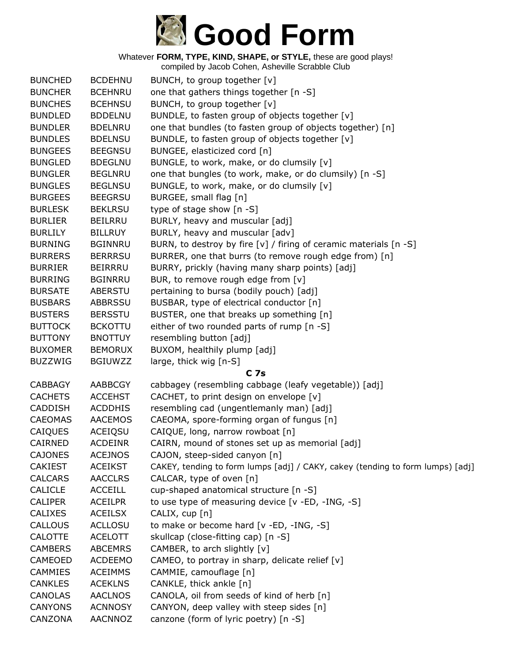

| <b>BUNCHED</b> | <b>BCDEHNU</b> | BUNCH, to group together [v]                                                   |
|----------------|----------------|--------------------------------------------------------------------------------|
| <b>BUNCHER</b> | <b>BCEHNRU</b> | one that gathers things together [n -S]                                        |
| <b>BUNCHES</b> | <b>BCEHNSU</b> | BUNCH, to group together [v]                                                   |
| <b>BUNDLED</b> | <b>BDDELNU</b> | BUNDLE, to fasten group of objects together [v]                                |
| <b>BUNDLER</b> | <b>BDELNRU</b> | one that bundles (to fasten group of objects together) [n]                     |
| <b>BUNDLES</b> | <b>BDELNSU</b> | BUNDLE, to fasten group of objects together [v]                                |
| <b>BUNGEES</b> | <b>BEEGNSU</b> | BUNGEE, elasticized cord [n]                                                   |
| <b>BUNGLED</b> | <b>BDEGLNU</b> | BUNGLE, to work, make, or do clumsily [v]                                      |
| <b>BUNGLER</b> | <b>BEGLNRU</b> | one that bungles (to work, make, or do clumsily) [n -S]                        |
| <b>BUNGLES</b> | <b>BEGLNSU</b> | BUNGLE, to work, make, or do clumsily [v]                                      |
| <b>BURGEES</b> | <b>BEEGRSU</b> | BURGEE, small flag [n]                                                         |
| <b>BURLESK</b> | <b>BEKLRSU</b> | type of stage show [n -S]                                                      |
| <b>BURLIER</b> | <b>BEILRRU</b> | BURLY, heavy and muscular [adj]                                                |
| <b>BURLILY</b> | <b>BILLRUY</b> | BURLY, heavy and muscular [adv]                                                |
| <b>BURNING</b> | <b>BGINNRU</b> | BURN, to destroy by fire [v] / firing of ceramic materials [n -S]              |
| <b>BURRERS</b> | <b>BERRRSU</b> | BURRER, one that burrs (to remove rough edge from) [n]                         |
| <b>BURRIER</b> | <b>BEIRRRU</b> | BURRY, prickly (having many sharp points) [adj]                                |
| <b>BURRING</b> | <b>BGINRRU</b> | BUR, to remove rough edge from [v]                                             |
| <b>BURSATE</b> | <b>ABERSTU</b> | pertaining to bursa (bodily pouch) [adj]                                       |
| <b>BUSBARS</b> | <b>ABBRSSU</b> | BUSBAR, type of electrical conductor [n]                                       |
| <b>BUSTERS</b> | <b>BERSSTU</b> | BUSTER, one that breaks up something [n]                                       |
| <b>BUTTOCK</b> | <b>BCKOTTU</b> | either of two rounded parts of rump [n -S]                                     |
| <b>BUTTONY</b> | <b>BNOTTUY</b> | resembling button [adj]                                                        |
| <b>BUXOMER</b> | <b>BEMORUX</b> | BUXOM, healthily plump [adj]                                                   |
| <b>BUZZWIG</b> | <b>BGIUWZZ</b> | large, thick wig [n-S]                                                         |
|                |                | C <sub>7s</sub>                                                                |
| <b>CABBAGY</b> | AABBCGY        | cabbagey (resembling cabbage (leafy vegetable)) [adj]                          |
| <b>CACHETS</b> | <b>ACCEHST</b> | CACHET, to print design on envelope [v]                                        |
| <b>CADDISH</b> | <b>ACDDHIS</b> | resembling cad (ungentlemanly man) [adj]                                       |
| <b>CAEOMAS</b> | <b>AACEMOS</b> | CAEOMA, spore-forming organ of fungus [n]                                      |
| CAIQUES        | ACEIQSU        | CAIQUE, long, narrow rowboat [n]                                               |
| CAIRNED        | <b>ACDEINR</b> | CAIRN, mound of stones set up as memorial [adj]                                |
| <b>CAJONES</b> | <b>ACEJNOS</b> | CAJON, steep-sided canyon [n]                                                  |
| <b>CAKIEST</b> | <b>ACEIKST</b> | CAKEY, tending to form lumps [adj] / CAKY, cakey (tending to form lumps) [adj] |
| <b>CALCARS</b> | <b>AACCLRS</b> | CALCAR, type of oven [n]                                                       |
| <b>CALICLE</b> | <b>ACCEILL</b> | cup-shaped anatomical structure [n -S]                                         |
| <b>CALIPER</b> | <b>ACEILPR</b> | to use type of measuring device [v -ED, -ING, -S]                              |
| <b>CALIXES</b> | <b>ACEILSX</b> | CALIX, cup [n]                                                                 |
| CALLOUS        | <b>ACLLOSU</b> | to make or become hard [v -ED, -ING, -S]                                       |
| CALOTTE        | <b>ACELOTT</b> | skullcap (close-fitting cap) [n -S]                                            |
| <b>CAMBERS</b> | <b>ABCEMRS</b> | CAMBER, to arch slightly [v]                                                   |
| CAMEOED        | <b>ACDEEMO</b> | CAMEO, to portray in sharp, delicate relief [v]                                |
| CAMMIES        | <b>ACEIMMS</b> | CAMMIE, camouflage [n]                                                         |
| <b>CANKLES</b> | <b>ACEKLNS</b> | CANKLE, thick ankle [n]                                                        |
| <b>CANOLAS</b> | <b>AACLNOS</b> | CANOLA, oil from seeds of kind of herb [n]                                     |
| <b>CANYONS</b> | <b>ACNNOSY</b> | CANYON, deep valley with steep sides [n]                                       |
| CANZONA        | <b>AACNNOZ</b> | canzone (form of lyric poetry) [n -S]                                          |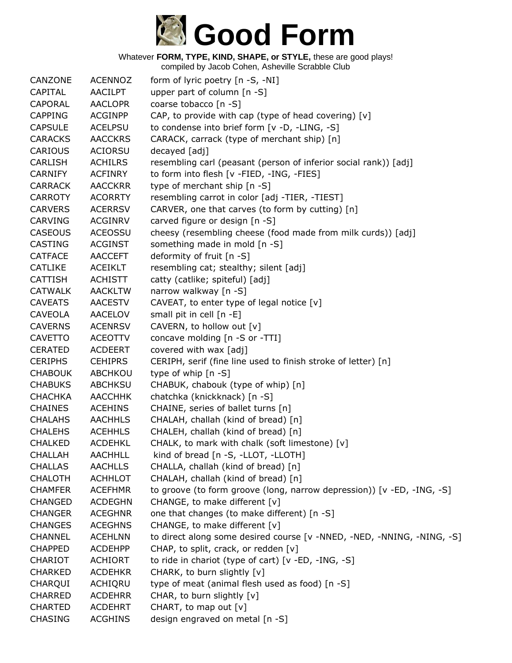

| CANZONE        | <b>ACENNOZ</b> | form of lyric poetry [n -S, -NI]                                       |
|----------------|----------------|------------------------------------------------------------------------|
| <b>CAPITAL</b> | <b>AACILPT</b> | upper part of column [n -S]                                            |
| CAPORAL        | <b>AACLOPR</b> | coarse tobacco [n -S]                                                  |
| <b>CAPPING</b> | <b>ACGINPP</b> | CAP, to provide with cap (type of head covering) $[v]$                 |
| <b>CAPSULE</b> | <b>ACELPSU</b> | to condense into brief form [v -D, -LING, -S]                          |
| <b>CARACKS</b> | <b>AACCKRS</b> | CARACK, carrack (type of merchant ship) [n]                            |
| CARIOUS        | <b>ACIORSU</b> | decayed [adj]                                                          |
| <b>CARLISH</b> | <b>ACHILRS</b> | resembling carl (peasant (person of inferior social rank)) [adj]       |
| <b>CARNIFY</b> | <b>ACFINRY</b> | to form into flesh [v -FIED, -ING, -FIES]                              |
| <b>CARRACK</b> | <b>AACCKRR</b> | type of merchant ship [n -S]                                           |
| <b>CARROTY</b> | <b>ACORRTY</b> | resembling carrot in color [adj -TIER, -TIEST]                         |
| <b>CARVERS</b> | <b>ACERRSV</b> | CARVER, one that carves (to form by cutting) [n]                       |
| <b>CARVING</b> | <b>ACGINRV</b> | carved figure or design [n -S]                                         |
| <b>CASEOUS</b> | <b>ACEOSSU</b> | cheesy (resembling cheese (food made from milk curds)) [adj]           |
| <b>CASTING</b> | <b>ACGINST</b> | something made in mold [n -S]                                          |
| <b>CATFACE</b> | <b>AACCEFT</b> | deformity of fruit [n -S]                                              |
| <b>CATLIKE</b> | <b>ACEIKLT</b> | resembling cat; stealthy; silent [adj]                                 |
| <b>CATTISH</b> | <b>ACHISTT</b> | catty (catlike; spiteful) [adj]                                        |
| <b>CATWALK</b> | <b>AACKLTW</b> | narrow walkway [n -S]                                                  |
| <b>CAVEATS</b> | <b>AACESTV</b> | CAVEAT, to enter type of legal notice [v]                              |
| <b>CAVEOLA</b> | <b>AACELOV</b> | small pit in cell [n -E]                                               |
| <b>CAVERNS</b> | <b>ACENRSV</b> | CAVERN, to hollow out [v]                                              |
| <b>CAVETTO</b> | <b>ACEOTTV</b> | concave molding [n -S or -TTI]                                         |
| <b>CERATED</b> | <b>ACDEERT</b> | covered with wax [adj]                                                 |
| <b>CERIPHS</b> | <b>CEHIPRS</b> | CERIPH, serif (fine line used to finish stroke of letter) [n]          |
| <b>CHABOUK</b> | ABCHKOU        | type of whip $[n - S]$                                                 |
| <b>CHABUKS</b> | <b>ABCHKSU</b> | CHABUK, chabouk (type of whip) [n]                                     |
| <b>CHACHKA</b> | <b>AACCHHK</b> | chatchka (knickknack) [n -S]                                           |
| <b>CHAINES</b> | <b>ACEHINS</b> | CHAINE, series of ballet turns [n]                                     |
| <b>CHALAHS</b> | <b>AACHHLS</b> | CHALAH, challah (kind of bread) [n]                                    |
| <b>CHALEHS</b> | <b>ACEHHLS</b> | CHALEH, challah (kind of bread) [n]                                    |
| <b>CHALKED</b> | <b>ACDEHKL</b> | CHALK, to mark with chalk (soft limestone) [v]                         |
| <b>CHALLAH</b> | <b>AACHHLL</b> | kind of bread [n -S, -LLOT, -LLOTH]                                    |
| <b>CHALLAS</b> | <b>AACHLLS</b> | CHALLA, challah (kind of bread) [n]                                    |
| <b>CHALOTH</b> | <b>ACHHLOT</b> | CHALAH, challah (kind of bread) [n]                                    |
| <b>CHAMFER</b> | <b>ACEFHMR</b> | to groove (to form groove (long, narrow depression)) [v -ED, -ING, -S] |
| <b>CHANGED</b> | <b>ACDEGHN</b> | CHANGE, to make different [v]                                          |
| <b>CHANGER</b> | <b>ACEGHNR</b> | one that changes (to make different) [n -S]                            |
| <b>CHANGES</b> | <b>ACEGHNS</b> | CHANGE, to make different [v]                                          |
| <b>CHANNEL</b> | <b>ACEHLNN</b> | to direct along some desired course [v -NNED, -NED, -NNING, -NING, -S] |
| <b>CHAPPED</b> | <b>ACDEHPP</b> | CHAP, to split, crack, or redden [v]                                   |
| <b>CHARIOT</b> | <b>ACHIORT</b> | to ride in chariot (type of cart) [v -ED, -ING, -S]                    |
| <b>CHARKED</b> | <b>ACDEHKR</b> | CHARK, to burn slightly [v]                                            |
| CHARQUI        | ACHIQRU        | type of meat (animal flesh used as food) [n -S]                        |
| <b>CHARRED</b> | <b>ACDEHRR</b> | CHAR, to burn slightly [v]                                             |
| <b>CHARTED</b> | <b>ACDEHRT</b> | CHART, to map out [v]                                                  |
| <b>CHASING</b> | <b>ACGHINS</b> | design engraved on metal [n -S]                                        |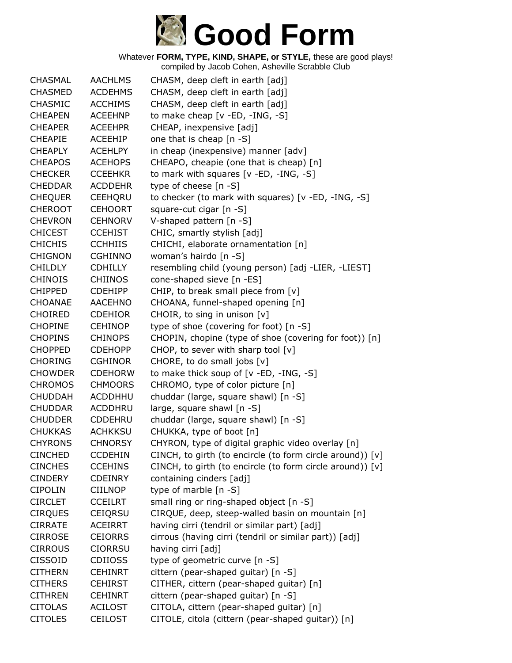

| <b>CHASMAL</b> | <b>AACHLMS</b> | CHASM, deep cleft in earth [adj]                          |
|----------------|----------------|-----------------------------------------------------------|
| <b>CHASMED</b> | <b>ACDEHMS</b> | CHASM, deep cleft in earth [adj]                          |
| <b>CHASMIC</b> | <b>ACCHIMS</b> | CHASM, deep cleft in earth [adj]                          |
| <b>CHEAPEN</b> | <b>ACEEHNP</b> | to make cheap [v -ED, -ING, -S]                           |
| <b>CHEAPER</b> | <b>ACEEHPR</b> | CHEAP, inexpensive [adj]                                  |
| <b>CHEAPIE</b> | <b>ACEEHIP</b> | one that is cheap [n -S]                                  |
| <b>CHEAPLY</b> | <b>ACEHLPY</b> | in cheap (inexpensive) manner [adv]                       |
| <b>CHEAPOS</b> | <b>ACEHOPS</b> | CHEAPO, cheapie (one that is cheap) [n]                   |
| <b>CHECKER</b> | <b>CCEEHKR</b> | to mark with squares [v -ED, -ING, -S]                    |
| <b>CHEDDAR</b> | <b>ACDDEHR</b> | type of cheese [n -S]                                     |
| <b>CHEQUER</b> | CEEHQRU        | to checker (to mark with squares) [v -ED, -ING, -S]       |
| <b>CHEROOT</b> | <b>CEHOORT</b> | square-cut cigar [n -S]                                   |
| <b>CHEVRON</b> | <b>CEHNORV</b> | V-shaped pattern [n -S]                                   |
| <b>CHICEST</b> | <b>CCEHIST</b> | CHIC, smartly stylish [adj]                               |
| <b>CHICHIS</b> | <b>CCHHIIS</b> | CHICHI, elaborate ornamentation [n]                       |
| <b>CHIGNON</b> | <b>CGHINNO</b> | woman's hairdo [n -S]                                     |
| <b>CHILDLY</b> | <b>CDHILLY</b> | resembling child (young person) [adj -LIER, -LIEST]       |
| <b>CHINOIS</b> | <b>CHIINOS</b> | cone-shaped sieve [n -ES]                                 |
| <b>CHIPPED</b> | <b>CDEHIPP</b> | CHIP, to break small piece from [v]                       |
| <b>CHOANAE</b> | <b>AACEHNO</b> | CHOANA, funnel-shaped opening [n]                         |
| <b>CHOIRED</b> | <b>CDEHIOR</b> | CHOIR, to sing in unison [v]                              |
| <b>CHOPINE</b> | <b>CEHINOP</b> | type of shoe (covering for foot) [n -S]                   |
| <b>CHOPINS</b> | <b>CHINOPS</b> | CHOPIN, chopine (type of shoe (covering for foot)) [n]    |
| <b>CHOPPED</b> | <b>CDEHOPP</b> | CHOP, to sever with sharp tool $[v]$                      |
| <b>CHORING</b> | <b>CGHINOR</b> | CHORE, to do small jobs [v]                               |
| <b>CHOWDER</b> | <b>CDEHORW</b> | to make thick soup of [v -ED, -ING, -S]                   |
| <b>CHROMOS</b> | <b>CHMOORS</b> | CHROMO, type of color picture [n]                         |
| <b>CHUDDAH</b> | <b>ACDDHHU</b> | chuddar (large, square shawl) [n -S]                      |
| <b>CHUDDAR</b> | ACDDHRU        | large, square shawl [n -S]                                |
| <b>CHUDDER</b> | <b>CDDEHRU</b> | chuddar (large, square shawl) [n -S]                      |
| <b>CHUKKAS</b> | <b>ACHKKSU</b> | CHUKKA, type of boot [n]                                  |
| <b>CHYRONS</b> | <b>CHNORSY</b> | CHYRON, type of digital graphic video overlay [n]         |
| <b>CINCHED</b> | <b>CCDEHIN</b> | CINCH, to girth (to encircle (to form circle around)) [v] |
| <b>CINCHES</b> | <b>CCEHINS</b> | CINCH, to girth (to encircle (to form circle around)) [v] |
| <b>CINDERY</b> | <b>CDEINRY</b> | containing cinders [adj]                                  |
| <b>CIPOLIN</b> | CIILNOP        | type of marble [n -S]                                     |
| <b>CIRCLET</b> | <b>CCEILRT</b> | small ring or ring-shaped object [n -S]                   |
| <b>CIRQUES</b> | <b>CEIQRSU</b> | CIRQUE, deep, steep-walled basin on mountain [n]          |
| <b>CIRRATE</b> | <b>ACEIRRT</b> | having cirri (tendril or similar part) [adj]              |
| <b>CIRROSE</b> | <b>CEIORRS</b> | cirrous (having cirri (tendril or similar part)) [adj]    |
| <b>CIRROUS</b> | <b>CIORRSU</b> | having cirri [adj]                                        |
| <b>CISSOID</b> | <b>CDIIOSS</b> | type of geometric curve [n -S]                            |
| <b>CITHERN</b> | <b>CEHINRT</b> | cittern (pear-shaped guitar) [n -S]                       |
| <b>CITHERS</b> | <b>CEHIRST</b> | CITHER, cittern (pear-shaped guitar) [n]                  |
| <b>CITHREN</b> | <b>CEHINRT</b> | cittern (pear-shaped guitar) [n -S]                       |
| <b>CITOLAS</b> | <b>ACILOST</b> | CITOLA, cittern (pear-shaped guitar) [n]                  |
| <b>CITOLES</b> | CEILOST        | CITOLE, citola (cittern (pear-shaped guitar)) [n]         |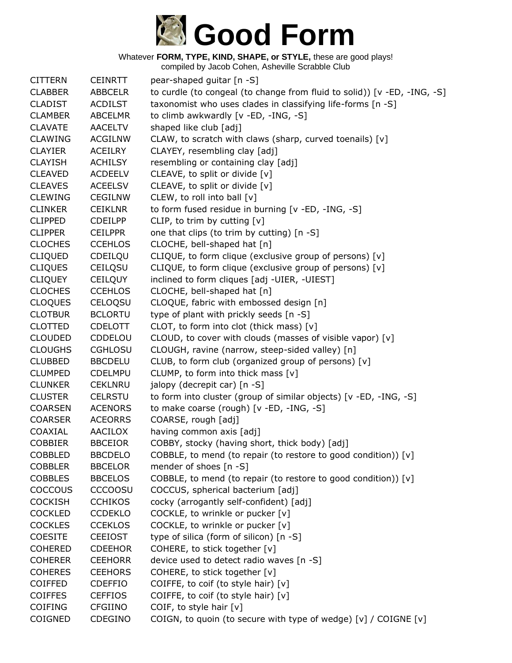

| <b>CITTERN</b> | <b>CEINRTT</b> | pear-shaped guitar [n -S]                                                |
|----------------|----------------|--------------------------------------------------------------------------|
| <b>CLABBER</b> | <b>ABBCELR</b> | to curdle (to congeal (to change from fluid to solid)) [v -ED, -ING, -S] |
| <b>CLADIST</b> | <b>ACDILST</b> | taxonomist who uses clades in classifying life-forms [n -S]              |
| <b>CLAMBER</b> | <b>ABCELMR</b> | to climb awkwardly [v -ED, -ING, -S]                                     |
| <b>CLAVATE</b> | <b>AACELTV</b> | shaped like club [adj]                                                   |
| <b>CLAWING</b> | <b>ACGILNW</b> | CLAW, to scratch with claws (sharp, curved toenails) [v]                 |
| <b>CLAYIER</b> | ACEILRY        | CLAYEY, resembling clay [adj]                                            |
| <b>CLAYISH</b> | <b>ACHILSY</b> | resembling or containing clay [adj]                                      |
| <b>CLEAVED</b> | <b>ACDEELV</b> | CLEAVE, to split or divide [v]                                           |
| <b>CLEAVES</b> | <b>ACEELSV</b> | CLEAVE, to split or divide [v]                                           |
| <b>CLEWING</b> | <b>CEGILNW</b> | CLEW, to roll into ball [v]                                              |
| <b>CLINKER</b> | <b>CEIKLNR</b> | to form fused residue in burning [v -ED, -ING, -S]                       |
| <b>CLIPPED</b> | <b>CDEILPP</b> | CLIP, to trim by cutting $[v]$                                           |
| <b>CLIPPER</b> | <b>CEILPPR</b> | one that clips (to trim by cutting) [n -S]                               |
| <b>CLOCHES</b> | <b>CCEHLOS</b> | CLOCHE, bell-shaped hat [n]                                              |
| <b>CLIQUED</b> | CDEILQU        | CLIQUE, to form clique (exclusive group of persons) [v]                  |
| <b>CLIQUES</b> | CEILQSU        | CLIQUE, to form clique (exclusive group of persons) [v]                  |
| <b>CLIQUEY</b> | <b>CEILQUY</b> | inclined to form cliques [adj -UIER, -UIEST]                             |
| <b>CLOCHES</b> | <b>CCEHLOS</b> | CLOCHE, bell-shaped hat [n]                                              |
| <b>CLOQUES</b> | <b>CELOQSU</b> | CLOQUE, fabric with embossed design [n]                                  |
| <b>CLOTBUR</b> | <b>BCLORTU</b> | type of plant with prickly seeds [n -S]                                  |
| <b>CLOTTED</b> | <b>CDELOTT</b> | CLOT, to form into clot (thick mass) [v]                                 |
| <b>CLOUDED</b> | CDDELOU        | CLOUD, to cover with clouds (masses of visible vapor) [v]                |
| <b>CLOUGHS</b> | <b>CGHLOSU</b> | CLOUGH, ravine (narrow, steep-sided valley) [n]                          |
| <b>CLUBBED</b> | <b>BBCDELU</b> | CLUB, to form club (organized group of persons) [v]                      |
| <b>CLUMPED</b> | <b>CDELMPU</b> | CLUMP, to form into thick mass [v]                                       |
| <b>CLUNKER</b> | <b>CEKLNRU</b> | jalopy (decrepit car) [n -S]                                             |
| <b>CLUSTER</b> | <b>CELRSTU</b> | to form into cluster (group of similar objects) [v -ED, -ING, -S]        |
| <b>COARSEN</b> | <b>ACENORS</b> | to make coarse (rough) [v -ED, -ING, -S]                                 |
| <b>COARSER</b> | <b>ACEORRS</b> | COARSE, rough [adj]                                                      |
| COAXIAL        | AACILOX        | having common axis [adj]                                                 |
| <b>COBBIER</b> | <b>BBCEIOR</b> | COBBY, stocky (having short, thick body) [adj]                           |
| <b>COBBLED</b> | <b>BBCDELO</b> | COBBLE, to mend (to repair (to restore to good condition)) [v]           |
| <b>COBBLER</b> | <b>BBCELOR</b> | mender of shoes [n -S]                                                   |
| <b>COBBLES</b> | <b>BBCELOS</b> | COBBLE, to mend (to repair (to restore to good condition)) [v]           |
| <b>COCCOUS</b> | <b>CCCOOSU</b> | COCCUS, spherical bacterium [adj]                                        |
| <b>COCKISH</b> | <b>CCHIKOS</b> | cocky (arrogantly self-confident) [adj]                                  |
| <b>COCKLED</b> | <b>CCDEKLO</b> | COCKLE, to wrinkle or pucker [v]                                         |
| <b>COCKLES</b> | <b>CCEKLOS</b> | COCKLE, to wrinkle or pucker [v]                                         |
| <b>COESITE</b> | <b>CEEIOST</b> | type of silica (form of silicon) [n -S]                                  |
| <b>COHERED</b> | <b>CDEEHOR</b> | COHERE, to stick together [v]                                            |
| <b>COHERER</b> | <b>CEEHORR</b> | device used to detect radio waves [n -S]                                 |
| <b>COHERES</b> | <b>CEEHORS</b> | COHERE, to stick together [v]                                            |
| <b>COIFFED</b> | <b>CDEFFIO</b> | COIFFE, to coif (to style hair) [v]                                      |
| <b>COIFFES</b> | <b>CEFFIOS</b> | COIFFE, to coif (to style hair) [v]                                      |
| <b>COIFING</b> | <b>CFGIINO</b> | COIF, to style hair [v]                                                  |
| COIGNED        | <b>CDEGINO</b> | COIGN, to quoin (to secure with type of wedge) [v] / COIGNE [v]          |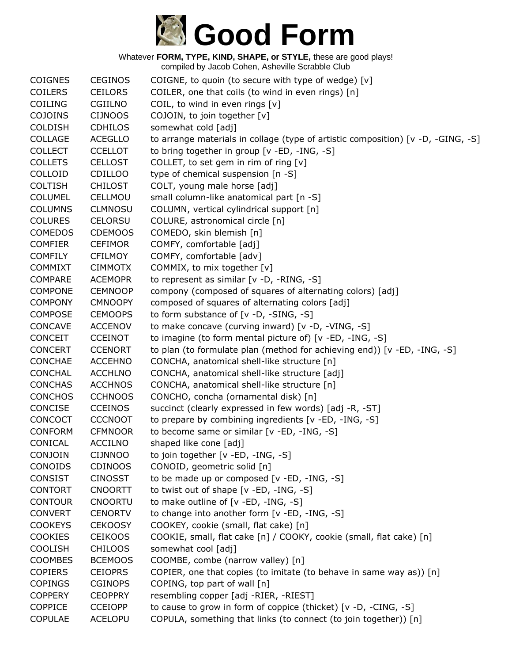

| <b>COIGNES</b> | <b>CEGINOS</b> | COIGNE, to quoin (to secure with type of wedge) [v]                              |
|----------------|----------------|----------------------------------------------------------------------------------|
| <b>COILERS</b> | <b>CEILORS</b> | COILER, one that coils (to wind in even rings) [n]                               |
| COILING        | <b>CGIILNO</b> | COIL, to wind in even rings $[v]$                                                |
| COJOINS        | <b>CIJNOOS</b> | COJOIN, to join together [v]                                                     |
| <b>COLDISH</b> | <b>CDHILOS</b> | somewhat cold [adj]                                                              |
| COLLAGE        | <b>ACEGLLO</b> | to arrange materials in collage (type of artistic composition) [v -D, -GING, -S] |
| <b>COLLECT</b> | <b>CCELLOT</b> | to bring together in group [v -ED, -ING, -S]                                     |
| <b>COLLETS</b> | <b>CELLOST</b> | COLLET, to set gem in rim of ring [v]                                            |
| COLLOID        | <b>CDILLOO</b> | type of chemical suspension [n -S]                                               |
| <b>COLTISH</b> | <b>CHILOST</b> | COLT, young male horse [adj]                                                     |
| <b>COLUMEL</b> | CELLMOU        | small column-like anatomical part [n -S]                                         |
| <b>COLUMNS</b> | <b>CLMNOSU</b> | COLUMN, vertical cylindrical support [n]                                         |
| <b>COLURES</b> | <b>CELORSU</b> | COLURE, astronomical circle [n]                                                  |
| <b>COMEDOS</b> | <b>CDEMOOS</b> | COMEDO, skin blemish [n]                                                         |
| <b>COMFIER</b> | <b>CEFIMOR</b> | COMFY, comfortable [adj]                                                         |
| <b>COMFILY</b> | <b>CFILMOY</b> | COMFY, comfortable [adv]                                                         |
| <b>COMMIXT</b> | <b>CIMMOTX</b> | COMMIX, to mix together [v]                                                      |
| <b>COMPARE</b> | <b>ACEMOPR</b> | to represent as similar [v -D, -RING, -S]                                        |
| <b>COMPONE</b> | <b>CEMNOOP</b> | compony (composed of squares of alternating colors) [adj]                        |
| <b>COMPONY</b> | <b>CMNOOPY</b> | composed of squares of alternating colors [adj]                                  |
| <b>COMPOSE</b> | <b>CEMOOPS</b> | to form substance of [v -D, -SING, -S]                                           |
| <b>CONCAVE</b> | <b>ACCENOV</b> | to make concave (curving inward) [v -D, -VING, -S]                               |
| <b>CONCEIT</b> | <b>CCEINOT</b> | to imagine (to form mental picture of) [v -ED, -ING, -S]                         |
| <b>CONCERT</b> | <b>CCENORT</b> | to plan (to formulate plan (method for achieving end)) [v -ED, -ING, -S]         |
| <b>CONCHAE</b> | <b>ACCEHNO</b> | CONCHA, anatomical shell-like structure [n]                                      |
| <b>CONCHAL</b> | <b>ACCHLNO</b> | CONCHA, anatomical shell-like structure [adj]                                    |
| <b>CONCHAS</b> | <b>ACCHNOS</b> | CONCHA, anatomical shell-like structure [n]                                      |
| <b>CONCHOS</b> | <b>CCHNOOS</b> | CONCHO, concha (ornamental disk) [n]                                             |
| <b>CONCISE</b> | <b>CCEINOS</b> | succinct (clearly expressed in few words) [adj -R, -ST]                          |
| CONCOCT        | <b>CCCNOOT</b> | to prepare by combining ingredients [v -ED, -ING, -S]                            |
| <b>CONFORM</b> | <b>CFMNOOR</b> | to become same or similar [v -ED, -ING, -S]                                      |
| CONICAL        | <b>ACCILNO</b> | shaped like cone [adj]                                                           |
| CONJOIN        | <b>CIJNNOO</b> | to join together [v -ED, -ING, -S]                                               |
| CONOIDS        | <b>CDINOOS</b> | CONOID, geometric solid [n]                                                      |
| <b>CONSIST</b> | <b>CINOSST</b> | to be made up or composed [v -ED, -ING, -S]                                      |
| <b>CONTORT</b> | <b>CNOORTT</b> | to twist out of shape [v -ED, -ING, -S]                                          |
| <b>CONTOUR</b> | <b>CNOORTU</b> | to make outline of [v -ED, -ING, -S]                                             |
| <b>CONVERT</b> | <b>CENORTV</b> | to change into another form [v -ED, -ING, -S]                                    |
| <b>COOKEYS</b> | <b>CEKOOSY</b> | COOKEY, cookie (small, flat cake) [n]                                            |
| <b>COOKIES</b> | <b>CEIKOOS</b> | COOKIE, small, flat cake [n] / COOKY, cookie (small, flat cake) [n]              |
| <b>COOLISH</b> | <b>CHILOOS</b> | somewhat cool [adj]                                                              |
| <b>COOMBES</b> | <b>BCEMOOS</b> | COOMBE, combe (narrow valley) [n]                                                |
| <b>COPIERS</b> | <b>CEIOPRS</b> | COPIER, one that copies (to imitate (to behave in same way as)) [n]              |
| <b>COPINGS</b> | <b>CGINOPS</b> | COPING, top part of wall [n]                                                     |
| <b>COPPERY</b> | <b>CEOPPRY</b> | resembling copper [adj -RIER, -RIEST]                                            |
| <b>COPPICE</b> | <b>CCEIOPP</b> | to cause to grow in form of coppice (thicket) [v -D, -CING, -S]                  |
| <b>COPULAE</b> | <b>ACELOPU</b> | COPULA, something that links (to connect (to join together)) [n]                 |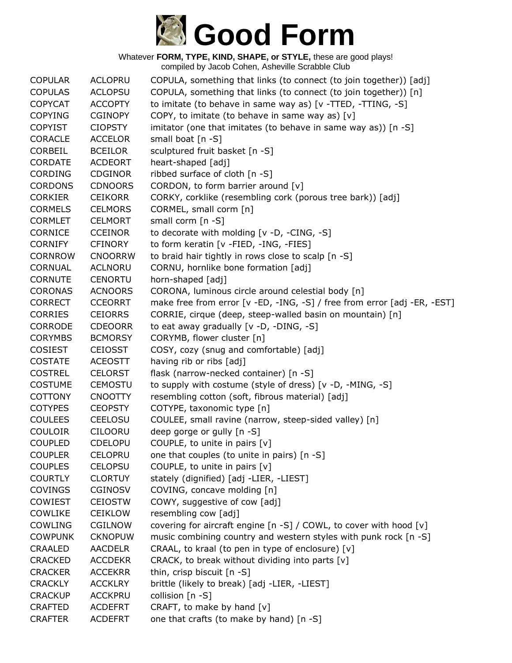

| <b>COPULAR</b> | <b>ACLOPRU</b> | COPULA, something that links (to connect (to join together)) [adj]       |
|----------------|----------------|--------------------------------------------------------------------------|
| <b>COPULAS</b> | <b>ACLOPSU</b> | COPULA, something that links (to connect (to join together)) [n]         |
| <b>COPYCAT</b> | <b>ACCOPTY</b> | to imitate (to behave in same way as) [v -TTED, -TTING, -S]              |
| <b>COPYING</b> | <b>CGINOPY</b> | COPY, to imitate (to behave in same way as) [v]                          |
| <b>COPYIST</b> | <b>CIOPSTY</b> | imitator (one that imitates (to behave in same way as)) [n -S]           |
| <b>CORACLE</b> | <b>ACCELOR</b> | small boat [n -S]                                                        |
| <b>CORBEIL</b> | <b>BCEILOR</b> | sculptured fruit basket [n -S]                                           |
| <b>CORDATE</b> | <b>ACDEORT</b> | heart-shaped [adj]                                                       |
| <b>CORDING</b> | <b>CDGINOR</b> | ribbed surface of cloth [n -S]                                           |
| <b>CORDONS</b> | <b>CDNOORS</b> | CORDON, to form barrier around [v]                                       |
| <b>CORKIER</b> | <b>CEIKORR</b> | CORKY, corklike (resembling cork (porous tree bark)) [adj]               |
| <b>CORMELS</b> | <b>CELMORS</b> | CORMEL, small corm [n]                                                   |
| <b>CORMLET</b> | <b>CELMORT</b> | small corm [n -S]                                                        |
| <b>CORNICE</b> | <b>CCEINOR</b> | to decorate with molding [v -D, -CING, -S]                               |
| <b>CORNIFY</b> | <b>CFINORY</b> | to form keratin [v -FIED, -ING, -FIES]                                   |
| <b>CORNROW</b> | <b>CNOORRW</b> | to braid hair tightly in rows close to scalp [n -S]                      |
| <b>CORNUAL</b> | <b>ACLNORU</b> | CORNU, hornlike bone formation [adj]                                     |
| <b>CORNUTE</b> | <b>CENORTU</b> | horn-shaped [adj]                                                        |
| <b>CORONAS</b> | <b>ACNOORS</b> | CORONA, luminous circle around celestial body [n]                        |
| <b>CORRECT</b> | <b>CCEORRT</b> | make free from error [v -ED, -ING, -S] / free from error [adj -ER, -EST] |
| <b>CORRIES</b> | <b>CEIORRS</b> | CORRIE, cirque (deep, steep-walled basin on mountain) [n]                |
| <b>CORRODE</b> | <b>CDEOORR</b> | to eat away gradually [v -D, -DING, -S]                                  |
| <b>CORYMBS</b> | <b>BCMORSY</b> | CORYMB, flower cluster [n]                                               |
| <b>COSIEST</b> | <b>CEIOSST</b> | COSY, cozy (snug and comfortable) [adj]                                  |
| <b>COSTATE</b> | <b>ACEOSTT</b> | having rib or ribs [adj]                                                 |
| <b>COSTREL</b> | <b>CELORST</b> | flask (narrow-necked container) [n -S]                                   |
| <b>COSTUME</b> | <b>CEMOSTU</b> | to supply with costume (style of dress) [v -D, -MING, -S]                |
| <b>COTTONY</b> | <b>CNOOTTY</b> | resembling cotton (soft, fibrous material) [adj]                         |
| <b>COTYPES</b> | <b>CEOPSTY</b> | COTYPE, taxonomic type [n]                                               |
| <b>COULEES</b> | <b>CEELOSU</b> | COULEE, small ravine (narrow, steep-sided valley) [n]                    |
| <b>COULOIR</b> | <b>CILOORU</b> | deep gorge or gully [n -S]                                               |
| <b>COUPLED</b> | <b>CDELOPU</b> | COUPLE, to unite in pairs [v]                                            |
| <b>COUPLER</b> | <b>CELOPRU</b> | one that couples (to unite in pairs) [n -S]                              |
| <b>COUPLES</b> | <b>CELOPSU</b> | COUPLE, to unite in pairs [v]                                            |
| <b>COURTLY</b> | <b>CLORTUY</b> | stately (dignified) [adj -LIER, -LIEST]                                  |
| COVINGS        | <b>CGINOSV</b> | COVING, concave molding [n]                                              |
| <b>COWIEST</b> | <b>CEIOSTW</b> | COWY, suggestive of cow [adj]                                            |
| <b>COWLIKE</b> | <b>CEIKLOW</b> | resembling cow [adj]                                                     |
| COWLING        | <b>CGILNOW</b> | covering for aircraft engine [n -S] / COWL, to cover with hood [v]       |
| <b>COWPUNK</b> | <b>CKNOPUW</b> | music combining country and western styles with punk rock [n -S]         |
| CRAALED        | <b>AACDELR</b> | CRAAL, to kraal (to pen in type of enclosure) [v]                        |
| <b>CRACKED</b> | <b>ACCDEKR</b> | CRACK, to break without dividing into parts [v]                          |
| <b>CRACKER</b> | <b>ACCEKRR</b> | thin, crisp biscuit [n -S]                                               |
| <b>CRACKLY</b> | <b>ACCKLRY</b> | brittle (likely to break) [adj -LIER, -LIEST]                            |
| <b>CRACKUP</b> | <b>ACCKPRU</b> | collision [n -S]                                                         |
| <b>CRAFTED</b> | <b>ACDEFRT</b> | CRAFT, to make by hand [v]                                               |
| <b>CRAFTER</b> | <b>ACDEFRT</b> | one that crafts (to make by hand) [n -S]                                 |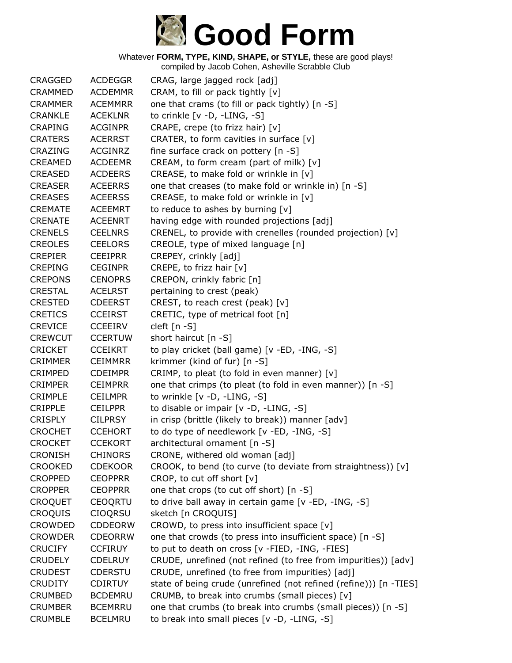

| CRAGGED        | <b>ACDEGGR</b> | CRAG, large jagged rock [adj]                                     |
|----------------|----------------|-------------------------------------------------------------------|
| <b>CRAMMED</b> | <b>ACDEMMR</b> | CRAM, to fill or pack tightly [v]                                 |
| <b>CRAMMER</b> | <b>ACEMMRR</b> | one that crams (to fill or pack tightly) [n -S]                   |
| <b>CRANKLE</b> | <b>ACEKLNR</b> | to crinkle [v -D, -LING, -S]                                      |
| <b>CRAPING</b> | <b>ACGINPR</b> | CRAPE, crepe (to frizz hair) [v]                                  |
| <b>CRATERS</b> | <b>ACERRST</b> | CRATER, to form cavities in surface [v]                           |
| <b>CRAZING</b> | <b>ACGINRZ</b> | fine surface crack on pottery [n -S]                              |
| <b>CREAMED</b> | <b>ACDEEMR</b> | CREAM, to form cream (part of milk) [v]                           |
| CREASED        | <b>ACDEERS</b> | CREASE, to make fold or wrinkle in [v]                            |
| <b>CREASER</b> | <b>ACEERRS</b> | one that creases (to make fold or wrinkle in) [n -S]              |
| <b>CREASES</b> | <b>ACEERSS</b> | CREASE, to make fold or wrinkle in [v]                            |
| <b>CREMATE</b> | <b>ACEEMRT</b> | to reduce to ashes by burning [v]                                 |
| <b>CRENATE</b> | <b>ACEENRT</b> | having edge with rounded projections [adj]                        |
| <b>CRENELS</b> | <b>CEELNRS</b> | CRENEL, to provide with crenelles (rounded projection) [v]        |
| <b>CREOLES</b> | <b>CEELORS</b> | CREOLE, type of mixed language [n]                                |
| <b>CREPIER</b> | <b>CEEIPRR</b> | CREPEY, crinkly [adj]                                             |
| <b>CREPING</b> | <b>CEGINPR</b> | CREPE, to frizz hair [v]                                          |
| <b>CREPONS</b> | <b>CENOPRS</b> | CREPON, crinkly fabric [n]                                        |
| <b>CRESTAL</b> | <b>ACELRST</b> | pertaining to crest (peak)                                        |
| <b>CRESTED</b> | <b>CDEERST</b> | CREST, to reach crest (peak) [v]                                  |
| <b>CRETICS</b> | <b>CCEIRST</b> | CRETIC, type of metrical foot [n]                                 |
| <b>CREVICE</b> | <b>CCEEIRV</b> | cleft [n -S]                                                      |
| <b>CREWCUT</b> | <b>CCERTUW</b> | short haircut $[n - S]$                                           |
| <b>CRICKET</b> | <b>CCEIKRT</b> | to play cricket (ball game) [v -ED, -ING, -S]                     |
| <b>CRIMMER</b> | <b>CEIMMRR</b> | krimmer (kind of fur) [n -S]                                      |
| <b>CRIMPED</b> | <b>CDEIMPR</b> | CRIMP, to pleat (to fold in even manner) [v]                      |
| <b>CRIMPER</b> | <b>CEIMPRR</b> | one that crimps (to pleat (to fold in even manner)) [n -S]        |
| CRIMPLE        | <b>CEILMPR</b> | to wrinkle [v -D, -LING, -S]                                      |
| <b>CRIPPLE</b> | <b>CEILPPR</b> | to disable or impair [v -D, -LING, -S]                            |
| <b>CRISPLY</b> | <b>CILPRSY</b> | in crisp (brittle (likely to break)) manner [adv]                 |
| <b>CROCHET</b> | <b>CCEHORT</b> | to do type of needlework [v -ED, -ING, -S]                        |
| <b>CROCKET</b> | <b>CCEKORT</b> | architectural ornament [n -S]                                     |
| <b>CRONISH</b> | <b>CHINORS</b> | CRONE, withered old woman [adj]                                   |
| <b>CROOKED</b> | <b>CDEKOOR</b> | CROOK, to bend (to curve (to deviate from straightness)) [v]      |
| <b>CROPPED</b> | <b>CEOPPRR</b> | CROP, to cut off short [v]                                        |
| <b>CROPPER</b> | <b>CEOPPRR</b> | one that crops (to cut off short) [n -S]                          |
| <b>CROQUET</b> | <b>CEOQRTU</b> | to drive ball away in certain game [v -ED, -ING, -S]              |
| <b>CROQUIS</b> | <b>CIOORSU</b> | sketch [n CROQUIS]                                                |
| CROWDED        | <b>CDDEORW</b> | CROWD, to press into insufficient space [v]                       |
| <b>CROWDER</b> | <b>CDEORRW</b> | one that crowds (to press into insufficient space) [n -S]         |
| <b>CRUCIFY</b> | <b>CCFIRUY</b> | to put to death on cross [v -FIED, -ING, -FIES]                   |
| <b>CRUDELY</b> | <b>CDELRUY</b> | CRUDE, unrefined (not refined (to free from impurities)) [adv]    |
| <b>CRUDEST</b> | <b>CDERSTU</b> | CRUDE, unrefined (to free from impurities) [adj]                  |
| <b>CRUDITY</b> | <b>CDIRTUY</b> | state of being crude (unrefined (not refined (refine))) [n -TIES] |
| <b>CRUMBED</b> | <b>BCDEMRU</b> | CRUMB, to break into crumbs (small pieces) [v]                    |
| <b>CRUMBER</b> | <b>BCEMRRU</b> | one that crumbs (to break into crumbs (small pieces)) [n -S]      |
| <b>CRUMBLE</b> | <b>BCELMRU</b> | to break into small pieces [v -D, -LING, -S]                      |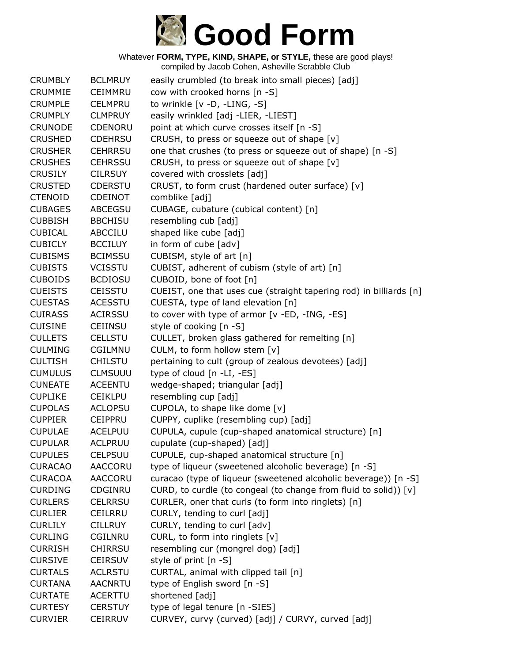

Whatever **FORM, TYPE, KIND, SHAPE, or STYLE,** these are good plays! compiled by Jacob Cohen, Asheville Scrabble Club

| <b>CRUMBLY</b> | <b>BCLMRUY</b> | easily crumbled (to break into small pieces) [adj]                 |
|----------------|----------------|--------------------------------------------------------------------|
| <b>CRUMMIE</b> | <b>CEIMMRU</b> | cow with crooked horns [n -S]                                      |
| <b>CRUMPLE</b> | <b>CELMPRU</b> | to wrinkle [v -D, -LING, -S]                                       |
| <b>CRUMPLY</b> | <b>CLMPRUY</b> | easily wrinkled [adj -LIER, -LIEST]                                |
| <b>CRUNODE</b> | CDENORU        | point at which curve crosses itself [n -S]                         |
| <b>CRUSHED</b> | <b>CDEHRSU</b> | CRUSH, to press or squeeze out of shape [v]                        |
| <b>CRUSHER</b> | <b>CEHRRSU</b> | one that crushes (to press or squeeze out of shape) [n -S]         |
| <b>CRUSHES</b> | <b>CEHRSSU</b> | CRUSH, to press or squeeze out of shape [v]                        |
| <b>CRUSILY</b> | <b>CILRSUY</b> | covered with crosslets [adj]                                       |
| <b>CRUSTED</b> | <b>CDERSTU</b> | CRUST, to form crust (hardened outer surface) [v]                  |
| <b>CTENOID</b> | <b>CDEINOT</b> | comblike [adj]                                                     |
| <b>CUBAGES</b> | ABCEGSU        | CUBAGE, cubature (cubical content) [n]                             |
| <b>CUBBISH</b> | <b>BBCHISU</b> | resembling cub [adj]                                               |
| <b>CUBICAL</b> | ABCCILU        | shaped like cube [adj]                                             |
| <b>CUBICLY</b> | <b>BCCILUY</b> | in form of cube [adv]                                              |
| <b>CUBISMS</b> | <b>BCIMSSU</b> | CUBISM, style of art [n]                                           |
| <b>CUBISTS</b> | <b>VCISSTU</b> | CUBIST, adherent of cubism (style of art) [n]                      |
| <b>CUBOIDS</b> | <b>BCDIOSU</b> | CUBOID, bone of foot [n]                                           |
| <b>CUEISTS</b> | <b>CEISSTU</b> | CUEIST, one that uses cue (straight tapering rod) in billiards [n] |
| <b>CUESTAS</b> | <b>ACESSTU</b> | CUESTA, type of land elevation [n]                                 |
| <b>CUIRASS</b> | <b>ACIRSSU</b> | to cover with type of armor [v -ED, -ING, -ES]                     |
| <b>CUISINE</b> | <b>CEIINSU</b> | style of cooking [n -S]                                            |
| <b>CULLETS</b> | <b>CELLSTU</b> | CULLET, broken glass gathered for remelting [n]                    |
| <b>CULMING</b> | CGILMNU        | CULM, to form hollow stem [v]                                      |
| <b>CULTISH</b> | <b>CHILSTU</b> | pertaining to cult (group of zealous devotees) [adj]               |
| <b>CUMULUS</b> | <b>CLMSUUU</b> | type of cloud [n -LI, -ES]                                         |
| <b>CUNEATE</b> | <b>ACEENTU</b> | wedge-shaped; triangular [adj]                                     |
| <b>CUPLIKE</b> | <b>CEIKLPU</b> | resembling cup [adj]                                               |
| <b>CUPOLAS</b> | <b>ACLOPSU</b> | CUPOLA, to shape like dome [v]                                     |
| <b>CUPPIER</b> | <b>CEIPPRU</b> | CUPPY, cuplike (resembling cup) [adj]                              |
| <b>CUPULAE</b> | <b>ACELPUU</b> | CUPULA, cupule (cup-shaped anatomical structure) [n]               |
| <b>CUPULAR</b> | <b>ACLPRUU</b> | cupulate (cup-shaped) [adj]                                        |
| <b>CUPULES</b> | <b>CELPSUU</b> | CUPULE, cup-shaped anatomical structure [n]                        |
| <b>CURACAO</b> | AACCORU        | type of liqueur (sweetened alcoholic beverage) [n -S]              |
| <b>CURACOA</b> | <b>AACCORU</b> | curacao (type of liqueur (sweetened alcoholic beverage)) [n -S]    |
| <b>CURDING</b> | CDGINRU        | CURD, to curdle (to congeal (to change from fluid to solid)) [v]   |
| <b>CURLERS</b> | <b>CELRRSU</b> | CURLER, oner that curls (to form into ringlets) [n]                |
| <b>CURLIER</b> | <b>CEILRRU</b> | CURLY, tending to curl [adj]                                       |
| <b>CURLILY</b> | <b>CILLRUY</b> | CURLY, tending to curl [adv]                                       |
| <b>CURLING</b> | CGILNRU        | CURL, to form into ringlets [v]                                    |
| <b>CURRISH</b> | <b>CHIRRSU</b> | resembling cur (mongrel dog) [adj]                                 |
| <b>CURSIVE</b> | <b>CEIRSUV</b> | style of print [n -S]                                              |
| <b>CURTALS</b> | <b>ACLRSTU</b> | CURTAL, animal with clipped tail [n]                               |
| <b>CURTANA</b> | <b>AACNRTU</b> | type of English sword [n -S]                                       |
| <b>CURTATE</b> | <b>ACERTTU</b> | shortened [adj]                                                    |
| <b>CURTESY</b> | <b>CERSTUY</b> | type of legal tenure [n -SIES]                                     |
| <b>CURVIER</b> | <b>CEIRRUV</b> | CURVEY, curvy (curved) [adj] / CURVY, curved [adj]                 |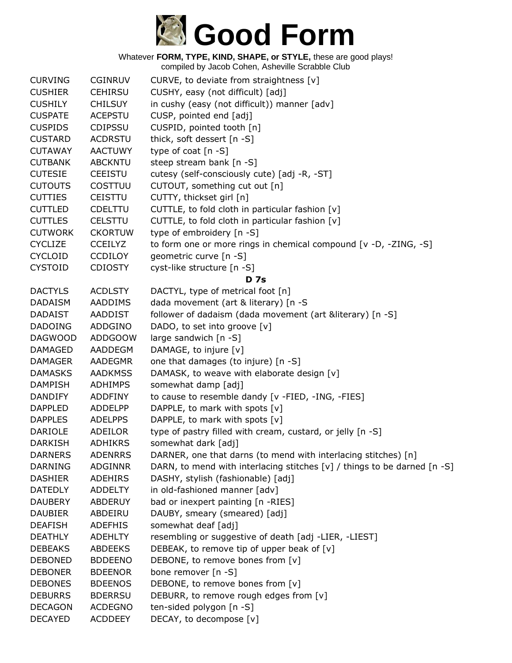

| <b>CURVING</b> | <b>CGINRUV</b> | CURVE, to deviate from straightness [v]                                      |
|----------------|----------------|------------------------------------------------------------------------------|
| <b>CUSHIER</b> | <b>CEHIRSU</b> | CUSHY, easy (not difficult) [adj]                                            |
| <b>CUSHILY</b> | <b>CHILSUY</b> | in cushy (easy (not difficult)) manner [adv]                                 |
| <b>CUSPATE</b> | <b>ACEPSTU</b> | CUSP, pointed end [adj]                                                      |
| <b>CUSPIDS</b> | <b>CDIPSSU</b> | CUSPID, pointed tooth [n]                                                    |
| <b>CUSTARD</b> | <b>ACDRSTU</b> | thick, soft dessert [n -S]                                                   |
| <b>CUTAWAY</b> | <b>AACTUWY</b> | type of coat $[n - S]$                                                       |
| <b>CUTBANK</b> | <b>ABCKNTU</b> | steep stream bank [n -S]                                                     |
| <b>CUTESIE</b> | <b>CEEISTU</b> | cutesy (self-consciously cute) [adj -R, -ST]                                 |
| <b>CUTOUTS</b> | COSTTUU        | CUTOUT, something cut out [n]                                                |
| <b>CUTTIES</b> | <b>CEISTTU</b> | CUTTY, thickset girl [n]                                                     |
| <b>CUTTLED</b> | <b>CDELTTU</b> | CUTTLE, to fold cloth in particular fashion [v]                              |
| <b>CUTTLES</b> | <b>CELSTTU</b> | CUTTLE, to fold cloth in particular fashion [v]                              |
| <b>CUTWORK</b> | <b>CKORTUW</b> | type of embroidery [n -S]                                                    |
| <b>CYCLIZE</b> | <b>CCEILYZ</b> | to form one or more rings in chemical compound [v -D, -ZING, -S]             |
| <b>CYCLOID</b> | <b>CCDILOY</b> | geometric curve [n -S]                                                       |
| <b>CYSTOID</b> | <b>CDIOSTY</b> | cyst-like structure [n -S]                                                   |
|                |                | D <sub>7s</sub>                                                              |
| <b>DACTYLS</b> | <b>ACDLSTY</b> | DACTYL, type of metrical foot [n]                                            |
| <b>DADAISM</b> | AADDIMS        | dada movement (art & literary) [n -S                                         |
| <b>DADAIST</b> | <b>AADDIST</b> | follower of dadaism (dada movement (art &literary) [n -S]                    |
| <b>DADOING</b> | ADDGINO        | DADO, to set into groove [v]                                                 |
| <b>DAGWOOD</b> | <b>ADDGOOW</b> | large sandwich [n -S]                                                        |
| <b>DAMAGED</b> | <b>AADDEGM</b> | DAMAGE, to injure [v]                                                        |
| <b>DAMAGER</b> | AADEGMR        | one that damages (to injure) [n -S]                                          |
| <b>DAMASKS</b> | <b>AADKMSS</b> | DAMASK, to weave with elaborate design [v]                                   |
| <b>DAMPISH</b> | <b>ADHIMPS</b> | somewhat damp [adj]                                                          |
| <b>DANDIFY</b> | <b>ADDFINY</b> | to cause to resemble dandy [v -FIED, -ING, -FIES]                            |
| <b>DAPPLED</b> | <b>ADDELPP</b> | DAPPLE, to mark with spots [v]                                               |
| <b>DAPPLES</b> | <b>ADELPPS</b> | DAPPLE, to mark with spots [v]                                               |
| <b>DARIOLE</b> | ADEILOR        | type of pastry filled with cream, custard, or jelly [n -S]                   |
| <b>DARKISH</b> | <b>ADHIKRS</b> | somewhat dark [adj]                                                          |
| <b>DARNERS</b> | <b>ADENRRS</b> | DARNER, one that darns (to mend with interlacing stitches) [n]               |
| <b>DARNING</b> | <b>ADGINNR</b> | DARN, to mend with interlacing stitches $[v] /$ things to be darned $[n -S]$ |
| <b>DASHIER</b> | ADEHIRS        | DASHY, stylish (fashionable) [adj]                                           |
| <b>DATEDLY</b> | <b>ADDELTY</b> | in old-fashioned manner [adv]                                                |
| <b>DAUBERY</b> | <b>ABDERUY</b> | bad or inexpert painting [n -RIES]                                           |
| <b>DAUBIER</b> | ABDEIRU        | DAUBY, smeary (smeared) [adj]                                                |
| <b>DEAFISH</b> | <b>ADEFHIS</b> | somewhat deaf [adj]                                                          |
| <b>DEATHLY</b> | <b>ADEHLTY</b> | resembling or suggestive of death [adj -LIER, -LIEST]                        |
| <b>DEBEAKS</b> | <b>ABDEEKS</b> | DEBEAK, to remove tip of upper beak of [v]                                   |
| <b>DEBONED</b> | <b>BDDEENO</b> | DEBONE, to remove bones from [v]                                             |
| <b>DEBONER</b> | <b>BDEENOR</b> | bone remover [n -S]                                                          |
| <b>DEBONES</b> | <b>BDEENOS</b> | DEBONE, to remove bones from [v]                                             |
| <b>DEBURRS</b> | <b>BDERRSU</b> | DEBURR, to remove rough edges from [v]                                       |
| <b>DECAGON</b> | <b>ACDEGNO</b> | ten-sided polygon [n -S]                                                     |
| <b>DECAYED</b> | <b>ACDDEEY</b> | DECAY, to decompose [v]                                                      |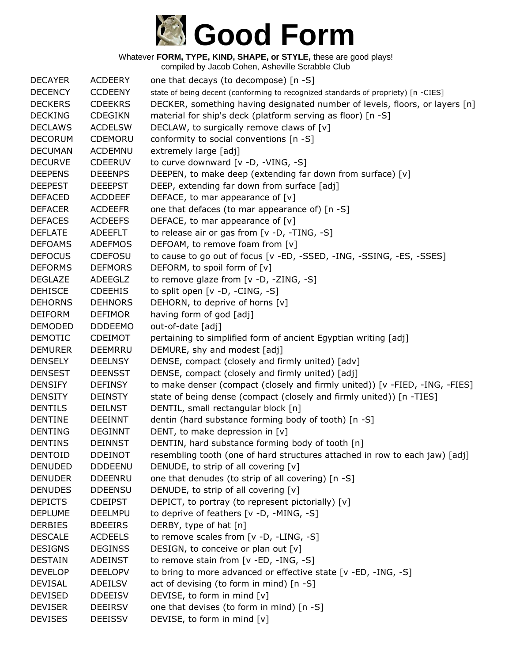

| <b>DECAYER</b> | <b>ACDEERY</b> | one that decays (to decompose) [n -S]                                             |
|----------------|----------------|-----------------------------------------------------------------------------------|
| <b>DECENCY</b> | <b>CCDEENY</b> | state of being decent (conforming to recognized standards of propriety) [n -CIES] |
| <b>DECKERS</b> | <b>CDEEKRS</b> | DECKER, something having designated number of levels, floors, or layers [n]       |
| <b>DECKING</b> | <b>CDEGIKN</b> | material for ship's deck (platform serving as floor) [n -S]                       |
| <b>DECLAWS</b> | <b>ACDELSW</b> | DECLAW, to surgically remove claws of [v]                                         |
| <b>DECORUM</b> | CDEMORU        | conformity to social conventions [n -S]                                           |
| <b>DECUMAN</b> | <b>ACDEMNU</b> | extremely large [adj]                                                             |
| <b>DECURVE</b> | <b>CDEERUV</b> | to curve downward [v -D, -VING, -S]                                               |
| <b>DEEPENS</b> | <b>DEEENPS</b> | DEEPEN, to make deep (extending far down from surface) [v]                        |
| <b>DEEPEST</b> | <b>DEEEPST</b> | DEEP, extending far down from surface [adj]                                       |
| <b>DEFACED</b> | <b>ACDDEEF</b> | DEFACE, to mar appearance of [v]                                                  |
| <b>DEFACER</b> | <b>ACDEEFR</b> | one that defaces (to mar appearance of) [n -S]                                    |
| <b>DEFACES</b> | <b>ACDEEFS</b> | DEFACE, to mar appearance of [v]                                                  |
| <b>DEFLATE</b> | <b>ADEEFLT</b> | to release air or gas from [v -D, -TING, -S]                                      |
| <b>DEFOAMS</b> | <b>ADEFMOS</b> | DEFOAM, to remove foam from [v]                                                   |
| <b>DEFOCUS</b> | <b>CDEFOSU</b> | to cause to go out of focus [v -ED, -SSED, -ING, -SSING, -ES, -SSES]              |
| <b>DEFORMS</b> | <b>DEFMORS</b> | DEFORM, to spoil form of [v]                                                      |
| <b>DEGLAZE</b> | <b>ADEEGLZ</b> | to remove glaze from [v -D, -ZING, -S]                                            |
| <b>DEHISCE</b> | <b>CDEEHIS</b> | to split open [v -D, -CING, -S]                                                   |
| <b>DEHORNS</b> | <b>DEHNORS</b> | DEHORN, to deprive of horns [v]                                                   |
| <b>DEIFORM</b> | <b>DEFIMOR</b> | having form of god [adj]                                                          |
| <b>DEMODED</b> | <b>DDDEEMO</b> | out-of-date [adj]                                                                 |
| <b>DEMOTIC</b> | <b>CDEIMOT</b> | pertaining to simplified form of ancient Egyptian writing [adj]                   |
| <b>DEMURER</b> | <b>DEEMRRU</b> | DEMURE, shy and modest [adj]                                                      |
| <b>DENSELY</b> | <b>DEELNSY</b> | DENSE, compact (closely and firmly united) [adv]                                  |
| <b>DENSEST</b> | <b>DEENSST</b> | DENSE, compact (closely and firmly united) [adj]                                  |
| <b>DENSIFY</b> | <b>DEFINSY</b> | to make denser (compact (closely and firmly united)) [v -FIED, -ING, -FIES]       |
| <b>DENSITY</b> | <b>DEINSTY</b> | state of being dense (compact (closely and firmly united)) [n -TIES]              |
| <b>DENTILS</b> | <b>DEILNST</b> | DENTIL, small rectangular block [n]                                               |
| <b>DENTINE</b> | <b>DEEINNT</b> | dentin (hard substance forming body of tooth) [n -S]                              |
| <b>DENTING</b> | <b>DEGINNT</b> | DENT, to make depression in [v]                                                   |
| <b>DENTINS</b> | <b>DEINNST</b> | DENTIN, hard substance forming body of tooth [n]                                  |
| <b>DENTOID</b> | <b>DDEINOT</b> | resembling tooth (one of hard structures attached in row to each jaw) [adj]       |
| <b>DENUDED</b> | <b>DDDEENU</b> | DENUDE, to strip of all covering [v]                                              |
| <b>DENUDER</b> | <b>DDEENRU</b> | one that denudes (to strip of all covering) [n -S]                                |
| <b>DENUDES</b> | <b>DDEENSU</b> | DENUDE, to strip of all covering [v]                                              |
| <b>DEPICTS</b> | <b>CDEIPST</b> | DEPICT, to portray (to represent pictorially) [v]                                 |
| <b>DEPLUME</b> | <b>DEELMPU</b> | to deprive of feathers [v -D, -MING, -S]                                          |
| <b>DERBIES</b> | <b>BDEEIRS</b> | DERBY, type of hat [n]                                                            |
| <b>DESCALE</b> | <b>ACDEELS</b> | to remove scales from [v -D, -LING, -S]                                           |
| <b>DESIGNS</b> | <b>DEGINSS</b> | DESIGN, to conceive or plan out [v]                                               |
| <b>DESTAIN</b> | <b>ADEINST</b> | to remove stain from [v -ED, -ING, -S]                                            |
| <b>DEVELOP</b> | <b>DEELOPV</b> | to bring to more advanced or effective state [v -ED, -ING, -S]                    |
| <b>DEVISAL</b> | ADEILSV        | act of devising (to form in mind) [n -S]                                          |
| <b>DEVISED</b> | <b>DDEEISV</b> | DEVISE, to form in mind [v]                                                       |
| <b>DEVISER</b> | <b>DEEIRSV</b> | one that devises (to form in mind) [n -S]                                         |
| <b>DEVISES</b> | <b>DEEISSV</b> | DEVISE, to form in mind [v]                                                       |
|                |                |                                                                                   |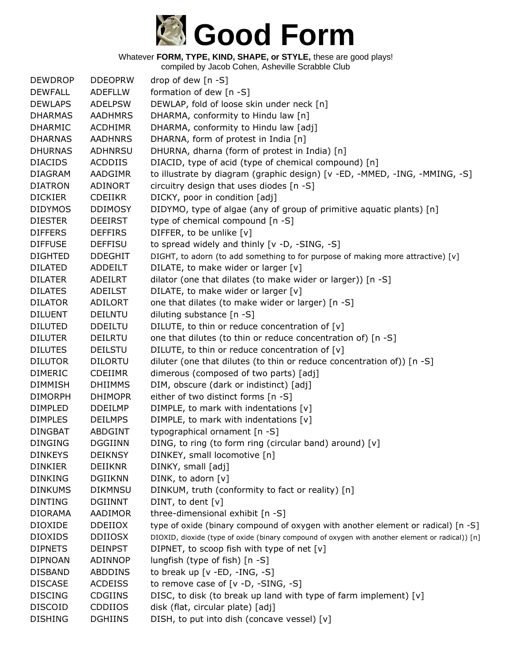

| <b>DEWDROP</b> | <b>DDEOPRW</b> | drop of dew $[n - S]$                                                                           |
|----------------|----------------|-------------------------------------------------------------------------------------------------|
| <b>DEWFALL</b> | <b>ADEFLLW</b> | formation of dew [n -S]                                                                         |
| <b>DEWLAPS</b> | <b>ADELPSW</b> | DEWLAP, fold of loose skin under neck [n]                                                       |
| <b>DHARMAS</b> | <b>AADHMRS</b> | DHARMA, conformity to Hindu law [n]                                                             |
| <b>DHARMIC</b> | <b>ACDHIMR</b> | DHARMA, conformity to Hindu law [adj]                                                           |
| <b>DHARNAS</b> | <b>AADHNRS</b> | DHARNA, form of protest in India [n]                                                            |
| <b>DHURNAS</b> | ADHNRSU        | DHURNA, dharna (form of protest in India) [n]                                                   |
| <b>DIACIDS</b> | <b>ACDDIIS</b> | DIACID, type of acid (type of chemical compound) [n]                                            |
| <b>DIAGRAM</b> | AADGIMR        | to illustrate by diagram (graphic design) [v -ED, -MMED, -ING, -MMING, -S]                      |
| <b>DIATRON</b> | <b>ADINORT</b> | circuitry design that uses diodes [n -S]                                                        |
| <b>DICKIER</b> | <b>CDEIIKR</b> | DICKY, poor in condition [adj]                                                                  |
| <b>DIDYMOS</b> | <b>DDIMOSY</b> | DIDYMO, type of algae (any of group of primitive aquatic plants) [n]                            |
| <b>DIESTER</b> | <b>DEEIRST</b> | type of chemical compound [n -S]                                                                |
| <b>DIFFERS</b> | <b>DEFFIRS</b> | DIFFER, to be unlike [v]                                                                        |
| <b>DIFFUSE</b> | <b>DEFFISU</b> | to spread widely and thinly [v -D, -SING, -S]                                                   |
| <b>DIGHTED</b> | <b>DDEGHIT</b> | DIGHT, to adorn (to add something to for purpose of making more attractive) [v]                 |
| <b>DILATED</b> | ADDEILT        | DILATE, to make wider or larger [v]                                                             |
| <b>DILATER</b> | ADEILRT        | dilator (one that dilates (to make wider or larger)) [n -S]                                     |
| <b>DILATES</b> | <b>ADEILST</b> | DILATE, to make wider or larger [v]                                                             |
| <b>DILATOR</b> | ADILORT        | one that dilates (to make wider or larger) [n -S]                                               |
| <b>DILUENT</b> | <b>DEILNTU</b> | diluting substance [n -S]                                                                       |
| <b>DILUTED</b> | <b>DDEILTU</b> | DILUTE, to thin or reduce concentration of [v]                                                  |
| <b>DILUTER</b> | DEILRTU        | one that dilutes (to thin or reduce concentration of) [n -S]                                    |
| <b>DILUTES</b> | <b>DEILSTU</b> | DILUTE, to thin or reduce concentration of [v]                                                  |
| <b>DILUTOR</b> | <b>DILORTU</b> | diluter (one that dilutes (to thin or reduce concentration of)) $[n -S]$                        |
| <b>DIMERIC</b> | <b>CDEIIMR</b> | dimerous (composed of two parts) [adj]                                                          |
| <b>DIMMISH</b> | <b>DHIIMMS</b> | DIM, obscure (dark or indistinct) [adj]                                                         |
| <b>DIMORPH</b> | <b>DHIMOPR</b> | either of two distinct forms [n -S]                                                             |
| <b>DIMPLED</b> | <b>DDEILMP</b> | DIMPLE, to mark with indentations [v]                                                           |
| <b>DIMPLES</b> | <b>DEILMPS</b> | DIMPLE, to mark with indentations [v]                                                           |
| <b>DINGBAT</b> | <b>ABDGINT</b> | typographical ornament [n -S]                                                                   |
| <b>DINGING</b> | <b>DGGIINN</b> | DING, to ring (to form ring (circular band) around) [v]                                         |
| <b>DINKEYS</b> | <b>DEIKNSY</b> | DINKEY, small locomotive [n]                                                                    |
| <b>DINKIER</b> | <b>DEIIKNR</b> | DINKY, small [adj]                                                                              |
| <b>DINKING</b> | <b>DGIIKNN</b> | DINK, to adorn [v]                                                                              |
| <b>DINKUMS</b> | <b>DIKMNSU</b> | DINKUM, truth (conformity to fact or reality) [n]                                               |
| <b>DINTING</b> | <b>DGIINNT</b> | DINT, to dent [v]                                                                               |
| <b>DIORAMA</b> | AADIMOR        | three-dimensional exhibit [n -S]                                                                |
| <b>DIOXIDE</b> | <b>DDEIIOX</b> | type of oxide (binary compound of oxygen with another element or radical) [n -S]                |
| <b>DIOXIDS</b> | <b>DDIIOSX</b> | DIOXID, dioxide (type of oxide (binary compound of oxygen with another element or radical)) [n] |
| <b>DIPNETS</b> | <b>DEINPST</b> | DIPNET, to scoop fish with type of net [v]                                                      |
| <b>DIPNOAN</b> | <b>ADINNOP</b> | lungfish (type of fish) [n -S]                                                                  |
| <b>DISBAND</b> | <b>ABDDINS</b> | to break up $[v - ED, -ING, -S]$                                                                |
| <b>DISCASE</b> | <b>ACDEISS</b> | to remove case of $[v -D, -SING, -S]$                                                           |
| <b>DISCING</b> | <b>CDGIINS</b> | DISC, to disk (to break up land with type of farm implement) [v]                                |
| <b>DISCOID</b> | <b>CDDIIOS</b> | disk (flat, circular plate) [adj]                                                               |
| <b>DISHING</b> | <b>DGHIINS</b> | DISH, to put into dish (concave vessel) [v]                                                     |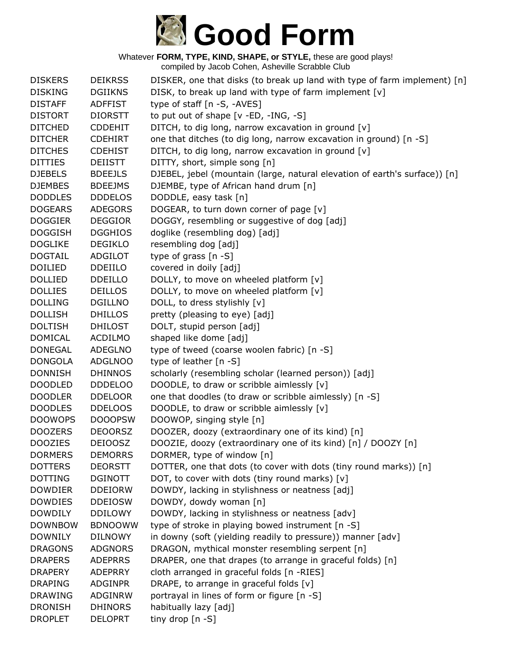

| <b>DISKERS</b>                   | <b>DEIKRSS</b> | DISKER, one that disks (to break up land with type of farm implement) [n]  |
|----------------------------------|----------------|----------------------------------------------------------------------------|
| <b>DISKING</b>                   | <b>DGIIKNS</b> | DISK, to break up land with type of farm implement [v]                     |
| <b>DISTAFF</b>                   | <b>ADFFIST</b> | type of staff [n -S, -AVES]                                                |
| <b>DISTORT</b>                   | <b>DIORSTT</b> | to put out of shape $[v - ED, -ING, -S]$                                   |
| <b>DITCHED</b>                   | <b>CDDEHIT</b> | DITCH, to dig long, narrow excavation in ground [v]                        |
| <b>DITCHER</b>                   | <b>CDEHIRT</b> | one that ditches (to dig long, narrow excavation in ground) [n -S]         |
| <b>DITCHES</b>                   | <b>CDEHIST</b> | DITCH, to dig long, narrow excavation in ground [v]                        |
| <b>DITTIES</b>                   | <b>DEIISTT</b> | DITTY, short, simple song [n]                                              |
| <b>DJEBELS</b>                   | <b>BDEEJLS</b> | DJEBEL, jebel (mountain (large, natural elevation of earth's surface)) [n] |
| <b>DJEMBES</b>                   | <b>BDEEJMS</b> | DJEMBE, type of African hand drum [n]                                      |
| <b>DODDLES</b>                   | <b>DDDELOS</b> | DODDLE, easy task [n]                                                      |
| <b>DOGEARS</b>                   | <b>ADEGORS</b> | DOGEAR, to turn down corner of page [v]                                    |
| <b>DOGGIER</b>                   | <b>DEGGIOR</b> | DOGGY, resembling or suggestive of dog [adj]                               |
| <b>DOGGISH</b>                   | <b>DGGHIOS</b> | doglike (resembling dog) [adj]                                             |
| <b>DOGLIKE</b>                   | <b>DEGIKLO</b> | resembling dog [adj]                                                       |
| <b>DOGTAIL</b>                   | <b>ADGILOT</b> | type of grass $[n - S]$                                                    |
| <b>DOILIED</b>                   | <b>DDEIILO</b> | covered in doily [adj]                                                     |
| <b>DOLLIED</b>                   | <b>DDEILLO</b> | DOLLY, to move on wheeled platform [v]                                     |
| <b>DOLLIES</b>                   | <b>DEILLOS</b> | DOLLY, to move on wheeled platform [v]                                     |
| <b>DOLLING</b>                   | <b>DGILLNO</b> | DOLL, to dress stylishly [v]                                               |
| <b>DOLLISH</b>                   | <b>DHILLOS</b> | pretty (pleasing to eye) [adj]                                             |
| <b>DOLTISH</b>                   | <b>DHILOST</b> | DOLT, stupid person [adj]                                                  |
| <b>DOMICAL</b>                   | ACDILMO        | shaped like dome [adj]                                                     |
| <b>DONEGAL</b>                   | <b>ADEGLNO</b> | type of tweed (coarse woolen fabric) [n -S]                                |
| <b>DONGOLA</b>                   | <b>ADGLNOO</b> | type of leather [n -S]                                                     |
| <b>DONNISH</b>                   | <b>DHINNOS</b> | scholarly (resembling scholar (learned person)) [adj]                      |
| <b>DOODLED</b>                   | <b>DDDELOO</b> | DOODLE, to draw or scribble aimlessly [v]                                  |
| <b>DOODLER</b>                   | <b>DDELOOR</b> | one that doodles (to draw or scribble aimlessly) [n -S]                    |
| <b>DOODLES</b>                   | <b>DDELOOS</b> | DOODLE, to draw or scribble aimlessly [v]                                  |
| <b>DOOWOPS</b>                   | <b>DOOOPSW</b> | DOOWOP, singing style [n]                                                  |
| <b>DOOZERS</b>                   | <b>DEOORSZ</b> | DOOZER, doozy (extraordinary one of its kind) [n]                          |
| <b>DOOZIES</b>                   | <b>DEIOOSZ</b> | DOOZIE, doozy (extraordinary one of its kind) [n] / DOOZY [n]              |
| <b>DORMERS</b>                   | <b>DEMORRS</b> | DORMER, type of window [n]                                                 |
| <b>DOTTERS</b>                   | <b>DEORSTT</b> | DOTTER, one that dots (to cover with dots (tiny round marks)) [n]          |
| <b>DOTTING</b>                   | <b>DGINOTT</b> | DOT, to cover with dots (tiny round marks) [v]                             |
| <b>DOWDIER</b>                   | <b>DDEIORW</b> | DOWDY, lacking in stylishness or neatness [adj]                            |
| <b>DOWDIES</b>                   | <b>DDEIOSW</b> | DOWDY, dowdy woman [n]                                                     |
| <b>DOWDILY</b>                   | <b>DDILOWY</b> | DOWDY, lacking in stylishness or neatness [adv]                            |
| <b>DOWNBOW</b>                   | <b>BDNOOWW</b> | type of stroke in playing bowed instrument [n -S]                          |
| <b>DOWNILY</b><br><b>DRAGONS</b> | <b>DILNOWY</b> | in downy (soft (yielding readily to pressure)) manner [adv]                |
|                                  | <b>ADGNORS</b> | DRAGON, mythical monster resembling serpent [n]                            |
| <b>DRAPERS</b>                   | <b>ADEPRRS</b> | DRAPER, one that drapes (to arrange in graceful folds) [n]                 |
| <b>DRAPERY</b>                   | <b>ADEPRRY</b> | cloth arranged in graceful folds [n -RIES]                                 |
| <b>DRAPING</b>                   | <b>ADGINPR</b> | DRAPE, to arrange in graceful folds [v]                                    |
| <b>DRAWING</b><br><b>DRONISH</b> | <b>ADGINRW</b> | portrayal in lines of form or figure [n -S]                                |
|                                  | <b>DHINORS</b> | habitually lazy [adj]                                                      |
| <b>DROPLET</b>                   | <b>DELOPRT</b> | tiny drop [n -S]                                                           |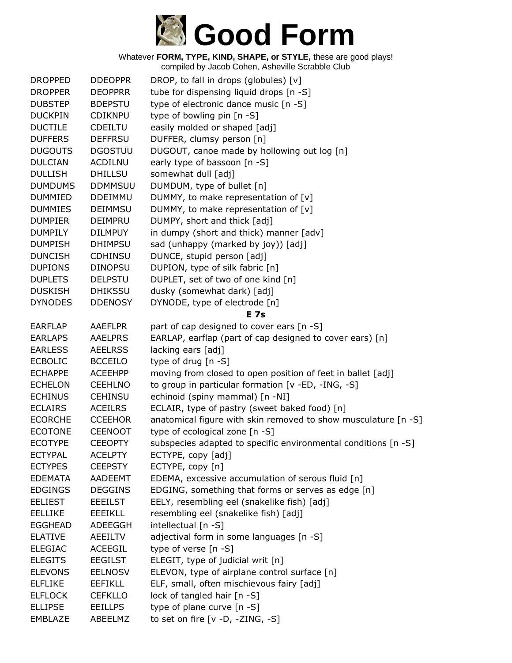

| DROP, to fall in drops (globules) [v]<br><b>DROPPED</b><br><b>DDEOPPR</b><br><b>DROPPER</b><br><b>DEOPPRR</b><br>tube for dispensing liquid drops [n -S]<br>type of electronic dance music [n -S]<br><b>DUBSTEP</b><br><b>BDEPSTU</b><br>type of bowling pin [n -S]<br><b>DUCKPIN</b><br><b>CDIKNPU</b><br><b>DUCTILE</b><br>easily molded or shaped [adj]<br><b>CDEILTU</b><br>DUFFER, clumsy person [n]<br><b>DUFFERS</b><br><b>DEFFRSU</b><br>DUGOUT, canoe made by hollowing out log [n]<br><b>DUGOUTS</b><br><b>DGOSTUU</b><br>early type of bassoon [n -S] |  |
|------------------------------------------------------------------------------------------------------------------------------------------------------------------------------------------------------------------------------------------------------------------------------------------------------------------------------------------------------------------------------------------------------------------------------------------------------------------------------------------------------------------------------------------------------------------|--|
|                                                                                                                                                                                                                                                                                                                                                                                                                                                                                                                                                                  |  |
|                                                                                                                                                                                                                                                                                                                                                                                                                                                                                                                                                                  |  |
|                                                                                                                                                                                                                                                                                                                                                                                                                                                                                                                                                                  |  |
|                                                                                                                                                                                                                                                                                                                                                                                                                                                                                                                                                                  |  |
|                                                                                                                                                                                                                                                                                                                                                                                                                                                                                                                                                                  |  |
|                                                                                                                                                                                                                                                                                                                                                                                                                                                                                                                                                                  |  |
| <b>DULCIAN</b><br><b>ACDILNU</b>                                                                                                                                                                                                                                                                                                                                                                                                                                                                                                                                 |  |
| somewhat dull [adj]<br><b>DULLISH</b><br><b>DHILLSU</b>                                                                                                                                                                                                                                                                                                                                                                                                                                                                                                          |  |
| <b>DUMDUMS</b><br><b>DDMMSUU</b><br>DUMDUM, type of bullet [n]                                                                                                                                                                                                                                                                                                                                                                                                                                                                                                   |  |
| <b>DUMMIED</b><br><b>DDEIMMU</b><br>DUMMY, to make representation of [v]                                                                                                                                                                                                                                                                                                                                                                                                                                                                                         |  |
| DUMMY, to make representation of $[v]$<br><b>DUMMIES</b><br><b>DEIMMSU</b>                                                                                                                                                                                                                                                                                                                                                                                                                                                                                       |  |
| DUMPY, short and thick [adj]<br><b>DUMPIER</b><br><b>DEIMPRU</b>                                                                                                                                                                                                                                                                                                                                                                                                                                                                                                 |  |
| <b>DUMPILY</b><br><b>DILMPUY</b><br>in dumpy (short and thick) manner [adv]                                                                                                                                                                                                                                                                                                                                                                                                                                                                                      |  |
| sad (unhappy (marked by joy)) [adj]<br><b>DUMPISH</b><br><b>DHIMPSU</b>                                                                                                                                                                                                                                                                                                                                                                                                                                                                                          |  |
| DUNCE, stupid person [adj]<br><b>DUNCISH</b><br><b>CDHINSU</b>                                                                                                                                                                                                                                                                                                                                                                                                                                                                                                   |  |
| DUPION, type of silk fabric [n]<br><b>DUPIONS</b><br><b>DINOPSU</b>                                                                                                                                                                                                                                                                                                                                                                                                                                                                                              |  |
| DUPLET, set of two of one kind [n]<br><b>DUPLETS</b><br><b>DELPSTU</b>                                                                                                                                                                                                                                                                                                                                                                                                                                                                                           |  |
| dusky (somewhat dark) [adj]<br><b>DUSKISH</b><br><b>DHIKSSU</b>                                                                                                                                                                                                                                                                                                                                                                                                                                                                                                  |  |
| <b>DYNODES</b><br><b>DDENOSY</b><br>DYNODE, type of electrode [n]                                                                                                                                                                                                                                                                                                                                                                                                                                                                                                |  |
| <b>E</b> 7s                                                                                                                                                                                                                                                                                                                                                                                                                                                                                                                                                      |  |
| part of cap designed to cover ears [n -S]<br><b>EARFLAP</b><br><b>AAEFLPR</b>                                                                                                                                                                                                                                                                                                                                                                                                                                                                                    |  |
| EARLAP, earflap (part of cap designed to cover ears) [n]<br><b>EARLAPS</b><br><b>AAELPRS</b>                                                                                                                                                                                                                                                                                                                                                                                                                                                                     |  |
| lacking ears [adj]<br><b>EARLESS</b><br><b>AEELRSS</b>                                                                                                                                                                                                                                                                                                                                                                                                                                                                                                           |  |
| <b>ECBOLIC</b><br>type of drug $[n - S]$<br><b>BCCEILO</b>                                                                                                                                                                                                                                                                                                                                                                                                                                                                                                       |  |
| <b>ECHAPPE</b><br>moving from closed to open position of feet in ballet [adj]<br><b>ACEEHPP</b>                                                                                                                                                                                                                                                                                                                                                                                                                                                                  |  |
| to group in particular formation [v -ED, -ING, -S]<br><b>ECHELON</b><br><b>CEEHLNO</b>                                                                                                                                                                                                                                                                                                                                                                                                                                                                           |  |
| echinoid (spiny mammal) [n -NI]<br><b>ECHINUS</b><br><b>CEHINSU</b>                                                                                                                                                                                                                                                                                                                                                                                                                                                                                              |  |
| <b>ECLAIRS</b><br>ECLAIR, type of pastry (sweet baked food) [n]<br><b>ACEILRS</b>                                                                                                                                                                                                                                                                                                                                                                                                                                                                                |  |
| anatomical figure with skin removed to show musculature [n -S]<br><b>ECORCHE</b><br><b>CCEEHOR</b>                                                                                                                                                                                                                                                                                                                                                                                                                                                               |  |
| <b>ECOTONE</b><br><b>CEENOOT</b><br>type of ecological zone [n -S]                                                                                                                                                                                                                                                                                                                                                                                                                                                                                               |  |
| subspecies adapted to specific environmental conditions [n -S]<br><b>ECOTYPE</b><br><b>CEEOPTY</b>                                                                                                                                                                                                                                                                                                                                                                                                                                                               |  |
| <b>ECTYPAL</b><br><b>ACELPTY</b><br>ECTYPE, copy [adj]                                                                                                                                                                                                                                                                                                                                                                                                                                                                                                           |  |
| <b>ECTYPES</b><br><b>CEEPSTY</b><br>ECTYPE, copy [n]                                                                                                                                                                                                                                                                                                                                                                                                                                                                                                             |  |
| EDEMA, excessive accumulation of serous fluid [n]<br><b>EDEMATA</b><br><b>AADEEMT</b>                                                                                                                                                                                                                                                                                                                                                                                                                                                                            |  |
| <b>EDGINGS</b><br>EDGING, something that forms or serves as edge [n]<br><b>DEGGINS</b>                                                                                                                                                                                                                                                                                                                                                                                                                                                                           |  |
| EELY, resembling eel (snakelike fish) [adj]<br><b>EELIEST</b><br><b>EEEILST</b>                                                                                                                                                                                                                                                                                                                                                                                                                                                                                  |  |
| <b>EEEIKLL</b><br>resembling eel (snakelike fish) [adj]<br><b>EELLIKE</b>                                                                                                                                                                                                                                                                                                                                                                                                                                                                                        |  |
| intellectual [n -S]<br><b>EGGHEAD</b><br>ADEEGGH                                                                                                                                                                                                                                                                                                                                                                                                                                                                                                                 |  |
| adjectival form in some languages [n -S]<br><b>ELATIVE</b><br><b>AEEILTV</b>                                                                                                                                                                                                                                                                                                                                                                                                                                                                                     |  |
| type of verse [n -S]<br><b>ELEGIAC</b><br>ACEEGIL                                                                                                                                                                                                                                                                                                                                                                                                                                                                                                                |  |
| <b>ELEGITS</b><br>ELEGIT, type of judicial writ [n]<br><b>EEGILST</b>                                                                                                                                                                                                                                                                                                                                                                                                                                                                                            |  |
| <b>ELEVONS</b><br>ELEVON, type of airplane control surface [n]<br><b>EELNOSV</b>                                                                                                                                                                                                                                                                                                                                                                                                                                                                                 |  |
| ELF, small, often mischievous fairy [adj]<br><b>ELFLIKE</b><br><b>EEFIKLL</b>                                                                                                                                                                                                                                                                                                                                                                                                                                                                                    |  |
| lock of tangled hair [n -S]<br><b>ELFLOCK</b><br><b>CEFKLLO</b>                                                                                                                                                                                                                                                                                                                                                                                                                                                                                                  |  |
| type of plane curve [n -S]<br><b>ELLIPSE</b><br><b>EEILLPS</b>                                                                                                                                                                                                                                                                                                                                                                                                                                                                                                   |  |
| to set on fire $[v -D, -ZING, -S]$<br>EMBLAZE<br>ABEELMZ                                                                                                                                                                                                                                                                                                                                                                                                                                                                                                         |  |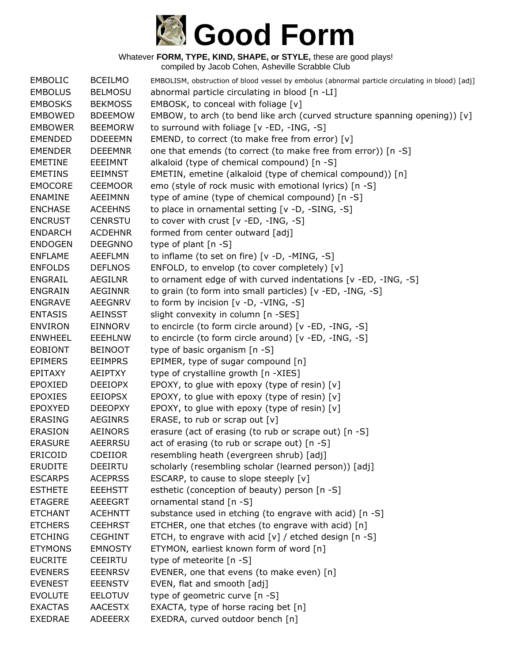

| <b>EMBOLIC</b> | <b>BCEILMO</b> | EMBOLISM, obstruction of blood vessel by embolus (abnormal particle circulating in blood) [adj] |
|----------------|----------------|-------------------------------------------------------------------------------------------------|
| <b>EMBOLUS</b> | <b>BELMOSU</b> | abnormal particle circulating in blood [n -LI]                                                  |
| <b>EMBOSKS</b> | <b>BEKMOSS</b> | EMBOSK, to conceal with foliage [v]                                                             |
| <b>EMBOWED</b> | <b>BDEEMOW</b> | EMBOW, to arch (to bend like arch (curved structure spanning opening)) [v]                      |
| <b>EMBOWER</b> | <b>BEEMORW</b> | to surround with foliage [v -ED, -ING, -S]                                                      |
| <b>EMENDED</b> | <b>DDEEEMN</b> | EMEND, to correct (to make free from error) [v]                                                 |
| <b>EMENDER</b> | <b>DEEEMNR</b> | one that emends (to correct (to make free from error)) [n -S]                                   |
| <b>EMETINE</b> | <b>EEEIMNT</b> | alkaloid (type of chemical compound) [n -S]                                                     |
| <b>EMETINS</b> | <b>EEIMNST</b> | EMETIN, emetine (alkaloid (type of chemical compound)) [n]                                      |
| <b>EMOCORE</b> | <b>CEEMOOR</b> | emo (style of rock music with emotional lyrics) [n -S]                                          |
| <b>ENAMINE</b> | AEEIMNN        | type of amine (type of chemical compound) [n -S]                                                |
| <b>ENCHASE</b> | <b>ACEEHNS</b> | to place in ornamental setting [v -D, -SING, -S]                                                |
| <b>ENCRUST</b> | <b>CENRSTU</b> | to cover with crust [v -ED, -ING, -S]                                                           |
| <b>ENDARCH</b> | <b>ACDEHNR</b> | formed from center outward [adj]                                                                |
| <b>ENDOGEN</b> | <b>DEEGNNO</b> | type of plant [n -S]                                                                            |
| <b>ENFLAME</b> | <b>AEEFLMN</b> | to inflame (to set on fire) [v -D, -MING, -S]                                                   |
| <b>ENFOLDS</b> | <b>DEFLNOS</b> | ENFOLD, to envelop (to cover completely) [v]                                                    |
| <b>ENGRAIL</b> | <b>AEGILNR</b> | to ornament edge of with curved indentations [v -ED, -ING, -S]                                  |
| <b>ENGRAIN</b> | <b>AEGINNR</b> | to grain (to form into small particles) [v -ED, -ING, -S]                                       |
| <b>ENGRAVE</b> | <b>AEEGNRV</b> | to form by incision [v -D, -VING, -S]                                                           |
| <b>ENTASIS</b> | <b>AEINSST</b> | slight convexity in column [n -SES]                                                             |
| <b>ENVIRON</b> | <b>EINNORV</b> | to encircle (to form circle around) [v -ED, -ING, -S]                                           |
| <b>ENWHEEL</b> | <b>EEEHLNW</b> | to encircle (to form circle around) [v -ED, -ING, -S]                                           |
| <b>EOBIONT</b> | <b>BEINOOT</b> | type of basic organism [n -S]                                                                   |
| <b>EPIMERS</b> | <b>EEIMPRS</b> | EPIMER, type of sugar compound [n]                                                              |
| <b>EPITAXY</b> | AEIPTXY        | type of crystalline growth [n -XIES]                                                            |
| <b>EPOXIED</b> | <b>DEEIOPX</b> | EPOXY, to glue with epoxy (type of resin) [v]                                                   |
| <b>EPOXIES</b> | <b>EEIOPSX</b> | EPOXY, to glue with epoxy (type of resin) [v]                                                   |
| <b>EPOXYED</b> | <b>DEEOPXY</b> | EPOXY, to glue with epoxy (type of resin) $[v]$                                                 |
| <b>ERASING</b> | <b>AEGINRS</b> | ERASE, to rub or scrap out $[v]$                                                                |
| <b>ERASION</b> | <b>AEINORS</b> | erasure (act of erasing (to rub or scrape out) [n -S]                                           |
| <b>ERASURE</b> | <b>AEERRSU</b> | act of erasing (to rub or scrape out) [n -S]                                                    |
| ERICOID        | <b>CDEIIOR</b> | resembling heath (evergreen shrub) [adj]                                                        |
| <b>ERUDITE</b> | <b>DEEIRTU</b> | scholarly (resembling scholar (learned person)) [adj]                                           |
| <b>ESCARPS</b> | <b>ACEPRSS</b> | ESCARP, to cause to slope steeply $[v]$                                                         |
| <b>ESTHETE</b> | <b>EEEHSTT</b> | esthetic (conception of beauty) person [n -S]                                                   |
| <b>ETAGERE</b> | <b>AEEEGRT</b> | ornamental stand [n -S]                                                                         |
| <b>ETCHANT</b> | <b>ACEHNTT</b> | substance used in etching (to engrave with acid) [n -S]                                         |
| <b>ETCHERS</b> | <b>CEEHRST</b> | ETCHER, one that etches (to engrave with acid) [n]                                              |
| <b>ETCHING</b> | <b>CEGHINT</b> | ETCH, to engrave with acid $[v]$ / etched design $[n - S]$                                      |
| <b>ETYMONS</b> | <b>EMNOSTY</b> | ETYMON, earliest known form of word [n]                                                         |
| <b>EUCRITE</b> | <b>CEEIRTU</b> | type of meteorite [n -S]                                                                        |
| <b>EVENERS</b> | <b>EEENRSV</b> | EVENER, one that evens (to make even) [n]                                                       |
| <b>EVENEST</b> | <b>EEENSTV</b> | EVEN, flat and smooth [adj]                                                                     |
| <b>EVOLUTE</b> | <b>EELOTUV</b> | type of geometric curve [n -S]                                                                  |
| <b>EXACTAS</b> | <b>AACESTX</b> | EXACTA, type of horse racing bet [n]                                                            |
| <b>EXEDRAE</b> | <b>ADEEERX</b> | EXEDRA, curved outdoor bench [n]                                                                |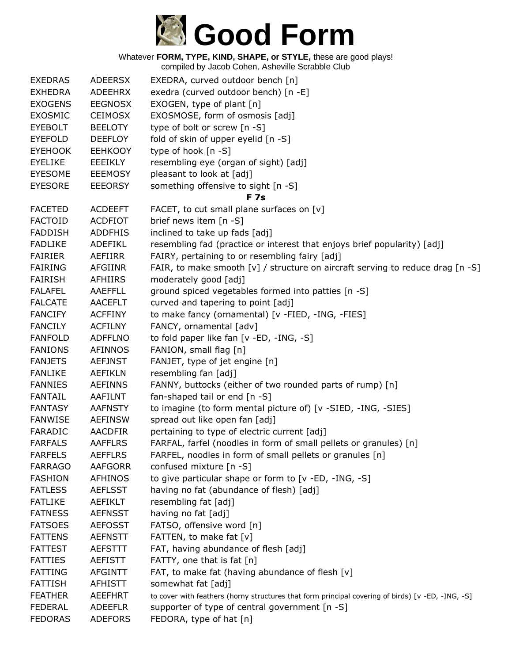

| <b>EXEDRAS</b> | <b>ADEERSX</b> | EXEDRA, curved outdoor bench [n]                                                                  |
|----------------|----------------|---------------------------------------------------------------------------------------------------|
| <b>EXHEDRA</b> | ADEEHRX        | exedra (curved outdoor bench) [n -E]                                                              |
| <b>EXOGENS</b> | <b>EEGNOSX</b> | EXOGEN, type of plant [n]                                                                         |
| <b>EXOSMIC</b> | <b>CEIMOSX</b> | EXOSMOSE, form of osmosis [adj]                                                                   |
| <b>EYEBOLT</b> | <b>BEELOTY</b> | type of bolt or screw [n -S]                                                                      |
| <b>EYEFOLD</b> | <b>DEEFLOY</b> | fold of skin of upper eyelid [n -S]                                                               |
| <b>EYEHOOK</b> | <b>EEHKOOY</b> | type of hook [n -S]                                                                               |
| <b>EYELIKE</b> | EEEIKLY        | resembling eye (organ of sight) [adj]                                                             |
| <b>EYESOME</b> | <b>EEEMOSY</b> | pleasant to look at [adj]                                                                         |
| <b>EYESORE</b> | <b>EEEORSY</b> | something offensive to sight [n -S]                                                               |
|                |                | <b>F7s</b>                                                                                        |
| <b>FACETED</b> | <b>ACDEEFT</b> | FACET, to cut small plane surfaces on [v]                                                         |
| <b>FACTOID</b> | <b>ACDFIOT</b> | brief news item [n -S]                                                                            |
| <b>FADDISH</b> | <b>ADDFHIS</b> | inclined to take up fads [adj]                                                                    |
| <b>FADLIKE</b> | ADEFIKL        | resembling fad (practice or interest that enjoys brief popularity) [adj]                          |
| <b>FAIRIER</b> | AEFIIRR        | FAIRY, pertaining to or resembling fairy [adj]                                                    |
| <b>FAIRING</b> | AFGIINR        | FAIR, to make smooth [v] / structure on aircraft serving to reduce drag [n -S]                    |
| <b>FAIRISH</b> | AFHIIRS        | moderately good [adj]                                                                             |
| <b>FALAFEL</b> | AAEFFLL        | ground spiced vegetables formed into patties [n -S]                                               |
| <b>FALCATE</b> | <b>AACEFLT</b> | curved and tapering to point [adj]                                                                |
| <b>FANCIFY</b> | <b>ACFFINY</b> | to make fancy (ornamental) [v -FIED, -ING, -FIES]                                                 |
| <b>FANCILY</b> | <b>ACFILNY</b> | FANCY, ornamental [adv]                                                                           |
| <b>FANFOLD</b> | <b>ADFFLNO</b> | to fold paper like fan [v -ED, -ING, -S]                                                          |
| <b>FANIONS</b> | <b>AFINNOS</b> | FANION, small flag [n]                                                                            |
| <b>FANJETS</b> | <b>AEFJNST</b> | FANJET, type of jet engine [n]                                                                    |
| <b>FANLIKE</b> | AEFIKLN        | resembling fan [adj]                                                                              |
| <b>FANNIES</b> | <b>AEFINNS</b> | FANNY, buttocks (either of two rounded parts of rump) [n]                                         |
| <b>FANTAIL</b> | AAFILNT        | fan-shaped tail or end [n -S]                                                                     |
| <b>FANTASY</b> | <b>AAFNSTY</b> | to imagine (to form mental picture of) [v -SIED, -ING, -SIES]                                     |
| <b>FANWISE</b> | <b>AEFINSW</b> | spread out like open fan [adj]                                                                    |
| FARADIC        | <b>AACDFIR</b> | pertaining to type of electric current [adj]                                                      |
| <b>FARFALS</b> | <b>AAFFLRS</b> | FARFAL, farfel (noodles in form of small pellets or granules) [n]                                 |
| <b>FARFELS</b> | <b>AEFFLRS</b> | FARFEL, noodles in form of small pellets or granules [n]                                          |
| <b>FARRAGO</b> | <b>AAFGORR</b> | confused mixture [n -S]                                                                           |
| <b>FASHION</b> | <b>AFHINOS</b> | to give particular shape or form to [v -ED, -ING, -S]                                             |
| <b>FATLESS</b> | <b>AEFLSST</b> | having no fat (abundance of flesh) [adj]                                                          |
| <b>FATLIKE</b> | AEFIKLT        | resembling fat [adj]                                                                              |
| <b>FATNESS</b> | <b>AEFNSST</b> | having no fat [adj]                                                                               |
| <b>FATSOES</b> | <b>AEFOSST</b> | FATSO, offensive word [n]                                                                         |
| <b>FATTENS</b> | <b>AEFNSTT</b> | FATTEN, to make fat [v]                                                                           |
| <b>FATTEST</b> | AEFSTTT        | FAT, having abundance of flesh [adj]                                                              |
| <b>FATTIES</b> | <b>AEFISTT</b> | FATTY, one that is fat [n]                                                                        |
| <b>FATTING</b> | <b>AFGINTT</b> | FAT, to make fat (having abundance of flesh [v]                                                   |
| <b>FATTISH</b> | AFHISTT        | somewhat fat [adj]                                                                                |
| <b>FEATHER</b> | <b>AEEFHRT</b> | to cover with feathers (horny structures that form principal covering of birds) [v -ED, -ING, -S] |
| <b>FEDERAL</b> | <b>ADEEFLR</b> | supporter of type of central government [n -S]                                                    |
| <b>FEDORAS</b> | <b>ADEFORS</b> | FEDORA, type of hat [n]                                                                           |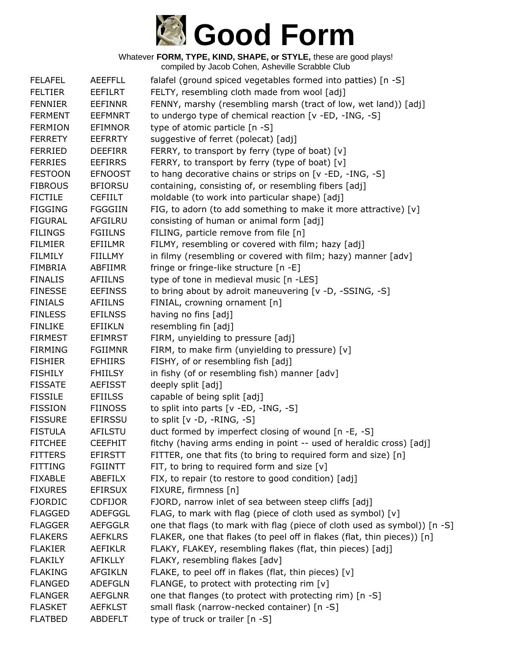

Whatever **FORM, TYPE, KIND, SHAPE, or STYLE,** these are good plays! compiled by Jacob Cohen, Asheville Scrabble Club

| <b>FELAFEL</b> | <b>AEEFFLL</b> | falafel (ground spiced vegetables formed into patties) [n -S]             |
|----------------|----------------|---------------------------------------------------------------------------|
| <b>FELTIER</b> | <b>EEFILRT</b> | FELTY, resembling cloth made from wool [adj]                              |
| <b>FENNIER</b> | <b>EEFINNR</b> | FENNY, marshy (resembling marsh (tract of low, wet land)) [adj]           |
| <b>FERMENT</b> | <b>EEFMNRT</b> | to undergo type of chemical reaction [v -ED, -ING, -S]                    |
| <b>FERMION</b> | <b>EFIMNOR</b> | type of atomic particle [n -S]                                            |
| <b>FERRETY</b> | <b>EEFRRTY</b> | suggestive of ferret (polecat) [adj]                                      |
| <b>FERRIED</b> | <b>DEEFIRR</b> | FERRY, to transport by ferry (type of boat) [v]                           |
| <b>FERRIES</b> | <b>EEFIRRS</b> | FERRY, to transport by ferry (type of boat) [v]                           |
| <b>FESTOON</b> | <b>EFNOOST</b> | to hang decorative chains or strips on [v -ED, -ING, -S]                  |
| <b>FIBROUS</b> | <b>BFIORSU</b> | containing, consisting of, or resembling fibers [adj]                     |
| <b>FICTILE</b> | <b>CEFIILT</b> | moldable (to work into particular shape) [adj]                            |
| <b>FIGGING</b> | <b>FGGGIIN</b> | FIG, to adorn (to add something to make it more attractive) [v]           |
| <b>FIGURAL</b> | <b>AFGILRU</b> | consisting of human or animal form [adj]                                  |
| <b>FILINGS</b> | <b>FGIILNS</b> | FILING, particle remove from file [n]                                     |
| <b>FILMIER</b> | EFIILMR        | FILMY, resembling or covered with film; hazy [adj]                        |
| <b>FILMILY</b> | <b>FIILLMY</b> | in filmy (resembling or covered with film; hazy) manner [adv]             |
| <b>FIMBRIA</b> | ABFIIMR        | fringe or fringe-like structure [n -E]                                    |
| <b>FINALIS</b> | <b>AFIILNS</b> | type of tone in medieval music [n -LES]                                   |
| <b>FINESSE</b> | <b>EEFINSS</b> | to bring about by adroit maneuvering [v -D, -SSING, -S]                   |
| <b>FINIALS</b> | <b>AFIILNS</b> | FINIAL, crowning ornament [n]                                             |
| <b>FINLESS</b> | <b>EFILNSS</b> | having no fins [adj]                                                      |
| <b>FINLIKE</b> | <b>EFIIKLN</b> | resembling fin [adj]                                                      |
| <b>FIRMEST</b> | <b>EFIMRST</b> | FIRM, unyielding to pressure [adj]                                        |
| <b>FIRMING</b> | <b>FGIIMNR</b> | FIRM, to make firm (unyielding to pressure) [v]                           |
| <b>FISHIER</b> | <b>EFHIIRS</b> | FISHY, of or resembling fish [adj]                                        |
| <b>FISHILY</b> | <b>FHIILSY</b> | in fishy (of or resembling fish) manner [adv]                             |
| <b>FISSATE</b> | <b>AEFISST</b> | deeply split [adj]                                                        |
| <b>FISSILE</b> | <b>EFIILSS</b> | capable of being split [adj]                                              |
| <b>FISSION</b> | <b>FIINOSS</b> | to split into parts [v -ED, -ING, -S]                                     |
| <b>FISSURE</b> | <b>EFIRSSU</b> | to split $[v -D, -RING, -S]$                                              |
| <b>FISTULA</b> | AFILSTU        | duct formed by imperfect closing of wound [n -E, -S]                      |
| <b>FITCHEE</b> | <b>CEEFHIT</b> | fitchy (having arms ending in point -- used of heraldic cross) [adj]      |
| <b>FITTERS</b> | <b>EFIRSTT</b> | FITTER, one that fits (to bring to required form and size) [n]            |
| <b>FITTING</b> | <b>FGIINTT</b> | FIT, to bring to required form and size $[v]$                             |
| <b>FIXABLE</b> | ABEFILX        | FIX, to repair (to restore to good condition) [adj]                       |
| <b>FIXURES</b> | <b>EFIRSUX</b> | FIXURE, firmness [n]                                                      |
| <b>FJORDIC</b> | <b>CDFIJOR</b> | FJORD, narrow inlet of sea between steep cliffs [adj]                     |
| <b>FLAGGED</b> | ADEFGGL        | FLAG, to mark with flag (piece of cloth used as symbol) [v]               |
| <b>FLAGGER</b> | <b>AEFGGLR</b> | one that flags (to mark with flag (piece of cloth used as symbol)) [n -S] |
| <b>FLAKERS</b> | <b>AEFKLRS</b> | FLAKER, one that flakes (to peel off in flakes (flat, thin pieces)) [n]   |
| <b>FLAKIER</b> | <b>AEFIKLR</b> | FLAKY, FLAKEY, resembling flakes (flat, thin pieces) [adj]                |
| <b>FLAKILY</b> | <b>AFIKLLY</b> | FLAKY, resembling flakes [adv]                                            |
| <b>FLAKING</b> | <b>AFGIKLN</b> | FLAKE, to peel off in flakes (flat, thin pieces) [v]                      |
| <b>FLANGED</b> | <b>ADEFGLN</b> | FLANGE, to protect with protecting rim $[v]$                              |
| <b>FLANGER</b> | <b>AEFGLNR</b> | one that flanges (to protect with protecting rim) [n -S]                  |
| <b>FLASKET</b> | <b>AEFKLST</b> | small flask (narrow-necked container) [n -S]                              |
| <b>FLATBED</b> | <b>ABDEFLT</b> | type of truck or trailer [n -S]                                           |
|                |                |                                                                           |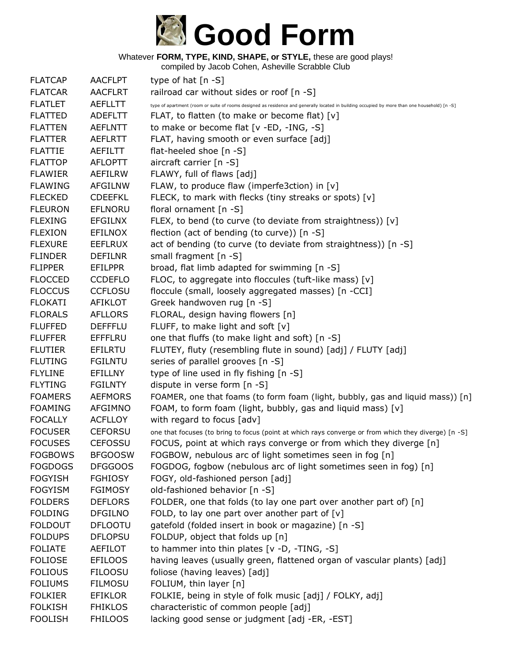

| <b>FLATCAP</b> | <b>AACFLPT</b> | type of hat $[n - S]$                                                                                                                         |
|----------------|----------------|-----------------------------------------------------------------------------------------------------------------------------------------------|
| <b>FLATCAR</b> | <b>AACFLRT</b> | railroad car without sides or roof [n -S]                                                                                                     |
| <b>FLATLET</b> | <b>AEFLLTT</b> | type of apartment (room or suite of rooms designed as residence and generally located in building occupied by more than one household) [n -S] |
| <b>FLATTED</b> | <b>ADEFLTT</b> | FLAT, to flatten (to make or become flat) [v]                                                                                                 |
| <b>FLATTEN</b> | <b>AEFLNTT</b> | to make or become flat [v -ED, -ING, -S]                                                                                                      |
| <b>FLATTER</b> | <b>AEFLRTT</b> | FLAT, having smooth or even surface [adj]                                                                                                     |
| <b>FLATTIE</b> | AEFILTT        | flat-heeled shoe [n -S]                                                                                                                       |
| <b>FLATTOP</b> | <b>AFLOPTT</b> | aircraft carrier $[n -S]$                                                                                                                     |
| <b>FLAWIER</b> | AEFILRW        | FLAWY, full of flaws [adj]                                                                                                                    |
| <b>FLAWING</b> | <b>AFGILNW</b> | FLAW, to produce flaw (imperfe3ction) in [v]                                                                                                  |
| <b>FLECKED</b> | <b>CDEEFKL</b> | FLECK, to mark with flecks (tiny streaks or spots) [v]                                                                                        |
| <b>FLEURON</b> | EFLNORU        | floral ornament [n -S]                                                                                                                        |
| <b>FLEXING</b> | <b>EFGILNX</b> | FLEX, to bend (to curve (to deviate from straightness)) [v]                                                                                   |
| <b>FLEXION</b> | <b>EFILNOX</b> | flection (act of bending (to curve)) [n -S]                                                                                                   |
| <b>FLEXURE</b> | <b>EEFLRUX</b> | act of bending (to curve (to deviate from straightness)) [n -S]                                                                               |
| <b>FLINDER</b> | <b>DEFILNR</b> | small fragment [n -S]                                                                                                                         |
| <b>FLIPPER</b> | <b>EFILPPR</b> | broad, flat limb adapted for swimming [n -S]                                                                                                  |
| <b>FLOCCED</b> | <b>CCDEFLO</b> | FLOC, to aggregate into floccules (tuft-like mass) [v]                                                                                        |
| <b>FLOCCUS</b> | <b>CCFLOSU</b> | floccule (small, loosely aggregated masses) [n -CCI]                                                                                          |
| <b>FLOKATI</b> | <b>AFIKLOT</b> | Greek handwoven rug [n -S]                                                                                                                    |
| <b>FLORALS</b> | <b>AFLLORS</b> | FLORAL, design having flowers [n]                                                                                                             |
| <b>FLUFFED</b> | <b>DEFFFLU</b> | FLUFF, to make light and soft [v]                                                                                                             |
| <b>FLUFFER</b> | <b>EFFFLRU</b> | one that fluffs (to make light and soft) [n -S]                                                                                               |
| <b>FLUTIER</b> | EFILRTU        | FLUTEY, fluty (resembling flute in sound) [adj] / FLUTY [adj]                                                                                 |
| <b>FLUTING</b> | <b>FGILNTU</b> | series of parallel grooves [n -S]                                                                                                             |
| <b>FLYLINE</b> | EFILLNY        | type of line used in fly fishing [n -S]                                                                                                       |
| <b>FLYTING</b> | <b>FGILNTY</b> | dispute in verse form [n -S]                                                                                                                  |
| <b>FOAMERS</b> | <b>AEFMORS</b> | FOAMER, one that foams (to form foam (light, bubbly, gas and liquid mass)) [n]                                                                |
| <b>FOAMING</b> | <b>AFGIMNO</b> | FOAM, to form foam (light, bubbly, gas and liquid mass) [v]                                                                                   |
| <b>FOCALLY</b> | <b>ACFLLOY</b> | with regard to focus [adv]                                                                                                                    |
| <b>FOCUSER</b> | <b>CEFORSU</b> | one that focuses (to bring to focus (point at which rays converge or from which they diverge) [n -S]                                          |
| <b>FOCUSES</b> | <b>CEFOSSU</b> | FOCUS, point at which rays converge or from which they diverge [n]                                                                            |
| <b>FOGBOWS</b> | <b>BFGOOSW</b> | FOGBOW, nebulous arc of light sometimes seen in fog [n]                                                                                       |
| <b>FOGDOGS</b> | <b>DFGGOOS</b> | FOGDOG, fogbow (nebulous arc of light sometimes seen in fog) [n]                                                                              |
| <b>FOGYISH</b> | <b>FGHIOSY</b> | FOGY, old-fashioned person [adj]                                                                                                              |
| <b>FOGYISM</b> | <b>FGIMOSY</b> | old-fashioned behavior [n -S]                                                                                                                 |
| <b>FOLDERS</b> | <b>DEFLORS</b> | FOLDER, one that folds (to lay one part over another part of) [n]                                                                             |
| <b>FOLDING</b> | <b>DFGILNO</b> | FOLD, to lay one part over another part of $[v]$                                                                                              |
| <b>FOLDOUT</b> | <b>DFLOOTU</b> | gatefold (folded insert in book or magazine) [n -S]                                                                                           |
| <b>FOLDUPS</b> | <b>DFLOPSU</b> | FOLDUP, object that folds up [n]                                                                                                              |
| <b>FOLIATE</b> | <b>AEFILOT</b> | to hammer into thin plates [v -D, -TING, -S]                                                                                                  |
| <b>FOLIOSE</b> | <b>EFILOOS</b> | having leaves (usually green, flattened organ of vascular plants) [adj]                                                                       |
| <b>FOLIOUS</b> | <b>FILOOSU</b> | foliose (having leaves) [adj]                                                                                                                 |
| <b>FOLIUMS</b> | <b>FILMOSU</b> | FOLIUM, thin layer [n]                                                                                                                        |
| <b>FOLKIER</b> | <b>EFIKLOR</b> | FOLKIE, being in style of folk music [adj] / FOLKY, adj]                                                                                      |
| <b>FOLKISH</b> | <b>FHIKLOS</b> | characteristic of common people [adj]                                                                                                         |
| <b>FOOLISH</b> | <b>FHILOOS</b> | lacking good sense or judgment [adj -ER, -EST]                                                                                                |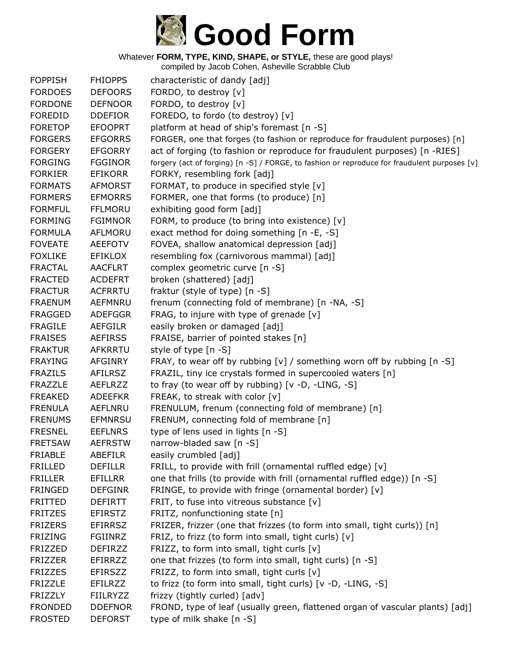

| <b>FOPPISH</b> | <b>FHIOPPS</b>  | characteristic of dandy [adj]                                                                |
|----------------|-----------------|----------------------------------------------------------------------------------------------|
| <b>FORDOES</b> | <b>DEFOORS</b>  | FORDO, to destroy [v]                                                                        |
| <b>FORDONE</b> | <b>DEFNOOR</b>  | FORDO, to destroy [v]                                                                        |
| <b>FOREDID</b> | <b>DDEFIOR</b>  | FOREDO, to fordo (to destroy) [v]                                                            |
| <b>FORETOP</b> | <b>EFOOPRT</b>  | platform at head of ship's foremast [n -S]                                                   |
| <b>FORGERS</b> | <b>EFGORRS</b>  | FORGER, one that forges (to fashion or reproduce for fraudulent purposes) [n]                |
| <b>FORGERY</b> | <b>EFGORRY</b>  | act of forging (to fashion or reproduce for fraudulent purposes) [n -RIES]                   |
| <b>FORGING</b> | <b>FGGINOR</b>  | forgery (act of forging) [n -S] / FORGE, to fashion or reproduce for fraudulent purposes [v] |
| <b>FORKIER</b> | <b>EFIKORR</b>  | FORKY, resembling fork [adj]                                                                 |
| <b>FORMATS</b> | <b>AFMORST</b>  | FORMAT, to produce in specified style [v]                                                    |
| <b>FORMERS</b> | <b>EFMORRS</b>  | FORMER, one that forms (to produce) [n]                                                      |
| <b>FORMFUL</b> | <b>FFLMORU</b>  | exhibiting good form [adj]                                                                   |
| <b>FORMING</b> | <b>FGIMNOR</b>  | FORM, to produce (to bring into existence) [v]                                               |
| <b>FORMULA</b> | AFLMORU         | exact method for doing something [n -E, -S]                                                  |
| <b>FOVEATE</b> | <b>AEEFOTV</b>  | FOVEA, shallow anatomical depression [adj]                                                   |
| <b>FOXLIKE</b> | <b>EFIKLOX</b>  | resembling fox (carnivorous mammal) [adj]                                                    |
| <b>FRACTAL</b> | <b>AACFLRT</b>  | complex geometric curve [n -S]                                                               |
| <b>FRACTED</b> | <b>ACDEFRT</b>  | broken (shattered) [adj]                                                                     |
| <b>FRACTUR</b> | <b>ACFRRTU</b>  | fraktur (style of type) [n -S]                                                               |
| <b>FRAENUM</b> | AEFMNRU         | frenum (connecting fold of membrane) [n -NA, -S]                                             |
| <b>FRAGGED</b> | <b>ADEFGGR</b>  | FRAG, to injure with type of grenade $[v]$                                                   |
| <b>FRAGILE</b> | <b>AEFGILR</b>  | easily broken or damaged [adj]                                                               |
| <b>FRAISES</b> | <b>AEFIRSS</b>  | FRAISE, barrier of pointed stakes [n]                                                        |
| <b>FRAKTUR</b> | <b>AFKRRTU</b>  | style of type [n -S]                                                                         |
| <b>FRAYING</b> | <b>AFGINRY</b>  | FRAY, to wear off by rubbing [v] / something worn off by rubbing $[n -S]$                    |
| <b>FRAZILS</b> | <b>AFILRSZ</b>  | FRAZIL, tiny ice crystals formed in supercooled waters [n]                                   |
| <b>FRAZZLE</b> | <b>AEFLRZZ</b>  | to fray (to wear off by rubbing) $[v -D, -LING, -S]$                                         |
| <b>FREAKED</b> | <b>ADEEFKR</b>  | FREAK, to streak with color [v]                                                              |
| <b>FRENULA</b> | <b>AEFLNRU</b>  | FRENULUM, frenum (connecting fold of membrane) [n]                                           |
| <b>FRENUMS</b> | <b>EFMNRSU</b>  | FRENUM, connecting fold of membrane [n]                                                      |
| <b>FRESNEL</b> | <b>EEFLNRS</b>  | type of lens used in lights [n -S]                                                           |
| <b>FRETSAW</b> | <b>AEFRSTW</b>  | narrow-bladed saw [n -S]                                                                     |
| <b>FRIABLE</b> | <b>ABEFILR</b>  | easily crumbled [adj]                                                                        |
| <b>FRILLED</b> | <b>DEFILLR</b>  | FRILL, to provide with frill (ornamental ruffled edge) [v]                                   |
| <b>FRILLER</b> | EFILLRR         | one that frills (to provide with frill (ornamental ruffled edge)) [n -S]                     |
| <b>FRINGED</b> | <b>DEFGINR</b>  | FRINGE, to provide with fringe (ornamental border) [v]                                       |
| <b>FRITTED</b> | <b>DEFIRTT</b>  | FRIT, to fuse into vitreous substance [v]                                                    |
| <b>FRITZES</b> | <b>EFIRSTZ</b>  | FRITZ, nonfunctioning state [n]                                                              |
| <b>FRIZERS</b> | <b>EFIRRSZ</b>  | FRIZER, frizzer (one that frizzes (to form into small, tight curls)) [n]                     |
| <b>FRIZING</b> | <b>FGIINRZ</b>  | FRIZ, to frizz (to form into small, tight curls) [v]                                         |
| <b>FRIZZED</b> | <b>DEFIRZZ</b>  | FRIZZ, to form into small, tight curls [v]                                                   |
| <b>FRIZZER</b> | EFIRRZZ         | one that frizzes (to form into small, tight curls) [n -S]                                    |
| <b>FRIZZES</b> | <b>EFIRSZZ</b>  | FRIZZ, to form into small, tight curls [v]                                                   |
| <b>FRIZZLE</b> | EFILRZZ         | to frizz (to form into small, tight curls) [v -D, -LING, -S]                                 |
| <b>FRIZZLY</b> | <b>FIILRYZZ</b> | frizzy (tightly curled) [adv]                                                                |
| <b>FRONDED</b> | <b>DDEFNOR</b>  | FROND, type of leaf (usually green, flattened organ of vascular plants) [adj]                |
| <b>FROSTED</b> | <b>DEFORST</b>  | type of milk shake [n -S]                                                                    |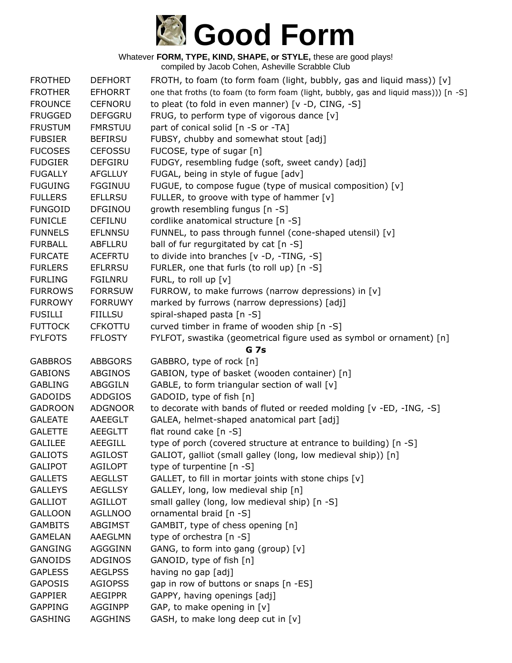

| <b>FROTHED</b>                   | <b>DEFHORT</b>                   | FROTH, to foam (to form foam (light, bubbly, gas and liquid mass)) [v]               |
|----------------------------------|----------------------------------|--------------------------------------------------------------------------------------|
| <b>FROTHER</b>                   | <b>EFHORRT</b>                   | one that froths (to foam (to form foam (light, bubbly, gas and liquid mass))) [n -S] |
| <b>FROUNCE</b>                   | <b>CEFNORU</b>                   | to pleat (to fold in even manner) [v -D, CING, -S]                                   |
| <b>FRUGGED</b>                   | <b>DEFGGRU</b>                   | FRUG, to perform type of vigorous dance [v]                                          |
| <b>FRUSTUM</b>                   | <b>FMRSTUU</b>                   | part of conical solid [n -S or -TA]                                                  |
| <b>FUBSIER</b>                   | <b>BEFIRSU</b>                   | FUBSY, chubby and somewhat stout [adj]                                               |
| <b>FUCOSES</b>                   | <b>CEFOSSU</b>                   | FUCOSE, type of sugar [n]                                                            |
| <b>FUDGIER</b>                   | <b>DEFGIRU</b>                   | FUDGY, resembling fudge (soft, sweet candy) [adj]                                    |
| <b>FUGALLY</b>                   | <b>AFGLLUY</b>                   | FUGAL, being in style of fugue [adv]                                                 |
| <b>FUGUING</b>                   | <b>FGGINUU</b>                   | FUGUE, to compose fugue (type of musical composition) [v]                            |
| <b>FULLERS</b>                   | <b>EFLLRSU</b>                   | FULLER, to groove with type of hammer [v]                                            |
| <b>FUNGOID</b>                   | <b>DFGINOU</b>                   | growth resembling fungus [n -S]                                                      |
| <b>FUNICLE</b>                   | <b>CEFILNU</b>                   | cordlike anatomical structure [n -S]                                                 |
| <b>FUNNELS</b>                   | <b>EFLNNSU</b>                   | FUNNEL, to pass through funnel (cone-shaped utensil) [v]                             |
| <b>FURBALL</b>                   | ABFLLRU                          | ball of fur regurgitated by cat [n -S]                                               |
| <b>FURCATE</b>                   | <b>ACEFRTU</b>                   | to divide into branches [v -D, -TING, -S]                                            |
| <b>FURLERS</b>                   | <b>EFLRRSU</b>                   | FURLER, one that furls (to roll up) [n -S]                                           |
| <b>FURLING</b>                   | <b>FGILNRU</b>                   | FURL, to roll up [v]                                                                 |
| <b>FURROWS</b>                   | <b>FORRSUW</b>                   | FURROW, to make furrows (narrow depressions) in [v]                                  |
| <b>FURROWY</b>                   | <b>FORRUWY</b>                   | marked by furrows (narrow depressions) [adj]                                         |
| <b>FUSILLI</b>                   | <b>FIILLSU</b>                   | spiral-shaped pasta [n -S]                                                           |
| <b>FUTTOCK</b>                   | <b>CFKOTTU</b>                   | curved timber in frame of wooden ship [n -S]                                         |
| <b>FYLFOTS</b>                   | <b>FFLOSTY</b>                   | FYLFOT, swastika (geometrical figure used as symbol or ornament) [n]                 |
|                                  |                                  | <b>G</b> 7s                                                                          |
|                                  |                                  |                                                                                      |
| <b>GABBROS</b>                   | <b>ABBGORS</b>                   | GABBRO, type of rock [n]                                                             |
| <b>GABIONS</b>                   | ABGINOS                          | GABION, type of basket (wooden container) [n]                                        |
| <b>GABLING</b>                   | <b>ABGGILN</b>                   | GABLE, to form triangular section of wall [v]                                        |
| <b>GADOIDS</b>                   | <b>ADDGIOS</b>                   | GADOID, type of fish [n]                                                             |
| <b>GADROON</b>                   | <b>ADGNOOR</b>                   | to decorate with bands of fluted or reeded molding [v -ED, -ING, -S]                 |
| <b>GALEATE</b>                   | AAEEGLT                          | GALEA, helmet-shaped anatomical part [adj]                                           |
| <b>GALETTE</b>                   | <b>AEEGLTT</b>                   | flat round cake [n -S]                                                               |
| <b>GALILEE</b>                   | <b>AEEGILL</b>                   | type of porch (covered structure at entrance to building) [n -S]                     |
| <b>GALIOTS</b>                   | <b>AGILOST</b>                   | GALIOT, galliot (small galley (long, low medieval ship)) [n]                         |
| <b>GALIPOT</b>                   | <b>AGILOPT</b>                   | type of turpentine [n -S]                                                            |
| <b>GALLETS</b>                   | <b>AEGLLST</b>                   | GALLET, to fill in mortar joints with stone chips [v]                                |
| <b>GALLEYS</b>                   | <b>AEGLLSY</b>                   | GALLEY, long, low medieval ship [n]                                                  |
| <b>GALLIOT</b>                   | <b>AGILLOT</b>                   | small galley (long, low medieval ship) [n -S]                                        |
| <b>GALLOON</b>                   | <b>AGLLNOO</b>                   | ornamental braid [n -S]                                                              |
| <b>GAMBITS</b>                   | <b>ABGIMST</b>                   | GAMBIT, type of chess opening [n]                                                    |
| <b>GAMELAN</b>                   | AAEGLMN                          | type of orchestra [n -S]                                                             |
| <b>GANGING</b>                   | <b>AGGGINN</b>                   | GANG, to form into gang (group) [v]                                                  |
| <b>GANOIDS</b>                   | ADGINOS                          | GANOID, type of fish [n]                                                             |
| <b>GAPLESS</b>                   | <b>AEGLPSS</b>                   | having no gap [adj]                                                                  |
| <b>GAPOSIS</b>                   | <b>AGIOPSS</b>                   | gap in row of buttons or snaps [n -ES]                                               |
| <b>GAPPIER</b>                   | <b>AEGIPPR</b>                   | GAPPY, having openings [adj]                                                         |
| <b>GAPPING</b><br><b>GASHING</b> | <b>AGGINPP</b><br><b>AGGHINS</b> | GAP, to make opening in [v]<br>GASH, to make long deep cut in [v]                    |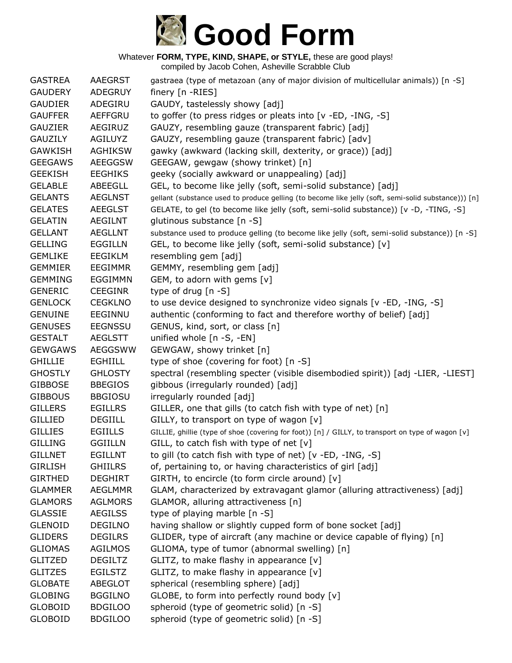

| <b>GASTREA</b> | <b>AAEGRST</b> | gastraea (type of metazoan (any of major division of multicellular animals)) [n -S]                 |
|----------------|----------------|-----------------------------------------------------------------------------------------------------|
| <b>GAUDERY</b> | <b>ADEGRUY</b> | finery [n -RIES]                                                                                    |
| <b>GAUDIER</b> | ADEGIRU        | GAUDY, tastelessly showy [adj]                                                                      |
| <b>GAUFFER</b> | AEFFGRU        | to goffer (to press ridges or pleats into [v -ED, -ING, -S]                                         |
| <b>GAUZIER</b> | <b>AEGIRUZ</b> | GAUZY, resembling gauze (transparent fabric) [adj]                                                  |
| <b>GAUZILY</b> | <b>AGILUYZ</b> | GAUZY, resembling gauze (transparent fabric) [adv]                                                  |
| <b>GAWKISH</b> | <b>AGHIKSW</b> | gawky (awkward (lacking skill, dexterity, or grace)) [adj]                                          |
| <b>GEEGAWS</b> | <b>AEEGGSW</b> | GEEGAW, gewgaw (showy trinket) [n]                                                                  |
| <b>GEEKISH</b> | <b>EEGHIKS</b> | geeky (socially awkward or unappealing) [adj]                                                       |
| <b>GELABLE</b> | ABEEGLL        | GEL, to become like jelly (soft, semi-solid substance) [adj]                                        |
| <b>GELANTS</b> | <b>AEGLNST</b> | gellant (substance used to produce gelling (to become like jelly (soft, semi-solid substance))) [n] |
| <b>GELATES</b> | <b>AEEGLST</b> | GELATE, to gel (to become like jelly (soft, semi-solid substance)) [v -D, -TING, -S]                |
| <b>GELATIN</b> | <b>AEGILNT</b> | glutinous substance [n -S]                                                                          |
| <b>GELLANT</b> | <b>AEGLLNT</b> | substance used to produce gelling (to become like jelly (soft, semi-solid substance)) [n -S]        |
| <b>GELLING</b> | <b>EGGILLN</b> | GEL, to become like jelly (soft, semi-solid substance) [v]                                          |
| <b>GEMLIKE</b> | <b>EEGIKLM</b> | resembling gem [adj]                                                                                |
| <b>GEMMIER</b> | <b>EEGIMMR</b> | GEMMY, resembling gem [adj]                                                                         |
| <b>GEMMING</b> | EGGIMMN        | GEM, to adorn with gems [v]                                                                         |
| <b>GENERIC</b> | <b>CEEGINR</b> | type of drug $[n - S]$                                                                              |
| <b>GENLOCK</b> | <b>CEGKLNO</b> | to use device designed to synchronize video signals [v -ED, -ING, -S]                               |
| <b>GENUINE</b> | EEGINNU        | authentic (conforming to fact and therefore worthy of belief) [adj]                                 |
| <b>GENUSES</b> | <b>EEGNSSU</b> | GENUS, kind, sort, or class [n]                                                                     |
| <b>GESTALT</b> | <b>AEGLSTT</b> | unified whole [n -S, -EN]                                                                           |
| <b>GEWGAWS</b> | <b>AEGGSWW</b> | GEWGAW, showy trinket [n]                                                                           |
| <b>GHILLIE</b> | <b>EGHIILL</b> | type of shoe (covering for foot) [n -S]                                                             |
| <b>GHOSTLY</b> | <b>GHLOSTY</b> | spectral (resembling specter (visible disembodied spirit)) [adj -LIER, -LIEST]                      |
| <b>GIBBOSE</b> | <b>BBEGIOS</b> | gibbous (irregularly rounded) [adj]                                                                 |
| <b>GIBBOUS</b> | <b>BBGIOSU</b> | irregularly rounded [adj]                                                                           |
| <b>GILLERS</b> | <b>EGILLRS</b> | GILLER, one that gills (to catch fish with type of net) [n]                                         |
| <b>GILLIED</b> | <b>DEGIILL</b> | GILLY, to transport on type of wagon [v]                                                            |
| <b>GILLIES</b> | <b>EGIILLS</b> | GILLIE, ghillie (type of shoe (covering for foot)) [n] / GILLY, to transport on type of wagon [v]   |
| <b>GILLING</b> | <b>GGIILLN</b> | GILL, to catch fish with type of net $[v]$                                                          |
| <b>GILLNET</b> | <b>EGILLNT</b> | to gill (to catch fish with type of net) [v -ED, -ING, -S]                                          |
| <b>GIRLISH</b> | <b>GHIILRS</b> | of, pertaining to, or having characteristics of girl [adj]                                          |
| <b>GIRTHED</b> | <b>DEGHIRT</b> | GIRTH, to encircle (to form circle around) [v]                                                      |
| <b>GLAMMER</b> | <b>AEGLMMR</b> | GLAM, characterized by extravagant glamor (alluring attractiveness) [adj]                           |
| <b>GLAMORS</b> | <b>AGLMORS</b> | GLAMOR, alluring attractiveness [n]                                                                 |
| <b>GLASSIE</b> | <b>AEGILSS</b> | type of playing marble [n -S]                                                                       |
| <b>GLENOID</b> | <b>DEGILNO</b> | having shallow or slightly cupped form of bone socket [adj]                                         |
| <b>GLIDERS</b> | <b>DEGILRS</b> | GLIDER, type of aircraft (any machine or device capable of flying) [n]                              |
| <b>GLIOMAS</b> | <b>AGILMOS</b> | GLIOMA, type of tumor (abnormal swelling) [n]                                                       |
| <b>GLITZED</b> | <b>DEGILTZ</b> | GLITZ, to make flashy in appearance [v]                                                             |
| <b>GLITZES</b> | <b>EGILSTZ</b> | GLITZ, to make flashy in appearance [v]                                                             |
| <b>GLOBATE</b> | <b>ABEGLOT</b> | spherical (resembling sphere) [adj]                                                                 |
| <b>GLOBING</b> | <b>BGGILNO</b> | GLOBE, to form into perfectly round body [v]                                                        |
| <b>GLOBOID</b> | <b>BDGILOO</b> | spheroid (type of geometric solid) [n -S]                                                           |
| <b>GLOBOID</b> | <b>BDGILOO</b> | spheroid (type of geometric solid) [n -S]                                                           |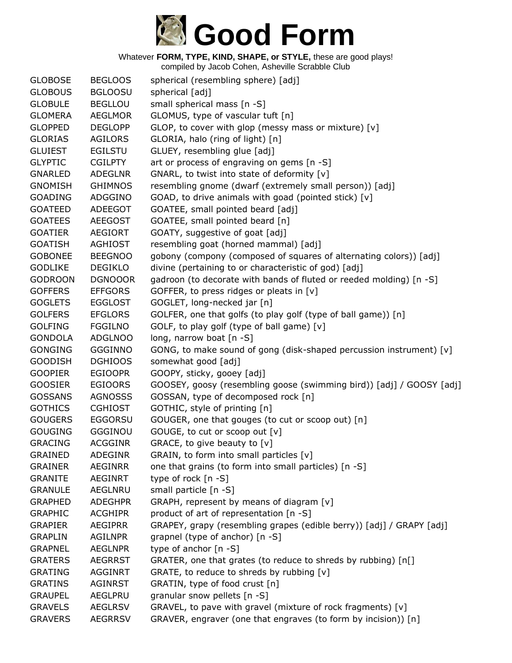

| <b>GLOBOSE</b> | <b>BEGLOOS</b> | spherical (resembling sphere) [adj]                                  |
|----------------|----------------|----------------------------------------------------------------------|
| <b>GLOBOUS</b> | <b>BGLOOSU</b> | spherical [adj]                                                      |
| <b>GLOBULE</b> | <b>BEGLLOU</b> | small spherical mass [n -S]                                          |
| <b>GLOMERA</b> | <b>AEGLMOR</b> | GLOMUS, type of vascular tuft [n]                                    |
| <b>GLOPPED</b> | <b>DEGLOPP</b> | GLOP, to cover with glop (messy mass or mixture) [v]                 |
| <b>GLORIAS</b> | <b>AGILORS</b> | GLORIA, halo (ring of light) [n]                                     |
| <b>GLUIEST</b> | <b>EGILSTU</b> | GLUEY, resembling glue [adj]                                         |
| <b>GLYPTIC</b> | <b>CGILPTY</b> | art or process of engraving on gems [n -S]                           |
| <b>GNARLED</b> | <b>ADEGLNR</b> | GNARL, to twist into state of deformity [v]                          |
| <b>GNOMISH</b> | <b>GHIMNOS</b> | resembling gnome (dwarf (extremely small person)) [adj]              |
| <b>GOADING</b> | ADGGINO        | GOAD, to drive animals with goad (pointed stick) [v]                 |
| <b>GOATEED</b> | ADEEGOT        | GOATEE, small pointed beard [adj]                                    |
| <b>GOATEES</b> | <b>AEEGOST</b> | GOATEE, small pointed beard [n]                                      |
| <b>GOATIER</b> | <b>AEGIORT</b> | GOATY, suggestive of goat [adj]                                      |
| <b>GOATISH</b> | <b>AGHIOST</b> | resembling goat (horned mammal) [adj]                                |
| <b>GOBONEE</b> | <b>BEEGNOO</b> | gobony (compony (composed of squares of alternating colors)) [adj]   |
| <b>GODLIKE</b> | <b>DEGIKLO</b> | divine (pertaining to or characteristic of god) [adj]                |
| <b>GODROON</b> | <b>DGNOOOR</b> | gadroon (to decorate with bands of fluted or reeded molding) [n -S]  |
| <b>GOFFERS</b> | <b>EFFGORS</b> | GOFFER, to press ridges or pleats in $[v]$                           |
| <b>GOGLETS</b> | <b>EGGLOST</b> | GOGLET, long-necked jar [n]                                          |
| <b>GOLFERS</b> | <b>EFGLORS</b> | GOLFER, one that golfs (to play golf (type of ball game)) [n]        |
| <b>GOLFING</b> | <b>FGGILNO</b> | GOLF, to play golf (type of ball game) [v]                           |
| <b>GONDOLA</b> | <b>ADGLNOO</b> | long, narrow boat [n -S]                                             |
| <b>GONGING</b> | <b>GGGINNO</b> | GONG, to make sound of gong (disk-shaped percussion instrument) [v]  |
| <b>GOODISH</b> | <b>DGHIOOS</b> | somewhat good [adj]                                                  |
| <b>GOOPIER</b> | <b>EGIOOPR</b> | GOOPY, sticky, gooey [adj]                                           |
| <b>GOOSIER</b> | <b>EGIOORS</b> | GOOSEY, goosy (resembling goose (swimming bird)) [adj] / GOOSY [adj] |
| <b>GOSSANS</b> | <b>AGNOSSS</b> | GOSSAN, type of decomposed rock [n]                                  |
| <b>GOTHICS</b> | <b>CGHIOST</b> | GOTHIC, style of printing [n]                                        |
| <b>GOUGERS</b> | <b>EGGORSU</b> | GOUGER, one that gouges (to cut or scoop out) [n]                    |
| <b>GOUGING</b> | GGGINOU        | GOUGE, to cut or scoop out [v]                                       |
| <b>GRACING</b> | <b>ACGGINR</b> | GRACE, to give beauty to [v]                                         |
| <b>GRAINED</b> | <b>ADEGINR</b> | GRAIN, to form into small particles [v]                              |
| <b>GRAINER</b> | <b>AEGINRR</b> | one that grains (to form into small particles) [n -S]                |
| <b>GRANITE</b> | <b>AEGINRT</b> | type of rock $[n - S]$                                               |
| <b>GRANULE</b> | AEGLNRU        | small particle $[n -S]$                                              |
| <b>GRAPHED</b> | <b>ADEGHPR</b> | GRAPH, represent by means of diagram [v]                             |
| <b>GRAPHIC</b> | <b>ACGHIPR</b> | product of art of representation [n -S]                              |
| <b>GRAPIER</b> | <b>AEGIPRR</b> | GRAPEY, grapy (resembling grapes (edible berry)) [adj] / GRAPY [adj] |
| <b>GRAPLIN</b> | <b>AGILNPR</b> | grapnel (type of anchor) [n -S]                                      |
| <b>GRAPNEL</b> | <b>AEGLNPR</b> | type of anchor [n -S]                                                |
| <b>GRATERS</b> | <b>AEGRRST</b> | GRATER, one that grates (to reduce to shreds by rubbing) [n[]        |
| <b>GRATING</b> | <b>AGGINRT</b> | GRATE, to reduce to shreds by rubbing [v]                            |
| <b>GRATINS</b> | AGINRST        | GRATIN, type of food crust [n]                                       |
| <b>GRAUPEL</b> | <b>AEGLPRU</b> | granular snow pellets [n -S]                                         |
| <b>GRAVELS</b> | <b>AEGLRSV</b> | GRAVEL, to pave with gravel (mixture of rock fragments) [v]          |
| <b>GRAVERS</b> | <b>AEGRRSV</b> | GRAVER, engraver (one that engraves (to form by incision)) [n]       |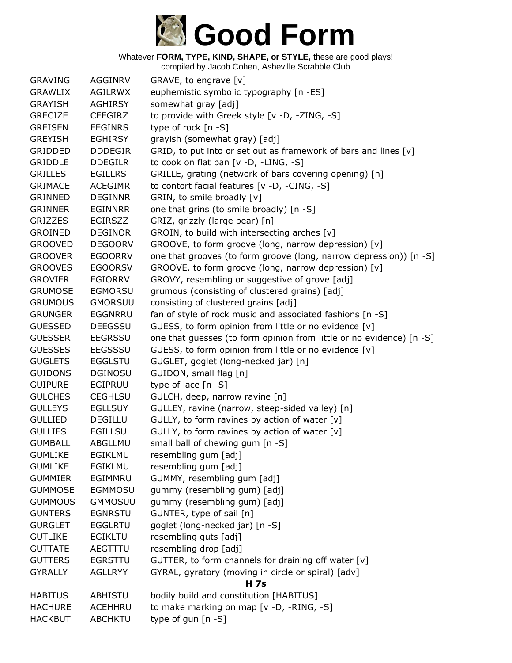# **Good Form**

Whatever **FORM, TYPE, KIND, SHAPE, or STYLE,** these are good plays!

| <b>GRAVING</b> | <b>AGGINRV</b> | GRAVE, to engrave [v]                                                |
|----------------|----------------|----------------------------------------------------------------------|
| <b>GRAWLIX</b> | <b>AGILRWX</b> | euphemistic symbolic typography [n -ES]                              |
| <b>GRAYISH</b> | <b>AGHIRSY</b> | somewhat gray [adj]                                                  |
| <b>GRECIZE</b> | <b>CEEGIRZ</b> | to provide with Greek style [v -D, -ZING, -S]                        |
| <b>GREISEN</b> | <b>EEGINRS</b> | type of rock $[n - S]$                                               |
| <b>GREYISH</b> | <b>EGHIRSY</b> | grayish (somewhat gray) [adj]                                        |
| <b>GRIDDED</b> | <b>DDDEGIR</b> | GRID, to put into or set out as framework of bars and lines [v]      |
| <b>GRIDDLE</b> | <b>DDEGILR</b> | to cook on flat pan [v -D, -LING, -S]                                |
| <b>GRILLES</b> | <b>EGILLRS</b> | GRILLE, grating (network of bars covering opening) [n]               |
| <b>GRIMACE</b> | <b>ACEGIMR</b> | to contort facial features [v -D, -CING, -S]                         |
| <b>GRINNED</b> | <b>DEGINNR</b> | GRIN, to smile broadly [v]                                           |
| <b>GRINNER</b> | <b>EGINNRR</b> | one that grins (to smile broadly) [n -S]                             |
| <b>GRIZZES</b> | <b>EGIRSZZ</b> | GRIZ, grizzly (large bear) [n]                                       |
| <b>GROINED</b> | <b>DEGINOR</b> | GROIN, to build with intersecting arches [v]                         |
| <b>GROOVED</b> | <b>DEGOORV</b> | GROOVE, to form groove (long, narrow depression) [v]                 |
| <b>GROOVER</b> | <b>EGOORRV</b> | one that grooves (to form groove (long, narrow depression)) [n -S]   |
| <b>GROOVES</b> | <b>EGOORSV</b> | GROOVE, to form groove (long, narrow depression) [v]                 |
| <b>GROVIER</b> | <b>EGIORRV</b> | GROVY, resembling or suggestive of grove [adj]                       |
| <b>GRUMOSE</b> | <b>EGMORSU</b> | grumous (consisting of clustered grains) [adj]                       |
| <b>GRUMOUS</b> | <b>GMORSUU</b> | consisting of clustered grains [adj]                                 |
| <b>GRUNGER</b> | <b>EGGNRRU</b> | fan of style of rock music and associated fashions [n -S]            |
| <b>GUESSED</b> | <b>DEEGSSU</b> | GUESS, to form opinion from little or no evidence [v]                |
| <b>GUESSER</b> | <b>EEGRSSU</b> | one that guesses (to form opinion from little or no evidence) [n -S] |
| <b>GUESSES</b> | <b>EEGSSSU</b> | GUESS, to form opinion from little or no evidence [v]                |
| <b>GUGLETS</b> | <b>EGGLSTU</b> | GUGLET, goglet (long-necked jar) [n]                                 |
| <b>GUIDONS</b> | <b>DGINOSU</b> | GUIDON, small flag [n]                                               |
| <b>GUIPURE</b> | <b>EGIPRUU</b> | type of lace $[n - S]$                                               |
| <b>GULCHES</b> | <b>CEGHLSU</b> | GULCH, deep, narrow ravine [n]                                       |
| <b>GULLEYS</b> | <b>EGLLSUY</b> | GULLEY, ravine (narrow, steep-sided valley) [n]                      |
| <b>GULLIED</b> | DEGILLU        | GULLY, to form ravines by action of water [v]                        |
| <b>GULLIES</b> | <b>EGILLSU</b> | GULLY, to form ravines by action of water [v]                        |
| <b>GUMBALL</b> | ABGLLMU        | small ball of chewing gum [n -S]                                     |
| <b>GUMLIKE</b> | <b>EGIKLMU</b> | resembling gum [adj]                                                 |
| <b>GUMLIKE</b> | <b>EGIKLMU</b> | resembling gum [adj]                                                 |
| <b>GUMMIER</b> | EGIMMRU        | GUMMY, resembling gum [adj]                                          |
| <b>GUMMOSE</b> | <b>EGMMOSU</b> | gummy (resembling gum) [adj]                                         |
| <b>GUMMOUS</b> | <b>GMMOSUU</b> | gummy (resembling gum) [adj]                                         |
| <b>GUNTERS</b> | <b>EGNRSTU</b> | GUNTER, type of sail [n]                                             |
| <b>GURGLET</b> | <b>EGGLRTU</b> | goglet (long-necked jar) [n -S]                                      |
| <b>GUTLIKE</b> | <b>EGIKLTU</b> | resembling guts [adj]                                                |
| <b>GUTTATE</b> | AEGTTTU        | resembling drop [adj]                                                |
| <b>GUTTERS</b> | <b>EGRSTTU</b> | GUTTER, to form channels for draining off water [v]                  |
| <b>GYRALLY</b> | <b>AGLLRYY</b> | GYRAL, gyratory (moving in circle or spiral) [adv]                   |
|                |                | <b>H</b> 7s                                                          |
| <b>HABITUS</b> | ABHISTU        | bodily build and constitution [HABITUS]                              |
| <b>HACHURE</b> | ACEHHRU        | to make marking on map [v -D, -RING, -S]                             |
| <b>HACKBUT</b> | <b>ABCHKTU</b> | type of gun [n -S]                                                   |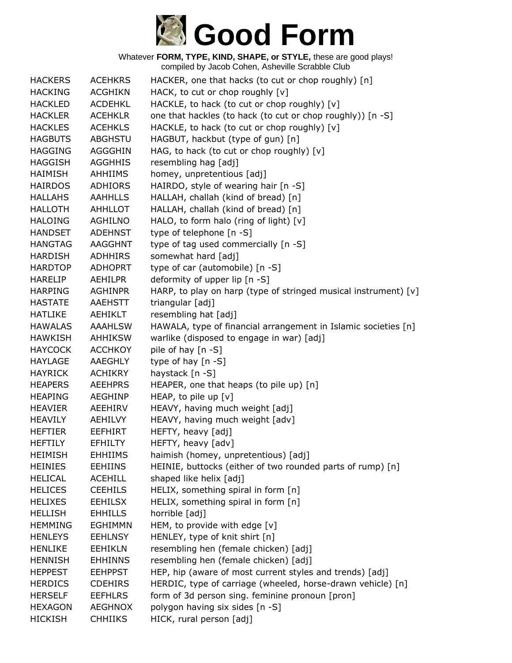

Whatever **FORM, TYPE, KIND, SHAPE, or STYLE,** these are good plays! compiled by Jacob Cohen, Asheville Scrabble Club

| <b>HACKERS</b> | <b>ACEHKRS</b> | HACKER, one that hacks (to cut or chop roughly) [n]             |
|----------------|----------------|-----------------------------------------------------------------|
| <b>HACKING</b> | <b>ACGHIKN</b> | HACK, to cut or chop roughly [v]                                |
| <b>HACKLED</b> | <b>ACDEHKL</b> | HACKLE, to hack (to cut or chop roughly) [v]                    |
| <b>HACKLER</b> | <b>ACEHKLR</b> | one that hackles (to hack (to cut or chop roughly)) [n -S]      |
| <b>HACKLES</b> | <b>ACEHKLS</b> | HACKLE, to hack (to cut or chop roughly) [v]                    |
| <b>HAGBUTS</b> | <b>ABGHSTU</b> | HAGBUT, hackbut (type of gun) [n]                               |
| <b>HAGGING</b> | <b>AGGGHIN</b> | HAG, to hack (to cut or chop roughly) [v]                       |
| <b>HAGGISH</b> | <b>AGGHHIS</b> | resembling hag [adj]                                            |
| <b>HAIMISH</b> | <b>AHHIIMS</b> | homey, unpretentious [adj]                                      |
| <b>HAIRDOS</b> | <b>ADHIORS</b> | HAIRDO, style of wearing hair [n -S]                            |
| <b>HALLAHS</b> | <b>AAHHLLS</b> | HALLAH, challah (kind of bread) [n]                             |
| <b>HALLOTH</b> | <b>AHHLLOT</b> | HALLAH, challah (kind of bread) [n]                             |
| <b>HALOING</b> | <b>AGHILNO</b> | HALO, to form halo (ring of light) [v]                          |
| <b>HANDSET</b> | <b>ADEHNST</b> | type of telephone [n -S]                                        |
| <b>HANGTAG</b> | <b>AAGGHNT</b> | type of tag used commercially [n -S]                            |
| <b>HARDISH</b> | <b>ADHHIRS</b> | somewhat hard [adj]                                             |
| <b>HARDTOP</b> | <b>ADHOPRT</b> | type of car (automobile) [n -S]                                 |
| <b>HARELIP</b> | <b>AEHILPR</b> | deformity of upper lip [n -S]                                   |
| <b>HARPING</b> | <b>AGHINPR</b> | HARP, to play on harp (type of stringed musical instrument) [v] |
| <b>HASTATE</b> | AAEHSTT        | triangular [adj]                                                |
| <b>HATLIKE</b> | <b>AEHIKLT</b> | resembling hat [adj]                                            |
| <b>HAWALAS</b> | <b>AAAHLSW</b> | HAWALA, type of financial arrangement in Islamic societies [n]  |
| <b>HAWKISH</b> | AHHIKSW        | warlike (disposed to engage in war) [adj]                       |
| <b>HAYCOCK</b> | <b>ACCHKOY</b> | pile of hay [n -S]                                              |
| <b>HAYLAGE</b> | <b>AAEGHLY</b> | type of hay [n -S]                                              |
| <b>HAYRICK</b> | <b>ACHIKRY</b> | haystack [n -S]                                                 |
| <b>HEAPERS</b> | <b>AEEHPRS</b> | HEAPER, one that heaps (to pile up) [n]                         |
| <b>HEAPING</b> | <b>AEGHINP</b> | HEAP, to pile up [v]                                            |
| <b>HEAVIER</b> | AEEHIRV        | HEAVY, having much weight [adj]                                 |
| <b>HEAVILY</b> | AEHILVY        | HEAVY, having much weight [adv]                                 |
| <b>HEFTIER</b> | <b>EEFHIRT</b> | HEFTY, heavy [adj]                                              |
| <b>HEFTILY</b> | <b>EFHILTY</b> | HEFTY, heavy [adv]                                              |
| <b>HEIMISH</b> | <b>EHHIIMS</b> | haimish (homey, unpretentious) [adj]                            |
| <b>HEINIES</b> | <b>EEHIINS</b> | HEINIE, buttocks (either of two rounded parts of rump) [n]      |
| <b>HELICAL</b> | <b>ACEHILL</b> | shaped like helix [adj]                                         |
| <b>HELICES</b> | <b>CEEHILS</b> | HELIX, something spiral in form [n]                             |
| <b>HELIXES</b> | <b>EEHILSX</b> | HELIX, something spiral in form [n]                             |
| <b>HELLISH</b> | <b>EHHILLS</b> | horrible [adj]                                                  |
| <b>HEMMING</b> | <b>EGHIMMN</b> | HEM, to provide with edge [v]                                   |
| <b>HENLEYS</b> | <b>EEHLNSY</b> | HENLEY, type of knit shirt [n]                                  |
| <b>HENLIKE</b> | <b>EEHIKLN</b> | resembling hen (female chicken) [adj]                           |
| <b>HENNISH</b> | <b>EHHINNS</b> | resembling hen (female chicken) [adj]                           |
| <b>HEPPEST</b> | <b>EEHPPST</b> | HEP, hip (aware of most current styles and trends) [adj]        |
| <b>HERDICS</b> | <b>CDEHIRS</b> | HERDIC, type of carriage (wheeled, horse-drawn vehicle) [n]     |
| <b>HERSELF</b> | <b>EEFHLRS</b> | form of 3d person sing. feminine pronoun [pron]                 |
| <b>HEXAGON</b> | <b>AEGHNOX</b> | polygon having six sides [n -S]                                 |
| <b>HICKISH</b> | <b>CHHIIKS</b> | HICK, rural person [adj]                                        |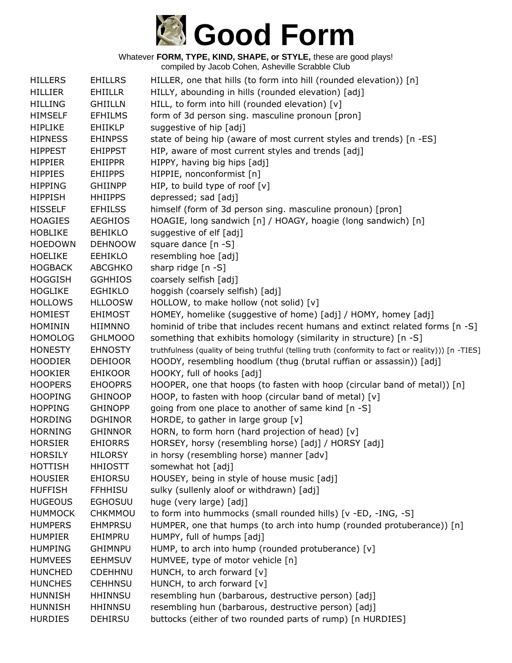

| <b>HILLERS</b> | <b>EHILLRS</b> | HILLER, one that hills (to form into hill (rounded elevation)) [n]                                 |
|----------------|----------------|----------------------------------------------------------------------------------------------------|
| <b>HILLIER</b> | EHIILLR        | HILLY, abounding in hills (rounded elevation) [adj]                                                |
| <b>HILLING</b> | <b>GHIILLN</b> | HILL, to form into hill (rounded elevation) [v]                                                    |
| <b>HIMSELF</b> | <b>EFHILMS</b> | form of 3d person sing. masculine pronoun [pron]                                                   |
| <b>HIPLIKE</b> | EHIIKLP        | suggestive of hip [adj]                                                                            |
| <b>HIPNESS</b> | <b>EHINPSS</b> | state of being hip (aware of most current styles and trends) [n -ES]                               |
| <b>HIPPEST</b> | <b>EHIPPST</b> | HIP, aware of most current styles and trends [adj]                                                 |
| <b>HIPPIER</b> | <b>EHIIPPR</b> | HIPPY, having big hips [adj]                                                                       |
| <b>HIPPIES</b> | <b>EHIIPPS</b> | HIPPIE, nonconformist [n]                                                                          |
| <b>HIPPING</b> | <b>GHIINPP</b> | HIP, to build type of roof $[v]$                                                                   |
| <b>HIPPISH</b> | <b>HHIIPPS</b> | depressed; sad [adj]                                                                               |
| <b>HISSELF</b> | <b>EFHILSS</b> | himself (form of 3d person sing. masculine pronoun) [pron]                                         |
| <b>HOAGIES</b> | <b>AEGHIOS</b> | HOAGIE, long sandwich [n] / HOAGY, hoagie (long sandwich) [n]                                      |
| <b>HOBLIKE</b> | <b>BEHIKLO</b> | suggestive of elf [adj]                                                                            |
| <b>HOEDOWN</b> | <b>DEHNOOW</b> | square dance [n -S]                                                                                |
| <b>HOELIKE</b> | <b>EEHIKLO</b> | resembling hoe [adj]                                                                               |
| <b>HOGBACK</b> | <b>ABCGHKO</b> | sharp ridge [n -S]                                                                                 |
| <b>HOGGISH</b> | <b>GGHHIOS</b> | coarsely selfish [adj]                                                                             |
| <b>HOGLIKE</b> | EGHIKLO        | hoggish (coarsely selfish) [adj]                                                                   |
| <b>HOLLOWS</b> | <b>HLLOOSW</b> | HOLLOW, to make hollow (not solid) [v]                                                             |
| <b>HOMIEST</b> | <b>EHIMOST</b> | HOMEY, homelike (suggestive of home) [adj] / HOMY, homey [adj]                                     |
| <b>HOMININ</b> | <b>HIIMNNO</b> | hominid of tribe that includes recent humans and extinct related forms [n -S]                      |
| <b>HOMOLOG</b> | GHLMOOO        | something that exhibits homology (similarity in structure) [n -S]                                  |
| <b>HONESTY</b> | <b>EHNOSTY</b> | truthfulness (quality of being truthful (telling truth (conformity to fact or reality))) [n -TIES] |
| <b>HOODIER</b> | <b>DEHIOOR</b> | HOODY, resembling hoodlum (thug (brutal ruffian or assassin)) [adj]                                |
| <b>HOOKIER</b> | <b>EHIKOOR</b> | HOOKY, full of hooks [adj]                                                                         |
| <b>HOOPERS</b> | <b>EHOOPRS</b> | HOOPER, one that hoops (to fasten with hoop (circular band of metal)) [n]                          |
| <b>HOOPING</b> | <b>GHINOOP</b> | HOOP, to fasten with hoop (circular band of metal) [v]                                             |
| <b>HOPPING</b> | <b>GHINOPP</b> | going from one place to another of same kind [n -S]                                                |
| <b>HORDING</b> | <b>DGHINOR</b> | HORDE, to gather in large group [v]                                                                |
| <b>HORNING</b> | <b>GHINNOR</b> | HORN, to form horn (hard projection of head) [v]                                                   |
| <b>HORSIER</b> | <b>EHIORRS</b> | HORSEY, horsy (resembling horse) [adj] / HORSY [adj]                                               |
| <b>HORSILY</b> | <b>HILORSY</b> | in horsy (resembling horse) manner [adv]                                                           |
| <b>HOTTISH</b> | <b>HHIOSTT</b> | somewhat hot [adj]                                                                                 |
| <b>HOUSIER</b> | <b>EHIORSU</b> | HOUSEY, being in style of house music [adj]                                                        |
| <b>HUFFISH</b> | <b>FFHHISU</b> | sulky (sullenly aloof or withdrawn) [adj]                                                          |
| <b>HUGEOUS</b> | <b>EGHOSUU</b> | huge (very large) [adj]                                                                            |
| <b>HUMMOCK</b> | CHKMMOU        | to form into hummocks (small rounded hills) [v -ED, -ING, -S]                                      |
| <b>HUMPERS</b> | <b>EHMPRSU</b> | HUMPER, one that humps (to arch into hump (rounded protuberance)) [n]                              |
| <b>HUMPIER</b> | EHIMPRU        | HUMPY, full of humps [adj]                                                                         |
| <b>HUMPING</b> | <b>GHIMNPU</b> | HUMP, to arch into hump (rounded protuberance) [v]                                                 |
| <b>HUMVEES</b> | <b>EEHMSUV</b> | HUMVEE, type of motor vehicle [n]                                                                  |
| <b>HUNCHED</b> | <b>CDEHHNU</b> | HUNCH, to arch forward [v]                                                                         |
| <b>HUNCHES</b> | <b>CEHHNSU</b> | HUNCH, to arch forward [v]                                                                         |
| <b>HUNNISH</b> | <b>HHINNSU</b> | resembling hun (barbarous, destructive person) [adj]                                               |
| <b>HUNNISH</b> | <b>HHINNSU</b> | resembling hun (barbarous, destructive person) [adj]                                               |
| <b>HURDIES</b> | <b>DEHIRSU</b> | buttocks (either of two rounded parts of rump) [n HURDIES]                                         |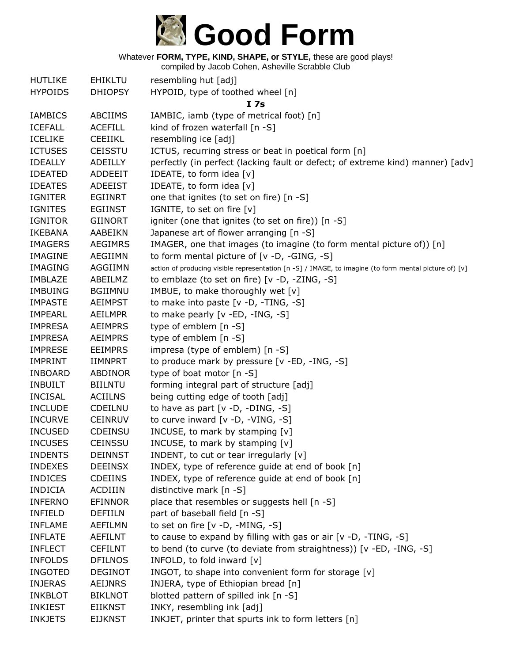

| <b>HUTLIKE</b> | <b>EHIKLTU</b> | resembling hut [adj]                                                                                  |
|----------------|----------------|-------------------------------------------------------------------------------------------------------|
| <b>HYPOIDS</b> | <b>DHIOPSY</b> | HYPOID, type of toothed wheel [n]                                                                     |
|                |                | I 7s                                                                                                  |
| <b>IAMBICS</b> | <b>ABCIIMS</b> | IAMBIC, iamb (type of metrical foot) [n]                                                              |
| <b>ICEFALL</b> | <b>ACEFILL</b> | kind of frozen waterfall [n -S]                                                                       |
| <b>ICELIKE</b> | <b>CEEIIKL</b> | resembling ice [adj]                                                                                  |
| <b>ICTUSES</b> | <b>CEISSTU</b> | ICTUS, recurring stress or beat in poetical form [n]                                                  |
| <b>IDEALLY</b> | ADEILLY        | perfectly (in perfect (lacking fault or defect; of extreme kind) manner) [adv]                        |
| <b>IDEATED</b> | <b>ADDEEIT</b> | IDEATE, to form idea [v]                                                                              |
| <b>IDEATES</b> | <b>ADEEIST</b> | IDEATE, to form idea [v]                                                                              |
| <b>IGNITER</b> | <b>EGIINRT</b> | one that ignites (to set on fire) [n -S]                                                              |
| <b>IGNITES</b> | <b>EGIINST</b> | IGNITE, to set on fire [v]                                                                            |
| <b>IGNITOR</b> | <b>GIINORT</b> | igniter (one that ignites (to set on fire)) [n -S]                                                    |
| <b>IKEBANA</b> | AABEIKN        | Japanese art of flower arranging [n -S]                                                               |
| <b>IMAGERS</b> | <b>AEGIMRS</b> | IMAGER, one that images (to imagine (to form mental picture of)) [n]                                  |
| <b>IMAGINE</b> | <b>AEGIIMN</b> | to form mental picture of [v -D, -GING, -S]                                                           |
| <b>IMAGING</b> | AGGIIMN        | action of producing visible representation [n -S] / IMAGE, to imagine (to form mental picture of) [v] |
| <b>IMBLAZE</b> | ABEILMZ        | to emblaze (to set on fire) [v -D, -ZING, -S]                                                         |
| <b>IMBUING</b> | <b>BGIIMNU</b> | IMBUE, to make thoroughly wet [v]                                                                     |
| <b>IMPASTE</b> | <b>AEIMPST</b> | to make into paste [v -D, -TING, -S]                                                                  |
| <b>IMPEARL</b> | <b>AEILMPR</b> | to make pearly [v -ED, -ING, -S]                                                                      |
| <b>IMPRESA</b> | <b>AEIMPRS</b> | type of emblem [n -S]                                                                                 |
| <b>IMPRESA</b> | <b>AEIMPRS</b> | type of emblem [n -S]                                                                                 |
| <b>IMPRESE</b> | <b>EEIMPRS</b> | impresa (type of emblem) [n -S]                                                                       |
| <b>IMPRINT</b> | <b>IIMNPRT</b> | to produce mark by pressure [v -ED, -ING, -S]                                                         |
| <b>INBOARD</b> | ABDINOR        | type of boat motor [n -S]                                                                             |
| <b>INBUILT</b> | <b>BIILNTU</b> | forming integral part of structure [adj]                                                              |
| <b>INCISAL</b> | <b>ACIILNS</b> | being cutting edge of tooth [adj]                                                                     |
| <b>INCLUDE</b> | CDEILNU        | to have as part $[v -D, -DING, -S]$                                                                   |
| <b>INCURVE</b> | <b>CEINRUV</b> | to curve inward [v -D, -VING, -S]                                                                     |
| <b>INCUSED</b> | <b>CDEINSU</b> | INCUSE, to mark by stamping [v]                                                                       |
| <b>INCUSES</b> | CEINSSU        | INCUSE, to mark by stamping [v]                                                                       |
| <b>INDENTS</b> | <b>DEINNST</b> | INDENT, to cut or tear irregularly [v]                                                                |
| <b>INDEXES</b> | <b>DEEINSX</b> | INDEX, type of reference guide at end of book [n]                                                     |
| <b>INDICES</b> | <b>CDEIINS</b> | INDEX, type of reference guide at end of book [n]                                                     |
| <b>INDICIA</b> | <b>ACDIIIN</b> | distinctive mark [n -S]                                                                               |
| <b>INFERNO</b> | <b>EFINNOR</b> | place that resembles or suggests hell [n -S]                                                          |
| <b>INFIELD</b> | <b>DEFIILN</b> | part of baseball field [n -S]                                                                         |
| <b>INFLAME</b> | <b>AEFILMN</b> | to set on fire [v -D, -MING, -S]                                                                      |
| <b>INFLATE</b> | AEFILNT        | to cause to expand by filling with gas or air [v -D, -TING, -S]                                       |
| <b>INFLECT</b> | <b>CEFILNT</b> | to bend (to curve (to deviate from straightness)) [v -ED, -ING, -S]                                   |
| <b>INFOLDS</b> | <b>DFILNOS</b> | INFOLD, to fold inward [v]                                                                            |
| <b>INGOTED</b> | <b>DEGINOT</b> | INGOT, to shape into convenient form for storage [v]                                                  |
| <b>INJERAS</b> | <b>AEIJNRS</b> | INJERA, type of Ethiopian bread [n]                                                                   |
| <b>INKBLOT</b> | <b>BIKLNOT</b> | blotted pattern of spilled ink [n -S]                                                                 |
| <b>INKIEST</b> | <b>EIIKNST</b> | INKY, resembling ink [adj]                                                                            |
| <b>INKJETS</b> | <b>EIJKNST</b> | INKJET, printer that spurts ink to form letters [n]                                                   |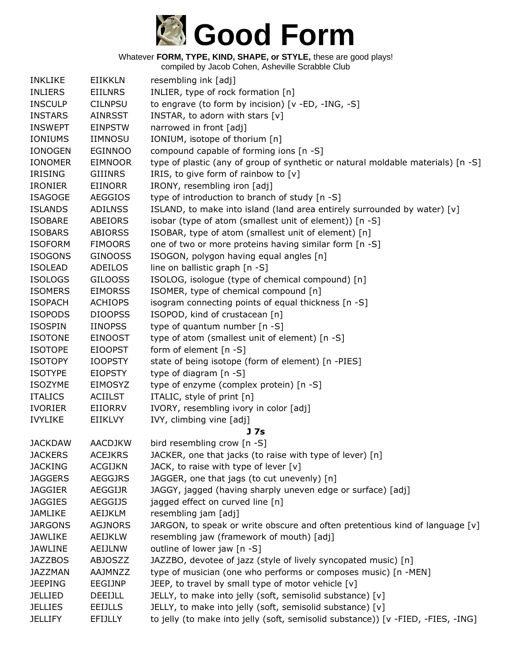

| <b>INKLIKE</b> | <b>EIIKKLN</b> | resembling ink [adj]                                                             |
|----------------|----------------|----------------------------------------------------------------------------------|
| <b>INLIERS</b> | <b>EIILNRS</b> | INLIER, type of rock formation [n]                                               |
| <b>INSCULP</b> | <b>CILNPSU</b> | to engrave (to form by incision) [v -ED, -ING, -S]                               |
| <b>INSTARS</b> | <b>AINRSST</b> | INSTAR, to adorn with stars [v]                                                  |
| <b>INSWEPT</b> | <b>EINPSTW</b> | narrowed in front [adj]                                                          |
| <b>IONIUMS</b> | <b>IIMNOSU</b> | IONIUM, isotope of thorium [n]                                                   |
| <b>IONOGEN</b> | <b>EGINNOO</b> | compound capable of forming ions [n -S]                                          |
| <b>IONOMER</b> | <b>EIMNOOR</b> | type of plastic (any of group of synthetic or natural moldable materials) [n -S] |
| <b>IRISING</b> | <b>GIIINRS</b> | IRIS, to give form of rainbow to [v]                                             |
| <b>IRONIER</b> | <b>EIINORR</b> | IRONY, resembling iron [adj]                                                     |
| <b>ISAGOGE</b> | <b>AEGGIOS</b> | type of introduction to branch of study [n -S]                                   |
| <b>ISLANDS</b> | <b>ADILNSS</b> | ISLAND, to make into island (land area entirely surrounded by water) [v]         |
| <b>ISOBARE</b> | ABEIORS        | isobar (type of atom (smallest unit of element)) [n -S]                          |
| <b>ISOBARS</b> | <b>ABIORSS</b> | ISOBAR, type of atom (smallest unit of element) [n]                              |
| <b>ISOFORM</b> | <b>FIMOORS</b> | one of two or more proteins having similar form [n -S]                           |
| <b>ISOGONS</b> | <b>GINOOSS</b> | ISOGON, polygon having equal angles [n]                                          |
| <b>ISOLEAD</b> | <b>ADEILOS</b> | line on ballistic graph [n -S]                                                   |
| <b>ISOLOGS</b> | <b>GILOOSS</b> | ISOLOG, isologue (type of chemical compound) [n]                                 |
| <b>ISOMERS</b> | <b>EIMORSS</b> | ISOMER, type of chemical compound [n]                                            |
| <b>ISOPACH</b> | <b>ACHIOPS</b> | isogram connecting points of equal thickness [n -S]                              |
| <b>ISOPODS</b> | <b>DIOOPSS</b> | ISOPOD, kind of crustacean [n]                                                   |
| <b>ISOSPIN</b> | <b>IINOPSS</b> | type of quantum number [n -S]                                                    |
| <b>ISOTONE</b> | <b>EINOOST</b> | type of atom (smallest unit of element) [n -S]                                   |
| <b>ISOTOPE</b> | <b>EIOOPST</b> | form of element [n -S]                                                           |
| <b>ISOTOPY</b> | <b>IOOPSTY</b> | state of being isotope (form of element) [n -PIES]                               |
| <b>ISOTYPE</b> | <b>EIOPSTY</b> | type of diagram [n -S]                                                           |
| <b>ISOZYME</b> | <b>EIMOSYZ</b> | type of enzyme (complex protein) [n -S]                                          |
| <b>ITALICS</b> | <b>ACIILST</b> | ITALIC, style of print [n]                                                       |
| <b>IVORIER</b> | EIIORRV        | IVORY, resembling ivory in color [adj]                                           |
| <b>IVYLIKE</b> | <b>EIIKLVY</b> | IVY, climbing vine [adj]                                                         |
|                |                | J 7s                                                                             |
| <b>JACKDAW</b> | <b>AACDJKW</b> | bird resembling crow [n -S]                                                      |
| <b>JACKERS</b> | <b>ACEJKRS</b> | JACKER, one that jacks (to raise with type of lever) [n]                         |
| <b>JACKING</b> | <b>ACGIJKN</b> | JACK, to raise with type of lever $[v]$                                          |
| <b>JAGGERS</b> | <b>AEGGJRS</b> | JAGGER, one that jags (to cut unevenly) [n]                                      |
| <b>JAGGIER</b> | AEGGIJR        | JAGGY, jagged (having sharply uneven edge or surface) [adj]                      |
| <b>JAGGIES</b> | <b>AEGGIJS</b> | jagged effect on curved line [n]                                                 |
| <b>JAMLIKE</b> | AEIJKLM        | resembling jam [adj]                                                             |
| <b>JARGONS</b> | <b>AGJNORS</b> | JARGON, to speak or write obscure and often pretentious kind of language $[v]$   |
| JAWLIKE        | AEIJKLW        | resembling jaw (framework of mouth) [adj]                                        |
| <b>JAWLINE</b> | AEIJLNW        | outline of lower jaw [n -S]                                                      |
| <b>JAZZBOS</b> | <b>ABJOSZZ</b> | JAZZBO, devotee of jazz (style of lively syncopated music) [n]                   |
| <b>JAZZMAN</b> | AAJMNZZ        | type of musician (one who performs or composes music) [n -MEN]                   |
| <b>JEEPING</b> | EEGIJNP        | JEEP, to travel by small type of motor vehicle [v]                               |
| <b>JELLIED</b> | DEEIJLL        | JELLY, to make into jelly (soft, semisolid substance) [v]                        |
| <b>JELLIES</b> | <b>EEIJLLS</b> | JELLY, to make into jelly (soft, semisolid substance) [v]                        |
| <b>JELLIFY</b> | <b>EFIJLLY</b> | to jelly (to make into jelly (soft, semisolid substance)) [v -FIED, -FIES, -ING] |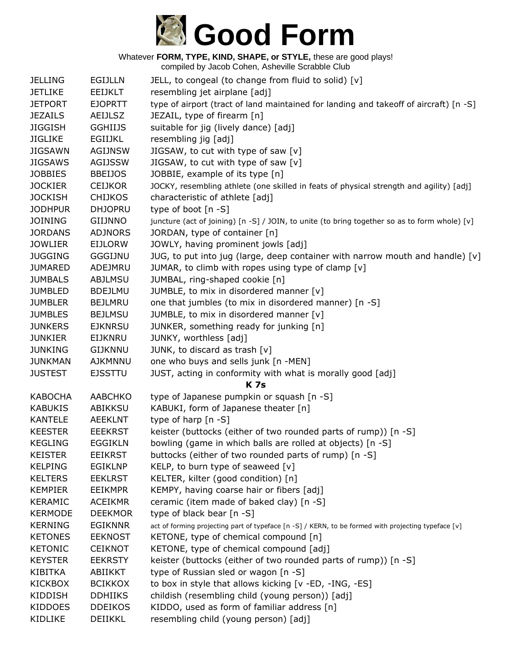

| <b>JELLING</b> | <b>EGIJLLN</b> | JELL, to congeal (to change from fluid to solid) [v]                                                |
|----------------|----------------|-----------------------------------------------------------------------------------------------------|
| <b>JETLIKE</b> | <b>EEIJKLT</b> | resembling jet airplane [adj]                                                                       |
| <b>JETPORT</b> | <b>EJOPRTT</b> | type of airport (tract of land maintained for landing and takeoff of aircraft) [n -S]               |
| <b>JEZAILS</b> | <b>AEIJLSZ</b> | JEZAIL, type of firearm [n]                                                                         |
| <b>JIGGISH</b> | <b>GGHIIJS</b> | suitable for jig (lively dance) [adj]                                                               |
| <b>JIGLIKE</b> | EGIIJKL        | resembling jig [adj]                                                                                |
| <b>JIGSAWN</b> | <b>AGIJNSW</b> | JIGSAW, to cut with type of saw [v]                                                                 |
| <b>JIGSAWS</b> | <b>AGIJSSW</b> | JIGSAW, to cut with type of saw [v]                                                                 |
| <b>JOBBIES</b> | <b>BBEIJOS</b> | JOBBIE, example of its type [n]                                                                     |
| <b>JOCKIER</b> | <b>CEIJKOR</b> | JOCKY, resembling athlete (one skilled in feats of physical strength and agility) [adj]             |
| <b>JOCKISH</b> | <b>CHIJKOS</b> | characteristic of athlete [adj]                                                                     |
| <b>JODHPUR</b> | <b>DHJOPRU</b> | type of boot [n -S]                                                                                 |
| <b>JOINING</b> | <b>GIIJNNO</b> | juncture (act of joining) [n -S] / JOIN, to unite (to bring together so as to form whole) [v]       |
| <b>JORDANS</b> | <b>ADJNORS</b> | JORDAN, type of container [n]                                                                       |
| <b>JOWLIER</b> | <b>EIJLORW</b> | JOWLY, having prominent jowls [adj]                                                                 |
| <b>JUGGING</b> | <b>GGGIJNU</b> | JUG, to put into jug (large, deep container with narrow mouth and handle) [v]                       |
| <b>JUMARED</b> | ADEJMRU        | JUMAR, to climb with ropes using type of clamp [v]                                                  |
| <b>JUMBALS</b> | ABJLMSU        | JUMBAL, ring-shaped cookie [n]                                                                      |
| <b>JUMBLED</b> | <b>BDEJLMU</b> | JUMBLE, to mix in disordered manner [v]                                                             |
| <b>JUMBLER</b> | <b>BEJLMRU</b> | one that jumbles (to mix in disordered manner) [n -S]                                               |
| <b>JUMBLES</b> | <b>BEJLMSU</b> | JUMBLE, to mix in disordered manner [v]                                                             |
| <b>JUNKERS</b> | <b>EJKNRSU</b> | JUNKER, something ready for junking [n]                                                             |
| <b>JUNKIER</b> | EIJKNRU        | JUNKY, worthless [adj]                                                                              |
| <b>JUNKING</b> | <b>GIJKNNU</b> | JUNK, to discard as trash [v]                                                                       |
| <b>JUNKMAN</b> | AJKMNNU        | one who buys and sells junk [n -MEN]                                                                |
| <b>JUSTEST</b> | <b>EJSSTTU</b> | JUST, acting in conformity with what is morally good [adj]                                          |
|                |                | <b>K7s</b>                                                                                          |
| <b>KABOCHA</b> | <b>AABCHKO</b> | type of Japanese pumpkin or squash [n -S]                                                           |
| <b>KABUKIS</b> | <b>ABIKKSU</b> | KABUKI, form of Japanese theater [n]                                                                |
| <b>KANTELE</b> | <b>AEEKLNT</b> | type of harp [n -S]                                                                                 |
| <b>KEESTER</b> | <b>EEEKRST</b> | keister (buttocks (either of two rounded parts of rump)) [n -S]                                     |
| <b>KEGLING</b> | <b>EGGIKLN</b> | bowling (game in which balls are rolled at objects) [n -S]                                          |
| <b>KEISTER</b> | <b>EEIKRST</b> | buttocks (either of two rounded parts of rump) [n -S]                                               |
| <b>KELPING</b> | <b>EGIKLNP</b> | KELP, to burn type of seaweed [v]                                                                   |
| <b>KELTERS</b> | <b>EEKLRST</b> | KELTER, kilter (good condition) [n]                                                                 |
| <b>KEMPIER</b> | <b>EEIKMPR</b> | KEMPY, having coarse hair or fibers [adj]                                                           |
| <b>KERAMIC</b> | <b>ACEIKMR</b> | ceramic (item made of baked clay) [n -S]                                                            |
| <b>KERMODE</b> | <b>DEEKMOR</b> | type of black bear [n -S]                                                                           |
| <b>KERNING</b> | <b>EGIKNNR</b> | act of forming projecting part of typeface [n -S] / KERN, to be formed with projecting typeface [v] |
| <b>KETONES</b> | <b>EEKNOST</b> | KETONE, type of chemical compound [n]                                                               |
| <b>KETONIC</b> | <b>CEIKNOT</b> | KETONE, type of chemical compound [adj]                                                             |
| <b>KEYSTER</b> | <b>EEKRSTY</b> | keister (buttocks (either of two rounded parts of rump)) [n -S]                                     |
| KIBITKA        | ABIIKKT        | type of Russian sled or wagon [n -S]                                                                |
| <b>KICKBOX</b> | <b>BCIKKOX</b> | to box in style that allows kicking [v -ED, -ING, -ES]                                              |
| <b>KIDDISH</b> | <b>DDHIIKS</b> | childish (resembling child (young person)) [adj]                                                    |
| <b>KIDDOES</b> | <b>DDEIKOS</b> | KIDDO, used as form of familiar address [n]                                                         |
| KIDLIKE        | DEIIKKL        | resembling child (young person) [adj]                                                               |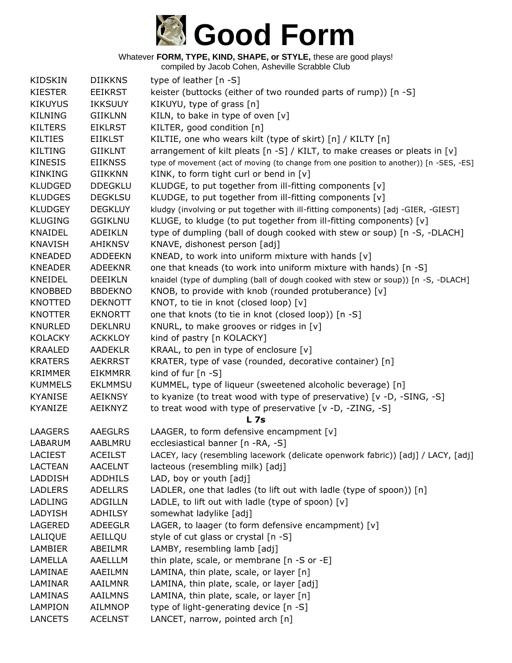## **Good Form**

Whatever **FORM, TYPE, KIND, SHAPE, or STYLE,** these are good plays!

| <b>KIDSKIN</b> | <b>DIIKKNS</b> | type of leather [n -S]                                                                  |
|----------------|----------------|-----------------------------------------------------------------------------------------|
| <b>KIESTER</b> | <b>EEIKRST</b> | keister (buttocks (either of two rounded parts of rump)) [n -S]                         |
| <b>KIKUYUS</b> | <b>IKKSUUY</b> | KIKUYU, type of grass [n]                                                               |
| <b>KILNING</b> | <b>GIIKLNN</b> | KILN, to bake in type of oven [v]                                                       |
| <b>KILTERS</b> | <b>EIKLRST</b> | KILTER, good condition [n]                                                              |
| <b>KILTIES</b> | <b>EIIKLST</b> | KILTIE, one who wears kilt (type of skirt) [n] / KILTY [n]                              |
| <b>KILTING</b> | <b>GIIKLNT</b> | arrangement of kilt pleats [n -S] / KILT, to make creases or pleats in [v]              |
| <b>KINESIS</b> | <b>EIIKNSS</b> | type of movement (act of moving (to change from one position to another)) [n -SES, -ES] |
| <b>KINKING</b> | <b>GIIKKNN</b> | KINK, to form tight curl or bend in [v]                                                 |
| <b>KLUDGED</b> | <b>DDEGKLU</b> | KLUDGE, to put together from ill-fitting components [v]                                 |
| <b>KLUDGES</b> | <b>DEGKLSU</b> | KLUDGE, to put together from ill-fitting components [v]                                 |
| <b>KLUDGEY</b> | <b>DEGKLUY</b> | kludgy (involving or put together with ill-fitting components) [adj -GIER, -GIEST]      |
| <b>KLUGING</b> | <b>GGIKLNU</b> | KLUGE, to kludge (to put together from ill-fitting components) [v]                      |
| <b>KNAIDEL</b> | <b>ADEIKLN</b> | type of dumpling (ball of dough cooked with stew or soup) [n -S, -DLACH]                |
| <b>KNAVISH</b> | <b>AHIKNSV</b> | KNAVE, dishonest person [adj]                                                           |
| <b>KNEADED</b> | <b>ADDEEKN</b> | KNEAD, to work into uniform mixture with hands [v]                                      |
| <b>KNEADER</b> | <b>ADEEKNR</b> | one that kneads (to work into uniform mixture with hands) [n -S]                        |
| KNEIDEL        | <b>DEEIKLN</b> | knaidel (type of dumpling (ball of dough cooked with stew or soup)) [n -S, -DLACH]      |
| <b>KNOBBED</b> | <b>BBDEKNO</b> | KNOB, to provide with knob (rounded protuberance) [v]                                   |
| KNOTTED        | <b>DEKNOTT</b> | KNOT, to tie in knot (closed loop) [v]                                                  |
| <b>KNOTTER</b> | <b>EKNORTT</b> | one that knots (to tie in knot (closed loop)) [n -S]                                    |
| <b>KNURLED</b> | <b>DEKLNRU</b> | KNURL, to make grooves or ridges in [v]                                                 |
| <b>KOLACKY</b> | <b>ACKKLOY</b> | kind of pastry [n KOLACKY]                                                              |
| <b>KRAALED</b> | <b>AADEKLR</b> | KRAAL, to pen in type of enclosure [v]                                                  |
| <b>KRATERS</b> | <b>AEKRRST</b> | KRATER, type of vase (rounded, decorative container) [n]                                |
| <b>KRIMMER</b> | <b>EIKMMRR</b> | kind of fur $[n - S]$                                                                   |
| <b>KUMMELS</b> | <b>EKLMMSU</b> | KUMMEL, type of liqueur (sweetened alcoholic beverage) [n]                              |
| <b>KYANISE</b> | <b>AEIKNSY</b> | to kyanize (to treat wood with type of preservative) [v -D, -SING, -S]                  |
| KYANIZE        | <b>AEIKNYZ</b> | to treat wood with type of preservative [v -D, -ZING, -S]                               |
|                |                | <b>L</b> 7s                                                                             |
| <b>LAAGERS</b> | <b>AAEGLRS</b> | LAAGER, to form defensive encampment [v]                                                |
| <b>LABARUM</b> | AABLMRU        | ecclesiastical banner [n -RA, -S]                                                       |
| <b>LACIEST</b> | <b>ACEILST</b> | LACEY, lacy (resembling lacework (delicate openwork fabric)) [adj] / LACY, [adj]        |
| <b>LACTEAN</b> | <b>AACELNT</b> | lacteous (resembling milk) [adj]                                                        |
| LADDISH        | <b>ADDHILS</b> | LAD, boy or youth [adj]                                                                 |
| <b>LADLERS</b> | <b>ADELLRS</b> | LADLER, one that ladles (to lift out with ladle (type of spoon)) [n]                    |
| <b>LADLING</b> | <b>ADGILLN</b> | LADLE, to lift out with ladle (type of spoon) $[v]$                                     |
| LADYISH        | <b>ADHILSY</b> | somewhat ladylike [adj]                                                                 |
| LAGERED        | <b>ADEEGLR</b> | LAGER, to laager (to form defensive encampment) $[v]$                                   |
| LALIQUE        | AEILLQU        | style of cut glass or crystal [n -S]                                                    |
| <b>LAMBIER</b> | ABEILMR        | LAMBY, resembling lamb [adj]                                                            |
| LAMELLA        | AAELLLM        | thin plate, scale, or membrane [n -S or -E]                                             |
| LAMINAE        | AAEILMN        | LAMINA, thin plate, scale, or layer [n]                                                 |
| LAMINAR        | AAILMNR        | LAMINA, thin plate, scale, or layer [adj]                                               |
| LAMINAS        | <b>AAILMNS</b> | LAMINA, thin plate, scale, or layer [n]                                                 |
| <b>LAMPION</b> | <b>AILMNOP</b> | type of light-generating device [n -S]                                                  |
| <b>LANCETS</b> | <b>ACELNST</b> | LANCET, narrow, pointed arch [n]                                                        |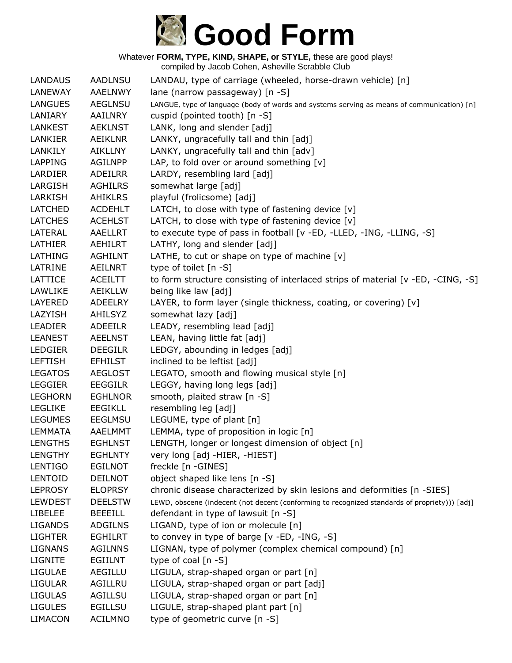

| <b>LANDAUS</b> | <b>AADLNSU</b> | LANDAU, type of carriage (wheeled, horse-drawn vehicle) [n]                                   |
|----------------|----------------|-----------------------------------------------------------------------------------------------|
| LANEWAY        | <b>AAELNWY</b> | lane (narrow passageway) [n -S]                                                               |
| <b>LANGUES</b> | <b>AEGLNSU</b> | LANGUE, type of language (body of words and systems serving as means of communication) [n]    |
| LANIARY        | AAILNRY        | cuspid (pointed tooth) [n -S]                                                                 |
| <b>LANKEST</b> | <b>AEKLNST</b> | LANK, long and slender [adj]                                                                  |
| LANKIER        | AEIKLNR        | LANKY, ungracefully tall and thin [adj]                                                       |
| LANKILY        | AIKLLNY        | LANKY, ungracefully tall and thin [adv]                                                       |
| <b>LAPPING</b> | <b>AGILNPP</b> | LAP, to fold over or around something [v]                                                     |
| LARDIER        | ADEILRR        | LARDY, resembling lard [adj]                                                                  |
| LARGISH        | <b>AGHILRS</b> | somewhat large [adj]                                                                          |
| LARKISH        | AHIKLRS        | playful (frolicsome) [adj]                                                                    |
| LATCHED        | <b>ACDEHLT</b> | LATCH, to close with type of fastening device $[v]$                                           |
| <b>LATCHES</b> | <b>ACEHLST</b> | LATCH, to close with type of fastening device $[v]$                                           |
| LATERAL        | AAELLRT        | to execute type of pass in football [v -ED, -LLED, -ING, -LLING, -S]                          |
| LATHIER        | <b>AEHILRT</b> | LATHY, long and slender [adj]                                                                 |
| LATHING        | <b>AGHILNT</b> | LATHE, to cut or shape on type of machine $[v]$                                               |
| LATRINE        | AEILNRT        | type of toilet [n -S]                                                                         |
| LATTICE        | <b>ACEILTT</b> | to form structure consisting of interlaced strips of material [v -ED, -CING, -S]              |
| LAWLIKE        | AEIKLLW        | being like law [adj]                                                                          |
| LAYERED        | <b>ADEELRY</b> | LAYER, to form layer (single thickness, coating, or covering) [v]                             |
| LAZYISH        | AHILSYZ        | somewhat lazy [adj]                                                                           |
| LEADIER        | ADEEILR        | LEADY, resembling lead [adj]                                                                  |
| <b>LEANEST</b> | <b>AEELNST</b> | LEAN, having little fat [adj]                                                                 |
| <b>LEDGIER</b> | <b>DEEGILR</b> | LEDGY, abounding in ledges [adj]                                                              |
| <b>LEFTISH</b> | <b>EFHILST</b> | inclined to be leftist [adj]                                                                  |
| <b>LEGATOS</b> | <b>AEGLOST</b> | LEGATO, smooth and flowing musical style [n]                                                  |
| <b>LEGGIER</b> | <b>EEGGILR</b> | LEGGY, having long legs [adj]                                                                 |
| <b>LEGHORN</b> | <b>EGHLNOR</b> | smooth, plaited straw [n -S]                                                                  |
| <b>LEGLIKE</b> | EEGIKLL        | resembling leg [adj]                                                                          |
| <b>LEGUMES</b> | <b>EEGLMSU</b> | LEGUME, type of plant [n]                                                                     |
| <b>LEMMATA</b> | AAELMMT        | LEMMA, type of proposition in logic [n]                                                       |
| <b>LENGTHS</b> | <b>EGHLNST</b> | LENGTH, longer or longest dimension of object [n]                                             |
| <b>LENGTHY</b> | <b>EGHLNTY</b> | very long [adj -HIER, -HIEST]                                                                 |
| <b>LENTIGO</b> | <b>EGILNOT</b> | freckle [n -GINES]                                                                            |
| <b>LENTOID</b> | <b>DEILNOT</b> | object shaped like lens [n -S]                                                                |
| <b>LEPROSY</b> | <b>ELOPRSY</b> | chronic disease characterized by skin lesions and deformities [n -SIES]                       |
| <b>LEWDEST</b> | <b>DEELSTW</b> | LEWD, obscene (indecent (not decent (conforming to recognized standards of propriety))) [adj] |
| <b>LIBELEE</b> | <b>BEEEILL</b> | defendant in type of lawsuit [n -S]                                                           |
| <b>LIGANDS</b> | <b>ADGILNS</b> | LIGAND, type of ion or molecule [n]                                                           |
| <b>LIGHTER</b> | <b>EGHILRT</b> | to convey in type of barge [v -ED, -ING, -S]                                                  |
| <b>LIGNANS</b> | <b>AGILNNS</b> | LIGNAN, type of polymer (complex chemical compound) [n]                                       |
| <b>LIGNITE</b> | <b>EGIILNT</b> | type of coal $[n - S]$                                                                        |
| <b>LIGULAE</b> | AEGILLU        | LIGULA, strap-shaped organ or part [n]                                                        |
| <b>LIGULAR</b> | AGILLRU        | LIGULA, strap-shaped organ or part [adj]                                                      |
| <b>LIGULAS</b> | <b>AGILLSU</b> | LIGULA, strap-shaped organ or part [n]                                                        |
| <b>LIGULES</b> | <b>EGILLSU</b> | LIGULE, strap-shaped plant part [n]                                                           |
| LIMACON        | <b>ACILMNO</b> | type of geometric curve [n -S]                                                                |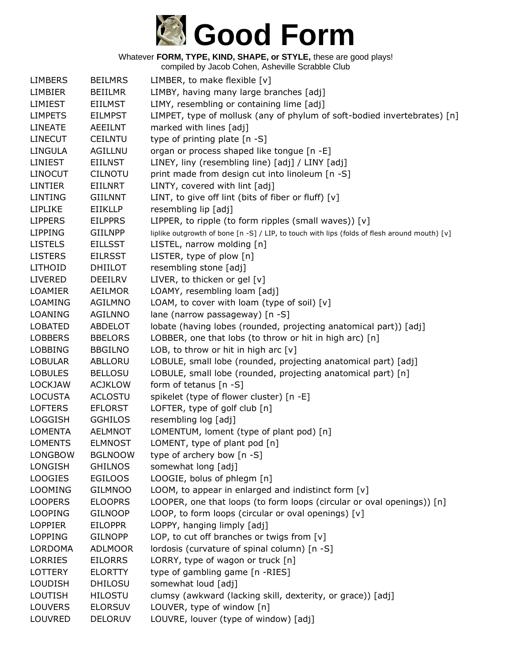

| <b>LIMBERS</b> | <b>BEILMRS</b> | LIMBER, to make flexible $[v]$                                                               |
|----------------|----------------|----------------------------------------------------------------------------------------------|
| <b>LIMBIER</b> | <b>BEIILMR</b> | LIMBY, having many large branches [adj]                                                      |
| <b>LIMIEST</b> | <b>EIILMST</b> | LIMY, resembling or containing lime [adj]                                                    |
| <b>LIMPETS</b> | <b>EILMPST</b> | LIMPET, type of mollusk (any of phylum of soft-bodied invertebrates) [n]                     |
| <b>LINEATE</b> | <b>AEEILNT</b> | marked with lines [adj]                                                                      |
| <b>LINECUT</b> | <b>CEILNTU</b> | type of printing plate [n -S]                                                                |
| <b>LINGULA</b> | <b>AGILLNU</b> | organ or process shaped like tongue [n -E]                                                   |
| <b>LINIEST</b> | <b>EIILNST</b> | LINEY, liny (resembling line) [adj] / LINY [adj]                                             |
| <b>LINOCUT</b> | <b>CILNOTU</b> | print made from design cut into linoleum [n -S]                                              |
| <b>LINTIER</b> | <b>EIILNRT</b> | LINTY, covered with lint [adj]                                                               |
| <b>LINTING</b> | <b>GIILNNT</b> | LINT, to give off lint (bits of fiber or fluff) [v]                                          |
| <b>LIPLIKE</b> | EIIKLLP        | resembling lip [adj]                                                                         |
| <b>LIPPERS</b> | <b>EILPPRS</b> | LIPPER, to ripple (to form ripples (small waves)) [v]                                        |
| <b>LIPPING</b> | <b>GIILNPP</b> | liplike outgrowth of bone [n -S] / LIP, to touch with lips (folds of flesh around mouth) [v] |
| <b>LISTELS</b> | <b>EILLSST</b> | LISTEL, narrow molding [n]                                                                   |
| <b>LISTERS</b> | <b>EILRSST</b> | LISTER, type of plow [n]                                                                     |
| <b>LITHOID</b> | <b>DHIILOT</b> | resembling stone [adj]                                                                       |
| <b>LIVERED</b> | <b>DEEILRV</b> | LIVER, to thicken or gel [v]                                                                 |
| <b>LOAMIER</b> | <b>AEILMOR</b> | LOAMY, resembling loam [adj]                                                                 |
| LOAMING        | AGILMNO        | LOAM, to cover with loam (type of soil) [v]                                                  |
| LOANING        | <b>AGILNNO</b> | lane (narrow passageway) [n -S]                                                              |
| <b>LOBATED</b> | ABDELOT        | lobate (having lobes (rounded, projecting anatomical part)) [adj]                            |
| <b>LOBBERS</b> | <b>BBELORS</b> | LOBBER, one that lobs (to throw or hit in high arc) [n]                                      |
| <b>LOBBING</b> | <b>BBGILNO</b> | LOB, to throw or hit in high arc $[v]$                                                       |
| <b>LOBULAR</b> | ABLLORU        | LOBULE, small lobe (rounded, projecting anatomical part) [adj]                               |
| <b>LOBULES</b> | <b>BELLOSU</b> | LOBULE, small lobe (rounded, projecting anatomical part) [n]                                 |
| <b>LOCKJAW</b> | <b>ACJKLOW</b> | form of tetanus [n -S]                                                                       |
| <b>LOCUSTA</b> | <b>ACLOSTU</b> | spikelet (type of flower cluster) [n -E]                                                     |
| <b>LOFTERS</b> | <b>EFLORST</b> | LOFTER, type of golf club [n]                                                                |
| <b>LOGGISH</b> | <b>GGHILOS</b> | resembling log [adj]                                                                         |
| <b>LOMENTA</b> | <b>AELMNOT</b> | LOMENTUM, loment (type of plant pod) [n]                                                     |
| <b>LOMENTS</b> | <b>ELMNOST</b> | LOMENT, type of plant pod [n]                                                                |
| <b>LONGBOW</b> | <b>BGLNOOW</b> | type of archery bow [n -S]                                                                   |
| LONGISH        | <b>GHILNOS</b> | somewhat long [adj]                                                                          |
| <b>LOOGIES</b> | <b>EGILOOS</b> | LOOGIE, bolus of phlegm [n]                                                                  |
| <b>LOOMING</b> | <b>GILMNOO</b> | LOOM, to appear in enlarged and indistinct form [v]                                          |
| <b>LOOPERS</b> | <b>ELOOPRS</b> | LOOPER, one that loops (to form loops (circular or oval openings)) [n]                       |
| <b>LOOPING</b> | <b>GILNOOP</b> | LOOP, to form loops (circular or oval openings) [v]                                          |
| <b>LOPPIER</b> | <b>EILOPPR</b> | LOPPY, hanging limply [adj]                                                                  |
| <b>LOPPING</b> | <b>GILNOPP</b> | LOP, to cut off branches or twigs from $[v]$                                                 |
| <b>LORDOMA</b> | ADLMOOR        | lordosis (curvature of spinal column) [n -S]                                                 |
| <b>LORRIES</b> | <b>EILORRS</b> | LORRY, type of wagon or truck [n]                                                            |
| <b>LOTTERY</b> | <b>ELORTTY</b> | type of gambling game [n -RIES]                                                              |
| <b>LOUDISH</b> | <b>DHILOSU</b> | somewhat loud [adj]                                                                          |
| <b>LOUTISH</b> | <b>HILOSTU</b> | clumsy (awkward (lacking skill, dexterity, or grace)) [adj]                                  |
| <b>LOUVERS</b> | <b>ELORSUV</b> | LOUVER, type of window [n]                                                                   |
| LOUVRED        | <b>DELORUV</b> | LOUVRE, louver (type of window) [adj]                                                        |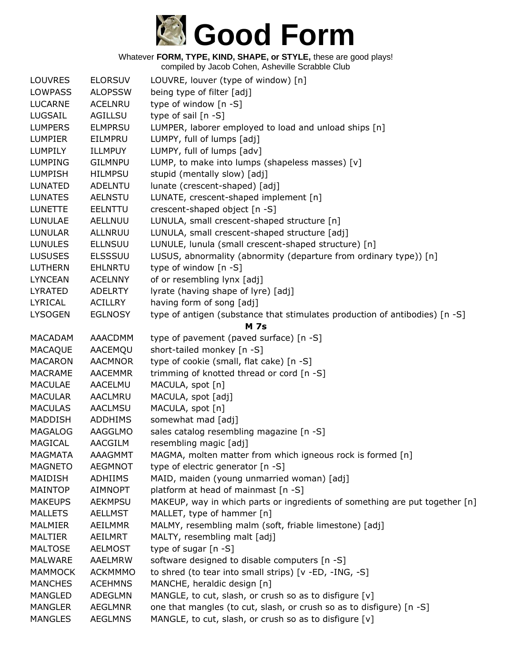

| <b>LOUVRES</b> | <b>ELORSUV</b> | LOUVRE, louver (type of window) [n]                                         |
|----------------|----------------|-----------------------------------------------------------------------------|
| <b>LOWPASS</b> | <b>ALOPSSW</b> | being type of filter [adj]                                                  |
| <b>LUCARNE</b> | <b>ACELNRU</b> | type of window [n -S]                                                       |
| LUGSAIL        | <b>AGILLSU</b> | type of sail [n -S]                                                         |
| <b>LUMPERS</b> | <b>ELMPRSU</b> | LUMPER, laborer employed to load and unload ships [n]                       |
| <b>LUMPIER</b> | EILMPRU        | LUMPY, full of lumps [adj]                                                  |
| <b>LUMPILY</b> | ILLMPUY        | LUMPY, full of lumps [adv]                                                  |
| <b>LUMPING</b> | <b>GILMNPU</b> | LUMP, to make into lumps (shapeless masses) [v]                             |
| <b>LUMPISH</b> | <b>HILMPSU</b> | stupid (mentally slow) [adj]                                                |
| <b>LUNATED</b> | <b>ADELNTU</b> | lunate (crescent-shaped) [adj]                                              |
| <b>LUNATES</b> | <b>AELNSTU</b> | LUNATE, crescent-shaped implement [n]                                       |
| <b>LUNETTE</b> | <b>EELNTTU</b> | crescent-shaped object [n -S]                                               |
| <b>LUNULAE</b> | AELLNUU        | LUNULA, small crescent-shaped structure [n]                                 |
| <b>LUNULAR</b> | ALLNRUU        | LUNULA, small crescent-shaped structure [adj]                               |
| <b>LUNULES</b> | <b>ELLNSUU</b> | LUNULE, lunula (small crescent-shaped structure) [n]                        |
| <b>LUSUSES</b> | <b>ELSSSUU</b> | LUSUS, abnormality (abnormity (departure from ordinary type)) [n]           |
| <b>LUTHERN</b> | <b>EHLNRTU</b> | type of window [n -S]                                                       |
| <b>LYNCEAN</b> | <b>ACELNNY</b> | of or resembling lynx [adj]                                                 |
| LYRATED        | <b>ADELRTY</b> | lyrate (having shape of lyre) [adj]                                         |
| LYRICAL        | <b>ACILLRY</b> | having form of song [adj]                                                   |
| <b>LYSOGEN</b> | <b>EGLNOSY</b> | type of antigen (substance that stimulates production of antibodies) [n -S] |
|                |                | <b>M</b> 7s                                                                 |
| <b>MACADAM</b> | AAACDMM        | type of pavement (paved surface) [n -S]                                     |
| <b>MACAQUE</b> | AACEMQU        | short-tailed monkey [n -S]                                                  |
| <b>MACARON</b> | <b>AACMNOR</b> | type of cookie (small, flat cake) [n -S]                                    |
| <b>MACRAME</b> | <b>AACEMMR</b> | trimming of knotted thread or cord [n -S]                                   |
| <b>MACULAE</b> | <b>AACELMU</b> | MACULA, spot [n]                                                            |
| <b>MACULAR</b> | <b>AACLMRU</b> |                                                                             |
|                |                | MACULA, spot [adj]                                                          |
| <b>MACULAS</b> | <b>AACLMSU</b> | MACULA, spot [n]                                                            |
| <b>MADDISH</b> | <b>ADDHIMS</b> | somewhat mad [adj]                                                          |
| <b>MAGALOG</b> | AAGGLMO        | sales catalog resembling magazine [n -S]                                    |
| <b>MAGICAL</b> | <b>AACGILM</b> | resembling magic [adj]                                                      |
| <b>MAGMATA</b> | AAAGMMT        | MAGMA, molten matter from which igneous rock is formed [n]                  |
| <b>MAGNETO</b> | <b>AEGMNOT</b> | type of electric generator [n -S]                                           |
| MAIDISH        | <b>ADHIIMS</b> | MAID, maiden (young unmarried woman) [adj]                                  |
| <b>MAINTOP</b> | AIMNOPT        | platform at head of mainmast [n -S]                                         |
| <b>MAKEUPS</b> | <b>AEKMPSU</b> | MAKEUP, way in which parts or ingredients of something are put together [n] |
| <b>MALLETS</b> | <b>AELLMST</b> | MALLET, type of hammer [n]                                                  |
| <b>MALMIER</b> | <b>AEILMMR</b> | MALMY, resembling malm (soft, friable limestone) [adj]                      |
| <b>MALTIER</b> | AEILMRT        | MALTY, resembling malt [adj]                                                |
| <b>MALTOSE</b> | <b>AELMOST</b> | type of sugar [n -S]                                                        |
| <b>MALWARE</b> | AAELMRW        | software designed to disable computers [n -S]                               |
| <b>MAMMOCK</b> | <b>ACKMMMO</b> | to shred (to tear into small strips) [v -ED, -ING, -S]                      |
| <b>MANCHES</b> | <b>ACEHMNS</b> | MANCHE, heraldic design [n]                                                 |
| <b>MANGLED</b> | <b>ADEGLMN</b> | MANGLE, to cut, slash, or crush so as to disfigure [v]                      |
| <b>MANGLER</b> | <b>AEGLMNR</b> | one that mangles (to cut, slash, or crush so as to disfigure) [n -S]        |
| <b>MANGLES</b> | <b>AEGLMNS</b> | MANGLE, to cut, slash, or crush so as to disfigure [v]                      |
|                |                |                                                                             |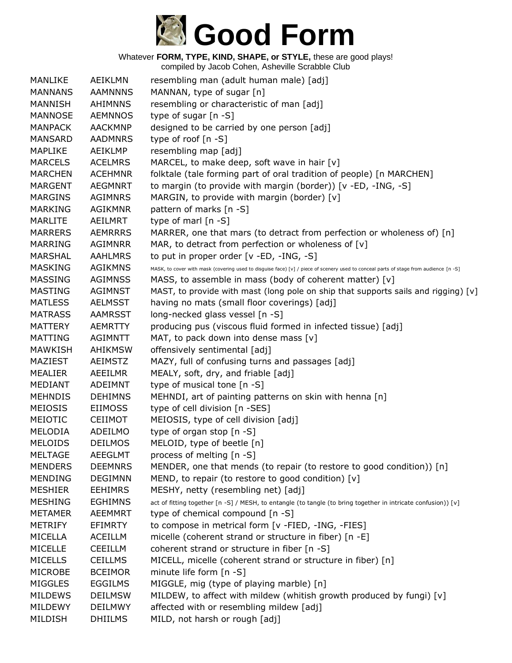

| MANLIKE        | <b>AEIKLMN</b> | resembling man (adult human male) [adj]                                                                                              |
|----------------|----------------|--------------------------------------------------------------------------------------------------------------------------------------|
| <b>MANNANS</b> | <b>AAMNNNS</b> | MANNAN, type of sugar [n]                                                                                                            |
| <b>MANNISH</b> | <b>AHIMNNS</b> | resembling or characteristic of man [adj]                                                                                            |
| <b>MANNOSE</b> | <b>AEMNNOS</b> | type of sugar [n -S]                                                                                                                 |
| <b>MANPACK</b> | <b>AACKMNP</b> | designed to be carried by one person [adj]                                                                                           |
| <b>MANSARD</b> | <b>AADMNRS</b> | type of roof $[n - S]$                                                                                                               |
| <b>MAPLIKE</b> | AEIKLMP        | resembling map [adj]                                                                                                                 |
| <b>MARCELS</b> | <b>ACELMRS</b> | MARCEL, to make deep, soft wave in hair [v]                                                                                          |
| <b>MARCHEN</b> | <b>ACEHMNR</b> | folktale (tale forming part of oral tradition of people) [n MARCHEN]                                                                 |
| <b>MARGENT</b> | <b>AEGMNRT</b> | to margin (to provide with margin (border)) [v -ED, -ING, -S]                                                                        |
| <b>MARGINS</b> | <b>AGIMNRS</b> | MARGIN, to provide with margin (border) [v]                                                                                          |
| <b>MARKING</b> | <b>AGIKMNR</b> | pattern of marks [n -S]                                                                                                              |
| <b>MARLITE</b> | AEILMRT        | type of marl $[n - S]$                                                                                                               |
| <b>MARRERS</b> | <b>AEMRRRS</b> | MARRER, one that mars (to detract from perfection or wholeness of) [n]                                                               |
| MARRING        | AGIMNRR        | MAR, to detract from perfection or wholeness of [v]                                                                                  |
| <b>MARSHAL</b> | <b>AAHLMRS</b> | to put in proper order [v -ED, -ING, -S]                                                                                             |
| <b>MASKING</b> | <b>AGIKMNS</b> | MASK, to cover with mask (covering used to disguise face) [v] / piece of scenery used to conceal parts of stage from audience [n -S] |
| <b>MASSING</b> | <b>AGIMNSS</b> | MASS, to assemble in mass (body of coherent matter) [v]                                                                              |
| <b>MASTING</b> | <b>AGIMNST</b> | MAST, to provide with mast (long pole on ship that supports sails and rigging) [v]                                                   |
| <b>MATLESS</b> | <b>AELMSST</b> | having no mats (small floor coverings) [adj]                                                                                         |
| <b>MATRASS</b> | <b>AAMRSST</b> | long-necked glass vessel [n -S]                                                                                                      |
| <b>MATTERY</b> | <b>AEMRTTY</b> | producing pus (viscous fluid formed in infected tissue) [adj]                                                                        |
| <b>MATTING</b> | AGIMNTT        | MAT, to pack down into dense mass $[v]$                                                                                              |
| MAWKISH        | <b>AHIKMSW</b> | offensively sentimental [adj]                                                                                                        |
| MAZIEST        | <b>AEIMSTZ</b> | MAZY, full of confusing turns and passages [adj]                                                                                     |
| <b>MEALIER</b> | AEEILMR        | MEALY, soft, dry, and friable [adj]                                                                                                  |
| MEDIANT        | ADEIMNT        | type of musical tone [n -S]                                                                                                          |
| <b>MEHNDIS</b> | <b>DEHIMNS</b> | MEHNDI, art of painting patterns on skin with henna [n]                                                                              |
| <b>MEIOSIS</b> | <b>EIIMOSS</b> | type of cell division [n -SES]                                                                                                       |
| MEIOTIC        | <b>CEIIMOT</b> | MEIOSIS, type of cell division [adj]                                                                                                 |
| MELODIA        | ADEILMO        | type of organ stop [n -S]                                                                                                            |
| <b>MELOIDS</b> | <b>DEILMOS</b> | MELOID, type of beetle [n]                                                                                                           |
| <b>MELTAGE</b> | <b>AEEGLMT</b> | process of melting [n -S]                                                                                                            |
| <b>MENDERS</b> | <b>DEEMNRS</b> | MENDER, one that mends (to repair (to restore to good condition)) [n]                                                                |
| <b>MENDING</b> | <b>DEGIMNN</b> | MEND, to repair (to restore to good condition) [v]                                                                                   |
| <b>MESHIER</b> | <b>EEHIMRS</b> | MESHY, netty (resembling net) [adj]                                                                                                  |
| <b>MESHING</b> | <b>EGHIMNS</b> | act of fitting together [n -S] / MESH, to entangle (to tangle (to bring together in intricate confusion)) [v]                        |
| <b>METAMER</b> | <b>AEEMMRT</b> | type of chemical compound [n -S]                                                                                                     |
| <b>METRIFY</b> | <b>EFIMRTY</b> | to compose in metrical form [v -FIED, -ING, -FIES]                                                                                   |
| MICELLA        | <b>ACEILLM</b> | micelle (coherent strand or structure in fiber) [n -E]                                                                               |
| MICELLE        | <b>CEEILLM</b> | coherent strand or structure in fiber [n -S]                                                                                         |
| <b>MICELLS</b> | <b>CEILLMS</b> | MICELL, micelle (coherent strand or structure in fiber) [n]                                                                          |
| <b>MICROBE</b> | <b>BCEIMOR</b> | minute life form [n -S]                                                                                                              |
| <b>MIGGLES</b> | <b>EGGILMS</b> | MIGGLE, mig (type of playing marble) [n]                                                                                             |
| <b>MILDEWS</b> | <b>DEILMSW</b> | MILDEW, to affect with mildew (whitish growth produced by fungi) [v]                                                                 |
| MILDEWY        | <b>DEILMWY</b> | affected with or resembling mildew [adj]                                                                                             |
| MILDISH        | <b>DHIILMS</b> | MILD, not harsh or rough [adj]                                                                                                       |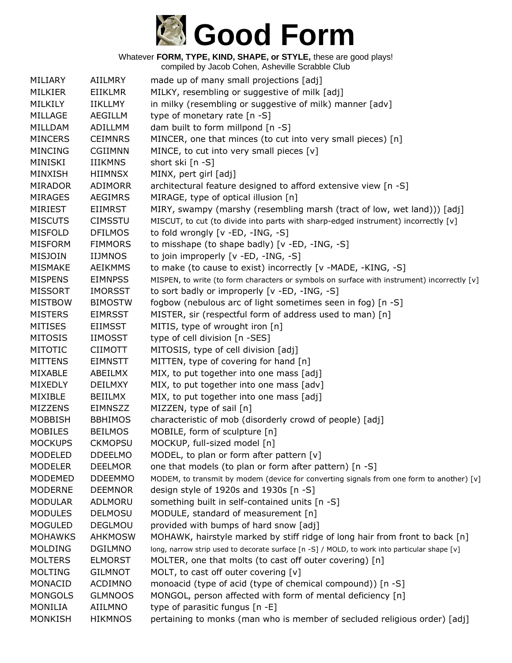# **Good Form**

Whatever **FORM, TYPE, KIND, SHAPE, or STYLE,** these are good plays!

| MILIARY        | <b>AIILMRY</b> | made up of many small projections [adj]                                                      |
|----------------|----------------|----------------------------------------------------------------------------------------------|
| MILKIER        | <b>EIIKLMR</b> | MILKY, resembling or suggestive of milk [adj]                                                |
| MILKILY        | <b>IIKLLMY</b> | in milky (resembling or suggestive of milk) manner [adv]                                     |
|                |                |                                                                                              |
| MILLAGE        | <b>AEGILLM</b> | type of monetary rate [n -S]                                                                 |
| MILLDAM        | <b>ADILLMM</b> | dam built to form millpond [n -S]                                                            |
| <b>MINCERS</b> | <b>CEIMNRS</b> | MINCER, one that minces (to cut into very small pieces) [n]                                  |
| <b>MINCING</b> | <b>CGIIMNN</b> | MINCE, to cut into very small pieces [v]                                                     |
| MINISKI        | <b>IIIKMNS</b> | short ski [n -S]                                                                             |
| <b>MINXISH</b> | <b>HIIMNSX</b> | MINX, pert girl [adj]                                                                        |
| <b>MIRADOR</b> | <b>ADIMORR</b> | architectural feature designed to afford extensive view [n -S]                               |
| <b>MIRAGES</b> | <b>AEGIMRS</b> | MIRAGE, type of optical illusion [n]                                                         |
| <b>MIRIEST</b> | <b>EIIMRST</b> | MIRY, swampy (marshy (resembling marsh (tract of low, wet land))) [adj]                      |
| <b>MISCUTS</b> | <b>CIMSSTU</b> | MISCUT, to cut (to divide into parts with sharp-edged instrument) incorrectly [v]            |
| <b>MISFOLD</b> | <b>DFILMOS</b> | to fold wrongly [v -ED, -ING, -S]                                                            |
| <b>MISFORM</b> | <b>FIMMORS</b> | to misshape (to shape badly) [v -ED, -ING, -S]                                               |
| <b>MISJOIN</b> | <b>IIJMNOS</b> | to join improperly [v -ED, -ING, -S]                                                         |
| <b>MISMAKE</b> | <b>AEIKMMS</b> | to make (to cause to exist) incorrectly [v -MADE, -KING, -S]                                 |
| <b>MISPENS</b> | <b>EIMNPSS</b> | MISPEN, to write (to form characters or symbols on surface with instrument) incorrectly [v]  |
| <b>MISSORT</b> | <b>IMORSST</b> | to sort badly or improperly [v -ED, -ING, -S]                                                |
| <b>MISTBOW</b> | <b>BIMOSTW</b> | fogbow (nebulous arc of light sometimes seen in fog) [n -S]                                  |
| <b>MISTERS</b> | <b>EIMRSST</b> | MISTER, sir (respectful form of address used to man) [n]                                     |
| <b>MITISES</b> | <b>EIIMSST</b> | MITIS, type of wrought iron [n]                                                              |
| <b>MITOSIS</b> | <b>IIMOSST</b> | type of cell division [n -SES]                                                               |
| <b>MITOTIC</b> | <b>CIIMOTT</b> | MITOSIS, type of cell division [adj]                                                         |
| <b>MITTENS</b> | <b>EIMNSTT</b> | MITTEN, type of covering for hand [n]                                                        |
| MIXABLE        | ABEILMX        | MIX, to put together into one mass [adj]                                                     |
| <b>MIXEDLY</b> | <b>DEILMXY</b> | MIX, to put together into one mass [adv]                                                     |
| MIXIBLE        | <b>BEIILMX</b> | MIX, to put together into one mass [adj]                                                     |
| <b>MIZZENS</b> | EIMNSZZ        | MIZZEN, type of sail [n]                                                                     |
|                |                |                                                                                              |
| <b>MOBBISH</b> | <b>BBHIMOS</b> | characteristic of mob (disorderly crowd of people) [adj]                                     |
| <b>MOBILES</b> | <b>BEILMOS</b> | MOBILE, form of sculpture [n]                                                                |
| <b>MOCKUPS</b> | <b>CKMOPSU</b> | MOCKUP, full-sized model [n]                                                                 |
| <b>MODELED</b> | <b>DDEELMO</b> | MODEL, to plan or form after pattern [v]                                                     |
| <b>MODELER</b> | <b>DEELMOR</b> | one that models (to plan or form after pattern) [n -S]                                       |
| <b>MODEMED</b> | <b>DDEEMMO</b> | MODEM, to transmit by modem (device for converting signals from one form to another) $[v]$   |
| <b>MODERNE</b> | <b>DEEMNOR</b> | design style of 1920s and 1930s [n -S]                                                       |
| <b>MODULAR</b> | ADLMORU        | something built in self-contained units [n -S]                                               |
| <b>MODULES</b> | <b>DELMOSU</b> | MODULE, standard of measurement [n]                                                          |
| <b>MOGULED</b> | <b>DEGLMOU</b> | provided with bumps of hard snow [adj]                                                       |
| <b>MOHAWKS</b> | <b>AHKMOSW</b> | MOHAWK, hairstyle marked by stiff ridge of long hair from front to back [n]                  |
| <b>MOLDING</b> | <b>DGILMNO</b> | long, narrow strip used to decorate surface [n -S] / MOLD, to work into particular shape [v] |
| <b>MOLTERS</b> | <b>ELMORST</b> | MOLTER, one that molts (to cast off outer covering) [n]                                      |
| <b>MOLTING</b> | <b>GILMNOT</b> | MOLT, to cast off outer covering [v]                                                         |
| MONACID        | <b>ACDIMNO</b> | monoacid (type of acid (type of chemical compound)) [n -S]                                   |
| <b>MONGOLS</b> | <b>GLMNOOS</b> | MONGOL, person affected with form of mental deficiency [n]                                   |
| <b>MONILIA</b> | <b>AIILMNO</b> | type of parasitic fungus [n -E]                                                              |
| <b>MONKISH</b> | <b>HIKMNOS</b> | pertaining to monks (man who is member of secluded religious order) [adj]                    |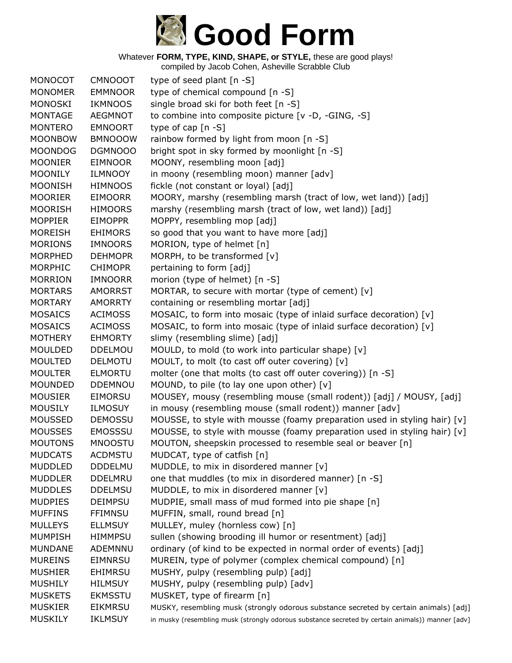

| MONOCOT        | <b>CMNOOOT</b> | type of seed plant $[n - S]$                                                                     |
|----------------|----------------|--------------------------------------------------------------------------------------------------|
| <b>MONOMER</b> | <b>EMMNOOR</b> | type of chemical compound [n -S]                                                                 |
| <b>MONOSKI</b> | <b>IKMNOOS</b> | single broad ski for both feet [n -S]                                                            |
| <b>MONTAGE</b> | <b>AEGMNOT</b> | to combine into composite picture [v -D, -GING, -S]                                              |
| <b>MONTERO</b> | <b>EMNOORT</b> | type of cap $[n - S]$                                                                            |
| <b>MOONBOW</b> | <b>BMNOOOW</b> | rainbow formed by light from moon [n -S]                                                         |
| <b>MOONDOG</b> | <b>DGMNOOO</b> | bright spot in sky formed by moonlight [n -S]                                                    |
| <b>MOONIER</b> | <b>EIMNOOR</b> | MOONY, resembling moon [adj]                                                                     |
| <b>MOONILY</b> | <b>ILMNOOY</b> | in moony (resembling moon) manner [adv]                                                          |
| <b>MOONISH</b> | <b>HIMNOOS</b> | fickle (not constant or loyal) [adj]                                                             |
| <b>MOORIER</b> | <b>EIMOORR</b> | MOORY, marshy (resembling marsh (tract of low, wet land)) [adj]                                  |
| <b>MOORISH</b> | <b>HIMOORS</b> | marshy (resembling marsh (tract of low, wet land)) [adj]                                         |
| <b>MOPPIER</b> | <b>EIMOPPR</b> | MOPPY, resembling mop [adj]                                                                      |
| <b>MOREISH</b> | <b>EHIMORS</b> | so good that you want to have more [adj]                                                         |
| <b>MORIONS</b> | <b>IMNOORS</b> | MORION, type of helmet [n]                                                                       |
| <b>MORPHED</b> | <b>DEHMOPR</b> | MORPH, to be transformed [v]                                                                     |
| MORPHIC        | <b>CHIMOPR</b> | pertaining to form [adj]                                                                         |
| <b>MORRION</b> | <b>IMNOORR</b> | morion (type of helmet) [n -S]                                                                   |
| <b>MORTARS</b> | <b>AMORRST</b> | MORTAR, to secure with mortar (type of cement) [v]                                               |
| <b>MORTARY</b> | <b>AMORRTY</b> | containing or resembling mortar [adj]                                                            |
| <b>MOSAICS</b> | <b>ACIMOSS</b> | MOSAIC, to form into mosaic (type of inlaid surface decoration) [v]                              |
| <b>MOSAICS</b> | <b>ACIMOSS</b> | MOSAIC, to form into mosaic (type of inlaid surface decoration) [v]                              |
| <b>MOTHERY</b> | <b>EHMORTY</b> | slimy (resembling slime) [adj]                                                                   |
| <b>MOULDED</b> | <b>DDELMOU</b> | MOULD, to mold (to work into particular shape) [v]                                               |
| <b>MOULTED</b> | DELMOTU        | MOULT, to molt (to cast off outer covering) [v]                                                  |
| <b>MOULTER</b> | <b>ELMORTU</b> | molter (one that molts (to cast off outer covering)) [n -S]                                      |
| <b>MOUNDED</b> | <b>DDEMNOU</b> | MOUND, to pile (to lay one upon other) [v]                                                       |
| <b>MOUSIER</b> | EIMORSU        | MOUSEY, mousy (resembling mouse (small rodent)) [adj] / MOUSY, [adj]                             |
| <b>MOUSILY</b> | <b>ILMOSUY</b> | in mousy (resembling mouse (small rodent)) manner [adv]                                          |
| <b>MOUSSED</b> | <b>DEMOSSU</b> | MOUSSE, to style with mousse (foamy preparation used in styling hair) $[v]$                      |
| <b>MOUSSES</b> | <b>EMOSSSU</b> | MOUSSE, to style with mousse (foamy preparation used in styling hair) $[v]$                      |
| <b>MOUTONS</b> | <b>MNOOSTU</b> | MOUTON, sheepskin processed to resemble seal or beaver [n]                                       |
| <b>MUDCATS</b> | <b>ACDMSTU</b> | MUDCAT, type of catfish [n]                                                                      |
| <b>MUDDLED</b> | <b>DDDELMU</b> | MUDDLE, to mix in disordered manner [v]                                                          |
| <b>MUDDLER</b> | <b>DDELMRU</b> | one that muddles (to mix in disordered manner) [n -S]                                            |
| <b>MUDDLES</b> | <b>DDELMSU</b> | MUDDLE, to mix in disordered manner [v]                                                          |
| <b>MUDPIES</b> | <b>DEIMPSU</b> | MUDPIE, small mass of mud formed into pie shape [n]                                              |
| <b>MUFFINS</b> | <b>FFIMNSU</b> | MUFFIN, small, round bread [n]                                                                   |
| <b>MULLEYS</b> | <b>ELLMSUY</b> | MULLEY, muley (hornless cow) [n]                                                                 |
| <b>MUMPISH</b> | <b>HIMMPSU</b> | sullen (showing brooding ill humor or resentment) [adj]                                          |
| <b>MUNDANE</b> | ADEMNNU        | ordinary (of kind to be expected in normal order of events) [adj]                                |
| <b>MUREINS</b> | <b>EIMNRSU</b> | MUREIN, type of polymer (complex chemical compound) [n]                                          |
| <b>MUSHIER</b> | EHIMRSU        | MUSHY, pulpy (resembling pulp) [adj]                                                             |
| <b>MUSHILY</b> | <b>HILMSUY</b> | MUSHY, pulpy (resembling pulp) [adv]                                                             |
| <b>MUSKETS</b> | <b>EKMSSTU</b> | MUSKET, type of firearm [n]                                                                      |
| <b>MUSKIER</b> | <b>EIKMRSU</b> | MUSKY, resembling musk (strongly odorous substance secreted by certain animals) [adj]            |
| <b>MUSKILY</b> | <b>IKLMSUY</b> | in musky (resembling musk (strongly odorous substance secreted by certain animals)) manner [adv] |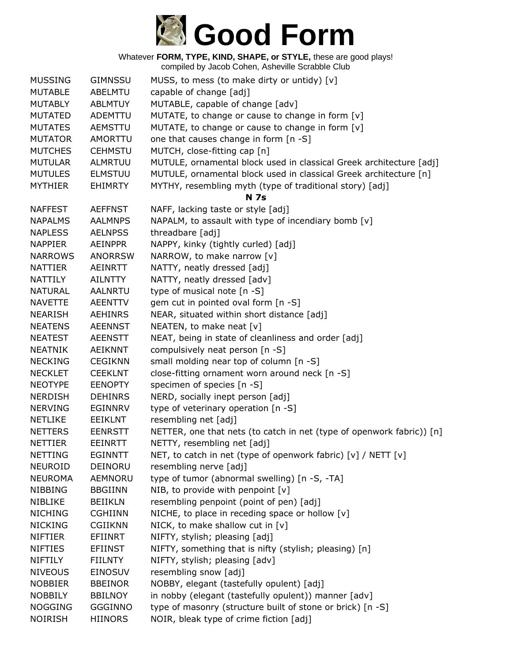

| <b>MUSSING</b> | <b>GIMNSSU</b> | MUSS, to mess (to make dirty or untidy) [v]                           |
|----------------|----------------|-----------------------------------------------------------------------|
| <b>MUTABLE</b> | ABELMTU        | capable of change [adj]                                               |
| <b>MUTABLY</b> | <b>ABLMTUY</b> | MUTABLE, capable of change [adv]                                      |
| <b>MUTATED</b> | ADEMTTU        | MUTATE, to change or cause to change in form [v]                      |
| <b>MUTATES</b> | AEMSTTU        | MUTATE, to change or cause to change in form [v]                      |
| <b>MUTATOR</b> | AMORTTU        | one that causes change in form [n -S]                                 |
| <b>MUTCHES</b> | <b>CEHMSTU</b> | MUTCH, close-fitting cap [n]                                          |
| <b>MUTULAR</b> | ALMRTUU        | MUTULE, ornamental block used in classical Greek architecture [adj]   |
| <b>MUTULES</b> | <b>ELMSTUU</b> | MUTULE, ornamental block used in classical Greek architecture [n]     |
| <b>MYTHIER</b> | <b>EHIMRTY</b> | MYTHY, resembling myth (type of traditional story) [adj]              |
|                |                | <b>N</b> 7s                                                           |
| <b>NAFFEST</b> | <b>AEFFNST</b> | NAFF, lacking taste or style [adj]                                    |
| <b>NAPALMS</b> | <b>AALMNPS</b> | NAPALM, to assault with type of incendiary bomb [v]                   |
| <b>NAPLESS</b> | <b>AELNPSS</b> | threadbare [adj]                                                      |
| <b>NAPPIER</b> | <b>AEINPPR</b> | NAPPY, kinky (tightly curled) [adj]                                   |
| <b>NARROWS</b> | <b>ANORRSW</b> | NARROW, to make narrow [v]                                            |
| <b>NATTIER</b> | <b>AEINRTT</b> | NATTY, neatly dressed [adj]                                           |
| <b>NATTILY</b> | <b>AILNTTY</b> | NATTY, neatly dressed [adv]                                           |
| <b>NATURAL</b> | AALNRTU        | type of musical note [n -S]                                           |
| <b>NAVETTE</b> | AEENTTV        | gem cut in pointed oval form [n -S]                                   |
| <b>NEARISH</b> | <b>AEHINRS</b> | NEAR, situated within short distance [adj]                            |
| <b>NEATENS</b> | <b>AEENNST</b> | NEATEN, to make neat $[v]$                                            |
| <b>NEATEST</b> | <b>AEENSTT</b> | NEAT, being in state of cleanliness and order [adj]                   |
| <b>NEATNIK</b> | AEIKNNT        | compulsively neat person [n -S]                                       |
| <b>NECKING</b> | <b>CEGIKNN</b> | small molding near top of column [n -S]                               |
| <b>NECKLET</b> | <b>CEEKLNT</b> | close-fitting ornament worn around neck [n -S]                        |
| <b>NEOTYPE</b> | <b>EENOPTY</b> | specimen of species [n -S]                                            |
| <b>NERDISH</b> | <b>DEHINRS</b> | NERD, socially inept person [adj]                                     |
| <b>NERVING</b> | EGINNRV        | type of veterinary operation [n -S]                                   |
| <b>NETLIKE</b> | <b>EEIKLNT</b> | resembling net [adj]                                                  |
| <b>NETTERS</b> | <b>EENRSTT</b> | NETTER, one that nets (to catch in net (type of openwork fabric)) [n] |
| <b>NETTIER</b> | <b>EEINRTT</b> | NETTY, resembling net [adj]                                           |
| <b>NETTING</b> | <b>EGINNTT</b> | NET, to catch in net (type of openwork fabric) [v] / NETT [v]         |
| <b>NEUROID</b> | DEINORU        | resembling nerve [adj]                                                |
| <b>NEUROMA</b> | AEMNORU        | type of tumor (abnormal swelling) [n -S, -TA]                         |
| <b>NIBBING</b> | <b>BBGIINN</b> | NIB, to provide with penpoint [v]                                     |
| <b>NIBLIKE</b> | <b>BEIIKLN</b> | resembling penpoint (point of pen) [adj]                              |
| <b>NICHING</b> | <b>CGHIINN</b> | NICHE, to place in receding space or hollow [v]                       |
| <b>NICKING</b> | <b>CGIIKNN</b> | NICK, to make shallow cut in $[v]$                                    |
| <b>NIFTIER</b> | <b>EFIINRT</b> | NIFTY, stylish; pleasing [adj]                                        |
| <b>NIFTIES</b> | <b>EFIINST</b> | NIFTY, something that is nifty (stylish; pleasing) [n]                |
| NIFTILY        | <b>FIILNTY</b> | NIFTY, stylish; pleasing [adv]                                        |
| <b>NIVEOUS</b> | <b>EINOSUV</b> | resembling snow [adj]                                                 |
| <b>NOBBIER</b> | <b>BBEINOR</b> | NOBBY, elegant (tastefully opulent) [adj]                             |
| <b>NOBBILY</b> | <b>BBILNOY</b> | in nobby (elegant (tastefully opulent)) manner [adv]                  |
| <b>NOGGING</b> | <b>GGGINNO</b> | type of masonry (structure built of stone or brick) [n -S]            |
| <b>NOIRISH</b> | <b>HIINORS</b> | NOIR, bleak type of crime fiction [adj]                               |
|                |                |                                                                       |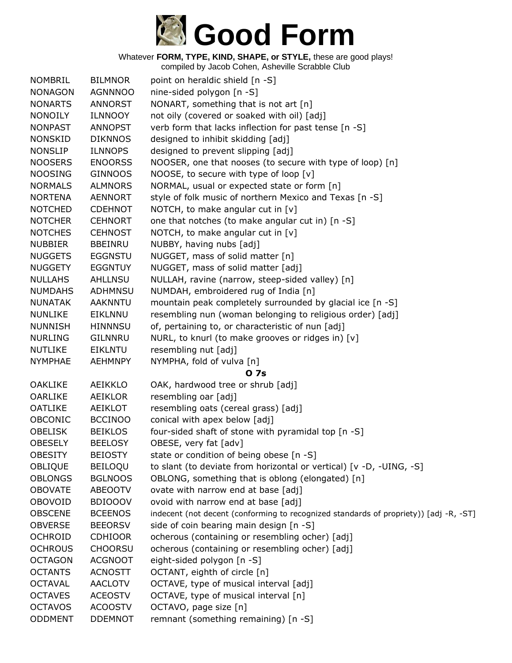

| <b>NOMBRIL</b> | <b>BILMNOR</b> | point on heraldic shield [n -S]                                                       |
|----------------|----------------|---------------------------------------------------------------------------------------|
| <b>NONAGON</b> | <b>AGNNNOO</b> | nine-sided polygon [n -S]                                                             |
| <b>NONARTS</b> | <b>ANNORST</b> | NONART, something that is not art [n]                                                 |
| <b>NONOILY</b> | <b>ILNNOOY</b> | not oily (covered or soaked with oil) [adj]                                           |
| <b>NONPAST</b> | <b>ANNOPST</b> | verb form that lacks inflection for past tense [n -S]                                 |
| <b>NONSKID</b> | <b>DIKNNOS</b> | designed to inhibit skidding [adj]                                                    |
| <b>NONSLIP</b> | <b>ILNNOPS</b> | designed to prevent slipping [adj]                                                    |
| <b>NOOSERS</b> | <b>ENOORSS</b> | NOOSER, one that nooses (to secure with type of loop) [n]                             |
| <b>NOOSING</b> | <b>GINNOOS</b> | NOOSE, to secure with type of loop [v]                                                |
| <b>NORMALS</b> | <b>ALMNORS</b> | NORMAL, usual or expected state or form [n]                                           |
| <b>NORTENA</b> | <b>AENNORT</b> | style of folk music of northern Mexico and Texas [n -S]                               |
| <b>NOTCHED</b> | <b>CDEHNOT</b> | NOTCH, to make angular cut in [v]                                                     |
| <b>NOTCHER</b> | <b>CEHNORT</b> | one that notches (to make angular cut in) [n -S]                                      |
| <b>NOTCHES</b> | <b>CEHNOST</b> | NOTCH, to make angular cut in $[v]$                                                   |
| <b>NUBBIER</b> | <b>BBEINRU</b> | NUBBY, having nubs [adj]                                                              |
| <b>NUGGETS</b> | <b>EGGNSTU</b> | NUGGET, mass of solid matter [n]                                                      |
| <b>NUGGETY</b> | <b>EGGNTUY</b> | NUGGET, mass of solid matter [adj]                                                    |
| <b>NULLAHS</b> | <b>AHLLNSU</b> | NULLAH, ravine (narrow, steep-sided valley) [n]                                       |
| <b>NUMDAHS</b> | ADHMNSU        | NUMDAH, embroidered rug of India [n]                                                  |
| <b>NUNATAK</b> | <b>AAKNNTU</b> | mountain peak completely surrounded by glacial ice [n -S]                             |
| <b>NUNLIKE</b> | EIKLNNU        | resembling nun (woman belonging to religious order) [adj]                             |
| <b>NUNNISH</b> | <b>HINNNSU</b> | of, pertaining to, or characteristic of nun [adj]                                     |
| <b>NURLING</b> | <b>GILNNRU</b> | NURL, to knurl (to make grooves or ridges in) [v]                                     |
| <b>NUTLIKE</b> | <b>EIKLNTU</b> | resembling nut [adj]                                                                  |
| <b>NYMPHAE</b> | <b>AEHMNPY</b> | NYMPHA, fold of vulva [n]                                                             |
|                |                | <b>07s</b>                                                                            |
| <b>OAKLIKE</b> | AEIKKLO        | OAK, hardwood tree or shrub [adj]                                                     |
| <b>OARLIKE</b> | <b>AEIKLOR</b> | resembling oar [adj]                                                                  |
| <b>OATLIKE</b> | <b>AEIKLOT</b> | resembling oats (cereal grass) [adj]                                                  |
| <b>OBCONIC</b> | <b>BCCINOO</b> | conical with apex below [adj]                                                         |
| <b>OBELISK</b> | <b>BEIKLOS</b> | four-sided shaft of stone with pyramidal top [n -S]                                   |
| <b>OBESELY</b> | <b>BEELOSY</b> | OBESE, very fat [adv]                                                                 |
| <b>OBESITY</b> | <b>BEIOSTY</b> | state or condition of being obese [n -S]                                              |
| OBLIQUE        | <b>BEILOQU</b> | to slant (to deviate from horizontal or vertical) [v -D, -UING, -S]                   |
| <b>OBLONGS</b> | <b>BGLNOOS</b> | OBLONG, something that is oblong (elongated) [n]                                      |
| <b>OBOVATE</b> | <b>ABEOOTV</b> | ovate with narrow end at base [adj]                                                   |
| <b>OBOVOID</b> | <b>BDIOOOV</b> | ovoid with narrow end at base [adj]                                                   |
| <b>OBSCENE</b> | <b>BCEENOS</b> | indecent (not decent (conforming to recognized standards of propriety)) [adj -R, -ST] |
| <b>OBVERSE</b> | <b>BEEORSV</b> | side of coin bearing main design [n -S]                                               |
| <b>OCHROID</b> | <b>CDHIOOR</b> | ocherous (containing or resembling ocher) [adj]                                       |
| <b>OCHROUS</b> | <b>CHOORSU</b> | ocherous (containing or resembling ocher) [adj]                                       |
| <b>OCTAGON</b> | <b>ACGNOOT</b> | eight-sided polygon [n -S]                                                            |
| <b>OCTANTS</b> | <b>ACNOSTT</b> | OCTANT, eighth of circle [n]                                                          |
| <b>OCTAVAL</b> | <b>AACLOTV</b> | OCTAVE, type of musical interval [adj]                                                |
| <b>OCTAVES</b> | <b>ACEOSTV</b> | OCTAVE, type of musical interval [n]                                                  |
| <b>OCTAVOS</b> | <b>ACOOSTV</b> | OCTAVO, page size [n]                                                                 |
| <b>ODDMENT</b> | <b>DDEMNOT</b> | remnant (something remaining) [n -S]                                                  |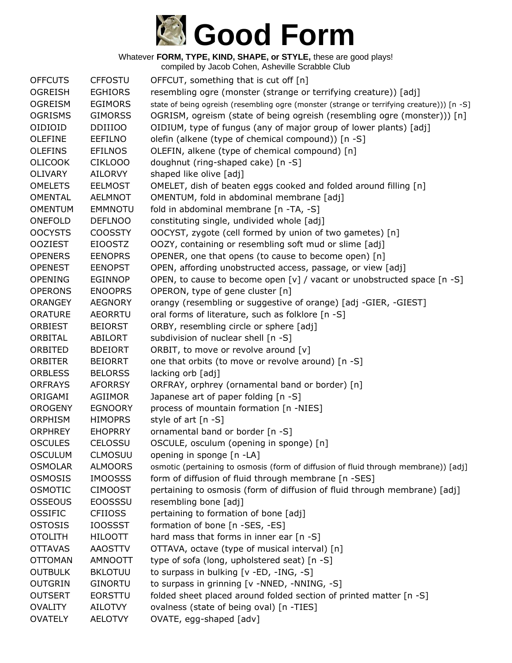

| <b>OFFCUTS</b> | <b>CFFOSTU</b> | OFFCUT, something that is cut off [n]                                                      |
|----------------|----------------|--------------------------------------------------------------------------------------------|
| <b>OGREISH</b> | <b>EGHIORS</b> | resembling ogre (monster (strange or terrifying creature)) [adj]                           |
| <b>OGREISM</b> | <b>EGIMORS</b> | state of being ogreish (resembling ogre (monster (strange or terrifying creature))) [n -S] |
| <b>OGRISMS</b> | <b>GIMORSS</b> | OGRISM, ogreism (state of being ogreish (resembling ogre (monster))) [n]                   |
| OIDIOID        | <b>DDIIIOO</b> | OIDIUM, type of fungus (any of major group of lower plants) [adj]                          |
| <b>OLEFINE</b> | <b>EEFILNO</b> | olefin (alkene (type of chemical compound)) [n -S]                                         |
| <b>OLEFINS</b> | <b>EFILNOS</b> | OLEFIN, alkene (type of chemical compound) [n]                                             |
| <b>OLICOOK</b> | <b>CIKLOOO</b> | doughnut (ring-shaped cake) [n -S]                                                         |
| <b>OLIVARY</b> | <b>AILORVY</b> | shaped like olive [adj]                                                                    |
| <b>OMELETS</b> | <b>EELMOST</b> | OMELET, dish of beaten eggs cooked and folded around filling [n]                           |
| <b>OMENTAL</b> | <b>AELMNOT</b> | OMENTUM, fold in abdominal membrane [adj]                                                  |
| <b>OMENTUM</b> | <b>EMMNOTU</b> | fold in abdominal membrane [n -TA, -S]                                                     |
| ONEFOLD        | <b>DEFLNOO</b> | constituting single, undivided whole [adj]                                                 |
| <b>OOCYSTS</b> | <b>COOSSTY</b> | OOCYST, zygote (cell formed by union of two gametes) [n]                                   |
| <b>OOZIEST</b> | <b>EIOOSTZ</b> | OOZY, containing or resembling soft mud or slime [adj]                                     |
| <b>OPENERS</b> | <b>EENOPRS</b> | OPENER, one that opens (to cause to become open) [n]                                       |
| <b>OPENEST</b> | <b>EENOPST</b> | OPEN, affording unobstructed access, passage, or view [adj]                                |
| <b>OPENING</b> | <b>EGINNOP</b> | OPEN, to cause to become open [v] / vacant or unobstructed space [n -S]                    |
| <b>OPERONS</b> | <b>ENOOPRS</b> | OPERON, type of gene cluster [n]                                                           |
| <b>ORANGEY</b> | <b>AEGNORY</b> | orangy (resembling or suggestive of orange) [adj -GIER, -GIEST]                            |
| <b>ORATURE</b> | <b>AEORRTU</b> | oral forms of literature, such as folklore [n -S]                                          |
| <b>ORBIEST</b> | <b>BEIORST</b> | ORBY, resembling circle or sphere [adj]                                                    |
| ORBITAL        | <b>ABILORT</b> | subdivision of nuclear shell [n -S]                                                        |
| ORBITED        | <b>BDEIORT</b> | ORBIT, to move or revolve around [v]                                                       |
| <b>ORBITER</b> | <b>BEIORRT</b> | one that orbits (to move or revolve around) [n -S]                                         |
| <b>ORBLESS</b> | <b>BELORSS</b> | lacking orb [adj]                                                                          |
| <b>ORFRAYS</b> | <b>AFORRSY</b> | ORFRAY, orphrey (ornamental band or border) [n]                                            |
| ORIGAMI        | <b>AGIIMOR</b> | Japanese art of paper folding [n -S]                                                       |
| <b>OROGENY</b> | <b>EGNOORY</b> | process of mountain formation [n -NIES]                                                    |
| <b>ORPHISM</b> | <b>HIMOPRS</b> | style of art [n -S]                                                                        |
| <b>ORPHREY</b> | <b>EHOPRRY</b> | ornamental band or border [n -S]                                                           |
| <b>OSCULES</b> | CELOSSU        | OSCULE, osculum (opening in sponge) [n]                                                    |
| <b>OSCULUM</b> | <b>CLMOSUU</b> | opening in sponge [n -LA]                                                                  |
| <b>OSMOLAR</b> | <b>ALMOORS</b> | osmotic (pertaining to osmosis (form of diffusion of fluid through membrane)) [adj]        |
| <b>OSMOSIS</b> | <b>IMOOSSS</b> | form of diffusion of fluid through membrane [n -SES]                                       |
| <b>OSMOTIC</b> | <b>CIMOOST</b> | pertaining to osmosis (form of diffusion of fluid through membrane) [adj]                  |
| <b>OSSEOUS</b> | <b>EOOSSSU</b> | resembling bone [adj]                                                                      |
| <b>OSSIFIC</b> | <b>CFIIOSS</b> | pertaining to formation of bone [adj]                                                      |
| <b>OSTOSIS</b> | <b>IOOSSST</b> | formation of bone [n -SES, -ES]                                                            |
| <b>OTOLITH</b> | <b>HILOOTT</b> | hard mass that forms in inner ear [n -S]                                                   |
| <b>OTTAVAS</b> | <b>AAOSTTV</b> | OTTAVA, octave (type of musical interval) [n]                                              |
| <b>OTTOMAN</b> | <b>AMNOOTT</b> | type of sofa (long, upholstered seat) [n -S]                                               |
| <b>OUTBULK</b> | <b>BKLOTUU</b> | to surpass in bulking [v -ED, -ING, -S]                                                    |
| <b>OUTGRIN</b> | <b>GINORTU</b> | to surpass in grinning [v -NNED, -NNING, -S]                                               |
| <b>OUTSERT</b> | <b>EORSTTU</b> | folded sheet placed around folded section of printed matter [n -S]                         |
| <b>OVALITY</b> | AILOTVY        | ovalness (state of being oval) [n -TIES]                                                   |
| <b>OVATELY</b> | <b>AELOTVY</b> | OVATE, egg-shaped [adv]                                                                    |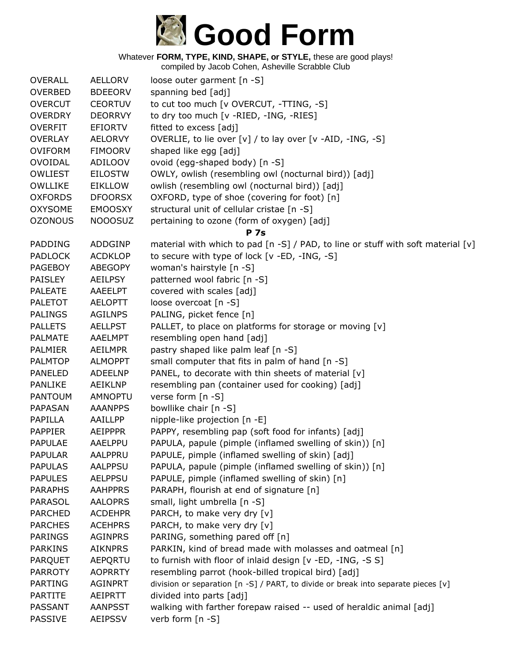

| <b>OVERALL</b> | <b>AELLORV</b> | loose outer garment [n -S]                                                        |
|----------------|----------------|-----------------------------------------------------------------------------------|
| <b>OVERBED</b> | <b>BDEEORV</b> | spanning bed [adj]                                                                |
| <b>OVERCUT</b> | <b>CEORTUV</b> | to cut too much [v OVERCUT, -TTING, -S]                                           |
| <b>OVERDRY</b> | <b>DEORRVY</b> | to dry too much [v -RIED, -ING, -RIES]                                            |
| <b>OVERFIT</b> | <b>EFIORTV</b> | fitted to excess [adj]                                                            |
| <b>OVERLAY</b> | <b>AELORVY</b> | OVERLIE, to lie over [v] / to lay over [v -AID, -ING, -S]                         |
| <b>OVIFORM</b> | <b>FIMOORV</b> | shaped like egg [adj]                                                             |
| <b>OVOIDAL</b> | ADILOOV        | ovoid (egg-shaped body) [n -S]                                                    |
| <b>OWLIEST</b> | <b>EILOSTW</b> | OWLY, owlish (resembling owl (nocturnal bird)) [adj]                              |
| OWLLIKE        | <b>EIKLLOW</b> | owlish (resembling owl (nocturnal bird)) [adj]                                    |
| <b>OXFORDS</b> | <b>DFOORSX</b> | OXFORD, type of shoe (covering for foot) [n]                                      |
| <b>OXYSOME</b> | <b>EMOOSXY</b> | structural unit of cellular cristae [n -S]                                        |
| <b>OZONOUS</b> | <b>NOOOSUZ</b> | pertaining to ozone (form of oxygen) [adj]                                        |
|                |                | <b>P</b> 7s                                                                       |
| PADDING        | ADDGINP        | material with which to pad [n -S] / PAD, to line or stuff with soft material [v]  |
| <b>PADLOCK</b> | <b>ACDKLOP</b> | to secure with type of lock [v -ED, -ING, -S]                                     |
| <b>PAGEBOY</b> | <b>ABEGOPY</b> | woman's hairstyle [n -S]                                                          |
| <b>PAISLEY</b> | <b>AEILPSY</b> | patterned wool fabric [n -S]                                                      |
| <b>PALEATE</b> | AAEELPT        | covered with scales [adj]                                                         |
| <b>PALETOT</b> | <b>AELOPTT</b> | loose overcoat [n -S]                                                             |
| <b>PALINGS</b> | <b>AGILNPS</b> | PALING, picket fence [n]                                                          |
| <b>PALLETS</b> | <b>AELLPST</b> | PALLET, to place on platforms for storage or moving [v]                           |
| <b>PALMATE</b> | AAELMPT        | resembling open hand [adj]                                                        |
| <b>PALMIER</b> | <b>AEILMPR</b> | pastry shaped like palm leaf [n -S]                                               |
| <b>PALMTOP</b> | <b>ALMOPPT</b> | small computer that fits in palm of hand [n -S]                                   |
| <b>PANELED</b> | <b>ADEELNP</b> | PANEL, to decorate with thin sheets of material [v]                               |
| <b>PANLIKE</b> | AEIKLNP        | resembling pan (container used for cooking) [adj]                                 |
| <b>PANTOUM</b> | AMNOPTU        | verse form [n -S]                                                                 |
| <b>PAPASAN</b> | <b>AAANPPS</b> | bowllike chair [n -S]                                                             |
| PAPILLA        | AAILLPP        | nipple-like projection [n -E]                                                     |
| <b>PAPPIER</b> | <b>AEIPPPR</b> | PAPPY, resembling pap (soft food for infants) [adj]                               |
| <b>PAPULAE</b> | <b>AAELPPU</b> | PAPULA, papule (pimple (inflamed swelling of skin)) [n]                           |
| <b>PAPULAR</b> | AALPPRU        | PAPULE, pimple (inflamed swelling of skin) [adj]                                  |
| <b>PAPULAS</b> | <b>AALPPSU</b> | PAPULA, papule (pimple (inflamed swelling of skin)) [n]                           |
| <b>PAPULES</b> | <b>AELPPSU</b> | PAPULE, pimple (inflamed swelling of skin) [n]                                    |
| <b>PARAPHS</b> | <b>AAHPPRS</b> | PARAPH, flourish at end of signature [n]                                          |
| <b>PARASOL</b> | <b>AALOPRS</b> | small, light umbrella [n -S]                                                      |
| <b>PARCHED</b> | <b>ACDEHPR</b> | PARCH, to make very dry [v]                                                       |
| <b>PARCHES</b> | <b>ACEHPRS</b> | PARCH, to make very dry [v]                                                       |
| <b>PARINGS</b> | <b>AGINPRS</b> | PARING, something pared off [n]                                                   |
| <b>PARKINS</b> | <b>AIKNPRS</b> | PARKIN, kind of bread made with molasses and oatmeal [n]                          |
| <b>PARQUET</b> | AEPQRTU        | to furnish with floor of inlaid design [v -ED, -ING, -S S]                        |
| <b>PARROTY</b> | <b>AOPRRTY</b> | resembling parrot (hook-billed tropical bird) [adj]                               |
| <b>PARTING</b> | AGINPRT        | division or separation [n -S] / PART, to divide or break into separate pieces [v] |
| <b>PARTITE</b> | AEIPRTT        | divided into parts [adj]                                                          |
| <b>PASSANT</b> | <b>AANPSST</b> | walking with farther forepaw raised -- used of heraldic animal [adj]              |
| <b>PASSIVE</b> | <b>AEIPSSV</b> | verb form [n -S]                                                                  |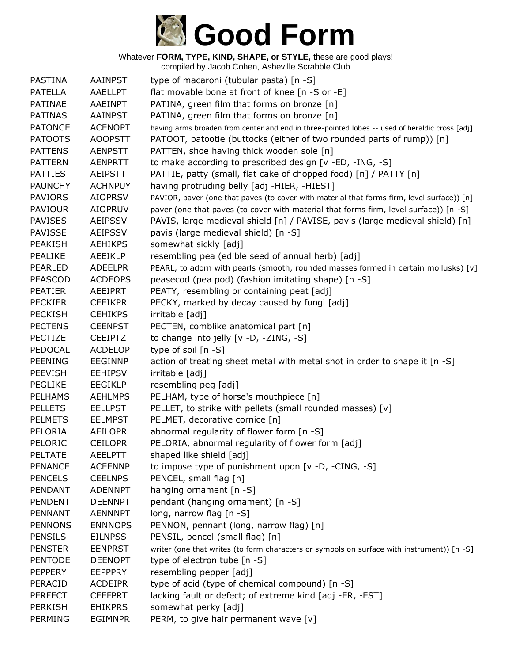

| PASTINA        | <b>AAINPST</b> | type of macaroni (tubular pasta) [n -S]                                                        |
|----------------|----------------|------------------------------------------------------------------------------------------------|
| <b>PATELLA</b> | <b>AAELLPT</b> | flat movable bone at front of knee [n -S or -E]                                                |
| <b>PATINAE</b> | AAEINPT        | PATINA, green film that forms on bronze [n]                                                    |
| <b>PATINAS</b> | <b>AAINPST</b> | PATINA, green film that forms on bronze [n]                                                    |
| <b>PATONCE</b> | <b>ACENOPT</b> | having arms broaden from center and end in three-pointed lobes -- used of heraldic cross [adj] |
| <b>PATOOTS</b> | <b>AOOPSTT</b> | PATOOT, patootie (buttocks (either of two rounded parts of rump)) [n]                          |
| <b>PATTENS</b> | <b>AENPSTT</b> | PATTEN, shoe having thick wooden sole [n]                                                      |
| <b>PATTERN</b> | <b>AENPRTT</b> | to make according to prescribed design [v -ED, -ING, -S]                                       |
| <b>PATTIES</b> | <b>AEIPSTT</b> | PATTIE, patty (small, flat cake of chopped food) [n] / PATTY [n]                               |
| <b>PAUNCHY</b> | <b>ACHNPUY</b> | having protruding belly [adj -HIER, -HIEST]                                                    |
| <b>PAVIORS</b> | <b>AIOPRSV</b> | PAVIOR, paver (one that paves (to cover with material that forms firm, level surface)) [n]     |
| <b>PAVIOUR</b> | <b>AIOPRUV</b> | paver (one that paves (to cover with material that forms firm, level surface)) [n -S]          |
| <b>PAVISES</b> | <b>AEIPSSV</b> | PAVIS, large medieval shield [n] / PAVISE, pavis (large medieval shield) [n]                   |
| <b>PAVISSE</b> | <b>AEIPSSV</b> | pavis (large medieval shield) [n -S]                                                           |
| <b>PEAKISH</b> | <b>AEHIKPS</b> | somewhat sickly [adj]                                                                          |
| <b>PEALIKE</b> | AEEIKLP        | resembling pea (edible seed of annual herb) [adj]                                              |
| <b>PEARLED</b> | <b>ADEELPR</b> | PEARL, to adorn with pearls (smooth, rounded masses formed in certain mollusks) [v]            |
| <b>PEASCOD</b> | <b>ACDEOPS</b> | peasecod (pea pod) (fashion imitating shape) [n -S]                                            |
| <b>PEATIER</b> | AEEIPRT        | PEATY, resembling or containing peat [adj]                                                     |
| <b>PECKIER</b> | <b>CEEIKPR</b> | PECKY, marked by decay caused by fungi [adj]                                                   |
| <b>PECKISH</b> | <b>CEHIKPS</b> | irritable [adj]                                                                                |
| <b>PECTENS</b> | <b>CEENPST</b> | PECTEN, comblike anatomical part [n]                                                           |
| PECTIZE        | <b>CEEIPTZ</b> | to change into jelly [v -D, -ZING, -S]                                                         |
| PEDOCAL        | <b>ACDELOP</b> | type of soil $[n -S]$                                                                          |
| <b>PEENING</b> | <b>EEGINNP</b> | action of treating sheet metal with metal shot in order to shape it [n -S]                     |
| <b>PEEVISH</b> | <b>EEHIPSV</b> | irritable [adj]                                                                                |
| <b>PEGLIKE</b> | EEGIKLP        | resembling peg [adj]                                                                           |
| <b>PELHAMS</b> | <b>AEHLMPS</b> | PELHAM, type of horse's mouthpiece [n]                                                         |
| <b>PELLETS</b> | <b>EELLPST</b> | PELLET, to strike with pellets (small rounded masses) [v]                                      |
| <b>PELMETS</b> | <b>EELMPST</b> | PELMET, decorative cornice [n]                                                                 |
| PELORIA        | <b>AEILOPR</b> | abnormal regularity of flower form [n -S]                                                      |
| PELORIC        | <b>CEILOPR</b> | PELORIA, abnormal regularity of flower form [adj]                                              |
| <b>PELTATE</b> | <b>AEELPTT</b> | shaped like shield [adj]                                                                       |
| <b>PENANCE</b> | <b>ACEENNP</b> | to impose type of punishment upon [v -D, -CING, -S]                                            |
| <b>PENCELS</b> | <b>CEELNPS</b> | PENCEL, small flag [n]                                                                         |
| PENDANT        | <b>ADENNPT</b> | hanging ornament [n -S]                                                                        |
| <b>PENDENT</b> | <b>DEENNPT</b> | pendant (hanging ornament) [n -S]                                                              |
| <b>PENNANT</b> | <b>AENNNPT</b> | long, narrow flag [n -S]                                                                       |
| <b>PENNONS</b> | <b>ENNNOPS</b> | PENNON, pennant (long, narrow flag) [n]                                                        |
| <b>PENSILS</b> | <b>EILNPSS</b> | PENSIL, pencel (small flag) [n]                                                                |
| <b>PENSTER</b> | <b>EENPRST</b> | writer (one that writes (to form characters or symbols on surface with instrument)) [n -S]     |
| <b>PENTODE</b> | <b>DEENOPT</b> | type of electron tube [n -S]                                                                   |
| <b>PEPPERY</b> | <b>EEPPPRY</b> | resembling pepper [adj]                                                                        |
| PERACID        | <b>ACDEIPR</b> | type of acid (type of chemical compound) [n -S]                                                |
| <b>PERFECT</b> | <b>CEEFPRT</b> | lacking fault or defect; of extreme kind [adj -ER, -EST]                                       |
| <b>PERKISH</b> | <b>EHIKPRS</b> | somewhat perky [adj]                                                                           |
| <b>PERMING</b> | <b>EGIMNPR</b> | PERM, to give hair permanent wave [v]                                                          |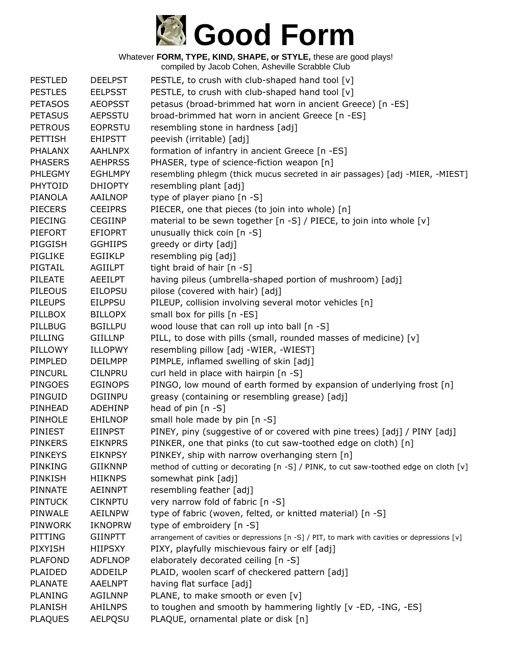

| <b>PESTLED</b> | <b>DEELPST</b> | PESTLE, to crush with club-shaped hand tool [v]                                               |
|----------------|----------------|-----------------------------------------------------------------------------------------------|
| <b>PESTLES</b> | <b>EELPSST</b> | PESTLE, to crush with club-shaped hand tool [v]                                               |
| <b>PETASOS</b> | <b>AEOPSST</b> | petasus (broad-brimmed hat worn in ancient Greece) [n -ES]                                    |
| <b>PETASUS</b> | <b>AEPSSTU</b> | broad-brimmed hat worn in ancient Greece [n -ES]                                              |
| <b>PETROUS</b> | <b>EOPRSTU</b> | resembling stone in hardness [adj]                                                            |
| <b>PETTISH</b> | <b>EHIPSTT</b> | peevish (irritable) [adj]                                                                     |
| <b>PHALANX</b> | <b>AAHLNPX</b> | formation of infantry in ancient Greece [n -ES]                                               |
| <b>PHASERS</b> | <b>AEHPRSS</b> | PHASER, type of science-fiction weapon [n]                                                    |
| <b>PHLEGMY</b> | <b>EGHLMPY</b> | resembling phlegm (thick mucus secreted in air passages) [adj -MIER, -MIEST]                  |
| PHYTOID        | <b>DHIOPTY</b> | resembling plant [adj]                                                                        |
| <b>PIANOLA</b> | AAILNOP        | type of player piano [n -S]                                                                   |
| <b>PIECERS</b> | <b>CEEIPRS</b> | PIECER, one that pieces (to join into whole) [n]                                              |
| <b>PIECING</b> | <b>CEGIINP</b> | material to be sewn together [n -S] / PIECE, to join into whole [v]                           |
| <b>PIEFORT</b> | <b>EFIOPRT</b> | unusually thick coin $[n -S]$                                                                 |
| PIGGISH        | <b>GGHIIPS</b> | greedy or dirty [adj]                                                                         |
| <b>PIGLIKE</b> | <b>EGIIKLP</b> | resembling pig [adj]                                                                          |
| PIGTAIL        | <b>AGIILPT</b> | tight braid of hair [n -S]                                                                    |
| <b>PILEATE</b> | <b>AEEILPT</b> | having pileus (umbrella-shaped portion of mushroom) [adj]                                     |
| <b>PILEOUS</b> | <b>EILOPSU</b> | pilose (covered with hair) [adj]                                                              |
| <b>PILEUPS</b> | <b>EILPPSU</b> | PILEUP, collision involving several motor vehicles [n]                                        |
| PILLBOX        | <b>BILLOPX</b> | small box for pills [n -ES]                                                                   |
| PILLBUG        | <b>BGILLPU</b> | wood louse that can roll up into ball [n -S]                                                  |
| PILLING        | GIILLNP        | PILL, to dose with pills (small, rounded masses of medicine) [v]                              |
| PILLOWY        | <b>ILLOPWY</b> | resembling pillow [adj -WIER, -WIEST]                                                         |
| PIMPLED        | <b>DEILMPP</b> | PIMPLE, inflamed swelling of skin [adj]                                                       |
| <b>PINCURL</b> | <b>CILNPRU</b> | curl held in place with hairpin [n -S]                                                        |
| <b>PINGOES</b> | <b>EGINOPS</b> | PINGO, low mound of earth formed by expansion of underlying frost [n]                         |
| PINGUID        | <b>DGIINPU</b> | greasy (containing or resembling grease) [adj]                                                |
| PINHEAD        | <b>ADEHINP</b> | head of pin [n -S]                                                                            |
| PINHOLE        | <b>EHILNOP</b> | small hole made by pin [n -S]                                                                 |
| <b>PINIEST</b> | <b>EIINPST</b> | PINEY, piny (suggestive of or covered with pine trees) [adj] / PINY [adj]                     |
| <b>PINKERS</b> | <b>EIKNPRS</b> | PINKER, one that pinks (to cut saw-toothed edge on cloth) [n]                                 |
| <b>PINKEYS</b> | <b>EIKNPSY</b> | PINKEY, ship with narrow overhanging stern [n]                                                |
| PINKING        | <b>GIIKNNP</b> | method of cutting or decorating [n -S] / PINK, to cut saw-toothed edge on cloth [v]           |
| PINKISH        | <b>HIIKNPS</b> | somewhat pink [adj]                                                                           |
| PINNATE        | AEINNPT        | resembling feather [adj]                                                                      |
| <b>PINTUCK</b> | <b>CIKNPTU</b> | very narrow fold of fabric [n -S]                                                             |
| PINWALE        | <b>AEILNPW</b> | type of fabric (woven, felted, or knitted material) [n -S]                                    |
| <b>PINWORK</b> | <b>IKNOPRW</b> | type of embroidery [n -S]                                                                     |
| PITTING        | <b>GIINPTT</b> | arrangement of cavities or depressions [n -S] / PIT, to mark with cavities or depressions [v] |
| <b>PIXYISH</b> | <b>HIIPSXY</b> | PIXY, playfully mischievous fairy or elf [adj]                                                |
| <b>PLAFOND</b> | <b>ADFLNOP</b> | elaborately decorated ceiling [n -S]                                                          |
| <b>PLAIDED</b> | ADDEILP        | PLAID, woolen scarf of checkered pattern [adj]                                                |
| <b>PLANATE</b> | <b>AAELNPT</b> | having flat surface [adj]                                                                     |
| <b>PLANING</b> | <b>AGILNNP</b> | PLANE, to make smooth or even [v]                                                             |
| <b>PLANISH</b> | <b>AHILNPS</b> | to toughen and smooth by hammering lightly [v -ED, -ING, -ES]                                 |
| <b>PLAQUES</b> | <b>AELPQSU</b> | PLAQUE, ornamental plate or disk [n]                                                          |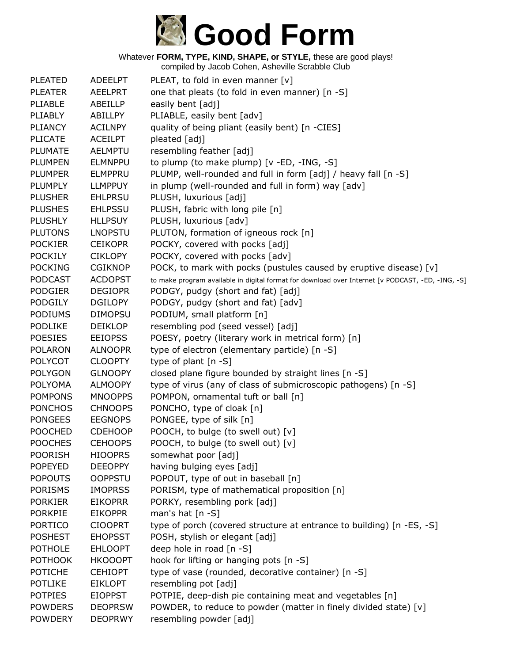

| <b>PLEATED</b> | <b>ADEELPT</b> | PLEAT, to fold in even manner $[v]$                                                               |
|----------------|----------------|---------------------------------------------------------------------------------------------------|
| <b>PLEATER</b> | <b>AEELPRT</b> | one that pleats (to fold in even manner) [n -S]                                                   |
| PLIABLE        | ABEILLP        | easily bent [adj]                                                                                 |
| PLIABLY        | ABILLPY        | PLIABLE, easily bent [adv]                                                                        |
| <b>PLIANCY</b> | <b>ACILNPY</b> | quality of being pliant (easily bent) [n -CIES]                                                   |
| <b>PLICATE</b> | <b>ACEILPT</b> | pleated [adj]                                                                                     |
| <b>PLUMATE</b> | <b>AELMPTU</b> | resembling feather [adj]                                                                          |
| <b>PLUMPEN</b> | <b>ELMNPPU</b> | to plump (to make plump) [v -ED, -ING, -S]                                                        |
| <b>PLUMPER</b> | <b>ELMPPRU</b> | PLUMP, well-rounded and full in form [adj] / heavy fall [n -S]                                    |
| <b>PLUMPLY</b> | <b>LLMPPUY</b> | in plump (well-rounded and full in form) way [adv]                                                |
| <b>PLUSHER</b> | <b>EHLPRSU</b> | PLUSH, luxurious [adj]                                                                            |
| <b>PLUSHES</b> | <b>EHLPSSU</b> | PLUSH, fabric with long pile [n]                                                                  |
| <b>PLUSHLY</b> | <b>HLLPSUY</b> | PLUSH, luxurious [adv]                                                                            |
| <b>PLUTONS</b> | <b>LNOPSTU</b> | PLUTON, formation of igneous rock [n]                                                             |
| <b>POCKIER</b> | <b>CEIKOPR</b> | POCKY, covered with pocks [adj]                                                                   |
| <b>POCKILY</b> | <b>CIKLOPY</b> | POCKY, covered with pocks [adv]                                                                   |
| <b>POCKING</b> | <b>CGIKNOP</b> | POCK, to mark with pocks (pustules caused by eruptive disease) [v]                                |
| <b>PODCAST</b> | <b>ACDOPST</b> | to make program available in digital format for download over Internet [v PODCAST, -ED, -ING, -S] |
| <b>PODGIER</b> | <b>DEGIOPR</b> | PODGY, pudgy (short and fat) [adj]                                                                |
| <b>PODGILY</b> | <b>DGILOPY</b> | PODGY, pudgy (short and fat) [adv]                                                                |
| <b>PODIUMS</b> | <b>DIMOPSU</b> | PODIUM, small platform [n]                                                                        |
| <b>PODLIKE</b> | <b>DEIKLOP</b> | resembling pod (seed vessel) [adj]                                                                |
| <b>POESIES</b> | <b>EEIOPSS</b> | POESY, poetry (literary work in metrical form) [n]                                                |
| <b>POLARON</b> | <b>ALNOOPR</b> | type of electron (elementary particle) [n -S]                                                     |
| <b>POLYCOT</b> | <b>CLOOPTY</b> | type of plant $[n - S]$                                                                           |
| <b>POLYGON</b> | <b>GLNOOPY</b> | closed plane figure bounded by straight lines [n -S]                                              |
| <b>POLYOMA</b> | <b>ALMOOPY</b> | type of virus (any of class of submicroscopic pathogens) [n -S]                                   |
| <b>POMPONS</b> | <b>MNOOPPS</b> | POMPON, ornamental tuft or ball [n]                                                               |
| <b>PONCHOS</b> | <b>CHNOOPS</b> | PONCHO, type of cloak [n]                                                                         |
| <b>PONGEES</b> | <b>EEGNOPS</b> | PONGEE, type of silk [n]                                                                          |
| <b>POOCHED</b> | <b>CDEHOOP</b> | POOCH, to bulge (to swell out) [v]                                                                |
| <b>POOCHES</b> | <b>CEHOOPS</b> | POOCH, to bulge (to swell out) [v]                                                                |
| <b>POORISH</b> | <b>HIOOPRS</b> | somewhat poor [adj]                                                                               |
| <b>POPEYED</b> | <b>DEEOPPY</b> | having bulging eyes [adj]                                                                         |
| <b>POPOUTS</b> | <b>OOPPSTU</b> | POPOUT, type of out in baseball [n]                                                               |
| <b>PORISMS</b> | <b>IMOPRSS</b> | PORISM, type of mathematical proposition [n]                                                      |
| <b>PORKIER</b> | <b>EIKOPRR</b> | PORKY, resembling pork [adj]                                                                      |
| <b>PORKPIE</b> | <b>EIKOPPR</b> | man's hat $[n -S]$                                                                                |
| <b>PORTICO</b> | <b>CIOOPRT</b> | type of porch (covered structure at entrance to building) [n -ES, -S]                             |
| <b>POSHEST</b> | <b>EHOPSST</b> | POSH, stylish or elegant [adj]                                                                    |
| <b>POTHOLE</b> | <b>EHLOOPT</b> | deep hole in road [n -S]                                                                          |
| <b>POTHOOK</b> | <b>HKOOOPT</b> | hook for lifting or hanging pots [n -S]                                                           |
| <b>POTICHE</b> | <b>CEHIOPT</b> | type of vase (rounded, decorative container) [n -S]                                               |
| <b>POTLIKE</b> | <b>EIKLOPT</b> | resembling pot [adj]                                                                              |
| <b>POTPIES</b> | <b>EIOPPST</b> | POTPIE, deep-dish pie containing meat and vegetables [n]                                          |
| <b>POWDERS</b> | <b>DEOPRSW</b> | POWDER, to reduce to powder (matter in finely divided state) [v]                                  |
| <b>POWDERY</b> | <b>DEOPRWY</b> | resembling powder [adj]                                                                           |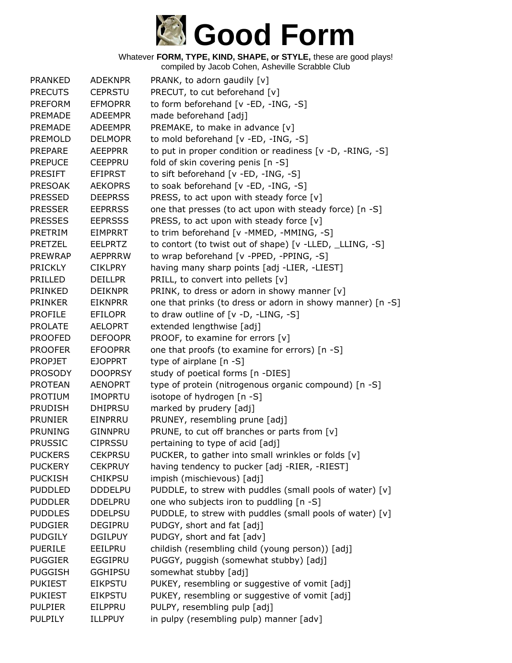

| <b>PRANKED</b> | <b>ADEKNPR</b> | PRANK, to adorn gaudily [v]                                |
|----------------|----------------|------------------------------------------------------------|
| <b>PRECUTS</b> | <b>CEPRSTU</b> | PRECUT, to cut beforehand [v]                              |
| <b>PREFORM</b> | <b>EFMOPRR</b> | to form beforehand [v -ED, -ING, -S]                       |
| <b>PREMADE</b> | <b>ADEEMPR</b> | made beforehand [adj]                                      |
| <b>PREMADE</b> | <b>ADEEMPR</b> | PREMAKE, to make in advance [v]                            |
| <b>PREMOLD</b> | <b>DELMOPR</b> | to mold beforehand [v -ED, -ING, -S]                       |
| PREPARE        | <b>AEEPPRR</b> | to put in proper condition or readiness [v -D, -RING, -S]  |
| <b>PREPUCE</b> | <b>CEEPPRU</b> | fold of skin covering penis [n -S]                         |
| <b>PRESIFT</b> | <b>EFIPRST</b> | to sift beforehand [v -ED, -ING, -S]                       |
| <b>PRESOAK</b> | <b>AEKOPRS</b> | to soak beforehand [v -ED, -ING, -S]                       |
| <b>PRESSED</b> | <b>DEEPRSS</b> | PRESS, to act upon with steady force $[v]$                 |
| <b>PRESSER</b> | <b>EEPRRSS</b> | one that presses (to act upon with steady force) [n -S]    |
| <b>PRESSES</b> | <b>EEPRSSS</b> | PRESS, to act upon with steady force [v]                   |
| PRETRIM        | <b>EIMPRRT</b> | to trim beforehand [v -MMED, -MMING, -S]                   |
| <b>PRETZEL</b> | <b>EELPRTZ</b> | to contort (to twist out of shape) [v -LLED, _LLING, -S]   |
| <b>PREWRAP</b> | AEPPRRW        | to wrap beforehand [v -PPED, -PPING, -S]                   |
| <b>PRICKLY</b> | <b>CIKLPRY</b> | having many sharp points [adj -LIER, -LIEST]               |
| <b>PRILLED</b> | <b>DEILLPR</b> | PRILL, to convert into pellets [v]                         |
| <b>PRINKED</b> | <b>DEIKNPR</b> | PRINK, to dress or adorn in showy manner [v]               |
| <b>PRINKER</b> | <b>EIKNPRR</b> | one that prinks (to dress or adorn in showy manner) [n -S] |
| <b>PROFILE</b> | <b>EFILOPR</b> | to draw outline of $[v -D, -LING, -S]$                     |
| <b>PROLATE</b> | <b>AELOPRT</b> | extended lengthwise [adj]                                  |
| <b>PROOFED</b> | <b>DEFOOPR</b> | PROOF, to examine for errors [v]                           |
| <b>PROOFER</b> | <b>EFOOPRR</b> | one that proofs (to examine for errors) [n -S]             |
| <b>PROPJET</b> | <b>EJOPPRT</b> | type of airplane [n -S]                                    |
| <b>PROSODY</b> | <b>DOOPRSY</b> | study of poetical forms [n -DIES]                          |
| <b>PROTEAN</b> | <b>AENOPRT</b> | type of protein (nitrogenous organic compound) [n -S]      |
| <b>PROTIUM</b> | <b>IMOPRTU</b> | isotope of hydrogen [n -S]                                 |
| <b>PRUDISH</b> | <b>DHIPRSU</b> | marked by prudery [adj]                                    |
| <b>PRUNIER</b> | EINPRRU        | PRUNEY, resembling prune [adj]                             |
| <b>PRUNING</b> | <b>GINNPRU</b> | PRUNE, to cut off branches or parts from [v]               |
| <b>PRUSSIC</b> | <b>CIPRSSU</b> | pertaining to type of acid [adj]                           |
| <b>PUCKERS</b> | <b>CEKPRSU</b> | PUCKER, to gather into small wrinkles or folds [v]         |
| <b>PUCKERY</b> | <b>CEKPRUY</b> | having tendency to pucker [adj -RIER, -RIEST]              |
| <b>PUCKISH</b> | <b>CHIKPSU</b> | impish (mischievous) [adj]                                 |
| <b>PUDDLED</b> | <b>DDDELPU</b> | PUDDLE, to strew with puddles (small pools of water) [v]   |
| <b>PUDDLER</b> | <b>DDELPRU</b> | one who subjects iron to puddling [n -S]                   |
| <b>PUDDLES</b> | <b>DDELPSU</b> | PUDDLE, to strew with puddles (small pools of water) [v]   |
| <b>PUDGIER</b> | <b>DEGIPRU</b> | PUDGY, short and fat [adj]                                 |
| <b>PUDGILY</b> | <b>DGILPUY</b> | PUDGY, short and fat [adv]                                 |
| <b>PUERILE</b> | EEILPRU        | childish (resembling child (young person)) [adj]           |
| <b>PUGGIER</b> | EGGIPRU        | PUGGY, puggish (somewhat stubby) [adj]                     |
| <b>PUGGISH</b> | <b>GGHIPSU</b> | somewhat stubby [adj]                                      |
| <b>PUKIEST</b> | <b>EIKPSTU</b> | PUKEY, resembling or suggestive of vomit [adj]             |
| <b>PUKIEST</b> | <b>EIKPSTU</b> | PUKEY, resembling or suggestive of vomit [adj]             |
| <b>PULPIER</b> | EILPPRU        | PULPY, resembling pulp [adj]                               |
| <b>PULPILY</b> | <b>ILLPPUY</b> | in pulpy (resembling pulp) manner [adv]                    |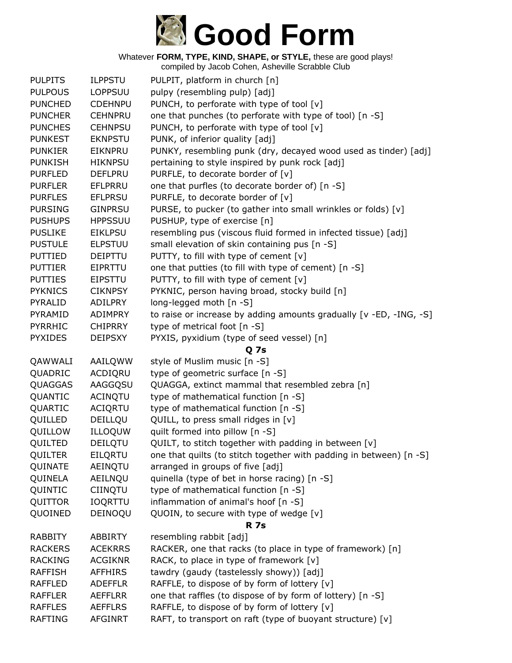

| <b>PULPITS</b> | <b>ILPPSTU</b>            | PULPIT, platform in church [n]                                                                             |
|----------------|---------------------------|------------------------------------------------------------------------------------------------------------|
| <b>PULPOUS</b> | <b>LOPPSUU</b>            | pulpy (resembling pulp) [adj]                                                                              |
| <b>PUNCHED</b> | <b>CDEHNPU</b>            | PUNCH, to perforate with type of tool [v]                                                                  |
| <b>PUNCHER</b> | <b>CEHNPRU</b>            | one that punches (to perforate with type of tool) [n -S]                                                   |
| <b>PUNCHES</b> | <b>CEHNPSU</b>            | PUNCH, to perforate with type of tool [v]                                                                  |
| <b>PUNKEST</b> | <b>EKNPSTU</b>            | PUNK, of inferior quality [adj]                                                                            |
| <b>PUNKIER</b> | <b>EIKNPRU</b>            | PUNKY, resembling punk (dry, decayed wood used as tinder) [adj]                                            |
| <b>PUNKISH</b> | <b>HIKNPSU</b>            | pertaining to style inspired by punk rock [adj]                                                            |
| <b>PURFLED</b> | <b>DEFLPRU</b>            | PURFLE, to decorate border of [v]                                                                          |
| <b>PURFLER</b> | <b>EFLPRRU</b>            | one that purfles (to decorate border of) [n -S]                                                            |
| <b>PURFLES</b> | <b>EFLPRSU</b>            | PURFLE, to decorate border of [v]                                                                          |
| <b>PURSING</b> | <b>GINPRSU</b>            | PURSE, to pucker (to gather into small wrinkles or folds) [v]                                              |
| <b>PUSHUPS</b> | <b>HPPSSUU</b>            | PUSHUP, type of exercise [n]                                                                               |
| <b>PUSLIKE</b> | <b>EIKLPSU</b>            | resembling pus (viscous fluid formed in infected tissue) [adj]                                             |
| <b>PUSTULE</b> | <b>ELPSTUU</b>            | small elevation of skin containing pus [n -S]                                                              |
| <b>PUTTIED</b> | <b>DEIPTTU</b>            | PUTTY, to fill with type of cement [v]                                                                     |
| <b>PUTTIER</b> | EIPRTTU                   | one that putties (to fill with type of cement) [n -S]                                                      |
| <b>PUTTIES</b> | <b>EIPSTTU</b>            | PUTTY, to fill with type of cement [v]                                                                     |
| <b>PYKNICS</b> | <b>CIKNPSY</b>            | PYKNIC, person having broad, stocky build [n]                                                              |
| PYRALID        | ADILPRY                   | long-legged moth [n -S]                                                                                    |
| PYRAMID        | <b>ADIMPRY</b>            | to raise or increase by adding amounts gradually [v -ED, -ING, -S]                                         |
| PYRRHIC        | <b>CHIPRRY</b>            | type of metrical foot [n -S]                                                                               |
| <b>PYXIDES</b> | <b>DEIPSXY</b>            | PYXIS, pyxidium (type of seed vessel) [n]                                                                  |
|                |                           | Q 7s                                                                                                       |
| QAWWALI        | AAILQWW                   | style of Muslim music [n -S]                                                                               |
| QUADRIC        | ACDIQRU                   | type of geometric surface [n -S]                                                                           |
| QUAGGAS        | AAGGQSU                   | QUAGGA, extinct mammal that resembled zebra [n]                                                            |
| QUANTIC        | <b>ACINQTU</b>            | type of mathematical function [n -S]                                                                       |
| QUARTIC        | <b>ACIQRTU</b>            | type of mathematical function [n -S]                                                                       |
| QUILLED        | DEILLQU                   | QUILL, to press small ridges in [v]                                                                        |
| QUILLOW        | ILLOQUW                   | quilt formed into pillow [n -S]                                                                            |
| QUILTED        | DEILQTU                   | QUILT, to stitch together with padding in between [v]                                                      |
| <b>QUILTER</b> | EILQRTU                   | one that quilts (to stitch together with padding in between) [n -S]                                        |
| QUINATE        | AEINQTU                   | arranged in groups of five [adj]                                                                           |
| QUINELA        | AEILNQU                   | quinella (type of bet in horse racing) [n -S]                                                              |
| QUINTIC        | <b>CIINQTU</b>            | type of mathematical function [n -S]                                                                       |
| QUITTOR        | <b>IOQRTTU</b>            | inflammation of animal's hoof [n -S]                                                                       |
| QUOINED        | DEINOQU                   | QUOIN, to secure with type of wedge [v]                                                                    |
|                |                           | <b>R</b> 7s                                                                                                |
| <b>RABBITY</b> | <b>ABBIRTY</b>            | resembling rabbit [adj]                                                                                    |
| <b>RACKERS</b> | <b>ACEKRRS</b>            | RACKER, one that racks (to place in type of framework) [n]                                                 |
| <b>RACKING</b> | <b>ACGIKNR</b>            | RACK, to place in type of framework [v]                                                                    |
| <b>RAFFISH</b> | <b>AFFHIRS</b>            | tawdry (gaudy (tastelessly showy)) [adj]                                                                   |
| <b>RAFFLED</b> | <b>ADEFFLR</b>            | RAFFLE, to dispose of by form of lottery [v]                                                               |
| <b>RAFFLER</b> | <b>AEFFLRR</b>            | one that raffles (to dispose of by form of lottery) [n -S]                                                 |
| <b>RAFFLES</b> |                           |                                                                                                            |
| <b>RAFTING</b> | <b>AEFFLRS</b><br>AFGINRT | RAFFLE, to dispose of by form of lottery [v]<br>RAFT, to transport on raft (type of buoyant structure) [v] |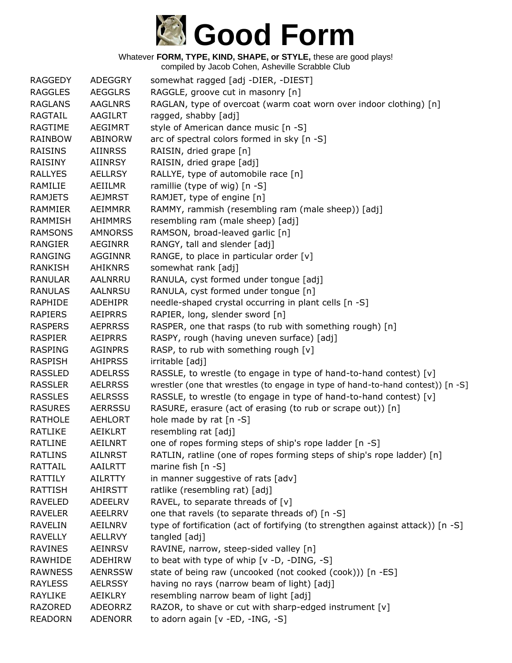

| <b>RAGGEDY</b> | ADEGGRY        | somewhat ragged [adj -DIER, -DIEST]                                             |
|----------------|----------------|---------------------------------------------------------------------------------|
| <b>RAGGLES</b> | <b>AEGGLRS</b> | RAGGLE, groove cut in masonry [n]                                               |
| <b>RAGLANS</b> | <b>AAGLNRS</b> | RAGLAN, type of overcoat (warm coat worn over indoor clothing) [n]              |
| <b>RAGTAIL</b> | <b>AAGILRT</b> | ragged, shabby [adj]                                                            |
| <b>RAGTIME</b> | <b>AEGIMRT</b> | style of American dance music [n -S]                                            |
| <b>RAINBOW</b> | <b>ABINORW</b> | arc of spectral colors formed in sky [n -S]                                     |
| <b>RAISINS</b> | <b>AIINRSS</b> | RAISIN, dried grape [n]                                                         |
| <b>RAISINY</b> | <b>AIINRSY</b> | RAISIN, dried grape [adj]                                                       |
| <b>RALLYES</b> | <b>AELLRSY</b> | RALLYE, type of automobile race [n]                                             |
| RAMILIE        | AEIILMR        | ramillie (type of wig) [n -S]                                                   |
| <b>RAMJETS</b> | <b>AEJMRST</b> | RAMJET, type of engine [n]                                                      |
| <b>RAMMIER</b> | <b>AEIMMRR</b> | RAMMY, rammish (resembling ram (male sheep)) [adj]                              |
| <b>RAMMISH</b> | <b>AHIMMRS</b> | resembling ram (male sheep) [adj]                                               |
| <b>RAMSONS</b> | <b>AMNORSS</b> | RAMSON, broad-leaved garlic [n]                                                 |
| RANGIER        | <b>AEGINRR</b> | RANGY, tall and slender [adj]                                                   |
| <b>RANGING</b> | <b>AGGINNR</b> | RANGE, to place in particular order [v]                                         |
| <b>RANKISH</b> | <b>AHIKNRS</b> | somewhat rank [adj]                                                             |
| <b>RANULAR</b> | AALNRRU        | RANULA, cyst formed under tongue [adj]                                          |
| <b>RANULAS</b> | <b>AALNRSU</b> | RANULA, cyst formed under tongue [n]                                            |
| <b>RAPHIDE</b> | <b>ADEHIPR</b> | needle-shaped crystal occurring in plant cells [n -S]                           |
| <b>RAPIERS</b> | <b>AEIPRRS</b> | RAPIER, long, slender sword [n]                                                 |
| <b>RASPERS</b> | <b>AEPRRSS</b> | RASPER, one that rasps (to rub with something rough) [n]                        |
| <b>RASPIER</b> | <b>AEIPRRS</b> | RASPY, rough (having uneven surface) [adj]                                      |
| <b>RASPING</b> | <b>AGINPRS</b> | RASP, to rub with something rough [v]                                           |
| <b>RASPISH</b> | <b>AHIPRSS</b> | irritable [adj]                                                                 |
| <b>RASSLED</b> | <b>ADELRSS</b> | RASSLE, to wrestle (to engage in type of hand-to-hand contest) [v]              |
| <b>RASSLER</b> | <b>AELRRSS</b> | wrestler (one that wrestles (to engage in type of hand-to-hand contest)) [n -S] |
| <b>RASSLES</b> | <b>AELRSSS</b> | RASSLE, to wrestle (to engage in type of hand-to-hand contest) [v]              |
| <b>RASURES</b> | <b>AERRSSU</b> | RASURE, erasure (act of erasing (to rub or scrape out)) [n]                     |
| <b>RATHOLE</b> | <b>AEHLORT</b> | hole made by rat [n -S]                                                         |
| RATLIKE        | AEIKLRT        | resembling rat [adj]                                                            |
| <b>RATLINE</b> | <b>AEILNRT</b> | one of ropes forming steps of ship's rope ladder [n -S]                         |
| <b>RATLINS</b> | <b>AILNRST</b> | RATLIN, ratline (one of ropes forming steps of ship's rope ladder) [n]          |
| RATTAIL        | <b>AAILRTT</b> | marine fish $[n - S]$                                                           |
| <b>RATTILY</b> | <b>AILRTTY</b> | in manner suggestive of rats [adv]                                              |
| <b>RATTISH</b> | <b>AHIRSTT</b> | ratlike (resembling rat) [adj]                                                  |
| <b>RAVELED</b> | <b>ADEELRV</b> | RAVEL, to separate threads of [v]                                               |
| <b>RAVELER</b> | <b>AEELRRV</b> | one that ravels (to separate threads of) [n -S]                                 |
| <b>RAVELIN</b> | AEILNRV        | type of fortification (act of fortifying (to strengthen against attack)) [n -S] |
| <b>RAVELLY</b> | <b>AELLRVY</b> | tangled [adj]                                                                   |
| <b>RAVINES</b> | <b>AEINRSV</b> | RAVINE, narrow, steep-sided valley [n]                                          |
| RAWHIDE        | ADEHIRW        | to beat with type of whip [v -D, -DING, -S]                                     |
| <b>RAWNESS</b> | <b>AENRSSW</b> | state of being raw (uncooked (not cooked (cook))) [n -ES]                       |
| <b>RAYLESS</b> | <b>AELRSSY</b> | having no rays (narrow beam of light) [adj]                                     |
| <b>RAYLIKE</b> | AEIKLRY        | resembling narrow beam of light [adj]                                           |
| <b>RAZORED</b> | <b>ADEORRZ</b> | RAZOR, to shave or cut with sharp-edged instrument [v]                          |
| <b>READORN</b> | <b>ADENORR</b> | to adorn again [v -ED, -ING, -S]                                                |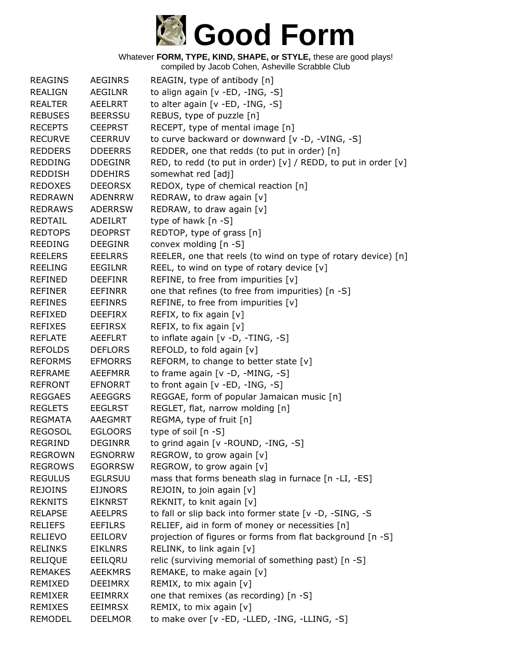

| <b>REAGINS</b> | <b>AEGINRS</b> | REAGIN, type of antibody [n]                                   |
|----------------|----------------|----------------------------------------------------------------|
| <b>REALIGN</b> | <b>AEGILNR</b> | to align again [v -ED, -ING, -S]                               |
| <b>REALTER</b> | AEELRRT        | to alter again [v -ED, -ING, -S]                               |
| <b>REBUSES</b> | <b>BEERSSU</b> | REBUS, type of puzzle [n]                                      |
| <b>RECEPTS</b> | <b>CEEPRST</b> | RECEPT, type of mental image [n]                               |
| <b>RECURVE</b> | <b>CEERRUV</b> | to curve backward or downward [v -D, -VING, -S]                |
| <b>REDDERS</b> | <b>DDEERRS</b> | REDDER, one that redds (to put in order) [n]                   |
| <b>REDDING</b> | <b>DDEGINR</b> | RED, to redd (to put in order) [v] / REDD, to put in order [v] |
| <b>REDDISH</b> | <b>DDEHIRS</b> | somewhat red [adj]                                             |
| <b>REDOXES</b> | <b>DEEORSX</b> | REDOX, type of chemical reaction [n]                           |
| <b>REDRAWN</b> | <b>ADENRRW</b> | REDRAW, to draw again [v]                                      |
| <b>REDRAWS</b> | <b>ADERRSW</b> | REDRAW, to draw again [v]                                      |
| <b>REDTAIL</b> | <b>ADEILRT</b> | type of hawk [n -S]                                            |
| <b>REDTOPS</b> | <b>DEOPRST</b> | REDTOP, type of grass [n]                                      |
| <b>REEDING</b> | <b>DEEGINR</b> | convex molding [n -S]                                          |
| <b>REELERS</b> | <b>EEELRRS</b> | REELER, one that reels (to wind on type of rotary device) [n]  |
| <b>REELING</b> | <b>EEGILNR</b> | REEL, to wind on type of rotary device [v]                     |
| REFINED        | <b>DEEFINR</b> | REFINE, to free from impurities [v]                            |
| <b>REFINER</b> | <b>EEFINRR</b> | one that refines (to free from impurities) [n -S]              |
| <b>REFINES</b> | <b>EEFINRS</b> | REFINE, to free from impurities [v]                            |
| <b>REFIXED</b> | <b>DEEFIRX</b> | REFIX, to fix again $[v]$                                      |
| <b>REFIXES</b> | <b>EEFIRSX</b> | REFIX, to fix again [v]                                        |
| <b>REFLATE</b> | <b>AEEFLRT</b> | to inflate again [v -D, -TING, -S]                             |
| <b>REFOLDS</b> | <b>DEFLORS</b> | REFOLD, to fold again [v]                                      |
| <b>REFORMS</b> | <b>EFMORRS</b> | REFORM, to change to better state [v]                          |
| <b>REFRAME</b> | <b>AEEFMRR</b> | to frame again $[v -D, -MING, -S]$                             |
| <b>REFRONT</b> | <b>EFNORRT</b> | to front again [v -ED, -ING, -S]                               |
| <b>REGGAES</b> | <b>AEEGGRS</b> | REGGAE, form of popular Jamaican music [n]                     |
| <b>REGLETS</b> | <b>EEGLRST</b> | REGLET, flat, narrow molding [n]                               |
| <b>REGMATA</b> | AAEGMRT        | REGMA, type of fruit [n]                                       |
| <b>REGOSOL</b> | <b>EGLOORS</b> | type of soil [n -S]                                            |
| <b>REGRIND</b> | <b>DEGINRR</b> | to grind again [v - ROUND, -ING, -S]                           |
| <b>REGROWN</b> | <b>EGNORRW</b> | REGROW, to grow again [v]                                      |
| <b>REGROWS</b> | <b>EGORRSW</b> | REGROW, to grow again [v]                                      |
| <b>REGULUS</b> | <b>EGLRSUU</b> | mass that forms beneath slag in furnace [n -LI, -ES]           |
| <b>REJOINS</b> | <b>EIJNORS</b> | REJOIN, to join again [v]                                      |
| <b>REKNITS</b> | <b>EIKNRST</b> | REKNIT, to knit again [v]                                      |
| <b>RELAPSE</b> | <b>AEELPRS</b> | to fall or slip back into former state [v -D, -SING, -S        |
| <b>RELIEFS</b> | <b>EEFILRS</b> | RELIEF, aid in form of money or necessities [n]                |
| <b>RELIEVO</b> | EEILORV        | projection of figures or forms from flat background [n -S]     |
| <b>RELINKS</b> | <b>EIKLNRS</b> | RELINK, to link again [v]                                      |
| <b>RELIQUE</b> | EEILQRU        | relic (surviving memorial of something past) [n -S]            |
| <b>REMAKES</b> | <b>AEEKMRS</b> | REMAKE, to make again [v]                                      |
| REMIXED        | <b>DEEIMRX</b> | REMIX, to mix again [v]                                        |
| <b>REMIXER</b> | EEIMRRX        | one that remixes (as recording) [n -S]                         |
| REMIXES        | <b>EEIMRSX</b> | REMIX, to mix again [v]                                        |
| <b>REMODEL</b> | <b>DEELMOR</b> | to make over [v -ED, -LLED, -ING, -LLING, -S]                  |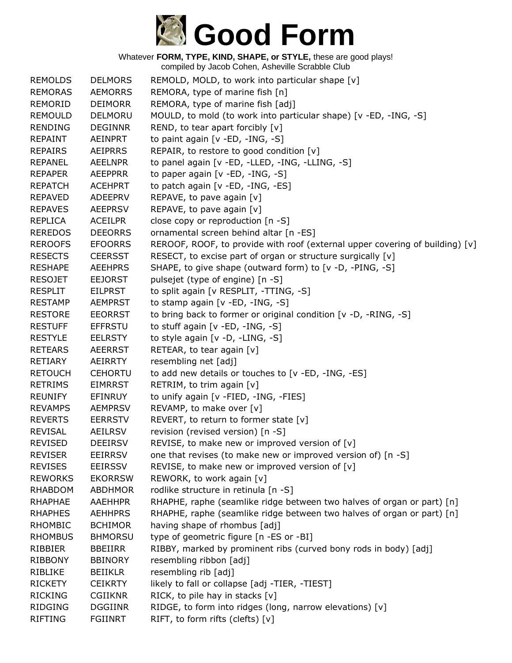

Whatever **FORM, TYPE, KIND, SHAPE, or STYLE,** these are good plays! compiled by Jacob Cohen, Asheville Scrabble Club

| <b>REMOLDS</b> | <b>DELMORS</b> | REMOLD, MOLD, to work into particular shape [v]                              |
|----------------|----------------|------------------------------------------------------------------------------|
| <b>REMORAS</b> | <b>AEMORRS</b> | REMORA, type of marine fish [n]                                              |
| <b>REMORID</b> | <b>DEIMORR</b> | REMORA, type of marine fish [adj]                                            |
| <b>REMOULD</b> | DELMORU        | MOULD, to mold (to work into particular shape) [v -ED, -ING, -S]             |
| <b>RENDING</b> | <b>DEGINNR</b> | REND, to tear apart forcibly [v]                                             |
| <b>REPAINT</b> | AEINPRT        | to paint again [v -ED, -ING, -S]                                             |
| <b>REPAIRS</b> | <b>AEIPRRS</b> | REPAIR, to restore to good condition [v]                                     |
| <b>REPANEL</b> | <b>AEELNPR</b> | to panel again [v -ED, -LLED, -ING, -LLING, -S]                              |
| <b>REPAPER</b> | <b>AEEPPRR</b> | to paper again [v -ED, -ING, -S]                                             |
| <b>REPATCH</b> | <b>ACEHPRT</b> | to patch again [v -ED, -ING, -ES]                                            |
| <b>REPAVED</b> | ADEEPRV        | REPAVE, to pave again [v]                                                    |
| <b>REPAVES</b> | <b>AEEPRSV</b> | REPAVE, to pave again [v]                                                    |
| <b>REPLICA</b> | <b>ACEILPR</b> | close copy or reproduction [n -S]                                            |
| <b>REREDOS</b> | <b>DEEORRS</b> | ornamental screen behind altar [n -ES]                                       |
| <b>REROOFS</b> | <b>EFOORRS</b> | REROOF, ROOF, to provide with roof (external upper covering of building) [v] |
| <b>RESECTS</b> | <b>CEERSST</b> | RESECT, to excise part of organ or structure surgically [v]                  |
| <b>RESHAPE</b> | <b>AEEHPRS</b> | SHAPE, to give shape (outward form) to [v -D, -PING, -S]                     |
| <b>RESOJET</b> | <b>EEJORST</b> | pulsejet (type of engine) [n -S]                                             |
| <b>RESPLIT</b> | <b>EILPRST</b> | to split again [v RESPLIT, -TTING, -S]                                       |
| <b>RESTAMP</b> | <b>AEMPRST</b> | to stamp again [v -ED, -ING, -S]                                             |
| <b>RESTORE</b> | <b>EEORRST</b> | to bring back to former or original condition [v -D, -RING, -S]              |
| <b>RESTUFF</b> | <b>EFFRSTU</b> | to stuff again [v -ED, -ING, -S]                                             |
| <b>RESTYLE</b> | <b>EELRSTY</b> | to style again [v -D, -LING, -S]                                             |
| <b>RETEARS</b> | <b>AEERRST</b> | RETEAR, to tear again [v]                                                    |
| <b>RETIARY</b> | <b>AEIRRTY</b> | resembling net [adj]                                                         |
| <b>RETOUCH</b> | <b>CEHORTU</b> | to add new details or touches to [v -ED, -ING, -ES]                          |
| <b>RETRIMS</b> | <b>EIMRRST</b> | RETRIM, to trim again [v]                                                    |
| <b>REUNIFY</b> | <b>EFINRUY</b> | to unify again [v -FIED, -ING, -FIES]                                        |
| <b>REVAMPS</b> | <b>AEMPRSV</b> | REVAMP, to make over [v]                                                     |
| <b>REVERTS</b> | <b>EERRSTV</b> | REVERT, to return to former state [v]                                        |
| <b>REVISAL</b> | <b>AEILRSV</b> | revision (revised version) [n -S]                                            |
| <b>REVISED</b> | <b>DEEIRSV</b> | REVISE, to make new or improved version of [v]                               |
| <b>REVISER</b> | <b>EEIRRSV</b> | one that revises (to make new or improved version of) [n -S]                 |
| <b>REVISES</b> | <b>EEIRSSV</b> | REVISE, to make new or improved version of [v]                               |
| <b>REWORKS</b> | <b>EKORRSW</b> | REWORK, to work again [v]                                                    |
| <b>RHABDOM</b> | <b>ABDHMOR</b> | rodlike structure in retinula [n -S]                                         |
| <b>RHAPHAE</b> | <b>AAEHHPR</b> | RHAPHE, raphe (seamlike ridge between two halves of organ or part) [n]       |
| <b>RHAPHES</b> | <b>AEHHPRS</b> | RHAPHE, raphe (seamlike ridge between two halves of organ or part) [n]       |
| <b>RHOMBIC</b> | <b>BCHIMOR</b> | having shape of rhombus [adj]                                                |
| <b>RHOMBUS</b> | <b>BHMORSU</b> | type of geometric figure [n -ES or -BI]                                      |
| RIBBIER        | <b>BBEIIRR</b> | RIBBY, marked by prominent ribs (curved bony rods in body) [adj]             |
| <b>RIBBONY</b> | <b>BBINORY</b> | resembling ribbon [adj]                                                      |
| <b>RIBLIKE</b> | <b>BEIIKLR</b> | resembling rib [adj]                                                         |
| <b>RICKETY</b> | <b>CEIKRTY</b> | likely to fall or collapse [adj -TIER, -TIEST]                               |
| <b>RICKING</b> | <b>CGIIKNR</b> | RICK, to pile hay in stacks [v]                                              |
| <b>RIDGING</b> | <b>DGGIINR</b> | RIDGE, to form into ridges (long, narrow elevations) [v]                     |
| <b>RIFTING</b> | <b>FGIINRT</b> | RIFT, to form rifts (clefts) [v]                                             |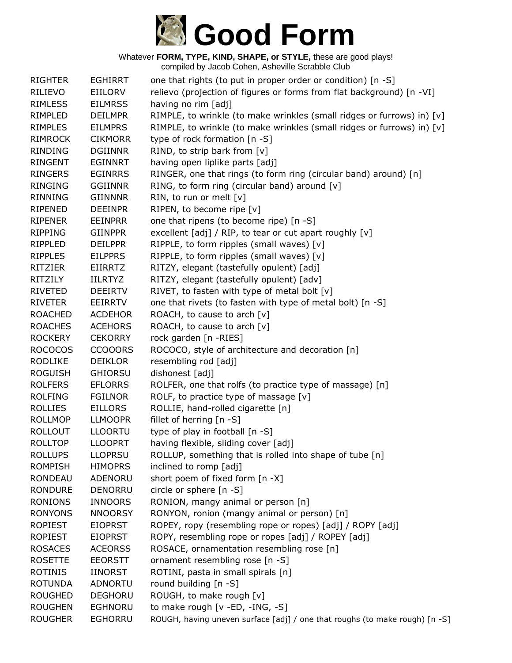

Whatever **FORM, TYPE, KIND, SHAPE, or STYLE,** these are good plays! compiled by Jacob Cohen, Asheville Scrabble Club

| <b>RIGHTER</b> | <b>EGHIRRT</b> | one that rights (to put in proper order or condition) [n -S]                |
|----------------|----------------|-----------------------------------------------------------------------------|
| RILIEVO        | EIILORV        | relievo (projection of figures or forms from flat background) [n -VI]       |
| <b>RIMLESS</b> | <b>EILMRSS</b> | having no rim [adj]                                                         |
| RIMPLED        | <b>DEILMPR</b> | RIMPLE, to wrinkle (to make wrinkles (small ridges or furrows) in) [v]      |
| <b>RIMPLES</b> | <b>EILMPRS</b> | RIMPLE, to wrinkle (to make wrinkles (small ridges or furrows) in) [v]      |
| <b>RIMROCK</b> | <b>CIKMORR</b> | type of rock formation [n -S]                                               |
| <b>RINDING</b> | <b>DGIINNR</b> | RIND, to strip bark from [v]                                                |
| <b>RINGENT</b> | <b>EGINNRT</b> | having open liplike parts [adj]                                             |
| <b>RINGERS</b> | <b>EGINRRS</b> | RINGER, one that rings (to form ring (circular band) around) [n]            |
| <b>RINGING</b> | <b>GGIINNR</b> | RING, to form ring (circular band) around [v]                               |
| <b>RINNING</b> | <b>GIINNNR</b> | RIN, to run or melt [v]                                                     |
| RIPENED        | <b>DEEINPR</b> | RIPEN, to become ripe [v]                                                   |
| <b>RIPENER</b> | <b>EEINPRR</b> | one that ripens (to become ripe) [n -S]                                     |
| <b>RIPPING</b> | <b>GIINPPR</b> | excellent [adj] / RIP, to tear or cut apart roughly [v]                     |
| RIPPLED        | <b>DEILPPR</b> | RIPPLE, to form ripples (small waves) [v]                                   |
| <b>RIPPLES</b> | <b>EILPPRS</b> | RIPPLE, to form ripples (small waves) [v]                                   |
| <b>RITZIER</b> | <b>EIIRRTZ</b> | RITZY, elegant (tastefully opulent) [adj]                                   |
| <b>RITZILY</b> | <b>IILRTYZ</b> | RITZY, elegant (tastefully opulent) [adv]                                   |
| <b>RIVETED</b> | <b>DEEIRTV</b> | RIVET, to fasten with type of metal bolt [v]                                |
| <b>RIVETER</b> | EEIRRTV        | one that rivets (to fasten with type of metal bolt) [n -S]                  |
| <b>ROACHED</b> | <b>ACDEHOR</b> | ROACH, to cause to arch [v]                                                 |
| <b>ROACHES</b> | <b>ACEHORS</b> | ROACH, to cause to arch [v]                                                 |
| <b>ROCKERY</b> | <b>CEKORRY</b> | rock garden [n -RIES]                                                       |
| <b>ROCOCOS</b> | <b>CCOOORS</b> | ROCOCO, style of architecture and decoration [n]                            |
| <b>RODLIKE</b> | <b>DEIKLOR</b> | resembling rod [adj]                                                        |
| <b>ROGUISH</b> | <b>GHIORSU</b> | dishonest [adj]                                                             |
| <b>ROLFERS</b> | <b>EFLORRS</b> | ROLFER, one that rolfs (to practice type of massage) [n]                    |
| <b>ROLFING</b> | <b>FGILNOR</b> | ROLF, to practice type of massage [v]                                       |
| <b>ROLLIES</b> | <b>EILLORS</b> | ROLLIE, hand-rolled cigarette [n]                                           |
| <b>ROLLMOP</b> | <b>LLMOOPR</b> | fillet of herring [n -S]                                                    |
| <b>ROLLOUT</b> | <b>LLOORTU</b> | type of play in football [n -S]                                             |
| <b>ROLLTOP</b> | <b>LLOOPRT</b> | having flexible, sliding cover [adj]                                        |
| <b>ROLLUPS</b> | <b>LLOPRSU</b> | ROLLUP, something that is rolled into shape of tube [n]                     |
| <b>ROMPISH</b> | <b>HIMOPRS</b> | inclined to romp [adj]                                                      |
| <b>RONDEAU</b> | ADENORU        | short poem of fixed form [n -X]                                             |
| <b>RONDURE</b> | DENORRU        | circle or sphere [n -S]                                                     |
| <b>RONIONS</b> | <b>INNOORS</b> | RONION, mangy animal or person [n]                                          |
| <b>RONYONS</b> | <b>NNOORSY</b> | RONYON, ronion (mangy animal or person) [n]                                 |
| <b>ROPIEST</b> | <b>EIOPRST</b> | ROPEY, ropy (resembling rope or ropes) [adj] / ROPY [adj]                   |
| <b>ROPIEST</b> | <b>EIOPRST</b> | ROPY, resembling rope or ropes [adj] / ROPEY [adj]                          |
| <b>ROSACES</b> | <b>ACEORSS</b> | ROSACE, ornamentation resembling rose [n]                                   |
| <b>ROSETTE</b> | <b>EEORSTT</b> | ornament resembling rose [n -S]                                             |
| <b>ROTINIS</b> | <b>IINORST</b> | ROTINI, pasta in small spirals [n]                                          |
| <b>ROTUNDA</b> | <b>ADNORTU</b> | round building [n -S]                                                       |
| <b>ROUGHED</b> | <b>DEGHORU</b> | ROUGH, to make rough [v]                                                    |
| <b>ROUGHEN</b> | <b>EGHNORU</b> | to make rough [v -ED, -ING, -S]                                             |
| <b>ROUGHER</b> | <b>EGHORRU</b> | ROUGH, having uneven surface [adj] / one that roughs (to make rough) [n -S] |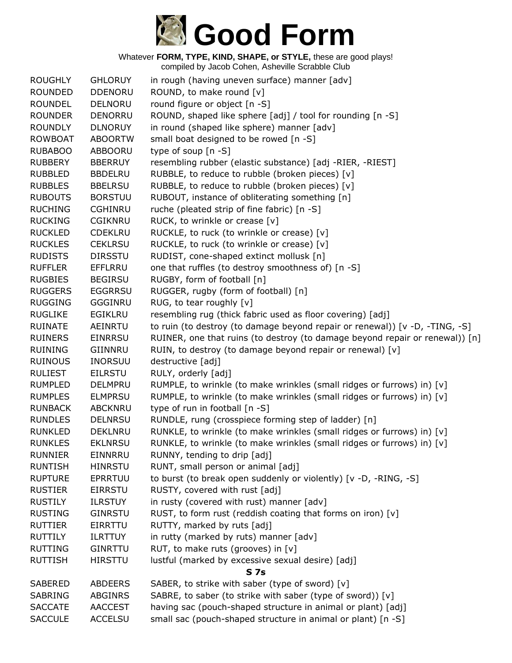

| <b>ROUGHLY</b> | <b>GHLORUY</b> | in rough (having uneven surface) manner [adv]                                |
|----------------|----------------|------------------------------------------------------------------------------|
| <b>ROUNDED</b> | <b>DDENORU</b> | ROUND, to make round [v]                                                     |
| <b>ROUNDEL</b> | <b>DELNORU</b> | round figure or object [n -S]                                                |
| <b>ROUNDER</b> | <b>DENORRU</b> | ROUND, shaped like sphere [adj] / tool for rounding [n -S]                   |
| <b>ROUNDLY</b> | <b>DLNORUY</b> | in round (shaped like sphere) manner [adv]                                   |
| <b>ROWBOAT</b> | <b>ABOORTW</b> | small boat designed to be rowed [n -S]                                       |
| <b>RUBABOO</b> | ABBOORU        | type of soup [n -S]                                                          |
| <b>RUBBERY</b> | <b>BBERRUY</b> | resembling rubber (elastic substance) [adj -RIER, -RIEST]                    |
| <b>RUBBLED</b> | <b>BBDELRU</b> | RUBBLE, to reduce to rubble (broken pieces) [v]                              |
| <b>RUBBLES</b> | <b>BBELRSU</b> | RUBBLE, to reduce to rubble (broken pieces) [v]                              |
| <b>RUBOUTS</b> | <b>BORSTUU</b> | RUBOUT, instance of obliterating something [n]                               |
| <b>RUCHING</b> | <b>CGHINRU</b> | ruche (pleated strip of fine fabric) [n -S]                                  |
| <b>RUCKING</b> | <b>CGIKNRU</b> | RUCK, to wrinkle or crease [v]                                               |
| <b>RUCKLED</b> | <b>CDEKLRU</b> | RUCKLE, to ruck (to wrinkle or crease) [v]                                   |
| <b>RUCKLES</b> | <b>CEKLRSU</b> | RUCKLE, to ruck (to wrinkle or crease) [v]                                   |
| <b>RUDISTS</b> | <b>DIRSSTU</b> | RUDIST, cone-shaped extinct mollusk [n]                                      |
| <b>RUFFLER</b> | <b>EFFLRRU</b> | one that ruffles (to destroy smoothness of) [n -S]                           |
| <b>RUGBIES</b> | <b>BEGIRSU</b> | RUGBY, form of football [n]                                                  |
| <b>RUGGERS</b> | <b>EGGRRSU</b> | RUGGER, rugby (form of football) [n]                                         |
| <b>RUGGING</b> | GGGINRU        | RUG, to tear roughly [v]                                                     |
| <b>RUGLIKE</b> | EGIKLRU        | resembling rug (thick fabric used as floor covering) [adj]                   |
| <b>RUINATE</b> | AEINRTU        | to ruin (to destroy (to damage beyond repair or renewal)) [v -D, -TING, -S]  |
| <b>RUINERS</b> | <b>EINRRSU</b> | RUINER, one that ruins (to destroy (to damage beyond repair or renewal)) [n] |
| <b>RUINING</b> | GIINNRU        | RUIN, to destroy (to damage beyond repair or renewal) [v]                    |
| <b>RUINOUS</b> | <b>INORSUU</b> | destructive [adj]                                                            |
| <b>RULIEST</b> | <b>EILRSTU</b> | RULY, orderly [adj]                                                          |
| <b>RUMPLED</b> | <b>DELMPRU</b> | RUMPLE, to wrinkle (to make wrinkles (small ridges or furrows) in) [v]       |
| <b>RUMPLES</b> | <b>ELMPRSU</b> | RUMPLE, to wrinkle (to make wrinkles (small ridges or furrows) in) [v]       |
| <b>RUNBACK</b> | <b>ABCKNRU</b> | type of run in football [n -S]                                               |
| <b>RUNDLES</b> | <b>DELNRSU</b> | RUNDLE, rung (crosspiece forming step of ladder) [n]                         |
| <b>RUNKLED</b> | <b>DEKLNRU</b> | RUNKLE, to wrinkle (to make wrinkles (small ridges or furrows) in) [v]       |
| <b>RUNKLES</b> | <b>EKLNRSU</b> | RUNKLE, to wrinkle (to make wrinkles (small ridges or furrows) in) [v]       |
| <b>RUNNIER</b> | EINNRRU        | RUNNY, tending to drip [adj]                                                 |
| <b>RUNTISH</b> | <b>HINRSTU</b> | RUNT, small person or animal [adj]                                           |
| <b>RUPTURE</b> | EPRRTUU        | to burst (to break open suddenly or violently) [v -D, -RING, -S]             |
| <b>RUSTIER</b> | <b>EIRRSTU</b> | RUSTY, covered with rust [adj]                                               |
| <b>RUSTILY</b> | <b>ILRSTUY</b> | in rusty (covered with rust) manner [adv]                                    |
| <b>RUSTING</b> | <b>GINRSTU</b> | RUST, to form rust (reddish coating that forms on iron) $[v]$                |
| <b>RUTTIER</b> | <b>EIRRTTU</b> | RUTTY, marked by ruts [adj]                                                  |
| <b>RUTTILY</b> | <b>ILRTTUY</b> | in rutty (marked by ruts) manner [adv]                                       |
| <b>RUTTING</b> | <b>GINRTTU</b> | RUT, to make ruts (grooves) in [v]                                           |
| <b>RUTTISH</b> | <b>HIRSTTU</b> | lustful (marked by excessive sexual desire) [adj]                            |
|                |                | <b>S7s</b>                                                                   |
| <b>SABERED</b> | <b>ABDEERS</b> | SABER, to strike with saber (type of sword) [v]                              |
| <b>SABRING</b> | <b>ABGINRS</b> | SABRE, to saber (to strike with saber (type of sword)) [v]                   |
| <b>SACCATE</b> | <b>AACCEST</b> | having sac (pouch-shaped structure in animal or plant) [adj]                 |
| <b>SACCULE</b> | <b>ACCELSU</b> | small sac (pouch-shaped structure in animal or plant) [n -S]                 |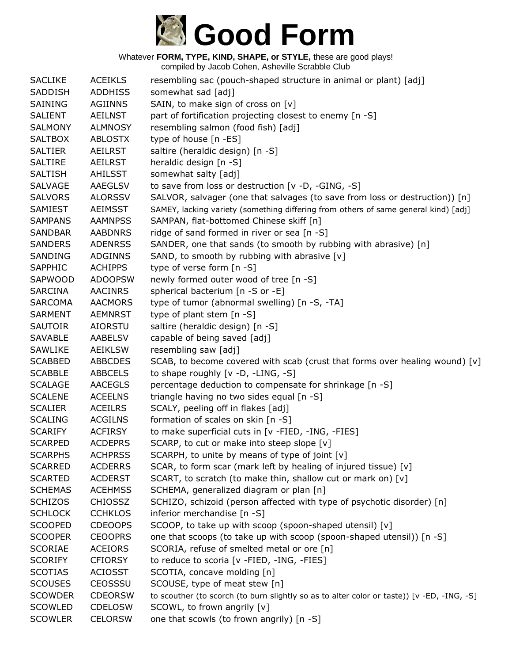

| <b>SACLIKE</b> | <b>ACEIKLS</b> | resembling sac (pouch-shaped structure in animal or plant) [adj]                           |
|----------------|----------------|--------------------------------------------------------------------------------------------|
| SADDISH        | <b>ADDHISS</b> | somewhat sad [adj]                                                                         |
| <b>SAINING</b> | <b>AGIINNS</b> | SAIN, to make sign of cross on [v]                                                         |
| <b>SALIENT</b> | <b>AEILNST</b> | part of fortification projecting closest to enemy [n -S]                                   |
| <b>SALMONY</b> | <b>ALMNOSY</b> | resembling salmon (food fish) [adj]                                                        |
| <b>SALTBOX</b> | <b>ABLOSTX</b> | type of house [n -ES]                                                                      |
| <b>SALTIER</b> | AEILRST        | saltire (heraldic design) [n -S]                                                           |
| <b>SALTIRE</b> | <b>AEILRST</b> | heraldic design [n -S]                                                                     |
| <b>SALTISH</b> | AHILSST        | somewhat salty [adj]                                                                       |
| <b>SALVAGE</b> | <b>AAEGLSV</b> | to save from loss or destruction [v -D, -GING, -S]                                         |
| <b>SALVORS</b> | <b>ALORSSV</b> | SALVOR, salvager (one that salvages (to save from loss or destruction)) [n]                |
| SAMIEST        | <b>AEIMSST</b> | SAMEY, lacking variety (something differing from others of same general kind) [adj]        |
| <b>SAMPANS</b> | <b>AAMNPSS</b> | SAMPAN, flat-bottomed Chinese skiff [n]                                                    |
| <b>SANDBAR</b> | <b>AABDNRS</b> | ridge of sand formed in river or sea [n -S]                                                |
| <b>SANDERS</b> | <b>ADENRSS</b> | SANDER, one that sands (to smooth by rubbing with abrasive) [n]                            |
| SANDING        | <b>ADGINNS</b> | SAND, to smooth by rubbing with abrasive [v]                                               |
| SAPPHIC        | <b>ACHIPPS</b> | type of verse form [n -S]                                                                  |
| SAPWOOD        | <b>ADOOPSW</b> | newly formed outer wood of tree [n -S]                                                     |
| <b>SARCINA</b> | <b>AACINRS</b> | spherical bacterium [n -S or -E]                                                           |
| <b>SARCOMA</b> | <b>AACMORS</b> | type of tumor (abnormal swelling) [n -S, -TA]                                              |
| <b>SARMENT</b> | <b>AEMNRST</b> | type of plant stem [n -S]                                                                  |
| <b>SAUTOIR</b> | <b>AIORSTU</b> | saltire (heraldic design) [n -S]                                                           |
| <b>SAVABLE</b> | <b>AABELSV</b> | capable of being saved [adj]                                                               |
| <b>SAWLIKE</b> | <b>AEIKLSW</b> | resembling saw [adj]                                                                       |
| <b>SCABBED</b> | <b>ABBCDES</b> | SCAB, to become covered with scab (crust that forms over healing wound) $[v]$              |
| <b>SCABBLE</b> | <b>ABBCELS</b> | to shape roughly [v -D, -LING, -S]                                                         |
| <b>SCALAGE</b> | <b>AACEGLS</b> | percentage deduction to compensate for shrinkage [n -S]                                    |
| <b>SCALENE</b> | <b>ACEELNS</b> | triangle having no two sides equal [n -S]                                                  |
| <b>SCALIER</b> | <b>ACEILRS</b> | SCALY, peeling off in flakes [adj]                                                         |
| <b>SCALING</b> | <b>ACGILNS</b> | formation of scales on skin [n -S]                                                         |
| <b>SCARIFY</b> | <b>ACFIRSY</b> | to make superficial cuts in [v -FIED, -ING, -FIES]                                         |
| <b>SCARPED</b> | <b>ACDEPRS</b> | SCARP, to cut or make into steep slope [v]                                                 |
| <b>SCARPHS</b> | <b>ACHPRSS</b> | SCARPH, to unite by means of type of joint $[v]$                                           |
| <b>SCARRED</b> | <b>ACDERRS</b> | SCAR, to form scar (mark left by healing of injured tissue) [v]                            |
| <b>SCARTED</b> | <b>ACDERST</b> | SCART, to scratch (to make thin, shallow cut or mark on) [v]                               |
| <b>SCHEMAS</b> | <b>ACEHMSS</b> | SCHEMA, generalized diagram or plan [n]                                                    |
| <b>SCHIZOS</b> | <b>CHIOSSZ</b> | SCHIZO, schizoid (person affected with type of psychotic disorder) [n]                     |
| <b>SCHLOCK</b> | <b>CCHKLOS</b> | inferior merchandise [n -S]                                                                |
| <b>SCOOPED</b> | <b>CDEOOPS</b> | SCOOP, to take up with scoop (spoon-shaped utensil) [v]                                    |
| <b>SCOOPER</b> | <b>CEOOPRS</b> | one that scoops (to take up with scoop (spoon-shaped utensil)) [n -S]                      |
| <b>SCORIAE</b> | <b>ACEIORS</b> | SCORIA, refuse of smelted metal or ore [n]                                                 |
| <b>SCORIFY</b> | <b>CFIORSY</b> | to reduce to scoria [v -FIED, -ING, -FIES]                                                 |
| <b>SCOTIAS</b> | <b>ACIOSST</b> | SCOTIA, concave molding [n]                                                                |
| <b>SCOUSES</b> | <b>CEOSSSU</b> | SCOUSE, type of meat stew [n]                                                              |
| <b>SCOWDER</b> | <b>CDEORSW</b> | to scouther (to scorch (to burn slightly so as to alter color or taste)) [v -ED, -ING, -S] |
| <b>SCOWLED</b> | <b>CDELOSW</b> | SCOWL, to frown angrily [v]                                                                |
| <b>SCOWLER</b> | <b>CELORSW</b> | one that scowls (to frown angrily) [n -S]                                                  |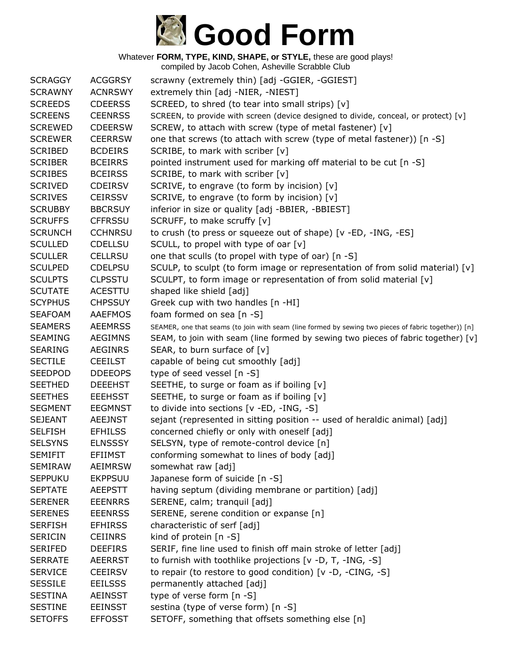

| <b>SCRAGGY</b> | <b>ACGGRSY</b> | scrawny (extremely thin) [adj -GGIER, -GGIEST]                                                       |
|----------------|----------------|------------------------------------------------------------------------------------------------------|
| <b>SCRAWNY</b> | <b>ACNRSWY</b> | extremely thin [adj -NIER, -NIEST]                                                                   |
| <b>SCREEDS</b> | <b>CDEERSS</b> | SCREED, to shred (to tear into small strips) [v]                                                     |
| <b>SCREENS</b> | <b>CEENRSS</b> | SCREEN, to provide with screen (device designed to divide, conceal, or protect) [v]                  |
| <b>SCREWED</b> | <b>CDEERSW</b> | SCREW, to attach with screw (type of metal fastener) [v]                                             |
| <b>SCREWER</b> | <b>CEERRSW</b> | one that screws (to attach with screw (type of metal fastener)) [n -S]                               |
| <b>SCRIBED</b> | <b>BCDEIRS</b> | SCRIBE, to mark with scriber [v]                                                                     |
| <b>SCRIBER</b> | <b>BCEIRRS</b> | pointed instrument used for marking off material to be cut [n -S]                                    |
| <b>SCRIBES</b> | <b>BCEIRSS</b> | SCRIBE, to mark with scriber [v]                                                                     |
| <b>SCRIVED</b> | <b>CDEIRSV</b> | SCRIVE, to engrave (to form by incision) [v]                                                         |
| <b>SCRIVES</b> | <b>CEIRSSV</b> | SCRIVE, to engrave (to form by incision) [v]                                                         |
| <b>SCRUBBY</b> | <b>BBCRSUY</b> | inferior in size or quality [adj -BBIER, -BBIEST]                                                    |
| <b>SCRUFFS</b> | <b>CFFRSSU</b> | SCRUFF, to make scruffy [v]                                                                          |
| <b>SCRUNCH</b> | <b>CCHNRSU</b> | to crush (to press or squeeze out of shape) [v -ED, -ING, -ES]                                       |
| <b>SCULLED</b> | <b>CDELLSU</b> | SCULL, to propel with type of oar [v]                                                                |
| <b>SCULLER</b> | <b>CELLRSU</b> | one that sculls (to propel with type of oar) [n -S]                                                  |
| <b>SCULPED</b> | <b>CDELPSU</b> | SCULP, to sculpt (to form image or representation of from solid material) $[v]$                      |
| <b>SCULPTS</b> | <b>CLPSSTU</b> | SCULPT, to form image or representation of from solid material [v]                                   |
| <b>SCUTATE</b> | <b>ACESTTU</b> | shaped like shield [adj]                                                                             |
| <b>SCYPHUS</b> | <b>CHPSSUY</b> | Greek cup with two handles [n -HI]                                                                   |
| <b>SEAFOAM</b> | <b>AAEFMOS</b> | foam formed on sea [n -S]                                                                            |
| <b>SEAMERS</b> | <b>AEEMRSS</b> | SEAMER, one that seams (to join with seam (line formed by sewing two pieces of fabric together)) [n] |
| <b>SEAMING</b> | <b>AEGIMNS</b> | SEAM, to join with seam (line formed by sewing two pieces of fabric together) [v]                    |
| <b>SEARING</b> | <b>AEGINRS</b> | SEAR, to burn surface of [v]                                                                         |
| <b>SECTILE</b> | <b>CEEILST</b> | capable of being cut smoothly [adj]                                                                  |
| <b>SEEDPOD</b> | <b>DDEEOPS</b> | type of seed vessel [n -S]                                                                           |
| <b>SEETHED</b> | <b>DEEEHST</b> | SEETHE, to surge or foam as if boiling [v]                                                           |
| <b>SEETHES</b> | <b>EEEHSST</b> | SEETHE, to surge or foam as if boiling [v]                                                           |
| <b>SEGMENT</b> | <b>EEGMNST</b> | to divide into sections $[v - ED, -ING, -S]$                                                         |
| <b>SEJEANT</b> | <b>AEEJNST</b> | sejant (represented in sitting position -- used of heraldic animal) [adj]                            |
| <b>SELFISH</b> | <b>EFHILSS</b> | concerned chiefly or only with oneself [adj]                                                         |
| <b>SELSYNS</b> | <b>ELNSSSY</b> | SELSYN, type of remote-control device [n]                                                            |
| <b>SEMIFIT</b> | <b>EFIIMST</b> | conforming somewhat to lines of body [adj]                                                           |
| <b>SEMIRAW</b> | <b>AEIMRSW</b> | somewhat raw [adj]                                                                                   |
| <b>SEPPUKU</b> | <b>EKPPSUU</b> | Japanese form of suicide [n -S]                                                                      |
| <b>SEPTATE</b> | AEEPSTT        | having septum (dividing membrane or partition) [adj]                                                 |
| <b>SERENER</b> | <b>EEENRRS</b> | SERENE, calm; tranquil [adj]                                                                         |
| <b>SERENES</b> | <b>EEENRSS</b> | SERENE, serene condition or expanse [n]                                                              |
| <b>SERFISH</b> | <b>EFHIRSS</b> | characteristic of serf [adj]                                                                         |
| <b>SERICIN</b> | <b>CEIINRS</b> | kind of protein [n -S]                                                                               |
| <b>SERIFED</b> | <b>DEEFIRS</b> | SERIF, fine line used to finish off main stroke of letter [adj]                                      |
| <b>SERRATE</b> | <b>AEERRST</b> | to furnish with toothlike projections [v -D, T, -ING, -S]                                            |
| <b>SERVICE</b> | <b>CEEIRSV</b> | to repair (to restore to good condition) $[v -D, -CING, -S]$                                         |
| <b>SESSILE</b> | <b>EEILSSS</b> | permanently attached [adj]                                                                           |
| <b>SESTINA</b> | <b>AEINSST</b> | type of verse form [n -S]                                                                            |
| <b>SESTINE</b> | <b>EEINSST</b> | sestina (type of verse form) [n -S]                                                                  |
| <b>SETOFFS</b> | <b>EFFOSST</b> | SETOFF, something that offsets something else [n]                                                    |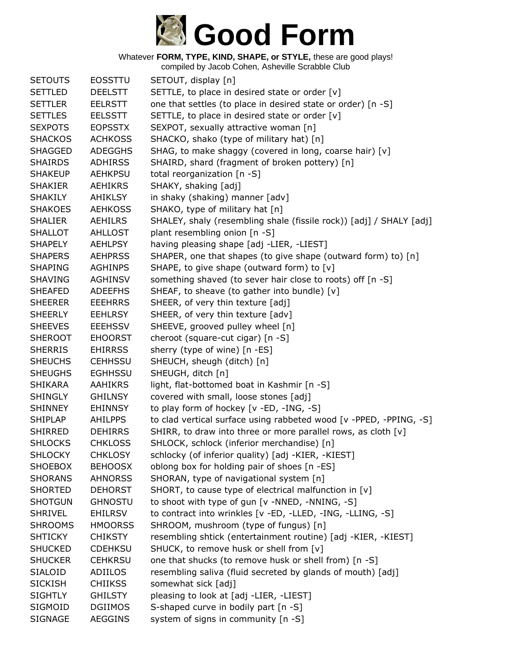

| <b>SETOUTS</b> | <b>EOSSTTU</b> | SETOUT, display [n]                                                 |
|----------------|----------------|---------------------------------------------------------------------|
| <b>SETTLED</b> | <b>DEELSTT</b> | SETTLE, to place in desired state or order [v]                      |
| <b>SETTLER</b> | <b>EELRSTT</b> | one that settles (to place in desired state or order) [n -S]        |
| <b>SETTLES</b> | <b>EELSSTT</b> | SETTLE, to place in desired state or order [v]                      |
| <b>SEXPOTS</b> | <b>EOPSSTX</b> | SEXPOT, sexually attractive woman [n]                               |
| <b>SHACKOS</b> | <b>ACHKOSS</b> | SHACKO, shako (type of military hat) [n]                            |
| <b>SHAGGED</b> | <b>ADEGGHS</b> | SHAG, to make shaggy (covered in long, coarse hair) [v]             |
| <b>SHAIRDS</b> | <b>ADHIRSS</b> | SHAIRD, shard (fragment of broken pottery) [n]                      |
| <b>SHAKEUP</b> | <b>AEHKPSU</b> | total reorganization [n -S]                                         |
| <b>SHAKIER</b> | <b>AEHIKRS</b> | SHAKY, shaking [adj]                                                |
| <b>SHAKILY</b> | AHIKLSY        | in shaky (shaking) manner [adv]                                     |
| <b>SHAKOES</b> | <b>AEHKOSS</b> | SHAKO, type of military hat [n]                                     |
| <b>SHALIER</b> | <b>AEHILRS</b> | SHALEY, shaly (resembling shale (fissile rock)) [adj] / SHALY [adj] |
| <b>SHALLOT</b> | <b>AHLLOST</b> | plant resembling onion [n -S]                                       |
| <b>SHAPELY</b> | <b>AEHLPSY</b> | having pleasing shape [adj -LIER, -LIEST]                           |
| <b>SHAPERS</b> | <b>AEHPRSS</b> | SHAPER, one that shapes (to give shape (outward form) to) [n]       |
| <b>SHAPING</b> | <b>AGHINPS</b> | SHAPE, to give shape (outward form) to [v]                          |
| <b>SHAVING</b> | <b>AGHINSV</b> | something shaved (to sever hair close to roots) off [n -S]          |
| <b>SHEAFED</b> | <b>ADEEFHS</b> | SHEAF, to sheave (to gather into bundle) [v]                        |
| <b>SHEERER</b> | <b>EEEHRRS</b> | SHEER, of very thin texture [adj]                                   |
| <b>SHEERLY</b> | <b>EEHLRSY</b> | SHEER, of very thin texture [adv]                                   |
| <b>SHEEVES</b> | <b>EEEHSSV</b> | SHEEVE, grooved pulley wheel [n]                                    |
| <b>SHEROOT</b> | <b>EHOORST</b> | cheroot (square-cut cigar) [n -S]                                   |
| <b>SHERRIS</b> | <b>EHIRRSS</b> | sherry (type of wine) [n -ES]                                       |
| <b>SHEUCHS</b> | <b>CEHHSSU</b> | SHEUCH, sheugh (ditch) [n]                                          |
| <b>SHEUGHS</b> | <b>EGHHSSU</b> | SHEUGH, ditch [n]                                                   |
| <b>SHIKARA</b> | <b>AAHIKRS</b> | light, flat-bottomed boat in Kashmir [n -S]                         |
| <b>SHINGLY</b> | <b>GHILNSY</b> | covered with small, loose stones [adj]                              |
| <b>SHINNEY</b> | <b>EHINNSY</b> | to play form of hockey [v -ED, -ING, -S]                            |
| <b>SHIPLAP</b> | <b>AHILPPS</b> | to clad vertical surface using rabbeted wood [v -PPED, -PPING, -S]  |
| <b>SHIRRED</b> | <b>DEHIRRS</b> | SHIRR, to draw into three or more parallel rows, as cloth [v]       |
| <b>SHLOCKS</b> | <b>CHKLOSS</b> | SHLOCK, schlock (inferior merchandise) [n]                          |
| <b>SHLOCKY</b> | <b>CHKLOSY</b> | schlocky (of inferior quality) [adj -KIER, -KIEST]                  |
| <b>SHOEBOX</b> | <b>BEHOOSX</b> | oblong box for holding pair of shoes [n -ES]                        |
| <b>SHORANS</b> | <b>AHNORSS</b> | SHORAN, type of navigational system [n]                             |
| <b>SHORTED</b> | <b>DEHORST</b> | SHORT, to cause type of electrical malfunction in [v]               |
| <b>SHOTGUN</b> | <b>GHNOSTU</b> | to shoot with type of gun [v -NNED, -NNING, -S]                     |
| <b>SHRIVEL</b> | <b>EHILRSV</b> | to contract into wrinkles [v -ED, -LLED, -ING, -LLING, -S]          |
| <b>SHROOMS</b> | <b>HMOORSS</b> | SHROOM, mushroom (type of fungus) [n]                               |
| <b>SHTICKY</b> | <b>CHIKSTY</b> | resembling shtick (entertainment routine) [adj -KIER, -KIEST]       |
| <b>SHUCKED</b> | <b>CDEHKSU</b> | SHUCK, to remove husk or shell from [v]                             |
| <b>SHUCKER</b> | <b>CEHKRSU</b> | one that shucks (to remove husk or shell from) [n -S]               |
| <b>SIALOID</b> | ADIILOS        | resembling saliva (fluid secreted by glands of mouth) [adj]         |
| <b>SICKISH</b> | <b>CHIIKSS</b> | somewhat sick [adj]                                                 |
| <b>SIGHTLY</b> | <b>GHILSTY</b> | pleasing to look at [adj -LIER, -LIEST]                             |
| SIGMOID        | <b>DGIIMOS</b> | S-shaped curve in bodily part [n -S]                                |
| <b>SIGNAGE</b> | <b>AEGGINS</b> | system of signs in community [n -S]                                 |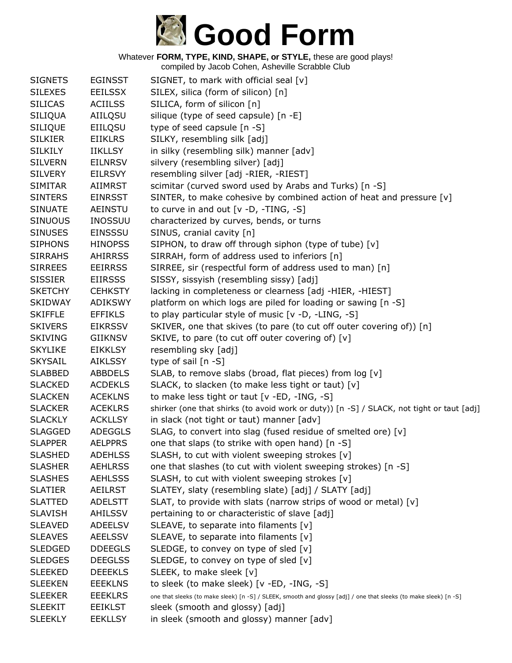

| <b>SIGNETS</b> | <b>EGINSST</b> | SIGNET, to mark with official seal [v]                                                                           |
|----------------|----------------|------------------------------------------------------------------------------------------------------------------|
| <b>SILEXES</b> | <b>EEILSSX</b> | SILEX, silica (form of silicon) [n]                                                                              |
| <b>SILICAS</b> | <b>ACIILSS</b> | SILICA, form of silicon [n]                                                                                      |
| <b>SILIQUA</b> | AIILQSU        | silique (type of seed capsule) [n -E]                                                                            |
| <b>SILIQUE</b> | EIILQSU        | type of seed capsule [n -S]                                                                                      |
| <b>SILKIER</b> | <b>EIIKLRS</b> | SILKY, resembling silk [adj]                                                                                     |
| <b>SILKILY</b> | <b>IIKLLSY</b> | in silky (resembling silk) manner [adv]                                                                          |
| <b>SILVERN</b> | <b>EILNRSV</b> | silvery (resembling silver) [adj]                                                                                |
| <b>SILVERY</b> | <b>EILRSVY</b> | resembling silver [adj -RIER, -RIEST]                                                                            |
| <b>SIMITAR</b> | AIIMRST        | scimitar (curved sword used by Arabs and Turks) [n -S]                                                           |
| <b>SINTERS</b> | <b>EINRSST</b> | SINTER, to make cohesive by combined action of heat and pressure [v]                                             |
| <b>SINUATE</b> | AEINSTU        | to curve in and out $[v -D, -TING, -S]$                                                                          |
| <b>SINUOUS</b> | <b>INOSSUU</b> | characterized by curves, bends, or turns                                                                         |
| <b>SINUSES</b> | <b>EINSSSU</b> | SINUS, cranial cavity [n]                                                                                        |
| <b>SIPHONS</b> | <b>HINOPSS</b> | SIPHON, to draw off through siphon (type of tube) [v]                                                            |
| <b>SIRRAHS</b> | <b>AHIRRSS</b> | SIRRAH, form of address used to inferiors [n]                                                                    |
| <b>SIRREES</b> | <b>EEIRRSS</b> | SIRREE, sir (respectful form of address used to man) [n]                                                         |
| <b>SISSIER</b> | <b>EIIRSSS</b> | SISSY, sissyish (resembling sissy) [adj]                                                                         |
| <b>SKETCHY</b> | <b>CEHKSTY</b> | lacking in completeness or clearness [adj -HIER, -HIEST]                                                         |
| <b>SKIDWAY</b> | <b>ADIKSWY</b> | platform on which logs are piled for loading or sawing [n -S]                                                    |
| <b>SKIFFLE</b> | <b>EFFIKLS</b> | to play particular style of music [v -D, -LING, -S]                                                              |
| <b>SKIVERS</b> | <b>EIKRSSV</b> | SKIVER, one that skives (to pare (to cut off outer covering of)) [n]                                             |
| <b>SKIVING</b> | <b>GIIKNSV</b> | SKIVE, to pare (to cut off outer covering of) [v]                                                                |
| <b>SKYLIKE</b> | <b>EIKKLSY</b> | resembling sky [adj]                                                                                             |
| <b>SKYSAIL</b> | AIKLSSY        | type of sail $[n -S]$                                                                                            |
| <b>SLABBED</b> | <b>ABBDELS</b> | SLAB, to remove slabs (broad, flat pieces) from log [v]                                                          |
| <b>SLACKED</b> | <b>ACDEKLS</b> | SLACK, to slacken (to make less tight or taut) [v]                                                               |
| <b>SLACKEN</b> | <b>ACEKLNS</b> | to make less tight or taut [v -ED, -ING, -S]                                                                     |
| <b>SLACKER</b> | <b>ACEKLRS</b> | shirker (one that shirks (to avoid work or duty)) [n -S] / SLACK, not tight or taut [adj]                        |
| <b>SLACKLY</b> | <b>ACKLLSY</b> | in slack (not tight or taut) manner [adv]                                                                        |
| <b>SLAGGED</b> | <b>ADEGGLS</b> | SLAG, to convert into slag (fused residue of smelted ore) [v]                                                    |
| <b>SLAPPER</b> | <b>AELPPRS</b> | one that slaps (to strike with open hand) [n -S]                                                                 |
| <b>SLASHED</b> | <b>ADEHLSS</b> | SLASH, to cut with violent sweeping strokes [v]                                                                  |
| <b>SLASHER</b> | <b>AEHLRSS</b> | one that slashes (to cut with violent sweeping strokes) [n -S]                                                   |
| <b>SLASHES</b> | <b>AEHLSSS</b> | SLASH, to cut with violent sweeping strokes [v]                                                                  |
| <b>SLATIER</b> | <b>AEILRST</b> | SLATEY, slaty (resembling slate) [adj] / SLATY [adj]                                                             |
| <b>SLATTED</b> | <b>ADELSTT</b> | SLAT, to provide with slats (narrow strips of wood or metal) [v]                                                 |
| <b>SLAVISH</b> | AHILSSV        | pertaining to or characteristic of slave [adj]                                                                   |
| <b>SLEAVED</b> | <b>ADEELSV</b> | SLEAVE, to separate into filaments [v]                                                                           |
| <b>SLEAVES</b> | <b>AEELSSV</b> | SLEAVE, to separate into filaments [v]                                                                           |
| <b>SLEDGED</b> | <b>DDEEGLS</b> | SLEDGE, to convey on type of sled [v]                                                                            |
| <b>SLEDGES</b> | <b>DEEGLSS</b> | SLEDGE, to convey on type of sled [v]                                                                            |
| <b>SLEEKED</b> | <b>DEEEKLS</b> | SLEEK, to make sleek [v]                                                                                         |
| <b>SLEEKEN</b> | <b>EEEKLNS</b> | to sleek (to make sleek) [v -ED, -ING, -S]                                                                       |
| <b>SLEEKER</b> | <b>EEEKLRS</b> | one that sleeks (to make sleek) [n -S] / SLEEK, smooth and glossy [adj] / one that sleeks (to make sleek) [n -S] |
| <b>SLEEKIT</b> | <b>EEIKLST</b> | sleek (smooth and glossy) [adj]                                                                                  |
| <b>SLEEKLY</b> | <b>EEKLLSY</b> | in sleek (smooth and glossy) manner [adv]                                                                        |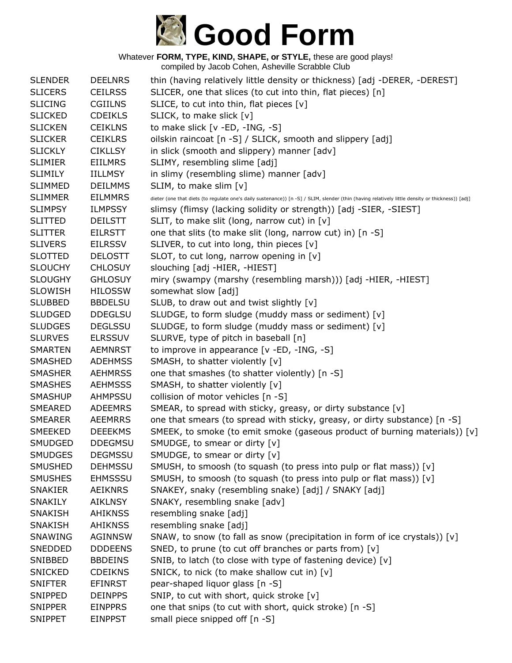

| <b>SLENDER</b> | <b>DEELNRS</b> | thin (having relatively little density or thickness) [adj -DERER, -DEREST]                                                                       |
|----------------|----------------|--------------------------------------------------------------------------------------------------------------------------------------------------|
| <b>SLICERS</b> | <b>CEILRSS</b> | SLICER, one that slices (to cut into thin, flat pieces) [n]                                                                                      |
| <b>SLICING</b> | <b>CGIILNS</b> | SLICE, to cut into thin, flat pieces $[v]$                                                                                                       |
| <b>SLICKED</b> | <b>CDEIKLS</b> | SLICK, to make slick [v]                                                                                                                         |
| <b>SLICKEN</b> | <b>CEIKLNS</b> | to make slick [v -ED, -ING, -S]                                                                                                                  |
| <b>SLICKER</b> | <b>CEIKLRS</b> | oilskin raincoat [n -S] / SLICK, smooth and slippery [adj]                                                                                       |
| <b>SLICKLY</b> | <b>CIKLLSY</b> | in slick (smooth and slippery) manner [adv]                                                                                                      |
| <b>SLIMIER</b> | <b>EIILMRS</b> | SLIMY, resembling slime [adj]                                                                                                                    |
| <b>SLIMILY</b> | <b>IILLMSY</b> | in slimy (resembling slime) manner [adv]                                                                                                         |
| <b>SLIMMED</b> | <b>DEILMMS</b> | SLIM, to make slim [v]                                                                                                                           |
| <b>SLIMMER</b> | <b>EILMMRS</b> | dieter (one that diets (to regulate one's daily sustenance)) [n -S] / SLIM, slender (thin (having relatively little density or thickness)) [adj] |
| <b>SLIMPSY</b> | <b>ILMPSSY</b> | slimsy (flimsy (lacking solidity or strength)) [adj -SIER, -SIEST]                                                                               |
| <b>SLITTED</b> | <b>DEILSTT</b> | SLIT, to make slit (long, narrow cut) in $[v]$                                                                                                   |
| <b>SLITTER</b> | <b>EILRSTT</b> | one that slits (to make slit (long, narrow cut) in) [n -S]                                                                                       |
| <b>SLIVERS</b> | <b>EILRSSV</b> | SLIVER, to cut into long, thin pieces [v]                                                                                                        |
| <b>SLOTTED</b> | <b>DELOSTT</b> | SLOT, to cut long, narrow opening in [v]                                                                                                         |
| <b>SLOUCHY</b> | <b>CHLOSUY</b> | slouching [adj -HIER, -HIEST]                                                                                                                    |
| <b>SLOUGHY</b> | <b>GHLOSUY</b> | miry (swampy (marshy (resembling marsh))) [adj -HIER, -HIEST]                                                                                    |
| <b>SLOWISH</b> | <b>HILOSSW</b> | somewhat slow [adj]                                                                                                                              |
| <b>SLUBBED</b> | <b>BBDELSU</b> | SLUB, to draw out and twist slightly [v]                                                                                                         |
| <b>SLUDGED</b> | <b>DDEGLSU</b> | SLUDGE, to form sludge (muddy mass or sediment) [v]                                                                                              |
| <b>SLUDGES</b> | <b>DEGLSSU</b> | SLUDGE, to form sludge (muddy mass or sediment) [v]                                                                                              |
| <b>SLURVES</b> | <b>ELRSSUV</b> | SLURVE, type of pitch in baseball [n]                                                                                                            |
| <b>SMARTEN</b> | <b>AEMNRST</b> | to improve in appearance [v -ED, -ING, -S]                                                                                                       |
| SMASHED        | <b>ADEHMSS</b> | SMASH, to shatter violently [v]                                                                                                                  |
| <b>SMASHER</b> | <b>AEHMRSS</b> | one that smashes (to shatter violently) [n -S]                                                                                                   |
| <b>SMASHES</b> | <b>AEHMSSS</b> | SMASH, to shatter violently [v]                                                                                                                  |
| <b>SMASHUP</b> | AHMPSSU        | collision of motor vehicles [n -S]                                                                                                               |
| SMEARED        | <b>ADEEMRS</b> | SMEAR, to spread with sticky, greasy, or dirty substance [v]                                                                                     |
| <b>SMEARER</b> | <b>AEEMRRS</b> | one that smears (to spread with sticky, greasy, or dirty substance) [n -S]                                                                       |
| <b>SMEEKED</b> | <b>DEEEKMS</b> | SMEEK, to smoke (to emit smoke (gaseous product of burning materials)) $[v]$                                                                     |
| SMUDGED        | <b>DDEGMSU</b> | SMUDGE, to smear or dirty [v]                                                                                                                    |
| <b>SMUDGES</b> | <b>DEGMSSU</b> | SMUDGE, to smear or dirty [v]                                                                                                                    |
| SMUSHED        | <b>DEHMSSU</b> | SMUSH, to smoosh (to squash (to press into pulp or flat mass)) [v]                                                                               |
| <b>SMUSHES</b> | <b>EHMSSSU</b> | SMUSH, to smoosh (to squash (to press into pulp or flat mass)) [v]                                                                               |
| <b>SNAKIER</b> | <b>AEIKNRS</b> | SNAKEY, snaky (resembling snake) [adj] / SNAKY [adj]                                                                                             |
| <b>SNAKILY</b> | <b>AIKLNSY</b> | SNAKY, resembling snake [adv]                                                                                                                    |
| <b>SNAKISH</b> | <b>AHIKNSS</b> | resembling snake [adj]                                                                                                                           |
| <b>SNAKISH</b> | <b>AHIKNSS</b> | resembling snake [adj]                                                                                                                           |
| SNAWING        | <b>AGINNSW</b> | SNAW, to snow (to fall as snow (precipitation in form of ice crystals)) [v]                                                                      |
| SNEDDED        | <b>DDDEENS</b> | SNED, to prune (to cut off branches or parts from) [v]                                                                                           |
| SNIBBED        | <b>BBDEINS</b> | SNIB, to latch (to close with type of fastening device) [v]                                                                                      |
| <b>SNICKED</b> | <b>CDEIKNS</b> | SNICK, to nick (to make shallow cut in) [v]                                                                                                      |
| <b>SNIFTER</b> | <b>EFINRST</b> | pear-shaped liquor glass [n -S]                                                                                                                  |
| SNIPPED        | <b>DEINPPS</b> | SNIP, to cut with short, quick stroke [v]                                                                                                        |
| <b>SNIPPER</b> | <b>EINPPRS</b> | one that snips (to cut with short, quick stroke) [n -S]                                                                                          |
| <b>SNIPPET</b> | <b>EINPPST</b> | small piece snipped off [n -S]                                                                                                                   |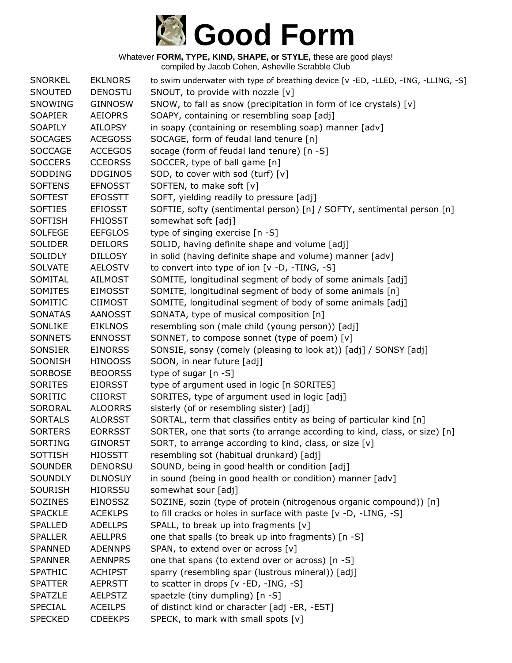

| <b>SNORKEL</b> | <b>EKLNORS</b> | to swim underwater with type of breathing device [v -ED, -LLED, -ING, -LLING, -S] |
|----------------|----------------|-----------------------------------------------------------------------------------|
| SNOUTED        | <b>DENOSTU</b> | SNOUT, to provide with nozzle [v]                                                 |
| SNOWING        | <b>GINNOSW</b> | SNOW, to fall as snow (precipitation in form of ice crystals) [v]                 |
| <b>SOAPIER</b> | <b>AEIOPRS</b> | SOAPY, containing or resembling soap [adj]                                        |
| <b>SOAPILY</b> | <b>AILOPSY</b> | in soapy (containing or resembling soap) manner [adv]                             |
| <b>SOCAGES</b> | <b>ACEGOSS</b> | SOCAGE, form of feudal land tenure [n]                                            |
| <b>SOCCAGE</b> | <b>ACCEGOS</b> | socage (form of feudal land tenure) [n -S]                                        |
| <b>SOCCERS</b> | <b>CCEORSS</b> | SOCCER, type of ball game [n]                                                     |
| SODDING        | <b>DDGINOS</b> | SOD, to cover with sod (turf) [v]                                                 |
| <b>SOFTENS</b> | <b>EFNOSST</b> | SOFTEN, to make soft [v]                                                          |
| <b>SOFTEST</b> | <b>EFOSSTT</b> | SOFT, yielding readily to pressure [adj]                                          |
| <b>SOFTIES</b> | <b>EFIOSST</b> | SOFTIE, softy (sentimental person) [n] / SOFTY, sentimental person [n]            |
| <b>SOFTISH</b> | <b>FHIOSST</b> | somewhat soft [adj]                                                               |
| <b>SOLFEGE</b> | <b>EEFGLOS</b> | type of singing exercise [n -S]                                                   |
| <b>SOLIDER</b> | <b>DEILORS</b> | SOLID, having definite shape and volume [adj]                                     |
| <b>SOLIDLY</b> | <b>DILLOSY</b> | in solid (having definite shape and volume) manner [adv]                          |
| <b>SOLVATE</b> | <b>AELOSTV</b> | to convert into type of ion [v -D, -TING, -S]                                     |
| SOMITAL        | <b>AILMOST</b> | SOMITE, longitudinal segment of body of some animals [adj]                        |
| SOMITES        | <b>EIMOSST</b> | SOMITE, longitudinal segment of body of some animals [n]                          |
| SOMITIC        | <b>CIIMOST</b> | SOMITE, longitudinal segment of body of some animals [adj]                        |
| <b>SONATAS</b> | <b>AANOSST</b> | SONATA, type of musical composition [n]                                           |
| SONLIKE        | <b>EIKLNOS</b> | resembling son (male child (young person)) [adj]                                  |
| <b>SONNETS</b> | <b>ENNOSST</b> | SONNET, to compose sonnet (type of poem) [v]                                      |
| SONSIER        | <b>EINORSS</b> | SONSIE, sonsy (comely (pleasing to look at)) [adj] / SONSY [adj]                  |
| SOONISH        | <b>HINOOSS</b> | SOON, in near future [adj]                                                        |
| SORBOSE        | <b>BEOORSS</b> | type of sugar [n -S]                                                              |
| <b>SORITES</b> | <b>EIORSST</b> | type of argument used in logic [n SORITES]                                        |
| SORITIC        | <b>CIIORST</b> | SORITES, type of argument used in logic [adj]                                     |
| <b>SORORAL</b> | <b>ALOORRS</b> | sisterly (of or resembling sister) [adj]                                          |
| <b>SORTALS</b> | <b>ALORSST</b> | SORTAL, term that classifies entity as being of particular kind [n]               |
| <b>SORTERS</b> | <b>EORRSST</b> | SORTER, one that sorts (to arrange according to kind, class, or size) [n]         |
| <b>SORTING</b> | <b>GINORST</b> | SORT, to arrange according to kind, class, or size [v]                            |
| <b>SOTTISH</b> | <b>HIOSSTT</b> | resembling sot (habitual drunkard) [adj]                                          |
| <b>SOUNDER</b> | <b>DENORSU</b> | SOUND, being in good health or condition [adj]                                    |
| <b>SOUNDLY</b> | <b>DLNOSUY</b> | in sound (being in good health or condition) manner [adv]                         |
| <b>SOURISH</b> | <b>HIORSSU</b> | somewhat sour [adj]                                                               |
| SOZINES        | <b>EINOSSZ</b> | SOZINE, sozin (type of protein (nitrogenous organic compound)) [n]                |
| <b>SPACKLE</b> | <b>ACEKLPS</b> | to fill cracks or holes in surface with paste [v -D, -LING, -S]                   |
| <b>SPALLED</b> | <b>ADELLPS</b> | SPALL, to break up into fragments [v]                                             |
| <b>SPALLER</b> | <b>AELLPRS</b> | one that spalls (to break up into fragments) [n -S]                               |
| SPANNED        | <b>ADENNPS</b> | SPAN, to extend over or across [v]                                                |
| <b>SPANNER</b> | <b>AENNPRS</b> | one that spans (to extend over or across) [n -S]                                  |
| <b>SPATHIC</b> | <b>ACHIPST</b> | sparry (resembling spar (lustrous mineral)) [adj]                                 |
| <b>SPATTER</b> | <b>AEPRSTT</b> | to scatter in drops [v -ED, -ING, -S]                                             |
| <b>SPATZLE</b> | <b>AELPSTZ</b> | spaetzle (tiny dumpling) [n -S]                                                   |
| <b>SPECIAL</b> | <b>ACEILPS</b> | of distinct kind or character [adj -ER, -EST]                                     |
| <b>SPECKED</b> | <b>CDEEKPS</b> | SPECK, to mark with small spots [v]                                               |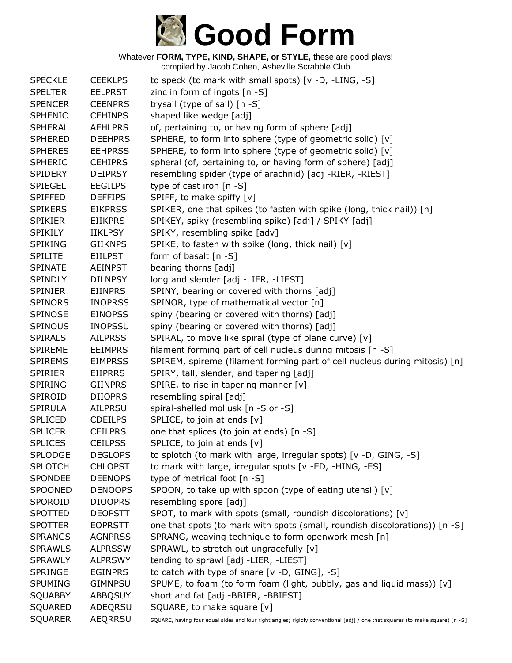

| <b>SPECKLE</b> | <b>CEEKLPS</b> | to speck (to mark with small spots) [v -D, -LING, -S]                                                                        |
|----------------|----------------|------------------------------------------------------------------------------------------------------------------------------|
| <b>SPELTER</b> | <b>EELPRST</b> | zinc in form of ingots [n -S]                                                                                                |
| <b>SPENCER</b> | <b>CEENPRS</b> | trysail (type of sail) [n -S]                                                                                                |
| <b>SPHENIC</b> | <b>CEHINPS</b> | shaped like wedge [adj]                                                                                                      |
| <b>SPHERAL</b> | <b>AEHLPRS</b> | of, pertaining to, or having form of sphere [adj]                                                                            |
| <b>SPHERED</b> | <b>DEEHPRS</b> | SPHERE, to form into sphere (type of geometric solid) [v]                                                                    |
| <b>SPHERES</b> | <b>EEHPRSS</b> | SPHERE, to form into sphere (type of geometric solid) [v]                                                                    |
| <b>SPHERIC</b> | <b>CEHIPRS</b> | spheral (of, pertaining to, or having form of sphere) [adj]                                                                  |
| <b>SPIDERY</b> | <b>DEIPRSY</b> | resembling spider (type of arachnid) [adj -RIER, -RIEST]                                                                     |
| <b>SPIEGEL</b> | <b>EEGILPS</b> | type of cast iron $[n - S]$                                                                                                  |
| <b>SPIFFED</b> | <b>DEFFIPS</b> | SPIFF, to make spiffy [v]                                                                                                    |
| <b>SPIKERS</b> | <b>EIKPRSS</b> | SPIKER, one that spikes (to fasten with spike (long, thick nail)) [n]                                                        |
| <b>SPIKIER</b> | <b>EIIKPRS</b> | SPIKEY, spiky (resembling spike) [adj] / SPIKY [adj]                                                                         |
| <b>SPIKILY</b> | <b>IIKLPSY</b> | SPIKY, resembling spike [adv]                                                                                                |
| <b>SPIKING</b> | <b>GIIKNPS</b> | SPIKE, to fasten with spike (long, thick nail) [v]                                                                           |
| <b>SPILITE</b> | <b>EIILPST</b> | form of basalt $[n -S]$                                                                                                      |
| <b>SPINATE</b> | <b>AEINPST</b> | bearing thorns [adj]                                                                                                         |
| <b>SPINDLY</b> | <b>DILNPSY</b> | long and slender [adj -LIER, -LIEST]                                                                                         |
| <b>SPINIER</b> | <b>EIINPRS</b> | SPINY, bearing or covered with thorns [adj]                                                                                  |
| <b>SPINORS</b> | <b>INOPRSS</b> | SPINOR, type of mathematical vector [n]                                                                                      |
| SPINOSE        | <b>EINOPSS</b> | spiny (bearing or covered with thorns) [adj]                                                                                 |
| <b>SPINOUS</b> | <b>INOPSSU</b> | spiny (bearing or covered with thorns) [adj]                                                                                 |
| <b>SPIRALS</b> | <b>AILPRSS</b> | SPIRAL, to move like spiral (type of plane curve) [v]                                                                        |
| <b>SPIREME</b> | <b>EEIMPRS</b> | filament forming part of cell nucleus during mitosis [n -S]                                                                  |
| <b>SPIREMS</b> | <b>EIMPRSS</b> | SPIREM, spireme (filament forming part of cell nucleus during mitosis) [n]                                                   |
| <b>SPIRIER</b> | <b>EIIPRRS</b> | SPIRY, tall, slender, and tapering [adj]                                                                                     |
| <b>SPIRING</b> | <b>GIINPRS</b> | SPIRE, to rise in tapering manner $[v]$                                                                                      |
| SPIROID        | <b>DIIOPRS</b> | resembling spiral [adj]                                                                                                      |
| SPIRULA        | <b>AILPRSU</b> | spiral-shelled mollusk [n -S or -S]                                                                                          |
| <b>SPLICED</b> | <b>CDEILPS</b> | SPLICE, to join at ends [v]                                                                                                  |
| <b>SPLICER</b> | <b>CEILPRS</b> | one that splices (to join at ends) [n -S]                                                                                    |
| <b>SPLICES</b> | <b>CEILPSS</b> | SPLICE, to join at ends [v]                                                                                                  |
| <b>SPLODGE</b> | <b>DEGLOPS</b> | to splotch (to mark with large, irregular spots) [v -D, GING, -S]                                                            |
| <b>SPLOTCH</b> | <b>CHLOPST</b> | to mark with large, irregular spots [v -ED, -HING, -ES]                                                                      |
| SPONDEE        | <b>DEENOPS</b> | type of metrical foot [n -S]                                                                                                 |
| <b>SPOONED</b> | <b>DENOOPS</b> | SPOON, to take up with spoon (type of eating utensil) [v]                                                                    |
| SPOROID        | <b>DIOOPRS</b> | resembling spore [adj]                                                                                                       |
| <b>SPOTTED</b> | <b>DEOPSTT</b> | SPOT, to mark with spots (small, roundish discolorations) [v]                                                                |
| <b>SPOTTER</b> | <b>EOPRSTT</b> | one that spots (to mark with spots (small, roundish discolorations)) [n -S]                                                  |
| <b>SPRANGS</b> | <b>AGNPRSS</b> | SPRANG, weaving technique to form openwork mesh [n]                                                                          |
| <b>SPRAWLS</b> | <b>ALPRSSW</b> | SPRAWL, to stretch out ungracefully [v]                                                                                      |
| <b>SPRAWLY</b> | <b>ALPRSWY</b> | tending to sprawl [adj -LIER, -LIEST]                                                                                        |
| <b>SPRINGE</b> | <b>EGINPRS</b> | to catch with type of snare $[v -D, GING], -S]$                                                                              |
| <b>SPUMING</b> | <b>GIMNPSU</b> | SPUME, to foam (to form foam (light, bubbly, gas and liquid mass)) [v]                                                       |
| <b>SQUABBY</b> | <b>ABBQSUY</b> | short and fat [adj -BBIER, -BBIEST]                                                                                          |
| SQUARED        | ADEQRSU        | SQUARE, to make square [v]                                                                                                   |
| <b>SQUARER</b> | <b>AEQRRSU</b> | SQUARE, having four equal sides and four right angles; rigidly conventional [adj] / one that squares (to make square) [n -S] |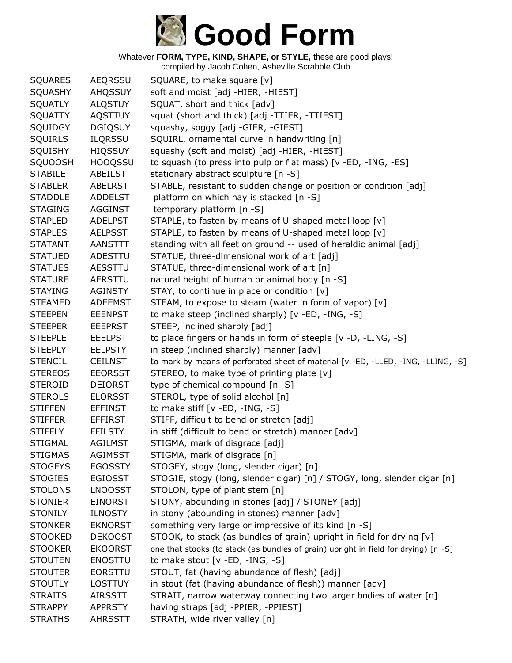

| <b>SQUARES</b> | <b>AEQRSSU</b> | SQUARE, to make square [v]                                                          |
|----------------|----------------|-------------------------------------------------------------------------------------|
| <b>SQUASHY</b> | <b>AHQSSUY</b> | soft and moist [adj -HIER, -HIEST]                                                  |
| <b>SQUATLY</b> | <b>ALQSTUY</b> | SQUAT, short and thick [adv]                                                        |
| <b>SQUATTY</b> | <b>AQSTTUY</b> | squat (short and thick) [adj -TTIER, -TTIEST]                                       |
| SQUIDGY        | <b>DGIQSUY</b> | squashy, soggy [adj -GIER, -GIEST]                                                  |
| <b>SQUIRLS</b> | <b>ILQRSSU</b> | SQUIRL, ornamental curve in handwriting [n]                                         |
| SQUISHY        | <b>HIQSSUY</b> | squashy (soft and moist) [adj -HIER, -HIEST]                                        |
| <b>SQUOOSH</b> | <b>HOOQSSU</b> | to squash (to press into pulp or flat mass) [v -ED, -ING, -ES]                      |
| <b>STABILE</b> | ABEILST        | stationary abstract sculpture [n -S]                                                |
| <b>STABLER</b> | <b>ABELRST</b> | STABLE, resistant to sudden change or position or condition [adj]                   |
| <b>STADDLE</b> | <b>ADDELST</b> | platform on which hay is stacked [n -S]                                             |
| <b>STAGING</b> | <b>AGGINST</b> | temporary platform [n -S]                                                           |
| <b>STAPLED</b> | <b>ADELPST</b> | STAPLE, to fasten by means of U-shaped metal loop [v]                               |
| <b>STAPLES</b> | <b>AELPSST</b> | STAPLE, to fasten by means of U-shaped metal loop [v]                               |
| <b>STATANT</b> | AANSTTT        | standing with all feet on ground -- used of heraldic animal [adj]                   |
| <b>STATUED</b> | ADESTTU        | STATUE, three-dimensional work of art [adj]                                         |
| <b>STATUES</b> | AESSTTU        | STATUE, three-dimensional work of art [n]                                           |
| <b>STATURE</b> | AERSTTU        | natural height of human or animal body [n -S]                                       |
| <b>STAYING</b> | <b>AGINSTY</b> | STAY, to continue in place or condition [v]                                         |
| <b>STEAMED</b> | <b>ADEEMST</b> | STEAM, to expose to steam (water in form of vapor) [v]                              |
| <b>STEEPEN</b> | <b>EEENPST</b> | to make steep (inclined sharply) [v -ED, -ING, -S]                                  |
| <b>STEEPER</b> | <b>EEEPRST</b> | STEEP, inclined sharply [adj]                                                       |
| <b>STEEPLE</b> | <b>EEELPST</b> | to place fingers or hands in form of steeple [v -D, -LING, -S]                      |
| <b>STEEPLY</b> | <b>EELPSTY</b> | in steep (inclined sharply) manner [adv]                                            |
| <b>STENCIL</b> | <b>CEILNST</b> | to mark by means of perforated sheet of material [v -ED, -LLED, -ING, -LLING, -S]   |
| <b>STEREOS</b> | <b>EEORSST</b> | STEREO, to make type of printing plate [v]                                          |
| <b>STEROID</b> | <b>DEIORST</b> | type of chemical compound [n -S]                                                    |
| <b>STEROLS</b> | <b>ELORSST</b> | STEROL, type of solid alcohol [n]                                                   |
| <b>STIFFEN</b> | <b>EFFINST</b> | to make stiff $[v - ED, -ING, -S]$                                                  |
| <b>STIFFER</b> | <b>EFFIRST</b> | STIFF, difficult to bend or stretch [adj]                                           |
| <b>STIFFLY</b> | <b>FFILSTY</b> | in stiff (difficult to bend or stretch) manner [adv]                                |
| <b>STIGMAL</b> | <b>AGILMST</b> | STIGMA, mark of disgrace [adj]                                                      |
| <b>STIGMAS</b> | <b>AGIMSST</b> | STIGMA, mark of disgrace [n]                                                        |
| <b>STOGEYS</b> | <b>EGOSSTY</b> | STOGEY, stogy (long, slender cigar) [n]                                             |
| <b>STOGIES</b> | <b>EGIOSST</b> | STOGIE, stogy (long, slender cigar) [n] / STOGY, long, slender cigar [n]            |
| <b>STOLONS</b> | <b>LNOOSST</b> | STOLON, type of plant stem [n]                                                      |
| <b>STONIER</b> | <b>EINORST</b> | STONY, abounding in stones [adj] / STONEY [adj]                                     |
| <b>STONILY</b> | <b>ILNOSTY</b> | in stony (abounding in stones) manner [adv]                                         |
| <b>STONKER</b> | <b>EKNORST</b> | something very large or impressive of its kind [n -S]                               |
| <b>STOOKED</b> | <b>DEKOOST</b> | STOOK, to stack (as bundles of grain) upright in field for drying [v]               |
| <b>STOOKER</b> | <b>EKOORST</b> | one that stooks (to stack (as bundles of grain) upright in field for drying) [n -S] |
| <b>STOUTEN</b> | <b>ENOSTTU</b> | to make stout [v -ED, -ING, -S]                                                     |
| <b>STOUTER</b> | <b>EORSTTU</b> | STOUT, fat (having abundance of flesh) [adj]                                        |
| <b>STOUTLY</b> | <b>LOSTTUY</b> | in stout (fat (having abundance of flesh)) manner [adv]                             |
| <b>STRAITS</b> | <b>AIRSSTT</b> | STRAIT, narrow waterway connecting two larger bodies of water [n]                   |
| <b>STRAPPY</b> | <b>APPRSTY</b> | having straps [adj -PPIER, -PPIEST]                                                 |
| <b>STRATHS</b> | <b>AHRSSTT</b> | STRATH, wide river valley [n]                                                       |
|                |                |                                                                                     |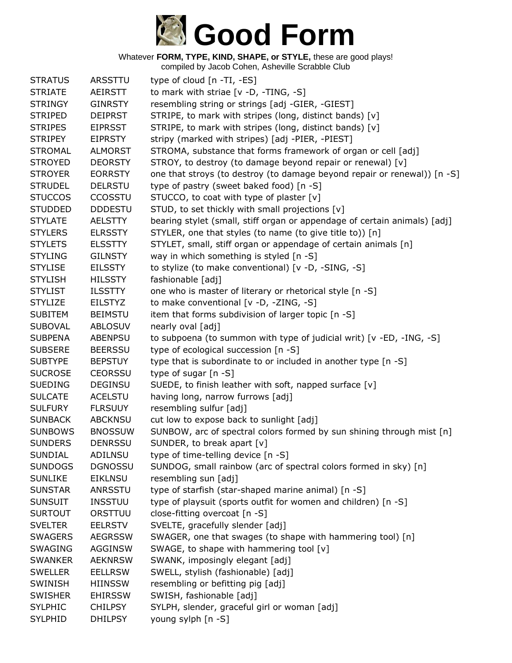

| <b>STRATUS</b> | ARSSTTU        | type of cloud [n -TI, -ES]                                                |
|----------------|----------------|---------------------------------------------------------------------------|
| <b>STRIATE</b> | AEIRSTT        | to mark with striae [v -D, -TING, -S]                                     |
| <b>STRINGY</b> | <b>GINRSTY</b> | resembling string or strings [adj -GIER, -GIEST]                          |
| <b>STRIPED</b> | <b>DEIPRST</b> | STRIPE, to mark with stripes (long, distinct bands) [v]                   |
| <b>STRIPES</b> | <b>EIPRSST</b> | STRIPE, to mark with stripes (long, distinct bands) [v]                   |
| <b>STRIPEY</b> | <b>EIPRSTY</b> | stripy (marked with stripes) [adj -PIER, -PIEST]                          |
| <b>STROMAL</b> | <b>ALMORST</b> | STROMA, substance that forms framework of organ or cell [adj]             |
| <b>STROYED</b> | <b>DEORSTY</b> | STROY, to destroy (to damage beyond repair or renewal) [v]                |
| <b>STROYER</b> | <b>EORRSTY</b> | one that stroys (to destroy (to damage beyond repair or renewal)) [n -S]  |
| <b>STRUDEL</b> | <b>DELRSTU</b> | type of pastry (sweet baked food) [n -S]                                  |
| <b>STUCCOS</b> | CCOSSTU        | STUCCO, to coat with type of plaster [v]                                  |
| <b>STUDDED</b> | <b>DDDESTU</b> | STUD, to set thickly with small projections [v]                           |
| <b>STYLATE</b> | <b>AELSTTY</b> | bearing stylet (small, stiff organ or appendage of certain animals) [adj] |
| <b>STYLERS</b> | <b>ELRSSTY</b> | STYLER, one that styles (to name (to give title to)) [n]                  |
| <b>STYLETS</b> | <b>ELSSTTY</b> | STYLET, small, stiff organ or appendage of certain animals [n]            |
| <b>STYLING</b> | <b>GILNSTY</b> | way in which something is styled [n -S]                                   |
| <b>STYLISE</b> | <b>EILSSTY</b> | to stylize (to make conventional) [v -D, -SING, -S]                       |
| <b>STYLISH</b> | <b>HILSSTY</b> | fashionable [adj]                                                         |
| <b>STYLIST</b> | <b>ILSSTTY</b> | one who is master of literary or rhetorical style [n -S]                  |
| <b>STYLIZE</b> | <b>EILSTYZ</b> | to make conventional [v -D, -ZING, -S]                                    |
| <b>SUBITEM</b> | <b>BEIMSTU</b> | item that forms subdivision of larger topic [n -S]                        |
| <b>SUBOVAL</b> | <b>ABLOSUV</b> | nearly oval [adj]                                                         |
| <b>SUBPENA</b> | <b>ABENPSU</b> | to subpoena (to summon with type of judicial writ) [v -ED, -ING, -S]      |
| <b>SUBSERE</b> | <b>BEERSSU</b> | type of ecological succession [n -S]                                      |
| <b>SUBTYPE</b> | <b>BEPSTUY</b> | type that is subordinate to or included in another type [n -S]            |
| <b>SUCROSE</b> | <b>CEORSSU</b> | type of sugar [n -S]                                                      |
| <b>SUEDING</b> | <b>DEGINSU</b> | SUEDE, to finish leather with soft, napped surface [v]                    |
| <b>SULCATE</b> | <b>ACELSTU</b> | having long, narrow furrows [adj]                                         |
| <b>SULFURY</b> | <b>FLRSUUY</b> | resembling sulfur [adj]                                                   |
| <b>SUNBACK</b> | <b>ABCKNSU</b> | cut low to expose back to sunlight [adj]                                  |
| <b>SUNBOWS</b> | <b>BNOSSUW</b> | SUNBOW, arc of spectral colors formed by sun shining through mist [n]     |
| <b>SUNDERS</b> | <b>DENRSSU</b> | SUNDER, to break apart [v]                                                |
| <b>SUNDIAL</b> | ADILNSU        | type of time-telling device [n -S]                                        |
| <b>SUNDOGS</b> | <b>DGNOSSU</b> | SUNDOG, small rainbow (arc of spectral colors formed in sky) [n]          |
| <b>SUNLIKE</b> | <b>EIKLNSU</b> | resembling sun [adj]                                                      |
| <b>SUNSTAR</b> | ANRSSTU        | type of starfish (star-shaped marine animal) [n -S]                       |
| <b>SUNSUIT</b> | <b>INSSTUU</b> | type of playsuit (sports outfit for women and children) [n -S]            |
| <b>SURTOUT</b> | ORSTTUU        | close-fitting overcoat [n -S]                                             |
| <b>SVELTER</b> | <b>EELRSTV</b> | SVELTE, gracefully slender [adj]                                          |
| <b>SWAGERS</b> | <b>AEGRSSW</b> | SWAGER, one that swages (to shape with hammering tool) [n]                |
| <b>SWAGING</b> | <b>AGGINSW</b> | SWAGE, to shape with hammering tool [v]                                   |
| <b>SWANKER</b> | <b>AEKNRSW</b> | SWANK, imposingly elegant [adj]                                           |
| <b>SWELLER</b> | <b>EELLRSW</b> | SWELL, stylish (fashionable) [adj]                                        |
| <b>SWINISH</b> | <b>HIINSSW</b> | resembling or befitting pig [adj]                                         |
| <b>SWISHER</b> | <b>EHIRSSW</b> | SWISH, fashionable [adj]                                                  |
| <b>SYLPHIC</b> | <b>CHILPSY</b> | SYLPH, slender, graceful girl or woman [adj]                              |
| <b>SYLPHID</b> | <b>DHILPSY</b> | young sylph [n -S]                                                        |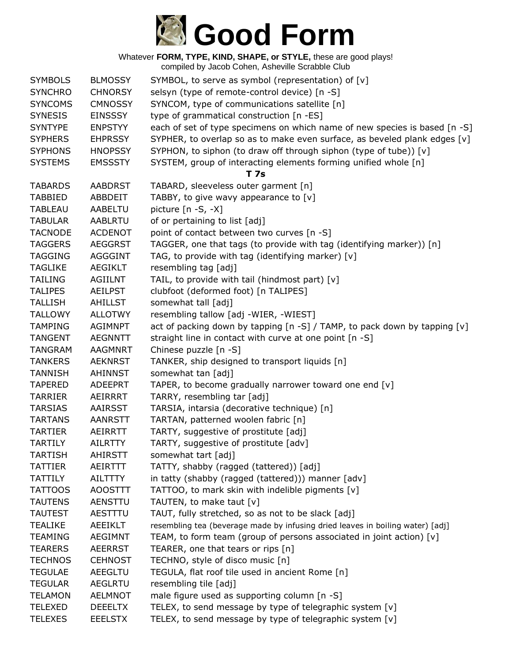

| <b>SYMBOLS</b> | <b>BLMOSSY</b> | SYMBOL, to serve as symbol (representation) of [v]                             |
|----------------|----------------|--------------------------------------------------------------------------------|
| <b>SYNCHRO</b> | <b>CHNORSY</b> | selsyn (type of remote-control device) [n -S]                                  |
| <b>SYNCOMS</b> | <b>CMNOSSY</b> | SYNCOM, type of communications satellite [n]                                   |
| <b>SYNESIS</b> | <b>EINSSSY</b> | type of grammatical construction [n -ES]                                       |
| <b>SYNTYPE</b> | <b>ENPSTYY</b> | each of set of type specimens on which name of new species is based [n -S]     |
| <b>SYPHERS</b> | <b>EHPRSSY</b> | SYPHER, to overlap so as to make even surface, as beveled plank edges [v]      |
| <b>SYPHONS</b> | <b>HNOPSSY</b> | SYPHON, to siphon (to draw off through siphon (type of tube)) [v]              |
| <b>SYSTEMS</b> | <b>EMSSSTY</b> | SYSTEM, group of interacting elements forming unified whole [n]                |
|                |                | T 7s                                                                           |
| <b>TABARDS</b> | <b>AABDRST</b> | TABARD, sleeveless outer garment [n]                                           |
| <b>TABBIED</b> | <b>ABBDEIT</b> | TABBY, to give wavy appearance to [v]                                          |
| <b>TABLEAU</b> | AABELTU        | picture $[n -S, -X]$                                                           |
| <b>TABULAR</b> | <b>AABLRTU</b> | of or pertaining to list [adj]                                                 |
| <b>TACNODE</b> | <b>ACDENOT</b> | point of contact between two curves [n -S]                                     |
| <b>TAGGERS</b> | <b>AEGGRST</b> | TAGGER, one that tags (to provide with tag (identifying marker)) [n]           |
| <b>TAGGING</b> | <b>AGGGINT</b> | TAG, to provide with tag (identifying marker) [v]                              |
| <b>TAGLIKE</b> | <b>AEGIKLT</b> | resembling tag [adj]                                                           |
| <b>TAILING</b> | AGIILNT        | TAIL, to provide with tail (hindmost part) [v]                                 |
| <b>TALIPES</b> | <b>AEILPST</b> | clubfoot (deformed foot) [n TALIPES]                                           |
| <b>TALLISH</b> | AHILLST        | somewhat tall [adj]                                                            |
| <b>TALLOWY</b> | <b>ALLOTWY</b> | resembling tallow [adj -WIER, -WIEST]                                          |
| <b>TAMPING</b> | <b>AGIMNPT</b> | act of packing down by tapping [n -S] / TAMP, to pack down by tapping [v]      |
| <b>TANGENT</b> | <b>AEGNNTT</b> | straight line in contact with curve at one point [n -S]                        |
| <b>TANGRAM</b> | <b>AAGMNRT</b> | Chinese puzzle [n -S]                                                          |
| <b>TANKERS</b> | <b>AEKNRST</b> | TANKER, ship designed to transport liquids [n]                                 |
| <b>TANNISH</b> | <b>AHINNST</b> | somewhat tan [adj]                                                             |
| <b>TAPERED</b> | <b>ADEEPRT</b> | TAPER, to become gradually narrower toward one end [v]                         |
| <b>TARRIER</b> | AEIRRRT        | TARRY, resembling tar [adj]                                                    |
| <b>TARSIAS</b> | <b>AAIRSST</b> | TARSIA, intarsia (decorative technique) [n]                                    |
| <b>TARTANS</b> | <b>AANRSTT</b> | TARTAN, patterned woolen fabric [n]                                            |
| <b>TARTIER</b> | AEIRRTT        | TARTY, suggestive of prostitute [adj]                                          |
| <b>TARTILY</b> | <b>AILRTTY</b> | TARTY, suggestive of prostitute [adv]                                          |
| <b>TARTISH</b> | <b>AHIRSTT</b> | somewhat tart [adj]                                                            |
| <b>TATTIER</b> | AEIRTTT        | TATTY, shabby (ragged (tattered)) [adj]                                        |
| <b>TATTILY</b> | <b>AILTTTY</b> | in tatty (shabby (ragged (tattered))) manner [adv]                             |
| <b>TATTOOS</b> | <b>AOOSTTT</b> | TATTOO, to mark skin with indelible pigments [v]                               |
| <b>TAUTENS</b> | <b>AENSTTU</b> | TAUTEN, to make taut [v]                                                       |
| <b>TAUTEST</b> | AESTTTU        | TAUT, fully stretched, so as not to be slack [adj]                             |
| <b>TEALIKE</b> | AEEIKLT        | resembling tea (beverage made by infusing dried leaves in boiling water) [adj] |
| <b>TEAMING</b> | <b>AEGIMNT</b> | TEAM, to form team (group of persons associated in joint action) [v]           |
| <b>TEARERS</b> | <b>AEERRST</b> | TEARER, one that tears or rips [n]                                             |
| <b>TECHNOS</b> | <b>CEHNOST</b> | TECHNO, style of disco music [n]                                               |
| <b>TEGULAE</b> | <b>AEEGLTU</b> | TEGULA, flat roof tile used in ancient Rome [n]                                |
| <b>TEGULAR</b> | <b>AEGLRTU</b> | resembling tile [adj]                                                          |
| <b>TELAMON</b> | <b>AELMNOT</b> | male figure used as supporting column [n -S]                                   |
| <b>TELEXED</b> | <b>DEEELTX</b> | TELEX, to send message by type of telegraphic system [v]                       |
| <b>TELEXES</b> | <b>EEELSTX</b> | TELEX, to send message by type of telegraphic system [v]                       |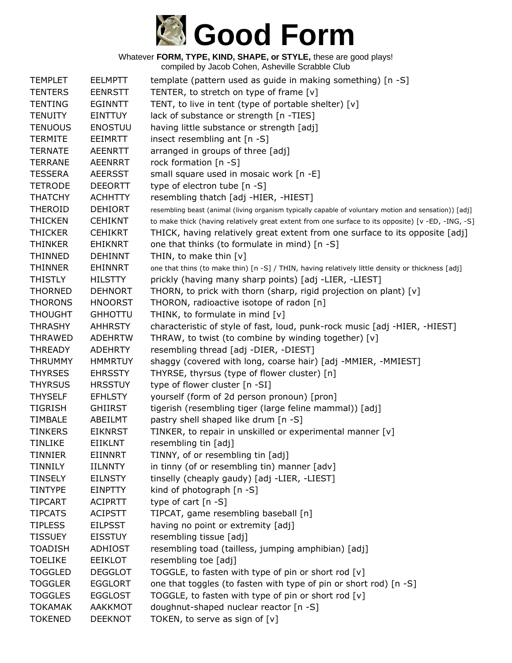

| <b>TEMPLET</b> | <b>EELMPTT</b> | template (pattern used as guide in making something) [n -S]                                           |
|----------------|----------------|-------------------------------------------------------------------------------------------------------|
| <b>TENTERS</b> | <b>EENRSTT</b> | TENTER, to stretch on type of frame [v]                                                               |
| <b>TENTING</b> | <b>EGINNTT</b> | TENT, to live in tent (type of portable shelter) [v]                                                  |
| <b>TENUITY</b> | <b>EINTTUY</b> | lack of substance or strength [n -TIES]                                                               |
| <b>TENUOUS</b> | <b>ENOSTUU</b> | having little substance or strength [adj]                                                             |
| <b>TERMITE</b> | <b>EEIMRTT</b> | insect resembling ant [n -S]                                                                          |
| <b>TERNATE</b> | <b>AEENRTT</b> | arranged in groups of three [adj]                                                                     |
| <b>TERRANE</b> | <b>AEENRRT</b> | rock formation [n -S]                                                                                 |
| <b>TESSERA</b> | <b>AEERSST</b> | small square used in mosaic work [n -E]                                                               |
| <b>TETRODE</b> | <b>DEEORTT</b> | type of electron tube [n -S]                                                                          |
| <b>THATCHY</b> | <b>ACHHTTY</b> | resembling thatch [adj -HIER, -HIEST]                                                                 |
| <b>THEROID</b> | <b>DEHIORT</b> | resembling beast (animal (living organism typically capable of voluntary motion and sensation)) [adj] |
| <b>THICKEN</b> | <b>CEHIKNT</b> | to make thick (having relatively great extent from one surface to its opposite) [v -ED, -ING, -S]     |
| <b>THICKER</b> | <b>CEHIKRT</b> | THICK, having relatively great extent from one surface to its opposite [adj]                          |
| <b>THINKER</b> | <b>EHIKNRT</b> | one that thinks (to formulate in mind) [n -S]                                                         |
| <b>THINNED</b> | <b>DEHINNT</b> | THIN, to make thin [v]                                                                                |
| <b>THINNER</b> | <b>EHINNRT</b> | one that thins (to make thin) [n -S] / THIN, having relatively little density or thickness [adj]      |
| <b>THISTLY</b> | <b>HILSTTY</b> | prickly (having many sharp points) [adj -LIER, -LIEST]                                                |
| <b>THORNED</b> | <b>DEHNORT</b> | THORN, to prick with thorn (sharp, rigid projection on plant) [v]                                     |
| <b>THORONS</b> | <b>HNOORST</b> | THORON, radioactive isotope of radon [n]                                                              |
| <b>THOUGHT</b> | <b>GHHOTTU</b> | THINK, to formulate in mind [v]                                                                       |
| <b>THRASHY</b> | <b>AHHRSTY</b> | characteristic of style of fast, loud, punk-rock music [adj -HIER, -HIEST]                            |
| <b>THRAWED</b> | <b>ADEHRTW</b> | THRAW, to twist (to combine by winding together) [v]                                                  |
| <b>THREADY</b> | <b>ADEHRTY</b> | resembling thread [adj -DIER, -DIEST]                                                                 |
| <b>THRUMMY</b> | <b>HMMRTUY</b> | shaggy (covered with long, coarse hair) [adj -MMIER, -MMIEST]                                         |
| <b>THYRSES</b> | <b>EHRSSTY</b> | THYRSE, thyrsus (type of flower cluster) [n]                                                          |
| <b>THYRSUS</b> | <b>HRSSTUY</b> | type of flower cluster [n -SI]                                                                        |
| <b>THYSELF</b> | <b>EFHLSTY</b> | yourself (form of 2d person pronoun) [pron]                                                           |
| <b>TIGRISH</b> | <b>GHIIRST</b> | tigerish (resembling tiger (large feline mammal)) [adj]                                               |
| <b>TIMBALE</b> | ABEILMT        | pastry shell shaped like drum [n -S]                                                                  |
| <b>TINKERS</b> | <b>EIKNRST</b> | TINKER, to repair in unskilled or experimental manner [v]                                             |
| <b>TINLIKE</b> | <b>EIIKLNT</b> | resembling tin [adj]                                                                                  |
| <b>TINNIER</b> | <b>EIINNRT</b> | TINNY, of or resembling tin [adj]                                                                     |
| <b>TINNILY</b> | <b>IILNNTY</b> | in tinny (of or resembling tin) manner [adv]                                                          |
| <b>TINSELY</b> | <b>EILNSTY</b> | tinselly (cheaply gaudy) [adj -LIER, -LIEST]                                                          |
| <b>TINTYPE</b> | <b>EINPTTY</b> | kind of photograph [n -S]                                                                             |
| <b>TIPCART</b> | <b>ACIPRTT</b> | type of cart $[n - S]$                                                                                |
| <b>TIPCATS</b> | <b>ACIPSTT</b> | TIPCAT, game resembling baseball [n]                                                                  |
| <b>TIPLESS</b> | <b>EILPSST</b> | having no point or extremity [adj]                                                                    |
| <b>TISSUEY</b> | <b>EISSTUY</b> | resembling tissue [adj]                                                                               |
| <b>TOADISH</b> | <b>ADHIOST</b> | resembling toad (tailless, jumping amphibian) [adj]                                                   |
| <b>TOELIKE</b> | <b>EEIKLOT</b> | resembling toe [adj]                                                                                  |
| <b>TOGGLED</b> | <b>DEGGLOT</b> | TOGGLE, to fasten with type of pin or short rod [v]                                                   |
| <b>TOGGLER</b> | <b>EGGLORT</b> | one that toggles (to fasten with type of pin or short rod) [n -S]                                     |
| <b>TOGGLES</b> | <b>EGGLOST</b> | TOGGLE, to fasten with type of pin or short rod [v]                                                   |
| <b>TOKAMAK</b> | <b>AAKKMOT</b> | doughnut-shaped nuclear reactor [n -S]                                                                |
| <b>TOKENED</b> | <b>DEEKNOT</b> | TOKEN, to serve as sign of $[v]$                                                                      |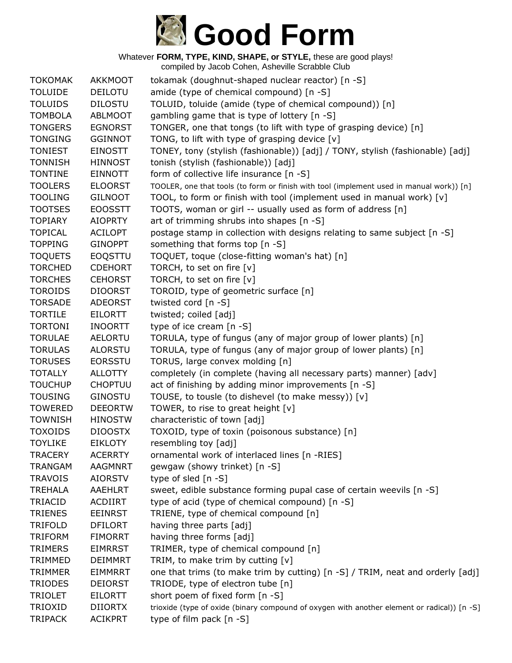

| <b>TOKOMAK</b> | <b>AKKMOOT</b> | tokamak (doughnut-shaped nuclear reactor) [n -S]                                            |
|----------------|----------------|---------------------------------------------------------------------------------------------|
| <b>TOLUIDE</b> | <b>DEILOTU</b> | amide (type of chemical compound) [n -S]                                                    |
| <b>TOLUIDS</b> | <b>DILOSTU</b> | TOLUID, toluide (amide (type of chemical compound)) [n]                                     |
| <b>TOMBOLA</b> | ABLMOOT        | gambling game that is type of lottery [n -S]                                                |
| <b>TONGERS</b> | <b>EGNORST</b> | TONGER, one that tongs (to lift with type of grasping device) [n]                           |
| <b>TONGING</b> | <b>GGINNOT</b> | TONG, to lift with type of grasping device [v]                                              |
| <b>TONIEST</b> | <b>EINOSTT</b> | TONEY, tony (stylish (fashionable)) [adj] / TONY, stylish (fashionable) [adj]               |
| <b>TONNISH</b> | <b>HINNOST</b> | tonish (stylish (fashionable)) [adj]                                                        |
| <b>TONTINE</b> | <b>EINNOTT</b> | form of collective life insurance [n -S]                                                    |
| <b>TOOLERS</b> | <b>ELOORST</b> | TOOLER, one that tools (to form or finish with tool (implement used in manual work)) [n]    |
| <b>TOOLING</b> | <b>GILNOOT</b> | TOOL, to form or finish with tool (implement used in manual work) [v]                       |
| <b>TOOTSES</b> | <b>EOOSSTT</b> | TOOTS, woman or girl -- usually used as form of address [n]                                 |
| <b>TOPIARY</b> | <b>AIOPRTY</b> | art of trimming shrubs into shapes [n -S]                                                   |
| <b>TOPICAL</b> | <b>ACILOPT</b> | postage stamp in collection with designs relating to same subject [n -S]                    |
| <b>TOPPING</b> | <b>GINOPPT</b> | something that forms top [n -S]                                                             |
| <b>TOQUETS</b> | EOQSTTU        | TOQUET, toque (close-fitting woman's hat) [n]                                               |
| <b>TORCHED</b> | <b>CDEHORT</b> | TORCH, to set on fire [v]                                                                   |
| <b>TORCHES</b> | <b>CEHORST</b> | TORCH, to set on fire [v]                                                                   |
| <b>TOROIDS</b> | <b>DIOORST</b> | TOROID, type of geometric surface [n]                                                       |
| <b>TORSADE</b> | <b>ADEORST</b> | twisted cord [n -S]                                                                         |
| <b>TORTILE</b> | <b>EILORTT</b> | twisted; coiled [adj]                                                                       |
| <b>TORTONI</b> | <b>INOORTT</b> | type of ice cream [n -S]                                                                    |
| <b>TORULAE</b> | <b>AELORTU</b> | TORULA, type of fungus (any of major group of lower plants) [n]                             |
| <b>TORULAS</b> | <b>ALORSTU</b> | TORULA, type of fungus (any of major group of lower plants) [n]                             |
| <b>TORUSES</b> | <b>EORSSTU</b> | TORUS, large convex molding [n]                                                             |
| <b>TOTALLY</b> | <b>ALLOTTY</b> | completely (in complete (having all necessary parts) manner) [adv]                          |
| <b>TOUCHUP</b> | <b>CHOPTUU</b> | act of finishing by adding minor improvements [n -S]                                        |
| <b>TOUSING</b> | <b>GINOSTU</b> | TOUSE, to tousle (to dishevel (to make messy)) [v]                                          |
| <b>TOWERED</b> | <b>DEEORTW</b> | TOWER, to rise to great height [v]                                                          |
| <b>TOWNISH</b> | <b>HINOSTW</b> | characteristic of town [adj]                                                                |
| <b>TOXOIDS</b> | <b>DIOOSTX</b> | TOXOID, type of toxin (poisonous substance) [n]                                             |
| <b>TOYLIKE</b> | <b>EIKLOTY</b> | resembling toy [adj]                                                                        |
| TRACERY        | <b>ACERRTY</b> | ornamental work of interlaced lines [n -RIES]                                               |
| <b>TRANGAM</b> | <b>AAGMNRT</b> | gewgaw (showy trinket) [n -S]                                                               |
| <b>TRAVOIS</b> | <b>AIORSTV</b> | type of sled [n -S]                                                                         |
| <b>TREHALA</b> | AAEHLRT        | sweet, edible substance forming pupal case of certain weevils [n -S]                        |
| TRIACID        | ACDIIRT        | type of acid (type of chemical compound) [n -S]                                             |
| <b>TRIENES</b> | <b>EEINRST</b> | TRIENE, type of chemical compound [n]                                                       |
| <b>TRIFOLD</b> | <b>DFILORT</b> | having three parts [adj]                                                                    |
| <b>TRIFORM</b> | <b>FIMORRT</b> | having three forms [adj]                                                                    |
| <b>TRIMERS</b> | <b>EIMRRST</b> | TRIMER, type of chemical compound [n]                                                       |
| <b>TRIMMED</b> | <b>DEIMMRT</b> | TRIM, to make trim by cutting [v]                                                           |
| <b>TRIMMER</b> | <b>EIMMRRT</b> | one that trims (to make trim by cutting) [n -S] / TRIM, neat and orderly [adj]              |
| <b>TRIODES</b> | <b>DEIORST</b> | TRIODE, type of electron tube [n]                                                           |
| <b>TRIOLET</b> | <b>EILORTT</b> | short poem of fixed form [n -S]                                                             |
| TRIOXID        | <b>DIIORTX</b> | trioxide (type of oxide (binary compound of oxygen with another element or radical)) [n -S] |
| <b>TRIPACK</b> | <b>ACIKPRT</b> | type of film pack [n -S]                                                                    |
|                |                |                                                                                             |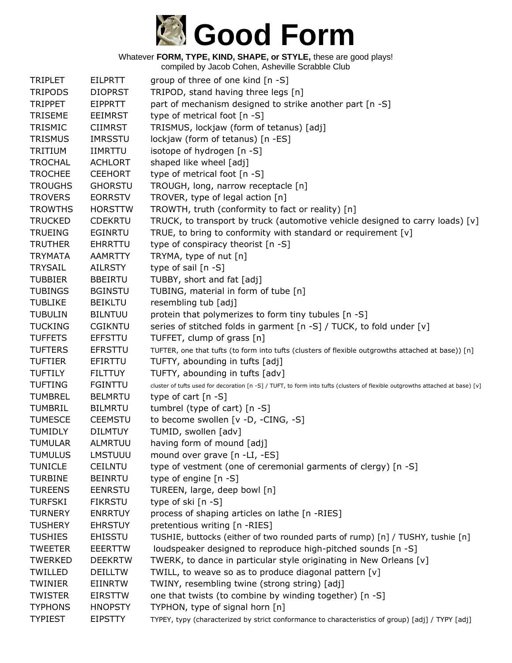

| <b>TRIPLET</b> | <b>EILPRTT</b> | group of three of one kind [n -S]                                                                                             |
|----------------|----------------|-------------------------------------------------------------------------------------------------------------------------------|
| <b>TRIPODS</b> | <b>DIOPRST</b> | TRIPOD, stand having three legs [n]                                                                                           |
| <b>TRIPPET</b> | <b>EIPPRTT</b> | part of mechanism designed to strike another part [n -S]                                                                      |
| <b>TRISEME</b> | <b>EEIMRST</b> | type of metrical foot [n -S]                                                                                                  |
| TRISMIC        | <b>CIIMRST</b> | TRISMUS, lockjaw (form of tetanus) [adj]                                                                                      |
| <b>TRISMUS</b> | <b>IMRSSTU</b> | lockjaw (form of tetanus) [n -ES]                                                                                             |
| TRITIUM        | <b>IIMRTTU</b> | isotope of hydrogen [n -S]                                                                                                    |
| <b>TROCHAL</b> | <b>ACHLORT</b> | shaped like wheel [adj]                                                                                                       |
| <b>TROCHEE</b> | <b>CEEHORT</b> | type of metrical foot [n -S]                                                                                                  |
| <b>TROUGHS</b> | <b>GHORSTU</b> | TROUGH, long, narrow receptacle [n]                                                                                           |
| <b>TROVERS</b> | <b>EORRSTV</b> | TROVER, type of legal action [n]                                                                                              |
| <b>TROWTHS</b> | <b>HORSTTW</b> | TROWTH, truth (conformity to fact or reality) [n]                                                                             |
| <b>TRUCKED</b> | <b>CDEKRTU</b> | TRUCK, to transport by truck (automotive vehicle designed to carry loads) $[v]$                                               |
| <b>TRUEING</b> | <b>EGINRTU</b> | TRUE, to bring to conformity with standard or requirement [v]                                                                 |
| <b>TRUTHER</b> | <b>EHRRTTU</b> | type of conspiracy theorist [n -S]                                                                                            |
| <b>TRYMATA</b> | <b>AAMRTTY</b> | TRYMA, type of nut [n]                                                                                                        |
| <b>TRYSAIL</b> | <b>AILRSTY</b> | type of sail [n -S]                                                                                                           |
| <b>TUBBIER</b> | <b>BBEIRTU</b> | TUBBY, short and fat [adj]                                                                                                    |
| <b>TUBINGS</b> | <b>BGINSTU</b> | TUBING, material in form of tube [n]                                                                                          |
| <b>TUBLIKE</b> | <b>BEIKLTU</b> | resembling tub [adj]                                                                                                          |
| <b>TUBULIN</b> | <b>BILNTUU</b> | protein that polymerizes to form tiny tubules [n -S]                                                                          |
| <b>TUCKING</b> | <b>CGIKNTU</b> | series of stitched folds in garment [n -S] / TUCK, to fold under [v]                                                          |
| <b>TUFFETS</b> | <b>EFFSTTU</b> | TUFFET, clump of grass [n]                                                                                                    |
| <b>TUFTERS</b> | <b>EFRSTTU</b> | TUFTER, one that tufts (to form into tufts (clusters of flexible outgrowths attached at base)) [n]                            |
| <b>TUFTIER</b> | <b>EFIRTTU</b> | TUFTY, abounding in tufts [adj]                                                                                               |
| <b>TUFTILY</b> | <b>FILTTUY</b> | TUFTY, abounding in tufts [adv]                                                                                               |
| <b>TUFTING</b> | <b>FGINTTU</b> | cluster of tufts used for decoration [n -S] / TUFT, to form into tufts (clusters of flexible outgrowths attached at base) [v] |
| <b>TUMBREL</b> | <b>BELMRTU</b> | type of cart $[n - S]$                                                                                                        |
| <b>TUMBRIL</b> | <b>BILMRTU</b> | tumbrel (type of cart) $[n -S]$                                                                                               |
| <b>TUMESCE</b> | <b>CEEMSTU</b> | to become swollen [v -D, -CING, -S]                                                                                           |
| <b>TUMIDLY</b> | <b>DILMTUY</b> | TUMID, swollen [adv]                                                                                                          |
| <b>TUMULAR</b> | <b>ALMRTUU</b> | having form of mound [adj]                                                                                                    |
| <b>TUMULUS</b> | <b>LMSTUUU</b> | mound over grave [n -LI, -ES]                                                                                                 |
| <b>TUNICLE</b> | <b>CEILNTU</b> | type of vestment (one of ceremonial garments of clergy) [n -S]                                                                |
| <b>TURBINE</b> | <b>BEINRTU</b> | type of engine [n -S]                                                                                                         |
| <b>TUREENS</b> | <b>EENRSTU</b> | TUREEN, large, deep bowl [n]                                                                                                  |
| <b>TURFSKI</b> | <b>FIKRSTU</b> | type of ski [n -S]                                                                                                            |
| <b>TURNERY</b> | <b>ENRRTUY</b> | process of shaping articles on lathe [n -RIES]                                                                                |
| <b>TUSHERY</b> | <b>EHRSTUY</b> | pretentious writing [n -RIES]                                                                                                 |
| <b>TUSHIES</b> | <b>EHISSTU</b> | TUSHIE, buttocks (either of two rounded parts of rump) [n] / TUSHY, tushie [n]                                                |
| <b>TWEETER</b> | <b>EEERTTW</b> | loudspeaker designed to reproduce high-pitched sounds [n -S]                                                                  |
| <b>TWERKED</b> | <b>DEEKRTW</b> | TWERK, to dance in particular style originating in New Orleans [v]                                                            |
| TWILLED        | <b>DEILLTW</b> | TWILL, to weave so as to produce diagonal pattern [v]                                                                         |
| <b>TWINIER</b> | EIINRTW        | TWINY, resembling twine (strong string) [adj]                                                                                 |
| <b>TWISTER</b> | <b>EIRSTTW</b> | one that twists (to combine by winding together) [n -S]                                                                       |
| <b>TYPHONS</b> | <b>HNOPSTY</b> | TYPHON, type of signal horn [n]                                                                                               |
| <b>TYPIEST</b> | <b>EIPSTTY</b> | TYPEY, typy (characterized by strict conformance to characteristics of group) [adj] / TYPY [adj]                              |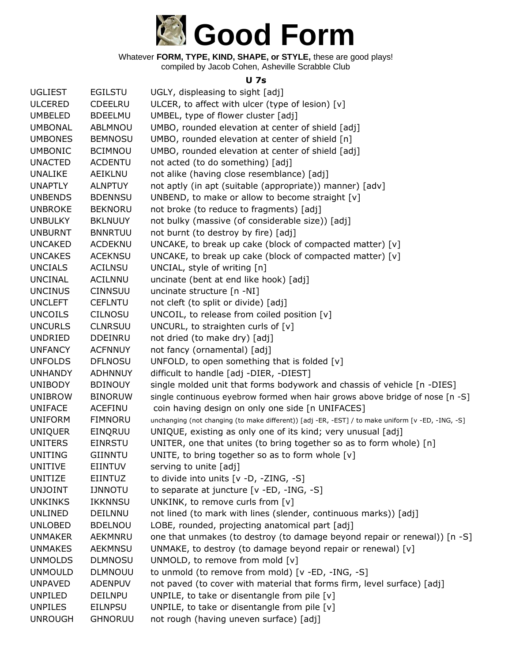

Whatever **FORM, TYPE, KIND, SHAPE, or STYLE,** these are good plays! compiled by Jacob Cohen, Asheville Scrabble Club

#### **U 7s**

| <b>UGLIEST</b> | <b>EGILSTU</b> | UGLY, displeasing to sight [adj]                                                                  |
|----------------|----------------|---------------------------------------------------------------------------------------------------|
| <b>ULCERED</b> | CDEELRU        | ULCER, to affect with ulcer (type of lesion) $[v]$                                                |
| <b>UMBELED</b> | <b>BDEELMU</b> | UMBEL, type of flower cluster [adj]                                                               |
| <b>UMBONAL</b> | ABLMNOU        | UMBO, rounded elevation at center of shield [adj]                                                 |
| <b>UMBONES</b> | <b>BEMNOSU</b> | UMBO, rounded elevation at center of shield [n]                                                   |
| <b>UMBONIC</b> | <b>BCIMNOU</b> | UMBO, rounded elevation at center of shield [adj]                                                 |
| <b>UNACTED</b> | <b>ACDENTU</b> | not acted (to do something) [adj]                                                                 |
| <b>UNALIKE</b> | AEIKLNU        | not alike (having close resemblance) [adj]                                                        |
| <b>UNAPTLY</b> | <b>ALNPTUY</b> | not aptly (in apt (suitable (appropriate)) manner) [adv]                                          |
| <b>UNBENDS</b> | <b>BDENNSU</b> | UNBEND, to make or allow to become straight [v]                                                   |
| <b>UNBROKE</b> | <b>BEKNORU</b> | not broke (to reduce to fragments) [adj]                                                          |
| <b>UNBULKY</b> | <b>BKLNUUY</b> | not bulky (massive (of considerable size)) [adj]                                                  |
| <b>UNBURNT</b> | <b>BNNRTUU</b> | not burnt (to destroy by fire) [adj]                                                              |
| <b>UNCAKED</b> | <b>ACDEKNU</b> | UNCAKE, to break up cake (block of compacted matter) [v]                                          |
| <b>UNCAKES</b> | <b>ACEKNSU</b> | UNCAKE, to break up cake (block of compacted matter) [v]                                          |
| <b>UNCIALS</b> | <b>ACILNSU</b> | UNCIAL, style of writing [n]                                                                      |
| <b>UNCINAL</b> | <b>ACILNNU</b> | uncinate (bent at end like hook) [adj]                                                            |
| <b>UNCINUS</b> | <b>CINNSUU</b> | uncinate structure [n -NI]                                                                        |
| <b>UNCLEFT</b> | <b>CEFLNTU</b> | not cleft (to split or divide) [adj]                                                              |
| <b>UNCOILS</b> | <b>CILNOSU</b> | UNCOIL, to release from coiled position [v]                                                       |
| <b>UNCURLS</b> | <b>CLNRSUU</b> | UNCURL, to straighten curls of [v]                                                                |
| <b>UNDRIED</b> | DDEINRU        | not dried (to make dry) [adj]                                                                     |
| <b>UNFANCY</b> | <b>ACFNNUY</b> | not fancy (ornamental) [adj]                                                                      |
| <b>UNFOLDS</b> | <b>DFLNOSU</b> | UNFOLD, to open something that is folded $[v]$                                                    |
| <b>UNHANDY</b> | <b>ADHNNUY</b> | difficult to handle [adj -DIER, -DIEST]                                                           |
| <b>UNIBODY</b> | <b>BDINOUY</b> | single molded unit that forms bodywork and chassis of vehicle [n -DIES]                           |
| <b>UNIBROW</b> | <b>BINORUW</b> | single continuous eyebrow formed when hair grows above bridge of nose [n -S]                      |
| <b>UNIFACE</b> | <b>ACEFINU</b> | coin having design on only one side [n UNIFACES]                                                  |
| <b>UNIFORM</b> | <b>FIMNORU</b> | unchanging (not changing (to make different)) [adj -ER, -EST] / to make uniform [v -ED, -ING, -S] |
| <b>UNIQUER</b> | EINQRUU        | UNIQUE, existing as only one of its kind; very unusual [adj]                                      |
| <b>UNITERS</b> | <b>EINRSTU</b> | UNITER, one that unites (to bring together so as to form whole) [n]                               |
| <b>UNITING</b> | GIINNTU        | UNITE, to bring together so as to form whole $[v]$                                                |
| UNITIVE        | <b>EIINTUV</b> | serving to unite [adj]                                                                            |
| <b>UNITIZE</b> | EIINTUZ        | to divide into units [v -D, -ZING, -S]                                                            |
| <b>UNJOINT</b> | <b>IJNNOTU</b> | to separate at juncture [v -ED, -ING, -S]                                                         |
| <b>UNKINKS</b> | <b>IKKNNSU</b> | UNKINK, to remove curls from [v]                                                                  |
| UNLINED        | DEILNNU        | not lined (to mark with lines (slender, continuous marks)) [adj]                                  |
| <b>UNLOBED</b> | <b>BDELNOU</b> | LOBE, rounded, projecting anatomical part [adj]                                                   |
| <b>UNMAKER</b> | AEKMNRU        | one that unmakes (to destroy (to damage beyond repair or renewal)) [n -S]                         |
| <b>UNMAKES</b> | AEKMNSU        | UNMAKE, to destroy (to damage beyond repair or renewal) [v]                                       |
| <b>UNMOLDS</b> | <b>DLMNOSU</b> | UNMOLD, to remove from mold [v]                                                                   |
| <b>UNMOULD</b> | <b>DLMNOUU</b> | to unmold (to remove from mold) [v -ED, -ING, -S]                                                 |
| <b>UNPAVED</b> | <b>ADENPUV</b> | not paved (to cover with material that forms firm, level surface) [adj]                           |
| <b>UNPILED</b> | <b>DEILNPU</b> | UNPILE, to take or disentangle from pile [v]                                                      |
| <b>UNPILES</b> | <b>EILNPSU</b> | UNPILE, to take or disentangle from pile [v]                                                      |
| <b>UNROUGH</b> | <b>GHNORUU</b> | not rough (having uneven surface) [adj]                                                           |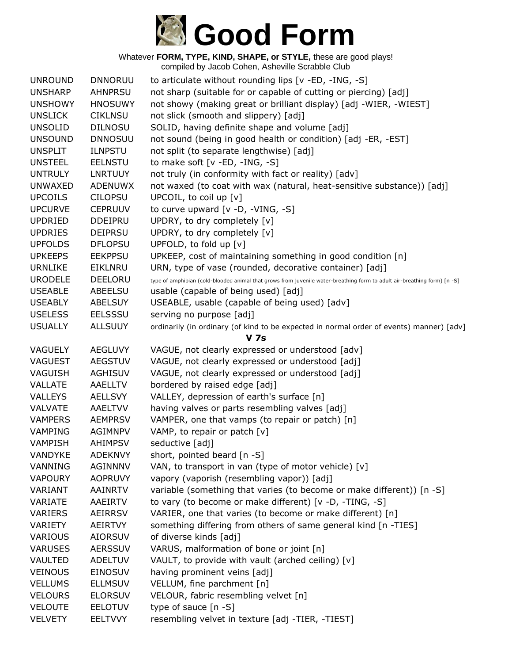

| <b>UNROUND</b>                   | <b>DNNORUU</b>                   | to articulate without rounding lips $[v - ED, -ING, -S]$                                                                 |
|----------------------------------|----------------------------------|--------------------------------------------------------------------------------------------------------------------------|
| <b>UNSHARP</b>                   | <b>AHNPRSU</b>                   | not sharp (suitable for or capable of cutting or piercing) [adj]                                                         |
| <b>UNSHOWY</b>                   | <b>HNOSUWY</b>                   | not showy (making great or brilliant display) [adj -WIER, -WIEST]                                                        |
| <b>UNSLICK</b>                   | <b>CIKLNSU</b>                   | not slick (smooth and slippery) [adj]                                                                                    |
| <b>UNSOLID</b>                   | <b>DILNOSU</b>                   | SOLID, having definite shape and volume [adj]                                                                            |
| <b>UNSOUND</b>                   | <b>DNNOSUU</b>                   | not sound (being in good health or condition) [adj -ER, -EST]                                                            |
| <b>UNSPLIT</b>                   | <b>ILNPSTU</b>                   | not split (to separate lengthwise) [adj]                                                                                 |
| <b>UNSTEEL</b>                   | <b>EELNSTU</b>                   | to make soft [v -ED, -ING, -S]                                                                                           |
| <b>UNTRULY</b>                   | LNRTUUY                          | not truly (in conformity with fact or reality) [adv]                                                                     |
| <b>UNWAXED</b>                   | ADENUWX                          | not waxed (to coat with wax (natural, heat-sensitive substance)) [adj]                                                   |
| <b>UPCOILS</b>                   | <b>CILOPSU</b>                   | UPCOIL, to coil up $[v]$                                                                                                 |
| <b>UPCURVE</b>                   | <b>CEPRUUV</b>                   | to curve upward [v -D, -VING, -S]                                                                                        |
| <b>UPDRIED</b>                   | <b>DDEIPRU</b>                   | UPDRY, to dry completely [v]                                                                                             |
| <b>UPDRIES</b>                   | <b>DEIPRSU</b>                   | UPDRY, to dry completely [v]                                                                                             |
| <b>UPFOLDS</b>                   | <b>DFLOPSU</b>                   | UPFOLD, to fold up [v]                                                                                                   |
| <b>UPKEEPS</b>                   | <b>EEKPPSU</b>                   | UPKEEP, cost of maintaining something in good condition [n]                                                              |
| <b>URNLIKE</b>                   | EIKLNRU                          | URN, type of vase (rounded, decorative container) [adj]                                                                  |
| <b>URODELE</b>                   | <b>DEELORU</b>                   | type of amphibian (cold-blooded animal that grows from juvenile water-breathing form to adult air-breathing form) [n -S] |
| <b>USEABLE</b>                   | <b>ABEELSU</b>                   | usable (capable of being used) [adj]                                                                                     |
| <b>USEABLY</b>                   | <b>ABELSUY</b>                   | USEABLE, usable (capable of being used) [adv]                                                                            |
| <b>USELESS</b>                   | <b>EELSSSU</b>                   | serving no purpose [adj]                                                                                                 |
| <b>USUALLY</b>                   | <b>ALLSUUY</b>                   | ordinarily (in ordinary (of kind to be expected in normal order of events) manner) [adv]                                 |
|                                  |                                  |                                                                                                                          |
|                                  |                                  | <b>V</b> 7s                                                                                                              |
| <b>VAGUELY</b>                   | <b>AEGLUVY</b>                   | VAGUE, not clearly expressed or understood [adv]                                                                         |
| <b>VAGUEST</b>                   | <b>AEGSTUV</b>                   | VAGUE, not clearly expressed or understood [adj]                                                                         |
| VAGUISH                          | <b>AGHISUV</b>                   | VAGUE, not clearly expressed or understood [adj]                                                                         |
| <b>VALLATE</b>                   | <b>AAELLTV</b>                   | bordered by raised edge [adj]                                                                                            |
| <b>VALLEYS</b>                   | <b>AELLSVY</b>                   | VALLEY, depression of earth's surface [n]                                                                                |
| <b>VALVATE</b>                   | AAELTVV                          | having valves or parts resembling valves [adj]                                                                           |
| <b>VAMPERS</b>                   | <b>AEMPRSV</b>                   | VAMPER, one that vamps (to repair or patch) [n]                                                                          |
| VAMPING                          | <b>AGIMNPV</b>                   | VAMP, to repair or patch [v]                                                                                             |
| <b>VAMPISH</b>                   | <b>AHIMPSV</b>                   | seductive [adj]                                                                                                          |
| VANDYKE                          | <b>ADEKNVY</b>                   | short, pointed beard [n -S]                                                                                              |
| VANNING                          | <b>AGINNNV</b>                   | VAN, to transport in van (type of motor vehicle) $[v]$                                                                   |
| <b>VAPOURY</b>                   | <b>AOPRUVY</b>                   | vapory (vaporish (resembling vapor)) [adj]                                                                               |
| VARIANT                          | <b>AAINRTV</b>                   | variable (something that varies (to become or make different)) [n -S]                                                    |
| VARIATE                          | <b>AAEIRTV</b>                   | to vary (to become or make different) [v -D, -TING, -S]                                                                  |
| <b>VARIERS</b>                   | <b>AEIRRSV</b>                   | VARIER, one that varies (to become or make different) [n]                                                                |
| VARIETY                          | <b>AEIRTVY</b>                   | something differing from others of same general kind [n -TIES]                                                           |
| VARIOUS                          | <b>AIORSUV</b>                   | of diverse kinds [adj]                                                                                                   |
| <b>VARUSES</b>                   | <b>AERSSUV</b>                   | VARUS, malformation of bone or joint [n]                                                                                 |
| <b>VAULTED</b>                   | <b>ADELTUV</b>                   | VAULT, to provide with vault (arched ceiling) [v]                                                                        |
| <b>VEINOUS</b>                   | <b>EINOSUV</b>                   | having prominent veins [adj]                                                                                             |
| <b>VELLUMS</b>                   | <b>ELLMSUV</b>                   | VELLUM, fine parchment [n]                                                                                               |
| <b>VELOURS</b>                   | <b>ELORSUV</b>                   | VELOUR, fabric resembling velvet [n]                                                                                     |
| <b>VELOUTE</b><br><b>VELVETY</b> | <b>EELOTUV</b><br><b>EELTVVY</b> | type of sauce $[n - S]$<br>resembling velvet in texture [adj -TIER, -TIEST]                                              |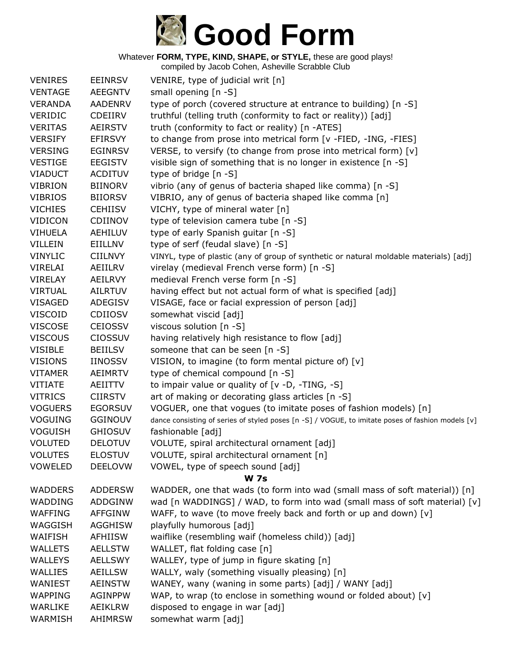

| <b>EEINRSV</b> | VENIRE, type of judicial writ [n]                                                                                                                                                        |  |  |  |
|----------------|------------------------------------------------------------------------------------------------------------------------------------------------------------------------------------------|--|--|--|
| <b>AEEGNTV</b> | small opening [n -S]                                                                                                                                                                     |  |  |  |
| <b>AADENRV</b> | type of porch (covered structure at entrance to building) [n -S]                                                                                                                         |  |  |  |
| CDEIIRV        | truthful (telling truth (conformity to fact or reality)) [adj]                                                                                                                           |  |  |  |
| <b>AEIRSTV</b> | truth (conformity to fact or reality) [n -ATES]                                                                                                                                          |  |  |  |
| <b>EFIRSVY</b> | to change from prose into metrical form [v -FIED, -ING, -FIES]                                                                                                                           |  |  |  |
|                | VERSE, to versify (to change from prose into metrical form) [v]                                                                                                                          |  |  |  |
| <b>EEGISTV</b> | visible sign of something that is no longer in existence [n -S]                                                                                                                          |  |  |  |
| <b>ACDITUV</b> | type of bridge [n -S]                                                                                                                                                                    |  |  |  |
| <b>BIINORV</b> | vibrio (any of genus of bacteria shaped like comma) [n -S]                                                                                                                               |  |  |  |
| <b>BIIORSV</b> | VIBRIO, any of genus of bacteria shaped like comma [n]                                                                                                                                   |  |  |  |
| <b>CEHIISV</b> | VICHY, type of mineral water [n]                                                                                                                                                         |  |  |  |
| CDIINOV        | type of television camera tube [n -S]                                                                                                                                                    |  |  |  |
| AEHILUV        | type of early Spanish guitar [n -S]                                                                                                                                                      |  |  |  |
| EIILLNV        | type of serf (feudal slave) [n -S]                                                                                                                                                       |  |  |  |
| <b>CIILNVY</b> | VINYL, type of plastic (any of group of synthetic or natural moldable materials) [adj]                                                                                                   |  |  |  |
| AEIILRV        | virelay (medieval French verse form) [n -S]                                                                                                                                              |  |  |  |
| AEILRVY        | medieval French verse form [n -S]                                                                                                                                                        |  |  |  |
| <b>AILRTUV</b> | having effect but not actual form of what is specified [adj]                                                                                                                             |  |  |  |
| ADEGISV        | VISAGE, face or facial expression of person [adj]                                                                                                                                        |  |  |  |
| <b>CDIIOSV</b> | somewhat viscid [adj]                                                                                                                                                                    |  |  |  |
| <b>CEIOSSV</b> | viscous solution [n -S]                                                                                                                                                                  |  |  |  |
| <b>CIOSSUV</b> | having relatively high resistance to flow [adj]                                                                                                                                          |  |  |  |
| <b>BEIILSV</b> | someone that can be seen [n -S]                                                                                                                                                          |  |  |  |
| <b>IINOSSV</b> | VISION, to imagine (to form mental picture of) [v]                                                                                                                                       |  |  |  |
| <b>AEIMRTV</b> | type of chemical compound [n -S]                                                                                                                                                         |  |  |  |
| AEIITTV        | to impair value or quality of [v -D, -TING, -S]                                                                                                                                          |  |  |  |
| <b>CIIRSTV</b> | art of making or decorating glass articles [n -S]                                                                                                                                        |  |  |  |
| <b>EGORSUV</b> | VOGUER, one that vogues (to imitate poses of fashion models) [n]                                                                                                                         |  |  |  |
| GGINOUV        | dance consisting of series of styled poses [n -S] / VOGUE, to imitate poses of fashion models [v]                                                                                        |  |  |  |
| <b>GHIOSUV</b> | fashionable [adj]                                                                                                                                                                        |  |  |  |
| <b>DELOTUV</b> | VOLUTE, spiral architectural ornament [adj]                                                                                                                                              |  |  |  |
| <b>ELOSTUV</b> | VOLUTE, spiral architectural ornament [n]                                                                                                                                                |  |  |  |
| <b>DEELOVW</b> | VOWEL, type of speech sound [adj]                                                                                                                                                        |  |  |  |
| <b>W</b> 7s    |                                                                                                                                                                                          |  |  |  |
| <b>ADDERSW</b> | WADDER, one that wads (to form into wad (small mass of soft material)) [n]                                                                                                               |  |  |  |
|                | wad [n WADDINGS] / WAD, to form into wad (small mass of soft material) [v]                                                                                                               |  |  |  |
|                | WAFF, to wave (to move freely back and forth or up and down) [v]                                                                                                                         |  |  |  |
|                | playfully humorous [adj]                                                                                                                                                                 |  |  |  |
|                | waiflike (resembling waif (homeless child)) [adj]                                                                                                                                        |  |  |  |
|                | WALLET, flat folding case [n]                                                                                                                                                            |  |  |  |
|                | WALLEY, type of jump in figure skating [n]                                                                                                                                               |  |  |  |
|                | WALLY, waly (something visually pleasing) [n]                                                                                                                                            |  |  |  |
|                | WANEY, wany (waning in some parts) [adj] / WANY [adj]                                                                                                                                    |  |  |  |
|                | WAP, to wrap (to enclose in something wound or folded about) [v]                                                                                                                         |  |  |  |
|                | disposed to engage in war [adj]                                                                                                                                                          |  |  |  |
|                | somewhat warm [adj]                                                                                                                                                                      |  |  |  |
|                | <b>EGINRSV</b><br>ADDGINW<br><b>AFFGINW</b><br><b>AGGHISW</b><br>AFHIISW<br><b>AELLSTW</b><br><b>AELLSWY</b><br><b>AEILLSW</b><br><b>AEINSTW</b><br><b>AGINPPW</b><br>AEIKLRW<br>AHIMRSW |  |  |  |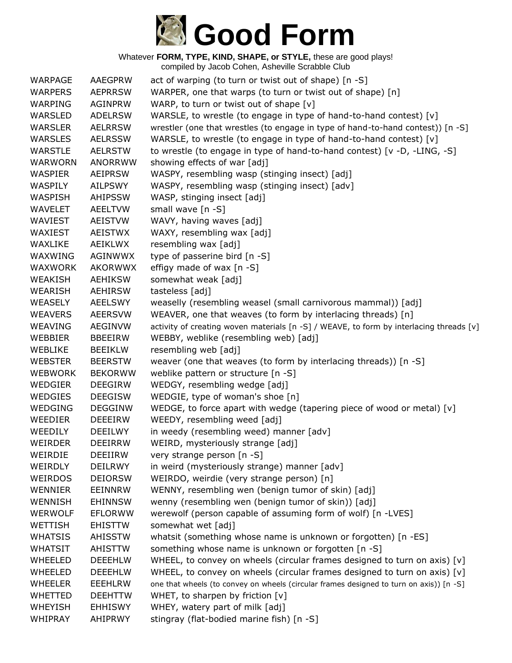

| WARPAGE        | <b>AAEGPRW</b> | act of warping (to turn or twist out of shape) [n -S]                                   |
|----------------|----------------|-----------------------------------------------------------------------------------------|
| <b>WARPERS</b> | <b>AEPRRSW</b> | WARPER, one that warps (to turn or twist out of shape) [n]                              |
| WARPING        | <b>AGINPRW</b> | WARP, to turn or twist out of shape $[v]$                                               |
| WARSLED        | <b>ADELRSW</b> | WARSLE, to wrestle (to engage in type of hand-to-hand contest) [v]                      |
| <b>WARSLER</b> | <b>AELRRSW</b> | wrestler (one that wrestles (to engage in type of hand-to-hand contest)) [n -S]         |
| <b>WARSLES</b> | <b>AELRSSW</b> | WARSLE, to wrestle (to engage in type of hand-to-hand contest) [v]                      |
| <b>WARSTLE</b> | <b>AELRSTW</b> | to wrestle (to engage in type of hand-to-hand contest) [v -D, -LING, -S]                |
| <b>WARWORN</b> | ANORRWW        | showing effects of war [adj]                                                            |
| WASPIER        | <b>AEIPRSW</b> | WASPY, resembling wasp (stinging insect) [adj]                                          |
| WASPILY        | <b>AILPSWY</b> | WASPY, resembling wasp (stinging insect) [adv]                                          |
| WASPISH        | <b>AHIPSSW</b> | WASP, stinging insect [adj]                                                             |
| <b>WAVELET</b> | <b>AEELTVW</b> | small wave [n -S]                                                                       |
| WAVIEST        | <b>AEISTVW</b> | WAVY, having waves [adj]                                                                |
| WAXIEST        | <b>AEISTWX</b> | WAXY, resembling wax [adj]                                                              |
| WAXLIKE        | AEIKLWX        | resembling wax [adj]                                                                    |
| WAXWING        | AGINWWX        | type of passerine bird [n -S]                                                           |
| <b>WAXWORK</b> | <b>AKORWWX</b> | effigy made of wax [n -S]                                                               |
| WEAKISH        | <b>AEHIKSW</b> | somewhat weak [adj]                                                                     |
| WEARISH        | <b>AEHIRSW</b> | tasteless [adj]                                                                         |
| WEASELY        | <b>AEELSWY</b> | weaselly (resembling weasel (small carnivorous mammal)) [adj]                           |
| <b>WEAVERS</b> | <b>AEERSVW</b> | WEAVER, one that weaves (to form by interlacing threads) [n]                            |
| WEAVING        | <b>AEGINVW</b> | activity of creating woven materials [n -S] / WEAVE, to form by interlacing threads [v] |
| WEBBIER        | <b>BBEEIRW</b> | WEBBY, weblike (resembling web) [adj]                                                   |
| WEBLIKE        | <b>BEEIKLW</b> | resembling web [adj]                                                                    |
| <b>WEBSTER</b> | <b>BEERSTW</b> | weaver (one that weaves (to form by interlacing threads)) [n -S]                        |
| <b>WEBWORK</b> | <b>BEKORWW</b> | weblike pattern or structure [n -S]                                                     |
| WEDGIER        | <b>DEEGIRW</b> | WEDGY, resembling wedge [adj]                                                           |
| WEDGIES        | <b>DEEGISW</b> | WEDGIE, type of woman's shoe [n]                                                        |
| WEDGING        | <b>DEGGINW</b> | WEDGE, to force apart with wedge (tapering piece of wood or metal) [v]                  |
| WEEDIER        | <b>DEEEIRW</b> | WEEDY, resembling weed [adj]                                                            |
| WEEDILY        | <b>DEEILWY</b> | in weedy (resembling weed) manner [adv]                                                 |
| WEIRDER        | <b>DEEIRRW</b> | WEIRD, mysteriously strange [adj]                                                       |
| WEIRDIE        | <b>DEEIIRW</b> | very strange person [n -S]                                                              |
| WEIRDLY        | <b>DEILRWY</b> | in weird (mysteriously strange) manner [adv]                                            |
| WEIRDOS        | <b>DEIORSW</b> | WEIRDO, weirdie (very strange person) [n]                                               |
| WENNIER        | <b>EEINNRW</b> | WENNY, resembling wen (benign tumor of skin) [adj]                                      |
| WENNISH        | <b>EHINNSW</b> | wenny (resembling wen (benign tumor of skin)) [adj]                                     |
| <b>WERWOLF</b> | <b>EFLORWW</b> | werewolf (person capable of assuming form of wolf) [n -LVES]                            |
| WETTISH        | <b>EHISTTW</b> | somewhat wet [adj]                                                                      |
| <b>WHATSIS</b> | <b>AHISSTW</b> | whatsit (something whose name is unknown or forgotten) [n -ES]                          |
| <b>WHATSIT</b> | <b>AHISTTW</b> | something whose name is unknown or forgotten [n -S]                                     |
| WHEELED        | <b>DEEEHLW</b> | WHEEL, to convey on wheels (circular frames designed to turn on axis) $[v]$             |
| WHEELED        | <b>DEEEHLW</b> | WHEEL, to convey on wheels (circular frames designed to turn on axis) $[v]$             |
| <b>WHEELER</b> | <b>EEEHLRW</b> | one that wheels (to convey on wheels (circular frames designed to turn on axis)) [n -S] |
| <b>WHETTED</b> | <b>DEEHTTW</b> | WHET, to sharpen by friction [v]                                                        |
| <b>WHEYISH</b> | <b>EHHISWY</b> | WHEY, watery part of milk [adj]                                                         |
| WHIPRAY        | AHIPRWY        | stingray (flat-bodied marine fish) [n -S]                                               |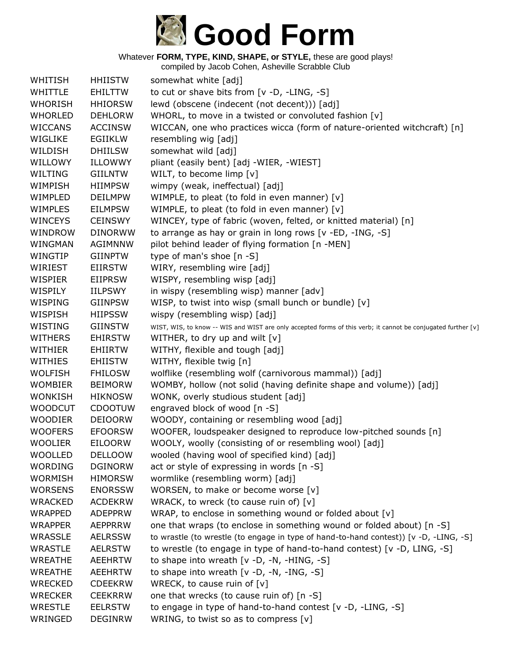

| WHITISH        | <b>HHIISTW</b> | somewhat white [adj]                                                                                         |
|----------------|----------------|--------------------------------------------------------------------------------------------------------------|
| <b>WHITTLE</b> | <b>EHILTTW</b> | to cut or shave bits from [v -D, -LING, -S]                                                                  |
| <b>WHORISH</b> | <b>HHIORSW</b> | lewd (obscene (indecent (not decent))) [adj]                                                                 |
| <b>WHORLED</b> | <b>DEHLORW</b> | WHORL, to move in a twisted or convoluted fashion [v]                                                        |
| <b>WICCANS</b> | <b>ACCINSW</b> | WICCAN, one who practices wicca (form of nature-oriented witchcraft) [n]                                     |
| WIGLIKE        | <b>EGIIKLW</b> | resembling wig [adj]                                                                                         |
| WILDISH        | <b>DHIILSW</b> | somewhat wild [adj]                                                                                          |
| WILLOWY        | ILLOWWY        | pliant (easily bent) [adj -WIER, -WIEST]                                                                     |
| WILTING        | <b>GIILNTW</b> | WILT, to become limp [v]                                                                                     |
| WIMPISH        | <b>HIIMPSW</b> | wimpy (weak, ineffectual) [adj]                                                                              |
| WIMPLED        | <b>DEILMPW</b> | WIMPLE, to pleat (to fold in even manner) [v]                                                                |
| <b>WIMPLES</b> | <b>EILMPSW</b> | WIMPLE, to pleat (to fold in even manner) [v]                                                                |
| <b>WINCEYS</b> | <b>CEINSWY</b> | WINCEY, type of fabric (woven, felted, or knitted material) [n]                                              |
| WINDROW        | <b>DINORWW</b> | to arrange as hay or grain in long rows [v -ED, -ING, -S]                                                    |
| WINGMAN        | <b>AGIMNNW</b> | pilot behind leader of flying formation [n -MEN]                                                             |
| WINGTIP        | <b>GIINPTW</b> | type of man's shoe [n -S]                                                                                    |
| WIRIEST        | <b>EIIRSTW</b> | WIRY, resembling wire [adj]                                                                                  |
| <b>WISPIER</b> | <b>EIIPRSW</b> | WISPY, resembling wisp [adj]                                                                                 |
| WISPILY        | IILPSWY        | in wispy (resembling wisp) manner [adv]                                                                      |
| WISPING        | <b>GIINPSW</b> | WISP, to twist into wisp (small bunch or bundle) [v]                                                         |
| WISPISH        | <b>HIIPSSW</b> | wispy (resembling wisp) [adj]                                                                                |
| WISTING        | <b>GIINSTW</b> | WIST, WIS, to know -- WIS and WIST are only accepted forms of this verb; it cannot be conjugated further [v] |
| <b>WITHERS</b> | <b>EHIRSTW</b> | WITHER, to dry up and wilt $[v]$                                                                             |
| <b>WITHIER</b> | <b>EHIIRTW</b> | WITHY, flexible and tough [adj]                                                                              |
| <b>WITHIES</b> | <b>EHIISTW</b> | WITHY, flexible twig [n]                                                                                     |
| <b>WOLFISH</b> | <b>FHILOSW</b> | wolflike (resembling wolf (carnivorous mammal)) [adj]                                                        |
| <b>WOMBIER</b> | <b>BEIMORW</b> | WOMBY, hollow (not solid (having definite shape and volume)) [adj]                                           |
| <b>WONKISH</b> | <b>HIKNOSW</b> | WONK, overly studious student [adj]                                                                          |
| <b>WOODCUT</b> | <b>CDOOTUW</b> | engraved block of wood [n -S]                                                                                |
| <b>WOODIER</b> | <b>DEIOORW</b> | WOODY, containing or resembling wood [adj]                                                                   |
| <b>WOOFERS</b> | <b>EFOORSW</b> | WOOFER, loudspeaker designed to reproduce low-pitched sounds [n]                                             |
| <b>WOOLIER</b> | <b>EILOORW</b> | WOOLY, woolly (consisting of or resembling wool) [adj]                                                       |
| <b>WOOLLED</b> | <b>DELLOOW</b> | wooled (having wool of specified kind) [adj]                                                                 |
| <b>WORDING</b> | <b>DGINORW</b> | act or style of expressing in words [n -S]                                                                   |
| <b>WORMISH</b> | <b>HIMORSW</b> | wormlike (resembling worm) [adj]                                                                             |
| <b>WORSENS</b> | <b>ENORSSW</b> | WORSEN, to make or become worse [v]                                                                          |
| <b>WRACKED</b> | <b>ACDEKRW</b> | WRACK, to wreck (to cause ruin of) $[v]$                                                                     |
| <b>WRAPPED</b> | <b>ADEPPRW</b> | WRAP, to enclose in something wound or folded about [v]                                                      |
| <b>WRAPPER</b> | <b>AEPPRRW</b> | one that wraps (to enclose in something wound or folded about) [n -S]                                        |
| WRASSLE        | <b>AELRSSW</b> | to wrastle (to wrestle (to engage in type of hand-to-hand contest)) [v -D, -LING, -S]                        |
| <b>WRASTLE</b> | <b>AELRSTW</b> | to wrestle (to engage in type of hand-to-hand contest) [v -D, LING, -S]                                      |
| <b>WREATHE</b> | <b>AEEHRTW</b> | to shape into wreath $[v -D, -N, -HING, -S]$                                                                 |
| <b>WREATHE</b> | <b>AEEHRTW</b> | to shape into wreath $[v -D, -N, -ING, -S]$                                                                  |
| <b>WRECKED</b> | <b>CDEEKRW</b> | WRECK, to cause ruin of $[v]$                                                                                |
| <b>WRECKER</b> | <b>CEEKRRW</b> | one that wrecks (to cause ruin of) [n -S]                                                                    |
| <b>WRESTLE</b> | <b>EELRSTW</b> | to engage in type of hand-to-hand contest [v -D, -LING, -S]                                                  |
| WRINGED        | <b>DEGINRW</b> | WRING, to twist so as to compress $[v]$                                                                      |